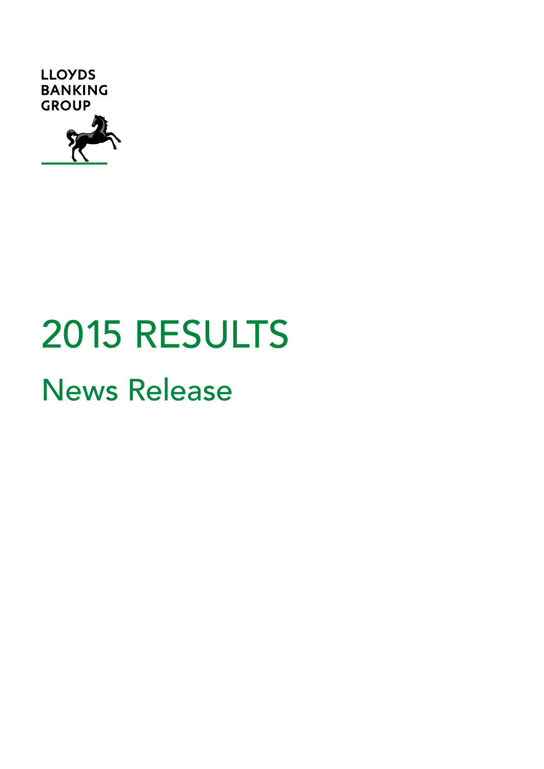

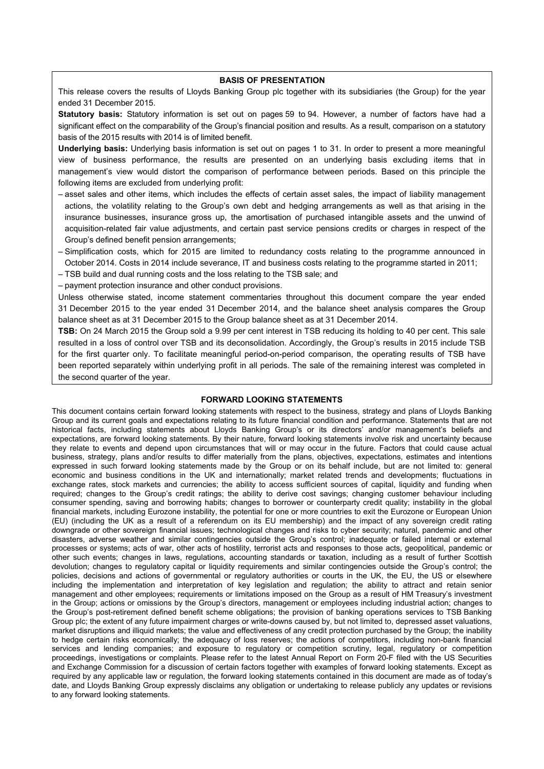#### **BASIS OF PRESENTATION**

This release covers the results of Lloyds Banking Group plc together with its subsidiaries (the Group) for the year ended 31 December 2015.

**Statutory basis:** Statutory information is set out on pages 59 to 94. However, a number of factors have had a significant effect on the comparability of the Group's financial position and results. As a result, comparison on a statutory basis of the 2015 results with 2014 is of limited benefit.

**Underlying basis:** Underlying basis information is set out on pages 1 to 31. In order to present a more meaningful view of business performance, the results are presented on an underlying basis excluding items that in management's view would distort the comparison of performance between periods. Based on this principle the following items are excluded from underlying profit:

- asset sales and other items, which includes the effects of certain asset sales, the impact of liability management actions, the volatility relating to the Group's own debt and hedging arrangements as well as that arising in the insurance businesses, insurance gross up, the amortisation of purchased intangible assets and the unwind of acquisition-related fair value adjustments, and certain past service pensions credits or charges in respect of the Group's defined benefit pension arrangements;
- Simplification costs, which for 2015 are limited to redundancy costs relating to the programme announced in October 2014. Costs in 2014 include severance, IT and business costs relating to the programme started in 2011;
- TSB build and dual running costs and the loss relating to the TSB sale; and
- payment protection insurance and other conduct provisions.

Unless otherwise stated, income statement commentaries throughout this document compare the year ended 31 December 2015 to the year ended 31 December 2014, and the balance sheet analysis compares the Group balance sheet as at 31 December 2015 to the Group balance sheet as at 31 December 2014.

**TSB:** On 24 March 2015 the Group sold a 9.99 per cent interest in TSB reducing its holding to 40 per cent. This sale resulted in a loss of control over TSB and its deconsolidation. Accordingly, the Group's results in 2015 include TSB for the first quarter only. To facilitate meaningful period-on-period comparison, the operating results of TSB have been reported separately within underlying profit in all periods. The sale of the remaining interest was completed in the second quarter of the year.

#### **FORWARD LOOKING STATEMENTS**

This document contains certain forward looking statements with respect to the business, strategy and plans of Lloyds Banking Group and its current goals and expectations relating to its future financial condition and performance. Statements that are not historical facts, including statements about Lloyds Banking Group's or its directors' and/or management's beliefs and expectations, are forward looking statements. By their nature, forward looking statements involve risk and uncertainty because they relate to events and depend upon circumstances that will or may occur in the future. Factors that could cause actual business, strategy, plans and/or results to differ materially from the plans, objectives, expectations, estimates and intentions expressed in such forward looking statements made by the Group or on its behalf include, but are not limited to: general economic and business conditions in the UK and internationally; market related trends and developments; fluctuations in exchange rates, stock markets and currencies; the ability to access sufficient sources of capital, liquidity and funding when required; changes to the Group's credit ratings; the ability to derive cost savings; changing customer behaviour including consumer spending, saving and borrowing habits; changes to borrower or counterparty credit quality; instability in the global financial markets, including Eurozone instability, the potential for one or more countries to exit the Eurozone or European Union (EU) (including the UK as a result of a referendum on its EU membership) and the impact of any sovereign credit rating downgrade or other sovereign financial issues; technological changes and risks to cyber security; natural, pandemic and other disasters, adverse weather and similar contingencies outside the Group's control; inadequate or failed internal or external processes or systems; acts of war, other acts of hostility, terrorist acts and responses to those acts, geopolitical, pandemic or other such events; changes in laws, regulations, accounting standards or taxation, including as a result of further Scottish devolution; changes to regulatory capital or liquidity requirements and similar contingencies outside the Group's control; the policies, decisions and actions of governmental or regulatory authorities or courts in the UK, the EU, the US or elsewhere including the implementation and interpretation of key legislation and regulation; the ability to attract and retain senior management and other employees; requirements or limitations imposed on the Group as a result of HM Treasury's investment in the Group; actions or omissions by the Group's directors, management or employees including industrial action; changes to the Group's post-retirement defined benefit scheme obligations; the provision of banking operations services to TSB Banking Group plc; the extent of any future impairment charges or write-downs caused by, but not limited to, depressed asset valuations, market disruptions and illiquid markets; the value and effectiveness of any credit protection purchased by the Group; the inability to hedge certain risks economically; the adequacy of loss reserves; the actions of competitors, including non-bank financial services and lending companies; and exposure to regulatory or competition scrutiny, legal, regulatory or competition proceedings, investigations or complaints. Please refer to the latest Annual Report on Form 20-F filed with the US Securities and Exchange Commission for a discussion of certain factors together with examples of forward looking statements. Except as required by any applicable law or regulation, the forward looking statements contained in this document are made as of today's date, and Lloyds Banking Group expressly disclaims any obligation or undertaking to release publicly any updates or revisions to any forward looking statements.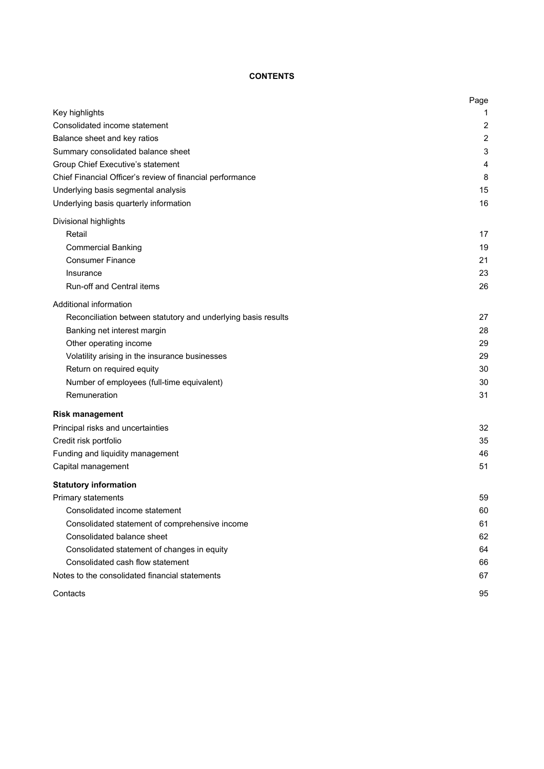# **CONTENTS**

|                                                               | Page |
|---------------------------------------------------------------|------|
| Key highlights                                                | 1    |
| Consolidated income statement                                 | 2    |
| Balance sheet and key ratios                                  | 2    |
| Summary consolidated balance sheet                            | 3    |
| Group Chief Executive's statement                             | 4    |
| Chief Financial Officer's review of financial performance     | 8    |
| Underlying basis segmental analysis                           | 15   |
| Underlying basis quarterly information                        | 16   |
| Divisional highlights                                         |      |
| Retail                                                        | 17   |
| <b>Commercial Banking</b>                                     | 19   |
| <b>Consumer Finance</b>                                       | 21   |
| Insurance                                                     | 23   |
| Run-off and Central items                                     | 26   |
| Additional information                                        |      |
| Reconciliation between statutory and underlying basis results | 27   |
| Banking net interest margin                                   | 28   |
| Other operating income                                        | 29   |
| Volatility arising in the insurance businesses                | 29   |
| Return on required equity                                     | 30   |
| Number of employees (full-time equivalent)                    | 30   |
| Remuneration                                                  | 31   |
| <b>Risk management</b>                                        |      |
| Principal risks and uncertainties                             | 32   |
| Credit risk portfolio                                         | 35   |
| Funding and liquidity management                              | 46   |
| Capital management                                            | 51   |
| <b>Statutory information</b>                                  |      |
| <b>Primary statements</b>                                     | 59   |
| Consolidated income statement                                 | 60   |
| Consolidated statement of comprehensive income                | 61   |
| Consolidated balance sheet                                    | 62   |
| Consolidated statement of changes in equity                   | 64   |
| Consolidated cash flow statement                              | 66   |
| Notes to the consolidated financial statements                | 67   |
| Contacts                                                      | 95   |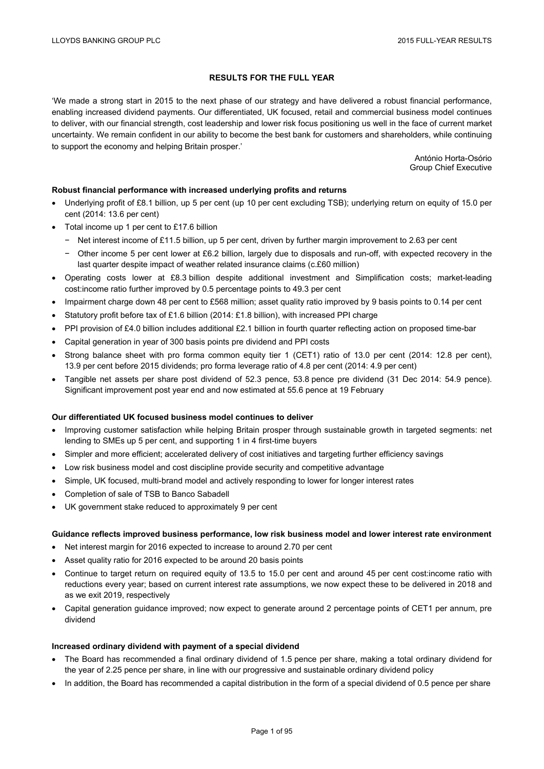## **RESULTS FOR THE FULL YEAR**

'We made a strong start in 2015 to the next phase of our strategy and have delivered a robust financial performance, enabling increased dividend payments. Our differentiated, UK focused, retail and commercial business model continues to deliver, with our financial strength, cost leadership and lower risk focus positioning us well in the face of current market uncertainty. We remain confident in our ability to become the best bank for customers and shareholders, while continuing to support the economy and helping Britain prosper.'

> António Horta-Osório Group Chief Executive

### **Robust financial performance with increased underlying profits and returns**

- Underlying profit of £8.1 billion, up 5 per cent (up 10 per cent excluding TSB); underlying return on equity of 15.0 per cent (2014: 13.6 per cent)
- Total income up 1 per cent to £17.6 billion
	- − Net interest income of £11.5 billion, up 5 per cent, driven by further margin improvement to 2.63 per cent
	- − Other income 5 per cent lower at £6.2 billion, largely due to disposals and run-off, with expected recovery in the last quarter despite impact of weather related insurance claims (c.£60 million)
- Operating costs lower at £8.3 billion despite additional investment and Simplification costs; market-leading cost:income ratio further improved by 0.5 percentage points to 49.3 per cent
- Impairment charge down 48 per cent to £568 million; asset quality ratio improved by 9 basis points to 0.14 per cent
- Statutory profit before tax of £1.6 billion (2014: £1.8 billion), with increased PPI charge
- PPI provision of £4.0 billion includes additional £2.1 billion in fourth quarter reflecting action on proposed time-bar
- Capital generation in year of 300 basis points pre dividend and PPI costs
- Strong balance sheet with pro forma common equity tier 1 (CET1) ratio of 13.0 per cent (2014: 12.8 per cent), 13.9 per cent before 2015 dividends; pro forma leverage ratio of 4.8 per cent (2014: 4.9 per cent)
- Tangible net assets per share post dividend of 52.3 pence, 53.8 pence pre dividend (31 Dec 2014: 54.9 pence). Significant improvement post year end and now estimated at 55.6 pence at 19 February

#### **Our differentiated UK focused business model continues to deliver**

- Improving customer satisfaction while helping Britain prosper through sustainable growth in targeted segments: net lending to SMEs up 5 per cent, and supporting 1 in 4 first-time buyers
- Simpler and more efficient; accelerated delivery of cost initiatives and targeting further efficiency savings
- Low risk business model and cost discipline provide security and competitive advantage
- Simple, UK focused, multi-brand model and actively responding to lower for longer interest rates
- Completion of sale of TSB to Banco Sabadell
- UK government stake reduced to approximately 9 per cent

### **Guidance reflects improved business performance, low risk business model and lower interest rate environment**

- Net interest margin for 2016 expected to increase to around 2.70 per cent
- Asset quality ratio for 2016 expected to be around 20 basis points
- Continue to target return on required equity of 13.5 to 15.0 per cent and around 45 per cent cost:income ratio with reductions every year; based on current interest rate assumptions, we now expect these to be delivered in 2018 and as we exit 2019, respectively
- Capital generation guidance improved; now expect to generate around 2 percentage points of CET1 per annum, pre dividend

#### **Increased ordinary dividend with payment of a special dividend**

- The Board has recommended a final ordinary dividend of 1.5 pence per share, making a total ordinary dividend for the year of 2.25 pence per share, in line with our progressive and sustainable ordinary dividend policy
- In addition, the Board has recommended a capital distribution in the form of a special dividend of 0.5 pence per share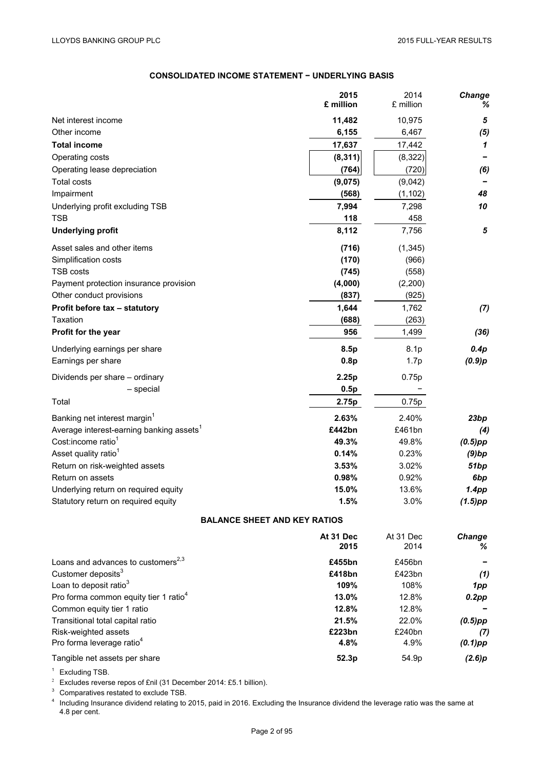# **CONSOLIDATED INCOME STATEMENT − UNDERLYING BASIS**

|                                                               | 2015<br>£ million                   | 2014<br>£ million | Change<br>℅ |
|---------------------------------------------------------------|-------------------------------------|-------------------|-------------|
| Net interest income                                           | 11,482                              | 10,975            | 5           |
| Other income                                                  | 6,155                               | 6,467             | (5)         |
| <b>Total income</b>                                           | 17,637                              | 17,442            | 1           |
| Operating costs                                               | (8, 311)                            | (8, 322)          |             |
| Operating lease depreciation                                  | (764)                               | (720)             | (6)         |
| <b>Total costs</b>                                            | (9,075)                             | (9,042)           |             |
| Impairment                                                    | (568)                               | (1, 102)          | 48          |
| Underlying profit excluding TSB                               | 7,994                               | 7,298             | 10          |
| <b>TSB</b>                                                    | 118                                 | 458               |             |
| <b>Underlying profit</b>                                      | 8,112                               | 7,756             | 5           |
| Asset sales and other items                                   | (716)                               | (1, 345)          |             |
| Simplification costs                                          | (170)                               | (966)             |             |
| <b>TSB costs</b>                                              | (745)                               | (558)             |             |
| Payment protection insurance provision                        | (4,000)                             | (2,200)           |             |
| Other conduct provisions                                      | (837)                               | (925)             |             |
| Profit before tax - statutory                                 | 1,644                               | 1,762             | (7)         |
| Taxation                                                      | (688)                               | (263)             |             |
| Profit for the year                                           | 956                                 | 1,499             | (36)        |
| Underlying earnings per share                                 | 8.5p                                | 8.1 <sub>p</sub>  | 0.4p        |
| Earnings per share                                            | 0.8p                                | 1.7p              | (0.9)p      |
| Dividends per share – ordinary                                | 2.25p                               | 0.75p             |             |
| - special                                                     | 0.5p                                |                   |             |
| Total                                                         | 2.75p                               | 0.75p             |             |
| Banking net interest margin <sup>1</sup>                      | 2.63%                               | 2.40%             | 23bp        |
| Average interest-earning banking assets <sup>1</sup>          | £442bn                              | £461bn            | (4)         |
| Cost:income ratio <sup>1</sup>                                | 49.3%                               | 49.8%             | $(0.5)$ pp  |
| Asset quality ratio <sup>1</sup>                              | 0.14%                               | 0.23%             | (9)bp       |
| Return on risk-weighted assets                                | 3.53%                               | 3.02%             | 51bp        |
| Return on assets                                              | 0.98%                               | 0.92%             | 6bp         |
| Underlying return on required equity                          | 15.0%                               | 13.6%             | 1.4pp       |
| Statutory return on required equity                           | 1.5%                                | 3.0%              | $(1.5)$ pp  |
|                                                               | <b>BALANCE SHEET AND KEY RATIOS</b> |                   |             |
|                                                               | At 31 Dec                           | At 31 Dec         | Change      |
|                                                               | 2015                                | 2014              | ℅           |
| Loans and advances to customers <sup>2,3</sup>                | £455bn                              | £456bn            |             |
| Customer deposits <sup>3</sup>                                | £418bn                              | £423bn            | (1)         |
| Loan to deposit ratio <sup>3</sup>                            | 109%                                | 108%              | 1pp         |
| Pro forma common equity tier 1 ratio <sup>4</sup>             | 13.0%                               | 12.8%             | $0.2$ pp    |
| Common equity tier 1 ratio                                    | 12.8%                               | 12.8%             |             |
| Transitional total capital ratio                              | 21.5%                               | 22.0%             | $(0.5)$ pp  |
| Risk-weighted assets<br>Pro forma leverage ratio <sup>4</sup> | £223bn<br>4.8%                      | £240bn<br>4.9%    | (7)         |
|                                                               |                                     |                   | $(0.1)$ pp  |
| Tangible net assets per share                                 | 52.3p                               | 54.9p             | (2.6)p      |

<sup>1</sup> Excluding TSB.<br><sup>2</sup> Excludes reverse repos of £nil (31 December 2014: £5.1 billion).

<sup>2</sup> Excludes reverse repos of £nil (31 December 2014: £5.1 billion).<br><sup>3</sup> Comparatives restated to exclude TSB.<br><sup>4</sup> Including Insurance dividend relating to 2015, paid in 2016. Excluding the Insurance dividend the leverage 4.8 per cent.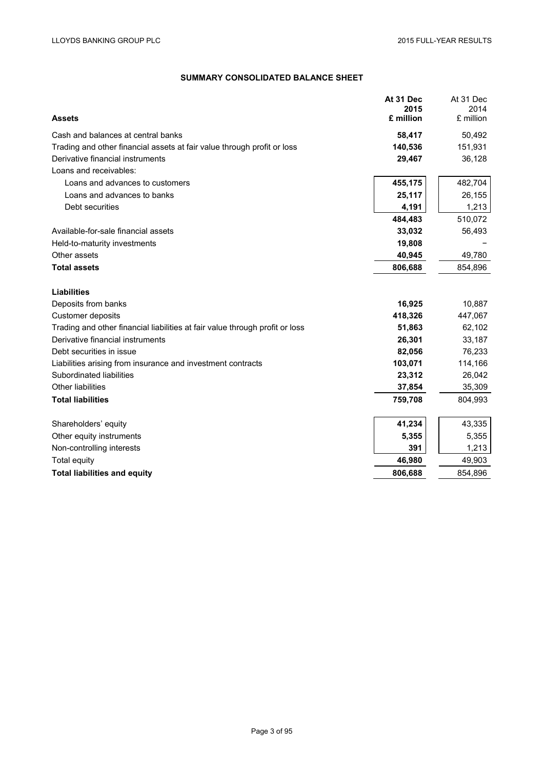# **SUMMARY CONSOLIDATED BALANCE SHEET**

|                                                                              | At 31 Dec<br>2015 | At 31 Dec<br>2014 |
|------------------------------------------------------------------------------|-------------------|-------------------|
| <b>Assets</b>                                                                | £ million         | £ million         |
| Cash and balances at central banks                                           | 58,417            | 50,492            |
| Trading and other financial assets at fair value through profit or loss      | 140,536           | 151,931           |
| Derivative financial instruments                                             | 29,467            | 36,128            |
| Loans and receivables:                                                       |                   |                   |
| Loans and advances to customers                                              | 455,175           | 482,704           |
| Loans and advances to banks                                                  | 25,117            | 26,155            |
| Debt securities                                                              | 4,191             | 1,213             |
|                                                                              | 484,483           | 510,072           |
| Available-for-sale financial assets                                          | 33,032            | 56,493            |
| Held-to-maturity investments                                                 | 19,808            |                   |
| Other assets                                                                 | 40,945            | 49,780            |
| <b>Total assets</b>                                                          | 806,688           | 854,896           |
|                                                                              |                   |                   |
| <b>Liabilities</b>                                                           |                   |                   |
| Deposits from banks                                                          | 16,925            | 10,887            |
| Customer deposits                                                            | 418,326           | 447,067           |
| Trading and other financial liabilities at fair value through profit or loss | 51,863            | 62,102            |
| Derivative financial instruments                                             | 26,301            | 33,187            |
| Debt securities in issue                                                     | 82,056            | 76,233            |
| Liabilities arising from insurance and investment contracts                  | 103,071           | 114,166           |
| Subordinated liabilities                                                     | 23,312            | 26,042            |
| <b>Other liabilities</b>                                                     | 37,854            | 35,309            |
| <b>Total liabilities</b>                                                     | 759,708           | 804,993           |
|                                                                              |                   |                   |
| Shareholders' equity                                                         | 41,234            | 43,335            |
| Other equity instruments                                                     | 5,355             | 5,355             |
| Non-controlling interests                                                    | 391               | 1,213             |
| Total equity                                                                 | 46,980            | 49,903            |
| <b>Total liabilities and equity</b>                                          | 806,688           | 854,896           |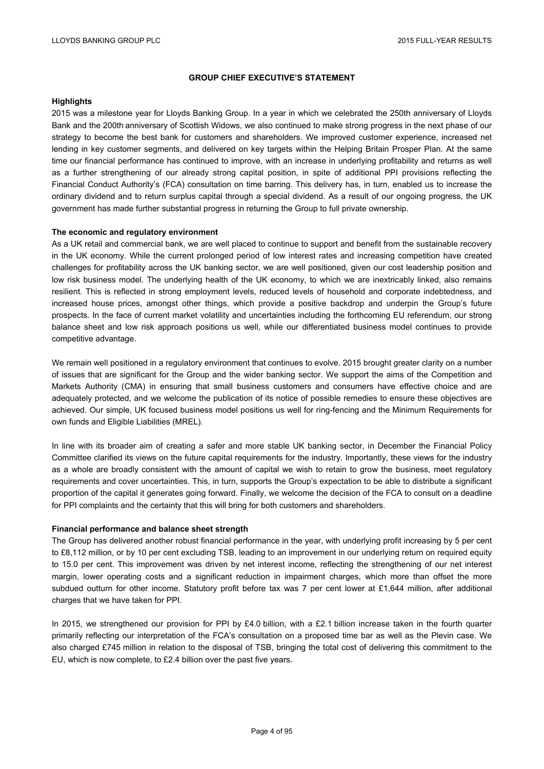### **GROUP CHIEF EXECUTIVE'S STATEMENT**

### **Highlights**

2015 was a milestone year for Lloyds Banking Group. In a year in which we celebrated the 250th anniversary of Lloyds Bank and the 200th anniversary of Scottish Widows, we also continued to make strong progress in the next phase of our strategy to become the best bank for customers and shareholders. We improved customer experience, increased net lending in key customer segments, and delivered on key targets within the Helping Britain Prosper Plan. At the same time our financial performance has continued to improve, with an increase in underlying profitability and returns as well as a further strengthening of our already strong capital position, in spite of additional PPI provisions reflecting the Financial Conduct Authority's (FCA) consultation on time barring. This delivery has, in turn, enabled us to increase the ordinary dividend and to return surplus capital through a special dividend. As a result of our ongoing progress, the UK government has made further substantial progress in returning the Group to full private ownership.

#### **The economic and regulatory environment**

As a UK retail and commercial bank, we are well placed to continue to support and benefit from the sustainable recovery in the UK economy. While the current prolonged period of low interest rates and increasing competition have created challenges for profitability across the UK banking sector, we are well positioned, given our cost leadership position and low risk business model. The underlying health of the UK economy, to which we are inextricably linked, also remains resilient. This is reflected in strong employment levels, reduced levels of household and corporate indebtedness, and increased house prices, amongst other things, which provide a positive backdrop and underpin the Group's future prospects. In the face of current market volatility and uncertainties including the forthcoming EU referendum, our strong balance sheet and low risk approach positions us well, while our differentiated business model continues to provide competitive advantage.

We remain well positioned in a regulatory environment that continues to evolve. 2015 brought greater clarity on a number of issues that are significant for the Group and the wider banking sector. We support the aims of the Competition and Markets Authority (CMA) in ensuring that small business customers and consumers have effective choice and are adequately protected, and we welcome the publication of its notice of possible remedies to ensure these objectives are achieved. Our simple, UK focused business model positions us well for ring-fencing and the Minimum Requirements for own funds and Eligible Liabilities (MREL).

In line with its broader aim of creating a safer and more stable UK banking sector, in December the Financial Policy Committee clarified its views on the future capital requirements for the industry. Importantly, these views for the industry as a whole are broadly consistent with the amount of capital we wish to retain to grow the business, meet regulatory requirements and cover uncertainties. This, in turn, supports the Group's expectation to be able to distribute a significant proportion of the capital it generates going forward. Finally, we welcome the decision of the FCA to consult on a deadline for PPI complaints and the certainty that this will bring for both customers and shareholders.

#### **Financial performance and balance sheet strength**

The Group has delivered another robust financial performance in the year, with underlying profit increasing by 5 per cent to £8,112 million, or by 10 per cent excluding TSB, leading to an improvement in our underlying return on required equity to 15.0 per cent. This improvement was driven by net interest income, reflecting the strengthening of our net interest margin, lower operating costs and a significant reduction in impairment charges, which more than offset the more subdued outturn for other income. Statutory profit before tax was 7 per cent lower at £1,644 million, after additional charges that we have taken for PPI.

In 2015, we strengthened our provision for PPI by £4.0 billion, with a £2.1 billion increase taken in the fourth quarter primarily reflecting our interpretation of the FCA's consultation on a proposed time bar as well as the Plevin case. We also charged £745 million in relation to the disposal of TSB, bringing the total cost of delivering this commitment to the EU, which is now complete, to £2.4 billion over the past five years.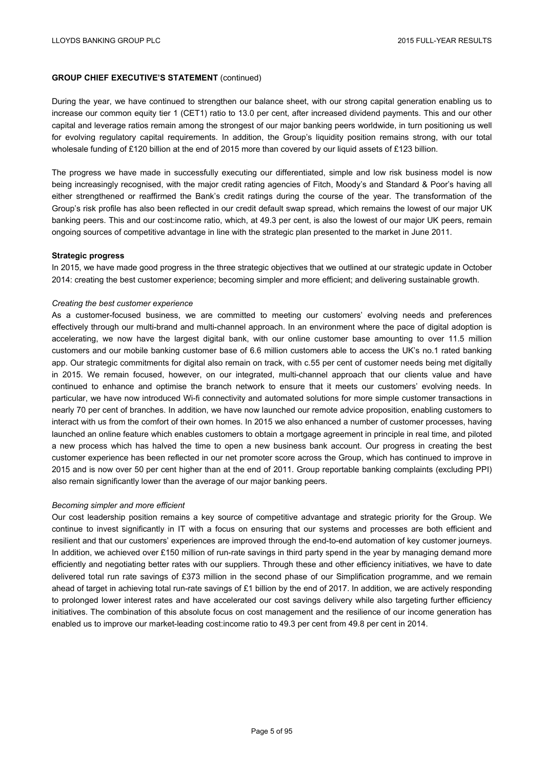### **GROUP CHIEF EXECUTIVE'S STATEMENT** (continued)

During the year, we have continued to strengthen our balance sheet, with our strong capital generation enabling us to increase our common equity tier 1 (CET1) ratio to 13.0 per cent, after increased dividend payments. This and our other capital and leverage ratios remain among the strongest of our major banking peers worldwide, in turn positioning us well for evolving regulatory capital requirements. In addition, the Group's liquidity position remains strong, with our total wholesale funding of £120 billion at the end of 2015 more than covered by our liquid assets of £123 billion.

The progress we have made in successfully executing our differentiated, simple and low risk business model is now being increasingly recognised, with the major credit rating agencies of Fitch, Moody's and Standard & Poor's having all either strengthened or reaffirmed the Bank's credit ratings during the course of the year. The transformation of the Group's risk profile has also been reflected in our credit default swap spread, which remains the lowest of our major UK banking peers. This and our cost:income ratio, which, at 49.3 per cent, is also the lowest of our major UK peers, remain ongoing sources of competitive advantage in line with the strategic plan presented to the market in June 2011.

#### **Strategic progress**

In 2015, we have made good progress in the three strategic objectives that we outlined at our strategic update in October 2014: creating the best customer experience; becoming simpler and more efficient; and delivering sustainable growth.

#### *Creating the best customer experience*

As a customer-focused business, we are committed to meeting our customers' evolving needs and preferences effectively through our multi-brand and multi-channel approach. In an environment where the pace of digital adoption is accelerating, we now have the largest digital bank, with our online customer base amounting to over 11.5 million customers and our mobile banking customer base of 6.6 million customers able to access the UK's no.1 rated banking app. Our strategic commitments for digital also remain on track, with c.55 per cent of customer needs being met digitally in 2015. We remain focused, however, on our integrated, multi-channel approach that our clients value and have continued to enhance and optimise the branch network to ensure that it meets our customers' evolving needs. In particular, we have now introduced Wi-fi connectivity and automated solutions for more simple customer transactions in nearly 70 per cent of branches. In addition, we have now launched our remote advice proposition, enabling customers to interact with us from the comfort of their own homes. In 2015 we also enhanced a number of customer processes, having launched an online feature which enables customers to obtain a mortgage agreement in principle in real time, and piloted a new process which has halved the time to open a new business bank account. Our progress in creating the best customer experience has been reflected in our net promoter score across the Group, which has continued to improve in 2015 and is now over 50 per cent higher than at the end of 2011. Group reportable banking complaints (excluding PPI) also remain significantly lower than the average of our major banking peers.

#### *Becoming simpler and more efficient*

Our cost leadership position remains a key source of competitive advantage and strategic priority for the Group. We continue to invest significantly in IT with a focus on ensuring that our systems and processes are both efficient and resilient and that our customers' experiences are improved through the end-to-end automation of key customer journeys. In addition, we achieved over £150 million of run-rate savings in third party spend in the year by managing demand more efficiently and negotiating better rates with our suppliers. Through these and other efficiency initiatives, we have to date delivered total run rate savings of £373 million in the second phase of our Simplification programme, and we remain ahead of target in achieving total run-rate savings of £1 billion by the end of 2017. In addition, we are actively responding to prolonged lower interest rates and have accelerated our cost savings delivery while also targeting further efficiency initiatives. The combination of this absolute focus on cost management and the resilience of our income generation has enabled us to improve our market-leading cost:income ratio to 49.3 per cent from 49.8 per cent in 2014.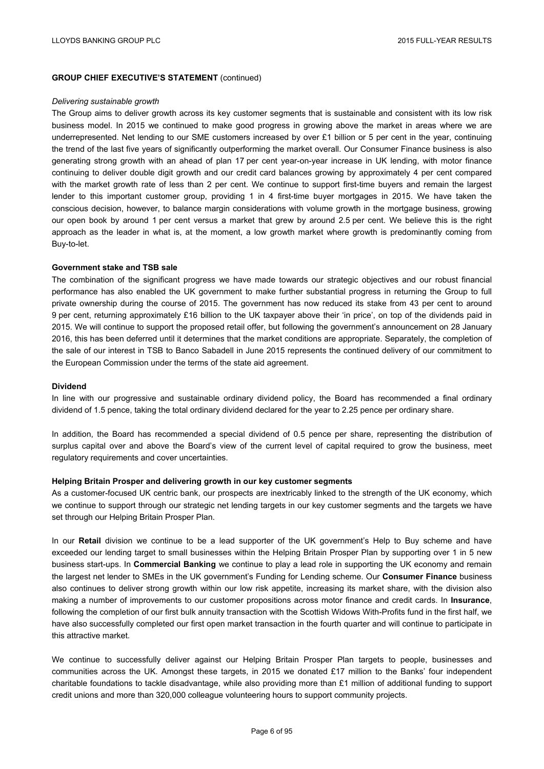### **GROUP CHIEF EXECUTIVE'S STATEMENT** (continued)

#### *Delivering sustainable growth*

The Group aims to deliver growth across its key customer segments that is sustainable and consistent with its low risk business model. In 2015 we continued to make good progress in growing above the market in areas where we are underrepresented. Net lending to our SME customers increased by over £1 billion or 5 per cent in the year, continuing the trend of the last five years of significantly outperforming the market overall. Our Consumer Finance business is also generating strong growth with an ahead of plan 17 per cent year-on-year increase in UK lending, with motor finance continuing to deliver double digit growth and our credit card balances growing by approximately 4 per cent compared with the market growth rate of less than 2 per cent. We continue to support first-time buyers and remain the largest lender to this important customer group, providing 1 in 4 first-time buyer mortgages in 2015. We have taken the conscious decision, however, to balance margin considerations with volume growth in the mortgage business, growing our open book by around 1 per cent versus a market that grew by around 2.5 per cent. We believe this is the right approach as the leader in what is, at the moment, a low growth market where growth is predominantly coming from Buy-to-let.

### **Government stake and TSB sale**

The combination of the significant progress we have made towards our strategic objectives and our robust financial performance has also enabled the UK government to make further substantial progress in returning the Group to full private ownership during the course of 2015. The government has now reduced its stake from 43 per cent to around 9 per cent, returning approximately £16 billion to the UK taxpayer above their 'in price', on top of the dividends paid in 2015. We will continue to support the proposed retail offer, but following the government's announcement on 28 January 2016, this has been deferred until it determines that the market conditions are appropriate. Separately, the completion of the sale of our interest in TSB to Banco Sabadell in June 2015 represents the continued delivery of our commitment to the European Commission under the terms of the state aid agreement.

#### **Dividend**

In line with our progressive and sustainable ordinary dividend policy, the Board has recommended a final ordinary dividend of 1.5 pence, taking the total ordinary dividend declared for the year to 2.25 pence per ordinary share.

In addition, the Board has recommended a special dividend of 0.5 pence per share, representing the distribution of surplus capital over and above the Board's view of the current level of capital required to grow the business, meet regulatory requirements and cover uncertainties.

#### **Helping Britain Prosper and delivering growth in our key customer segments**

As a customer-focused UK centric bank, our prospects are inextricably linked to the strength of the UK economy, which we continue to support through our strategic net lending targets in our key customer segments and the targets we have set through our Helping Britain Prosper Plan.

In our **Retail** division we continue to be a lead supporter of the UK government's Help to Buy scheme and have exceeded our lending target to small businesses within the Helping Britain Prosper Plan by supporting over 1 in 5 new business start-ups. In **Commercial Banking** we continue to play a lead role in supporting the UK economy and remain the largest net lender to SMEs in the UK government's Funding for Lending scheme. Our **Consumer Finance** business also continues to deliver strong growth within our low risk appetite, increasing its market share, with the division also making a number of improvements to our customer propositions across motor finance and credit cards. In **Insurance**, following the completion of our first bulk annuity transaction with the Scottish Widows With-Profits fund in the first half, we have also successfully completed our first open market transaction in the fourth quarter and will continue to participate in this attractive market.

We continue to successfully deliver against our Helping Britain Prosper Plan targets to people, businesses and communities across the UK. Amongst these targets, in 2015 we donated £17 million to the Banks' four independent charitable foundations to tackle disadvantage, while also providing more than £1 million of additional funding to support credit unions and more than 320,000 colleague volunteering hours to support community projects.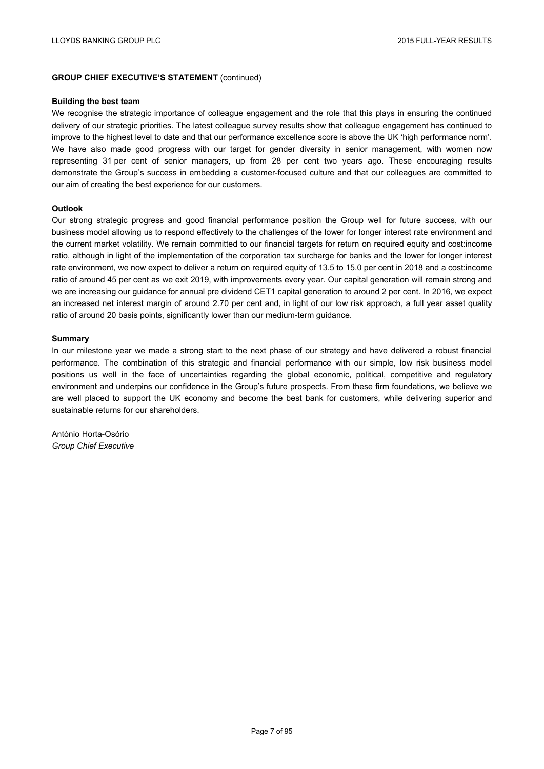### **GROUP CHIEF EXECUTIVE'S STATEMENT** (continued)

#### **Building the best team**

We recognise the strategic importance of colleague engagement and the role that this plays in ensuring the continued delivery of our strategic priorities. The latest colleague survey results show that colleague engagement has continued to improve to the highest level to date and that our performance excellence score is above the UK 'high performance norm'. We have also made good progress with our target for gender diversity in senior management, with women now representing 31 per cent of senior managers, up from 28 per cent two years ago. These encouraging results demonstrate the Group's success in embedding a customer-focused culture and that our colleagues are committed to our aim of creating the best experience for our customers.

#### **Outlook**

Our strong strategic progress and good financial performance position the Group well for future success, with our business model allowing us to respond effectively to the challenges of the lower for longer interest rate environment and the current market volatility. We remain committed to our financial targets for return on required equity and cost:income ratio, although in light of the implementation of the corporation tax surcharge for banks and the lower for longer interest rate environment, we now expect to deliver a return on required equity of 13.5 to 15.0 per cent in 2018 and a cost:income ratio of around 45 per cent as we exit 2019, with improvements every year. Our capital generation will remain strong and we are increasing our guidance for annual pre dividend CET1 capital generation to around 2 per cent. In 2016, we expect an increased net interest margin of around 2.70 per cent and, in light of our low risk approach, a full year asset quality ratio of around 20 basis points, significantly lower than our medium-term guidance.

#### **Summary**

In our milestone year we made a strong start to the next phase of our strategy and have delivered a robust financial performance. The combination of this strategic and financial performance with our simple, low risk business model positions us well in the face of uncertainties regarding the global economic, political, competitive and regulatory environment and underpins our confidence in the Group's future prospects. From these firm foundations, we believe we are well placed to support the UK economy and become the best bank for customers, while delivering superior and sustainable returns for our shareholders.

António Horta-Osório *Group Chief Executive*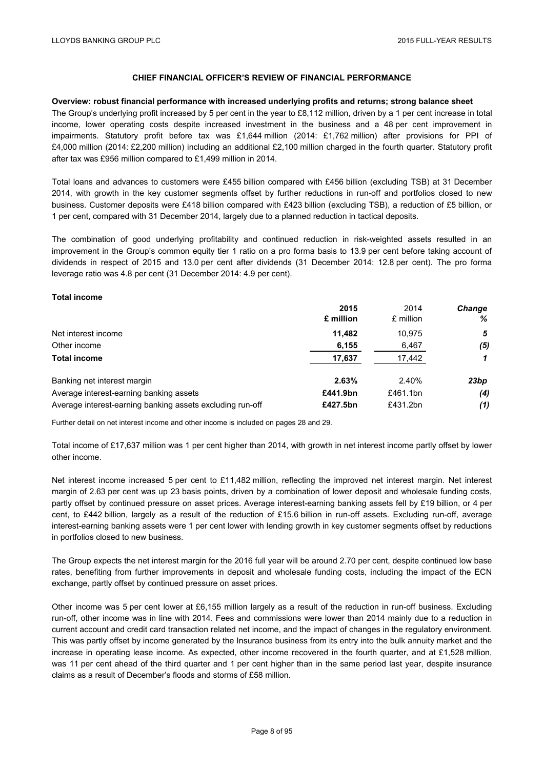#### **Overview: robust financial performance with increased underlying profits and returns; strong balance sheet**

The Group's underlying profit increased by 5 per cent in the year to £8,112 million, driven by a 1 per cent increase in total income, lower operating costs despite increased investment in the business and a 48 per cent improvement in impairments. Statutory profit before tax was £1,644 million (2014: £1,762 million) after provisions for PPI of £4,000 million (2014: £2,200 million) including an additional £2,100 million charged in the fourth quarter. Statutory profit after tax was £956 million compared to £1,499 million in 2014.

Total loans and advances to customers were £455 billion compared with £456 billion (excluding TSB) at 31 December 2014, with growth in the key customer segments offset by further reductions in run-off and portfolios closed to new business. Customer deposits were £418 billion compared with £423 billion (excluding TSB), a reduction of £5 billion, or 1 per cent, compared with 31 December 2014, largely due to a planned reduction in tactical deposits.

The combination of good underlying profitability and continued reduction in risk-weighted assets resulted in an improvement in the Group's common equity tier 1 ratio on a pro forma basis to 13.9 per cent before taking account of dividends in respect of 2015 and 13.0 per cent after dividends (31 December 2014: 12.8 per cent). The pro forma leverage ratio was 4.8 per cent (31 December 2014: 4.9 per cent).

### **Total income**

|                                                           | 2015      | 2014      | <b>Change</b> |
|-----------------------------------------------------------|-----------|-----------|---------------|
|                                                           | £ million | £ million | %             |
| Net interest income                                       | 11.482    | 10.975    | 5             |
| Other income                                              | 6,155     | 6,467     | (5)           |
| <b>Total income</b>                                       | 17,637    | 17,442    |               |
| Banking net interest margin                               | 2.63%     | 2.40%     | 23bp          |
| Average interest-earning banking assets                   | £441.9bn  | £461.1bn  | (4)           |
| Average interest-earning banking assets excluding run-off | £427.5bn  | £431.2bn  | (1)           |

Further detail on net interest income and other income is included on pages 28 and 29.

Total income of £17,637 million was 1 per cent higher than 2014, with growth in net interest income partly offset by lower other income.

Net interest income increased 5 per cent to £11,482 million, reflecting the improved net interest margin. Net interest margin of 2.63 per cent was up 23 basis points, driven by a combination of lower deposit and wholesale funding costs, partly offset by continued pressure on asset prices. Average interest-earning banking assets fell by £19 billion, or 4 per cent, to £442 billion, largely as a result of the reduction of £15.6 billion in run-off assets. Excluding run-off, average interest-earning banking assets were 1 per cent lower with lending growth in key customer segments offset by reductions in portfolios closed to new business.

The Group expects the net interest margin for the 2016 full year will be around 2.70 per cent, despite continued low base rates, benefiting from further improvements in deposit and wholesale funding costs, including the impact of the ECN exchange, partly offset by continued pressure on asset prices.

Other income was 5 per cent lower at £6,155 million largely as a result of the reduction in run-off business. Excluding run-off, other income was in line with 2014. Fees and commissions were lower than 2014 mainly due to a reduction in current account and credit card transaction related net income, and the impact of changes in the regulatory environment. This was partly offset by income generated by the Insurance business from its entry into the bulk annuity market and the increase in operating lease income. As expected, other income recovered in the fourth quarter, and at £1,528 million, was 11 per cent ahead of the third quarter and 1 per cent higher than in the same period last year, despite insurance claims as a result of December's floods and storms of £58 million.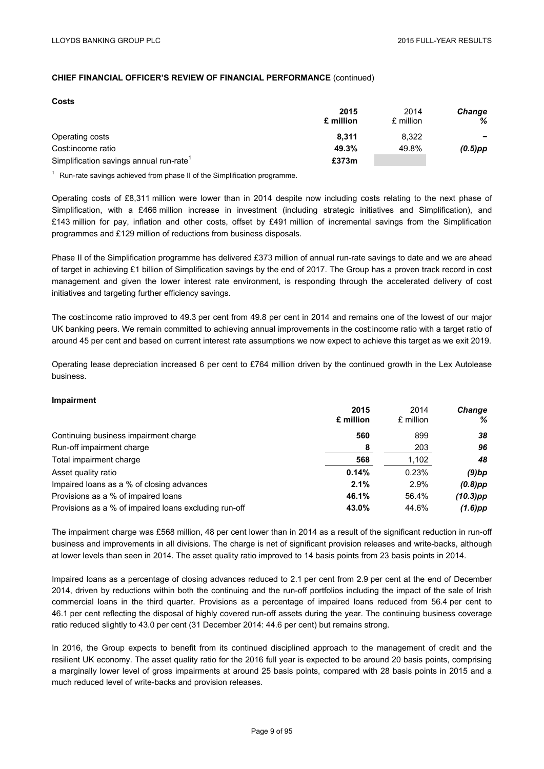#### **Costs**

|                                                     | 2015<br>£ million | 2014<br>£ million | Change<br>% |
|-----------------------------------------------------|-------------------|-------------------|-------------|
| Operating costs                                     | 8.311             | 8.322             | $\sim$      |
| Cost:income ratio                                   | 49.3%             | 49.8%             | $(0.5)$ pp  |
| Simplification savings annual run-rate <sup>1</sup> | £373m             |                   |             |

<sup>1</sup> Run-rate savings achieved from phase II of the Simplification programme.

Operating costs of £8,311 million were lower than in 2014 despite now including costs relating to the next phase of Simplification, with a £466 million increase in investment (including strategic initiatives and Simplification), and £143 million for pay, inflation and other costs, offset by £491 million of incremental savings from the Simplification programmes and £129 million of reductions from business disposals.

Phase II of the Simplification programme has delivered £373 million of annual run-rate savings to date and we are ahead of target in achieving £1 billion of Simplification savings by the end of 2017. The Group has a proven track record in cost management and given the lower interest rate environment, is responding through the accelerated delivery of cost initiatives and targeting further efficiency savings.

The cost:income ratio improved to 49.3 per cent from 49.8 per cent in 2014 and remains one of the lowest of our major UK banking peers. We remain committed to achieving annual improvements in the cost:income ratio with a target ratio of around 45 per cent and based on current interest rate assumptions we now expect to achieve this target as we exit 2019.

Operating lease depreciation increased 6 per cent to £764 million driven by the continued growth in the Lex Autolease business.

#### **Impairment**

|                                                       | 2015      | 2014      | <b>Change</b> |
|-------------------------------------------------------|-----------|-----------|---------------|
|                                                       | £ million | £ million | ℅             |
| Continuing business impairment charge                 | 560       | 899       | 38            |
| Run-off impairment charge                             | 8         | 203       | 96            |
| Total impairment charge                               | 568       | 1,102     | 48            |
| Asset quality ratio                                   | 0.14%     | 0.23%     | $(9)$ bp      |
| Impaired loans as a % of closing advances             | 2.1%      | 2.9%      | $(0.8)$ pp    |
| Provisions as a % of impaired loans                   | 46.1%     | 56.4%     | $(10.3)$ pp   |
| Provisions as a % of impaired loans excluding run-off | 43.0%     | 44.6%     | $(1.6)$ pp    |

The impairment charge was £568 million, 48 per cent lower than in 2014 as a result of the significant reduction in run-off business and improvements in all divisions. The charge is net of significant provision releases and write-backs, although at lower levels than seen in 2014. The asset quality ratio improved to 14 basis points from 23 basis points in 2014.

Impaired loans as a percentage of closing advances reduced to 2.1 per cent from 2.9 per cent at the end of December 2014, driven by reductions within both the continuing and the run-off portfolios including the impact of the sale of Irish commercial loans in the third quarter. Provisions as a percentage of impaired loans reduced from 56.4 per cent to 46.1 per cent reflecting the disposal of highly covered run-off assets during the year. The continuing business coverage ratio reduced slightly to 43.0 per cent (31 December 2014: 44.6 per cent) but remains strong.

In 2016, the Group expects to benefit from its continued disciplined approach to the management of credit and the resilient UK economy. The asset quality ratio for the 2016 full year is expected to be around 20 basis points, comprising a marginally lower level of gross impairments at around 25 basis points, compared with 28 basis points in 2015 and a much reduced level of write-backs and provision releases.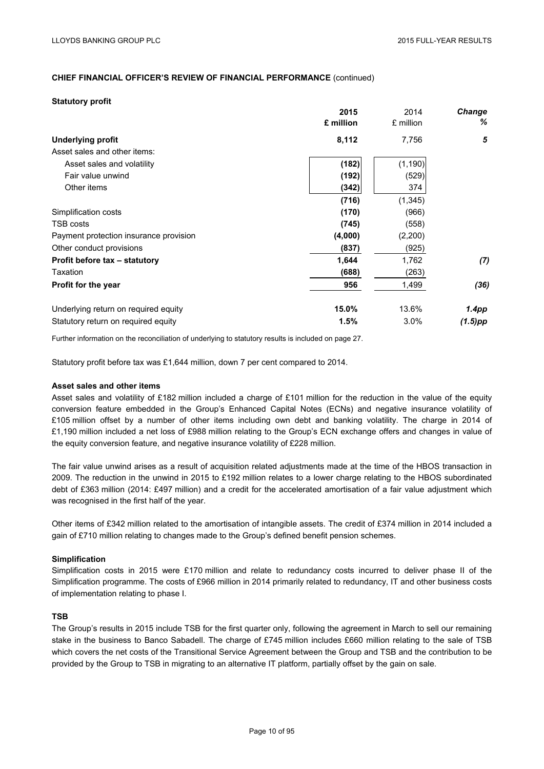#### **Statutory profit**

|                                        | 2015      | 2014      | <b>Change</b> |
|----------------------------------------|-----------|-----------|---------------|
|                                        | £ million | £ million | ℅             |
| <b>Underlying profit</b>               | 8,112     | 7,756     | 5             |
| Asset sales and other items:           |           |           |               |
| Asset sales and volatility             | (182)     | (1, 190)  |               |
| Fair value unwind                      | (192)     | (529)     |               |
| Other items                            | (342)     | 374       |               |
|                                        | (716)     | (1, 345)  |               |
| Simplification costs                   | (170)     | (966)     |               |
| TSB costs                              | (745)     | (558)     |               |
| Payment protection insurance provision | (4,000)   | (2,200)   |               |
| Other conduct provisions               | (837)     | (925)     |               |
| Profit before tax - statutory          | 1,644     | 1,762     | (7)           |
| Taxation                               | (688)     | (263)     |               |
| Profit for the year                    | 956       | 1,499     | (36)          |
| Underlying return on required equity   | 15.0%     | 13.6%     | 1.4pp         |
| Statutory return on required equity    | 1.5%      | 3.0%      | (1.5)pp       |

Further information on the reconciliation of underlying to statutory results is included on page 27.

Statutory profit before tax was £1,644 million, down 7 per cent compared to 2014.

#### **Asset sales and other items**

Asset sales and volatility of £182 million included a charge of £101 million for the reduction in the value of the equity conversion feature embedded in the Group's Enhanced Capital Notes (ECNs) and negative insurance volatility of £105 million offset by a number of other items including own debt and banking volatility. The charge in 2014 of £1,190 million included a net loss of £988 million relating to the Group's ECN exchange offers and changes in value of the equity conversion feature, and negative insurance volatility of £228 million.

The fair value unwind arises as a result of acquisition related adjustments made at the time of the HBOS transaction in 2009. The reduction in the unwind in 2015 to £192 million relates to a lower charge relating to the HBOS subordinated debt of £363 million (2014: £497 million) and a credit for the accelerated amortisation of a fair value adjustment which was recognised in the first half of the year.

Other items of £342 million related to the amortisation of intangible assets. The credit of £374 million in 2014 included a gain of £710 million relating to changes made to the Group's defined benefit pension schemes.

#### **Simplification**

Simplification costs in 2015 were £170 million and relate to redundancy costs incurred to deliver phase II of the Simplification programme. The costs of £966 million in 2014 primarily related to redundancy, IT and other business costs of implementation relating to phase I.

### **TSB**

The Group's results in 2015 include TSB for the first quarter only, following the agreement in March to sell our remaining stake in the business to Banco Sabadell. The charge of £745 million includes £660 million relating to the sale of TSB which covers the net costs of the Transitional Service Agreement between the Group and TSB and the contribution to be provided by the Group to TSB in migrating to an alternative IT platform, partially offset by the gain on sale.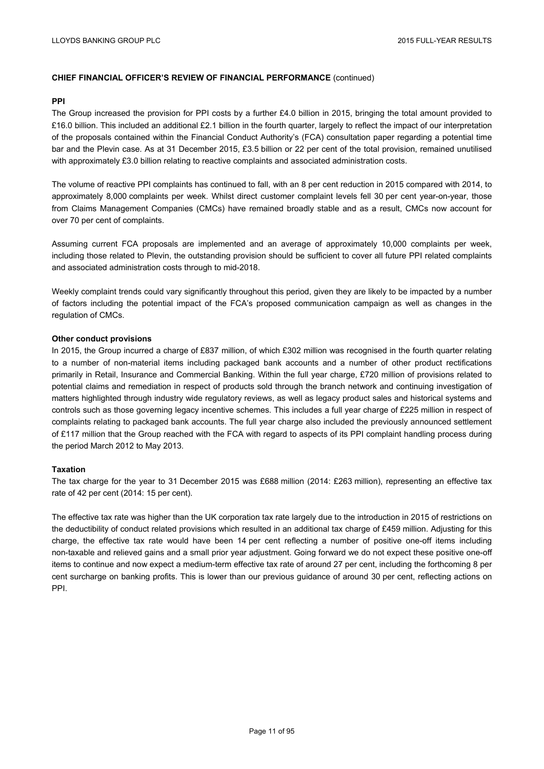#### **PPI**

The Group increased the provision for PPI costs by a further £4.0 billion in 2015, bringing the total amount provided to £16.0 billion. This included an additional £2.1 billion in the fourth quarter, largely to reflect the impact of our interpretation of the proposals contained within the Financial Conduct Authority's (FCA) consultation paper regarding a potential time bar and the Plevin case. As at 31 December 2015, £3.5 billion or 22 per cent of the total provision, remained unutilised with approximately £3.0 billion relating to reactive complaints and associated administration costs.

The volume of reactive PPI complaints has continued to fall, with an 8 per cent reduction in 2015 compared with 2014, to approximately 8,000 complaints per week. Whilst direct customer complaint levels fell 30 per cent year-on-year, those from Claims Management Companies (CMCs) have remained broadly stable and as a result, CMCs now account for over 70 per cent of complaints.

Assuming current FCA proposals are implemented and an average of approximately 10,000 complaints per week, including those related to Plevin, the outstanding provision should be sufficient to cover all future PPI related complaints and associated administration costs through to mid-2018.

Weekly complaint trends could vary significantly throughout this period, given they are likely to be impacted by a number of factors including the potential impact of the FCA's proposed communication campaign as well as changes in the regulation of CMCs.

#### **Other conduct provisions**

In 2015, the Group incurred a charge of £837 million, of which £302 million was recognised in the fourth quarter relating to a number of non-material items including packaged bank accounts and a number of other product rectifications primarily in Retail, Insurance and Commercial Banking. Within the full year charge, £720 million of provisions related to potential claims and remediation in respect of products sold through the branch network and continuing investigation of matters highlighted through industry wide regulatory reviews, as well as legacy product sales and historical systems and controls such as those governing legacy incentive schemes. This includes a full year charge of £225 million in respect of complaints relating to packaged bank accounts. The full year charge also included the previously announced settlement of £117 million that the Group reached with the FCA with regard to aspects of its PPI complaint handling process during the period March 2012 to May 2013.

#### **Taxation**

The tax charge for the year to 31 December 2015 was £688 million (2014: £263 million), representing an effective tax rate of 42 per cent (2014: 15 per cent).

The effective tax rate was higher than the UK corporation tax rate largely due to the introduction in 2015 of restrictions on the deductibility of conduct related provisions which resulted in an additional tax charge of £459 million. Adjusting for this charge, the effective tax rate would have been 14 per cent reflecting a number of positive one-off items including non-taxable and relieved gains and a small prior year adjustment. Going forward we do not expect these positive one-off items to continue and now expect a medium-term effective tax rate of around 27 per cent, including the forthcoming 8 per cent surcharge on banking profits. This is lower than our previous guidance of around 30 per cent, reflecting actions on PPI.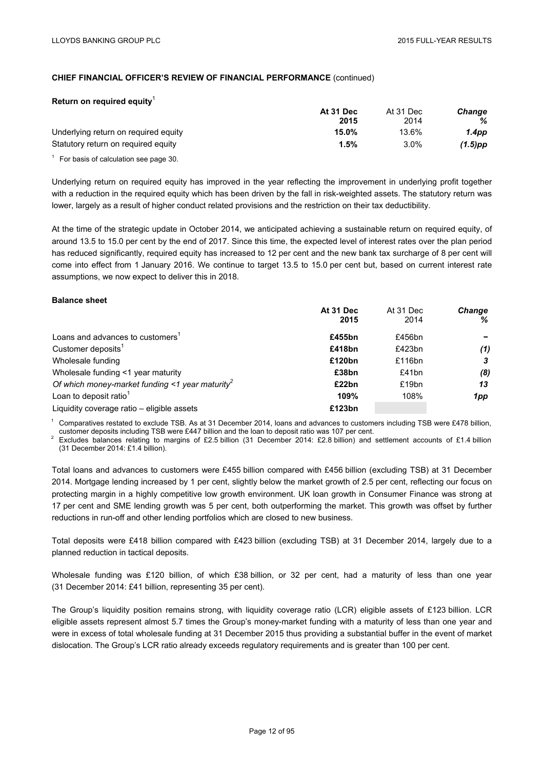| Return on required equity            |           |           |               |
|--------------------------------------|-----------|-----------|---------------|
|                                      | At 31 Dec | At 31 Dec | <b>Change</b> |
|                                      | 2015      | 2014      | ℅             |
| Underlying return on required equity | 15.0%     | 13.6%     | 1.4pp         |
| Statutory return on required equity  | $1.5\%$   | $3.0\%$   | (1.5)pp       |

 $1$  For basis of calculation see page 30.

Underlying return on required equity has improved in the year reflecting the improvement in underlying profit together with a reduction in the required equity which has been driven by the fall in risk-weighted assets. The statutory return was lower, largely as a result of higher conduct related provisions and the restriction on their tax deductibility.

At the time of the strategic update in October 2014, we anticipated achieving a sustainable return on required equity, of around 13.5 to 15.0 per cent by the end of 2017. Since this time, the expected level of interest rates over the plan period has reduced significantly, required equity has increased to 12 per cent and the new bank tax surcharge of 8 per cent will come into effect from 1 January 2016. We continue to target 13.5 to 15.0 per cent but, based on current interest rate assumptions, we now expect to deliver this in 2018.

#### **Balance sheet**

|                                                             | At 31 Dec | At 31 Dec | <b>Change</b> |
|-------------------------------------------------------------|-----------|-----------|---------------|
|                                                             | 2015      | 2014      | ℅             |
| Loans and advances to customers <sup>1</sup>                | £455bn    | £456bn    |               |
| Customer deposits <sup>1</sup>                              | £418bn    | £423 $bn$ | (1)           |
| Wholesale funding                                           | £120bn    | £116 $bn$ |               |
| Wholesale funding <1 year maturity                          | £38bn     | £41bn     | (8)           |
| Of which money-market funding <1 year maturity <sup>2</sup> | £22bn     | £19bn     | 13            |
| Loan to deposit ratio <sup>1</sup>                          | 109%      | 108%      | 1pp           |
| Liquidity coverage ratio – eligible assets                  | £123bn    |           |               |

Comparatives restated to exclude TSB. As at 31 December 2014, loans and advances to customers including TSB were £478 billion,<br>customer deposits including TSB were £447 billion and the loan to deposit ratio was 107 per cen

Excludes balances relating to margins of £2.5 billion (31 December 2014: £2.8 billion) and settlement accounts of £1.4 billion (31 December 2014: £1.4 billion).

Total loans and advances to customers were £455 billion compared with £456 billion (excluding TSB) at 31 December 2014. Mortgage lending increased by 1 per cent, slightly below the market growth of 2.5 per cent, reflecting our focus on protecting margin in a highly competitive low growth environment. UK loan growth in Consumer Finance was strong at 17 per cent and SME lending growth was 5 per cent, both outperforming the market. This growth was offset by further reductions in run-off and other lending portfolios which are closed to new business.

Total deposits were £418 billion compared with £423 billion (excluding TSB) at 31 December 2014, largely due to a planned reduction in tactical deposits.

Wholesale funding was £120 billion, of which £38 billion, or 32 per cent, had a maturity of less than one year (31 December 2014: £41 billion, representing 35 per cent).

The Group's liquidity position remains strong, with liquidity coverage ratio (LCR) eligible assets of £123 billion. LCR eligible assets represent almost 5.7 times the Group's money-market funding with a maturity of less than one year and were in excess of total wholesale funding at 31 December 2015 thus providing a substantial buffer in the event of market dislocation. The Group's LCR ratio already exceeds regulatory requirements and is greater than 100 per cent.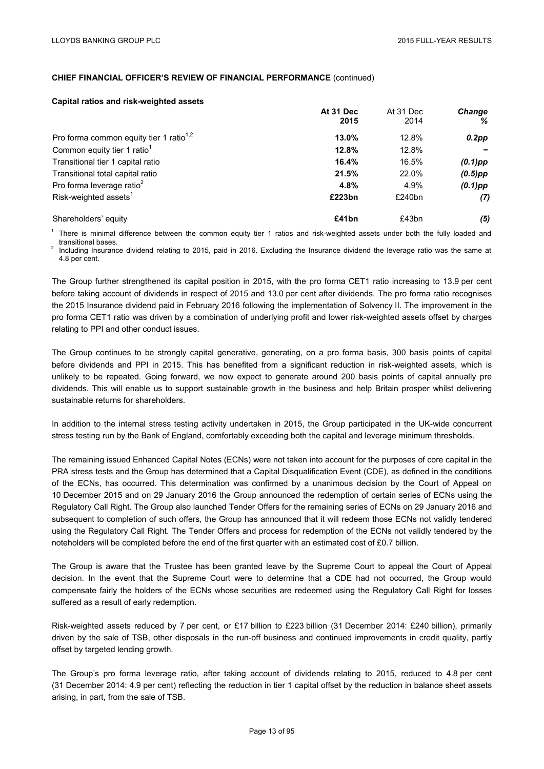#### **Capital ratios and risk-weighted assets**

|                                                     | At 31 Dec<br>2015 | At 31 Dec<br>2014 | <b>Change</b><br>℅ |
|-----------------------------------------------------|-------------------|-------------------|--------------------|
| Pro forma common equity tier 1 ratio <sup>1,2</sup> | 13.0%             | 12.8%             | $0.2$ pp           |
| Common equity tier 1 ratio <sup>1</sup>             | 12.8%             | 12.8%             |                    |
| Transitional tier 1 capital ratio                   | 16.4%             | 16.5%             | $(0.1)$ pp         |
| Transitional total capital ratio                    | 21.5%             | 22.0%             | $(0.5)$ pp         |
| Pro forma leverage ratio <sup>2</sup>               | 4.8%              | 4.9%              | $(0.1)$ pp         |
| Risk-weighted assets <sup>1</sup>                   | £223bn            | £240bn            | (7)                |
| Shareholders' equity                                | £41bn             | £43bn             | (5)                |

 $1$  There is minimal difference between the common equity tier 1 ratios and risk-weighted assets under both the fully loaded and transitional bases.<br><sup>2</sup> Including Insurance dividend relating to 2015, paid in 2016. Excluding the Insurance dividend the leverage ratio was the same at

4.8 per cent.

The Group further strengthened its capital position in 2015, with the pro forma CET1 ratio increasing to 13.9 per cent before taking account of dividends in respect of 2015 and 13.0 per cent after dividends. The pro forma ratio recognises the 2015 Insurance dividend paid in February 2016 following the implementation of Solvency II. The improvement in the pro forma CET1 ratio was driven by a combination of underlying profit and lower risk-weighted assets offset by charges relating to PPI and other conduct issues.

The Group continues to be strongly capital generative, generating, on a pro forma basis, 300 basis points of capital before dividends and PPI in 2015. This has benefited from a significant reduction in risk-weighted assets, which is unlikely to be repeated. Going forward, we now expect to generate around 200 basis points of capital annually pre dividends. This will enable us to support sustainable growth in the business and help Britain prosper whilst delivering sustainable returns for shareholders.

In addition to the internal stress testing activity undertaken in 2015, the Group participated in the UK-wide concurrent stress testing run by the Bank of England, comfortably exceeding both the capital and leverage minimum thresholds.

The remaining issued Enhanced Capital Notes (ECNs) were not taken into account for the purposes of core capital in the PRA stress tests and the Group has determined that a Capital Disqualification Event (CDE), as defined in the conditions of the ECNs, has occurred. This determination was confirmed by a unanimous decision by the Court of Appeal on 10 December 2015 and on 29 January 2016 the Group announced the redemption of certain series of ECNs using the Regulatory Call Right. The Group also launched Tender Offers for the remaining series of ECNs on 29 January 2016 and subsequent to completion of such offers, the Group has announced that it will redeem those ECNs not validly tendered using the Regulatory Call Right. The Tender Offers and process for redemption of the ECNs not validly tendered by the noteholders will be completed before the end of the first quarter with an estimated cost of £0.7 billion.

The Group is aware that the Trustee has been granted leave by the Supreme Court to appeal the Court of Appeal decision. In the event that the Supreme Court were to determine that a CDE had not occurred, the Group would compensate fairly the holders of the ECNs whose securities are redeemed using the Regulatory Call Right for losses suffered as a result of early redemption.

Risk-weighted assets reduced by 7 per cent, or £17 billion to £223 billion (31 December 2014: £240 billion), primarily driven by the sale of TSB, other disposals in the run-off business and continued improvements in credit quality, partly offset by targeted lending growth.

The Group's pro forma leverage ratio, after taking account of dividends relating to 2015, reduced to 4.8 per cent (31 December 2014: 4.9 per cent) reflecting the reduction in tier 1 capital offset by the reduction in balance sheet assets arising, in part, from the sale of TSB.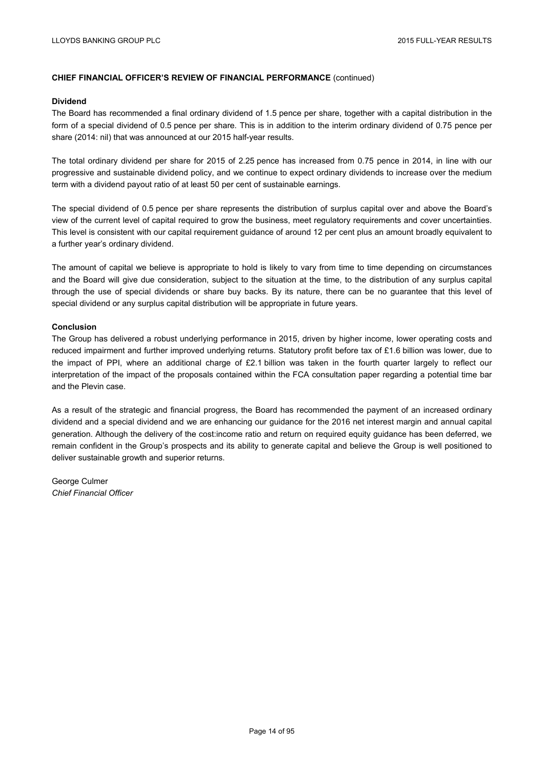#### **Dividend**

The Board has recommended a final ordinary dividend of 1.5 pence per share, together with a capital distribution in the form of a special dividend of 0.5 pence per share. This is in addition to the interim ordinary dividend of 0.75 pence per share (2014: nil) that was announced at our 2015 half-year results.

The total ordinary dividend per share for 2015 of 2.25 pence has increased from 0.75 pence in 2014, in line with our progressive and sustainable dividend policy, and we continue to expect ordinary dividends to increase over the medium term with a dividend payout ratio of at least 50 per cent of sustainable earnings.

The special dividend of 0.5 pence per share represents the distribution of surplus capital over and above the Board's view of the current level of capital required to grow the business, meet regulatory requirements and cover uncertainties. This level is consistent with our capital requirement guidance of around 12 per cent plus an amount broadly equivalent to a further year's ordinary dividend.

The amount of capital we believe is appropriate to hold is likely to vary from time to time depending on circumstances and the Board will give due consideration, subject to the situation at the time, to the distribution of any surplus capital through the use of special dividends or share buy backs. By its nature, there can be no guarantee that this level of special dividend or any surplus capital distribution will be appropriate in future years.

#### **Conclusion**

The Group has delivered a robust underlying performance in 2015, driven by higher income, lower operating costs and reduced impairment and further improved underlying returns. Statutory profit before tax of £1.6 billion was lower, due to the impact of PPI, where an additional charge of £2.1 billion was taken in the fourth quarter largely to reflect our interpretation of the impact of the proposals contained within the FCA consultation paper regarding a potential time bar and the Plevin case.

As a result of the strategic and financial progress, the Board has recommended the payment of an increased ordinary dividend and a special dividend and we are enhancing our guidance for the 2016 net interest margin and annual capital generation. Although the delivery of the cost:income ratio and return on required equity guidance has been deferred, we remain confident in the Group's prospects and its ability to generate capital and believe the Group is well positioned to deliver sustainable growth and superior returns.

George Culmer *Chief Financial Officer*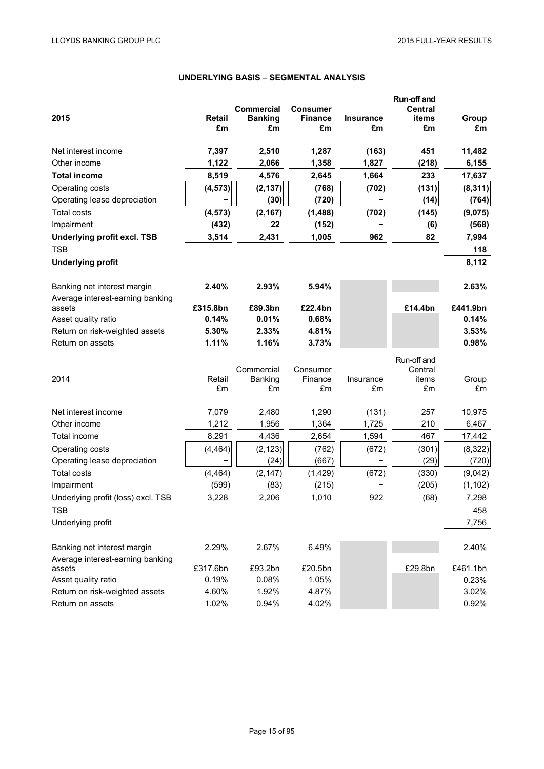# **UNDERLYING BASIS** – **SEGMENTAL ANALYSIS**

|                                    |                     |                      |                      |                        | Run-off and    |             |
|------------------------------------|---------------------|----------------------|----------------------|------------------------|----------------|-------------|
|                                    |                     | <b>Commercial</b>    | <b>Consumer</b>      |                        | <b>Central</b> |             |
| 2015                               | <b>Retail</b><br>£m | <b>Banking</b><br>£m | <b>Finance</b><br>£m | <b>Insurance</b><br>£m | items<br>£m    | Group<br>£m |
|                                    |                     |                      |                      |                        |                |             |
| Net interest income                | 7,397               | 2,510                | 1,287                | (163)                  | 451            | 11,482      |
| Other income                       | 1,122               | 2,066                | 1,358                | 1,827                  | (218)          | 6,155       |
| <b>Total income</b>                | 8,519               | 4,576                | 2,645                | 1,664                  | 233            | 17,637      |
| Operating costs                    | (4, 573)            | (2, 137)             | (768)                | (702)                  | (131)          | (8, 311)    |
| Operating lease depreciation       |                     | (30)                 | (720)                |                        | (14)           | (764)       |
| <b>Total costs</b>                 | (4, 573)            | (2, 167)             | (1,488)              | (702)                  | (145)          | (9,075)     |
| Impairment                         | (432)               | 22                   | (152)                |                        | (6)            | (568)       |
| <b>Underlying profit excl. TSB</b> | 3,514               | 2,431                | 1,005                | 962                    | 82             | 7,994       |
| <b>TSB</b>                         |                     |                      |                      |                        |                | 118         |
| <b>Underlying profit</b>           |                     |                      |                      |                        |                | 8,112       |
| Banking net interest margin        | 2.40%               | 2.93%                | 5.94%                |                        |                | 2.63%       |
| Average interest-earning banking   |                     |                      |                      |                        |                |             |
| assets                             | £315.8bn            | £89.3bn              | £22.4bn              |                        | £14.4bn        | £441.9bn    |
| Asset quality ratio                | 0.14%               | 0.01%                | 0.68%                |                        |                | 0.14%       |
| Return on risk-weighted assets     | 5.30%               | 2.33%                | 4.81%                |                        |                | 3.53%       |
| Return on assets                   | 1.11%               | 1.16%                | 3.73%                |                        |                | 0.98%       |
|                                    |                     |                      |                      |                        | Run-off and    |             |
|                                    |                     | Commercial           | Consumer             |                        | Central        |             |
| 2014                               | Retail              | Banking              | Finance              | Insurance              | items          | Group       |
|                                    | £m                  | £m                   | £m                   | £m                     | £m             | £m          |
| Net interest income                | 7,079               | 2,480                | 1,290                | (131)                  | 257            | 10,975      |
| Other income                       | 1,212               | 1,956                | 1,364                | 1,725                  | 210            | 6,467       |
| Total income                       | 8,291               | 4,436                | 2,654                | 1,594                  | 467            | 17,442      |
| Operating costs                    | (4, 464)            | (2, 123)             | (762)                | (672)                  | (301)          | (8, 322)    |
| Operating lease depreciation       |                     | (24)                 | (667)                |                        | (29)           | (720)       |
| <b>Total costs</b>                 | (4, 464)            | (2, 147)             | (1, 429)             | (672)                  | (330)          | (9,042)     |
| Impairment                         | (599)               | (83)                 | (215)                |                        | (205)          | (1, 102)    |
| Underlying profit (loss) excl. TSB | 3,228               | 2,206                | 1,010                | 922                    | (68)           | 7,298       |
| <b>TSB</b>                         |                     |                      |                      |                        |                | 458         |
| Underlying profit                  |                     |                      |                      |                        |                | 7,756       |
| Banking net interest margin        | 2.29%               | 2.67%                | 6.49%                |                        |                | 2.40%       |
| Average interest-earning banking   |                     |                      |                      |                        |                |             |
| assets                             | £317.6bn            | £93.2bn              | £20.5bn              |                        | £29.8bn        | £461.1bn    |
| Asset quality ratio                | 0.19%               | 0.08%                | 1.05%                |                        |                | 0.23%       |
| Return on risk-weighted assets     | 4.60%               | 1.92%                | 4.87%                |                        |                | 3.02%       |
| Return on assets                   | 1.02%               | 0.94%                | 4.02%                |                        |                | 0.92%       |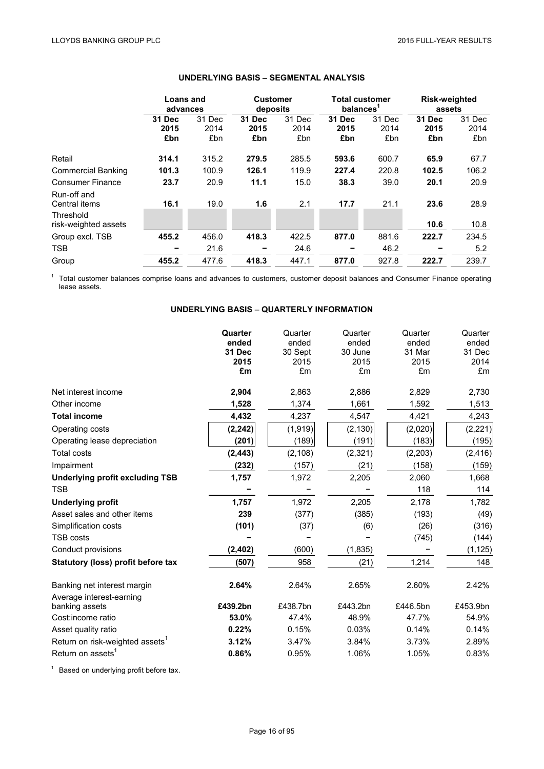|                                           | <b>Loans and</b><br>advances |                       | <b>Customer</b><br>deposits |                       | <b>Total customer</b><br>balances <sup>1</sup> |                       | <b>Risk-weighted</b><br>assets |                       |
|-------------------------------------------|------------------------------|-----------------------|-----------------------------|-----------------------|------------------------------------------------|-----------------------|--------------------------------|-----------------------|
|                                           | 31 Dec<br>2015<br>£bn        | 31 Dec<br>2014<br>£bn | 31 Dec<br>2015<br>£bn       | 31 Dec<br>2014<br>£bn | 31 Dec<br>2015<br>£bn                          | 31 Dec<br>2014<br>£bn | 31 Dec<br>2015<br>£bn          | 31 Dec<br>2014<br>£bn |
| Retail                                    | 314.1                        | 315.2                 | 279.5                       | 285.5                 | 593.6                                          | 600.7                 | 65.9                           | 67.7                  |
| <b>Commercial Banking</b>                 | 101.3                        | 100.9                 | 126.1                       | 119.9                 | 227.4                                          | 220.8                 | 102.5                          | 106.2                 |
| <b>Consumer Finance</b>                   | 23.7                         | 20.9                  | 11.1                        | 15.0                  | 38.3                                           | 39.0                  | 20.1                           | 20.9                  |
| Run-off and<br>Central items<br>Threshold | 16.1                         | 19.0                  | 1.6                         | 2.1                   | 17.7                                           | 21.1                  | 23.6                           | 28.9                  |
| risk-weighted assets                      |                              |                       |                             |                       |                                                |                       | 10.6                           | 10.8                  |
| Group excl. TSB                           | 455.2                        | 456.0                 | 418.3                       | 422.5                 | 877.0                                          | 881.6                 | 222.7                          | 234.5                 |
| <b>TSB</b>                                |                              | 21.6                  |                             | 24.6                  |                                                | 46.2                  |                                | 5.2                   |
| Group                                     | 455.2                        | 477.6                 | 418.3                       | 447.1                 | 877.0                                          | 927.8                 | 222.7                          | 239.7                 |

# **UNDERLYING BASIS – SEGMENTAL ANALYSIS**

 $1$  Total customer balances comprise loans and advances to customers, customer deposit balances and Consumer Finance operating lease assets.

# **UNDERLYING BASIS** – **QUARTERLY INFORMATION**

|                                                         | Quarter<br>ended<br><b>31 Dec</b><br>2015<br>£m | Quarter<br>ended<br>30 Sept<br>2015<br>£m | Quarter<br>ended<br>30 June<br>2015<br>£m | Quarter<br>ended<br>31 Mar<br>2015<br>£m | Quarter<br>ended<br>31 Dec<br>2014<br>£m |
|---------------------------------------------------------|-------------------------------------------------|-------------------------------------------|-------------------------------------------|------------------------------------------|------------------------------------------|
| Net interest income                                     | 2,904                                           | 2,863                                     | 2,886                                     | 2,829                                    | 2,730                                    |
| Other income                                            | 1,528                                           | 1,374                                     | 1,661                                     | 1,592                                    | 1,513                                    |
| <b>Total income</b>                                     | 4,432                                           | 4,237                                     | 4,547                                     | 4,421                                    | 4,243                                    |
| Operating costs                                         | (2, 242)                                        | (1,919)                                   | (2, 130)                                  | (2,020)                                  | (2, 221)                                 |
| Operating lease depreciation                            | (201)                                           | (189)                                     | (191)                                     | (183)                                    | (195)                                    |
| <b>Total costs</b>                                      | (2, 443)                                        | (2, 108)                                  | (2, 321)                                  | (2,203)                                  | (2, 416)                                 |
| Impairment                                              | (232)                                           | (157)                                     | (21)                                      | (158)                                    | (159)                                    |
| <b>Underlying profit excluding TSB</b>                  | 1,757                                           | 1,972                                     | 2,205                                     | 2,060                                    | 1,668                                    |
| <b>TSB</b>                                              |                                                 |                                           |                                           | 118                                      | 114                                      |
| <b>Underlying profit</b>                                | 1,757                                           | 1,972                                     | 2,205                                     | 2,178                                    | 1,782                                    |
| Asset sales and other items                             | 239                                             | (377)                                     | (385)                                     | (193)                                    | (49)                                     |
| Simplification costs                                    | (101)                                           | (37)                                      | (6)                                       | (26)                                     | (316)                                    |
| <b>TSB costs</b>                                        |                                                 |                                           |                                           | (745)                                    | (144)                                    |
| Conduct provisions                                      | (2, 402)                                        | (600)                                     | (1, 835)                                  |                                          | (1, 125)                                 |
| Statutory (loss) profit before tax                      | (507)                                           | 958                                       | (21)                                      | 1,214                                    | 148                                      |
| Banking net interest margin<br>Average interest-earning | 2.64%                                           | 2.64%                                     | 2.65%                                     | 2.60%                                    | 2.42%                                    |
| banking assets                                          | £439.2bn                                        | £438.7bn                                  | £443.2bn                                  | £446.5bn                                 | £453.9bn                                 |
| Cost:income ratio                                       | 53.0%                                           | 47.4%                                     | 48.9%                                     | 47.7%                                    | 54.9%                                    |
| Asset quality ratio                                     | 0.22%                                           | 0.15%                                     | 0.03%                                     | 0.14%                                    | 0.14%                                    |
| Return on risk-weighted assets <sup>1</sup>             | 3.12%                                           | 3.47%                                     | 3.84%                                     | 3.73%                                    | 2.89%                                    |
| Return on assets <sup>1</sup>                           | 0.86%                                           | 0.95%                                     | 1.06%                                     | 1.05%                                    | 0.83%                                    |

<sup>1</sup> Based on underlying profit before tax.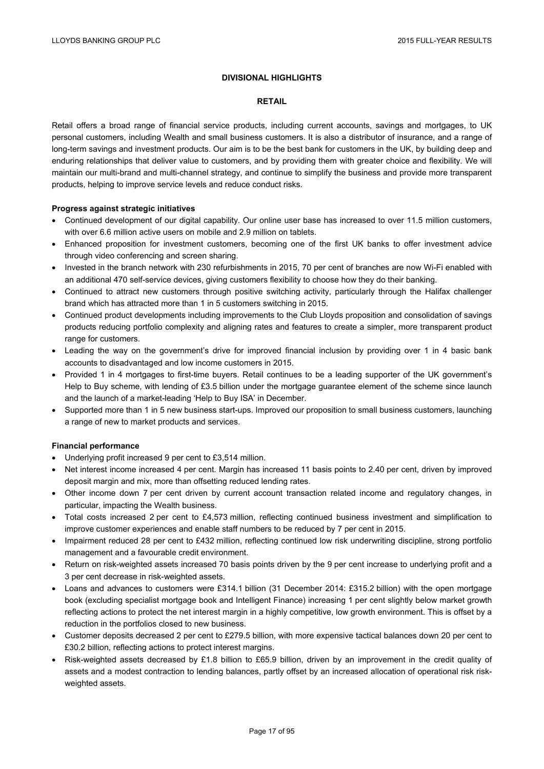### **DIVISIONAL HIGHLIGHTS**

#### **RETAIL**

Retail offers a broad range of financial service products, including current accounts, savings and mortgages, to UK personal customers, including Wealth and small business customers. It is also a distributor of insurance, and a range of long-term savings and investment products. Our aim is to be the best bank for customers in the UK, by building deep and enduring relationships that deliver value to customers, and by providing them with greater choice and flexibility. We will maintain our multi-brand and multi-channel strategy, and continue to simplify the business and provide more transparent products, helping to improve service levels and reduce conduct risks.

### **Progress against strategic initiatives**

- Continued development of our digital capability. Our online user base has increased to over 11.5 million customers, with over 6.6 million active users on mobile and 2.9 million on tablets.
- Enhanced proposition for investment customers, becoming one of the first UK banks to offer investment advice through video conferencing and screen sharing.
- Invested in the branch network with 230 refurbishments in 2015, 70 per cent of branches are now Wi-Fi enabled with an additional 470 self-service devices, giving customers flexibility to choose how they do their banking.
- Continued to attract new customers through positive switching activity, particularly through the Halifax challenger brand which has attracted more than 1 in 5 customers switching in 2015.
- Continued product developments including improvements to the Club Lloyds proposition and consolidation of savings products reducing portfolio complexity and aligning rates and features to create a simpler, more transparent product range for customers.
- Leading the way on the government's drive for improved financial inclusion by providing over 1 in 4 basic bank accounts to disadvantaged and low income customers in 2015.
- Provided 1 in 4 mortgages to first-time buyers. Retail continues to be a leading supporter of the UK government's Help to Buy scheme, with lending of £3.5 billion under the mortgage guarantee element of the scheme since launch and the launch of a market-leading 'Help to Buy ISA' in December.
- Supported more than 1 in 5 new business start-ups. Improved our proposition to small business customers, launching a range of new to market products and services.

## **Financial performance**

- Underlying profit increased 9 per cent to £3,514 million.
- Net interest income increased 4 per cent. Margin has increased 11 basis points to 2.40 per cent, driven by improved deposit margin and mix, more than offsetting reduced lending rates.
- Other income down 7 per cent driven by current account transaction related income and regulatory changes, in particular, impacting the Wealth business.
- Total costs increased 2 per cent to £4,573 million, reflecting continued business investment and simplification to improve customer experiences and enable staff numbers to be reduced by 7 per cent in 2015.
- Impairment reduced 28 per cent to £432 million, reflecting continued low risk underwriting discipline, strong portfolio management and a favourable credit environment.
- Return on risk-weighted assets increased 70 basis points driven by the 9 per cent increase to underlying profit and a 3 per cent decrease in risk-weighted assets.
- Loans and advances to customers were £314.1 billion (31 December 2014: £315.2 billion) with the open mortgage book (excluding specialist mortgage book and Intelligent Finance) increasing 1 per cent slightly below market growth reflecting actions to protect the net interest margin in a highly competitive, low growth environment. This is offset by a reduction in the portfolios closed to new business.
- Customer deposits decreased 2 per cent to £279.5 billion, with more expensive tactical balances down 20 per cent to £30.2 billion, reflecting actions to protect interest margins.
- Risk-weighted assets decreased by £1.8 billion to £65.9 billion, driven by an improvement in the credit quality of assets and a modest contraction to lending balances, partly offset by an increased allocation of operational risk riskweighted assets.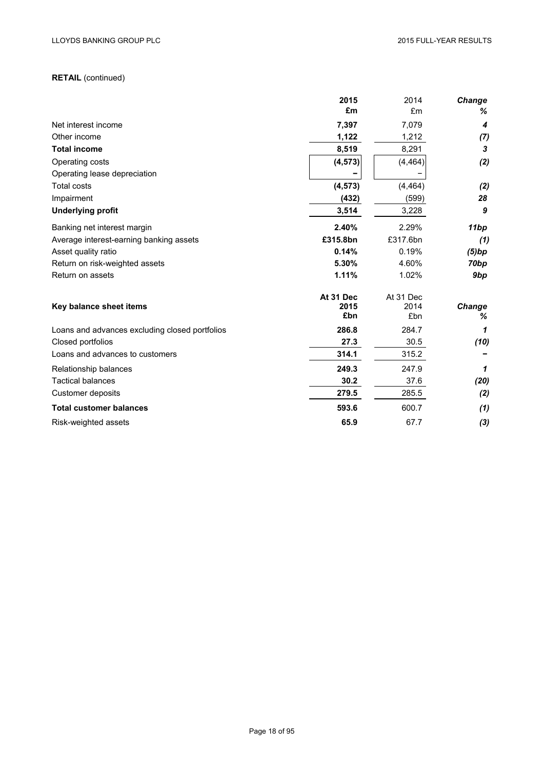# **RETAIL** (continued)

|                                                | 2015      | 2014      | Change           |
|------------------------------------------------|-----------|-----------|------------------|
|                                                | £m        | £m        | ℅                |
| Net interest income                            | 7,397     | 7,079     | 4                |
| Other income                                   | 1,122     | 1,212     | (7)              |
| <b>Total income</b>                            | 8,519     | 8,291     | 3                |
| Operating costs                                | (4, 573)  | (4, 464)  | (2)              |
| Operating lease depreciation                   |           |           |                  |
| <b>Total costs</b>                             | (4, 573)  | (4, 464)  | (2)              |
| Impairment                                     | (432)     | (599)     | 28               |
| <b>Underlying profit</b>                       | 3,514     | 3,228     | 9                |
| Banking net interest margin                    | 2.40%     | 2.29%     | 11bp             |
| Average interest-earning banking assets        | £315.8bn  | £317.6bn  | (1)              |
| Asset quality ratio                            | 0.14%     | 0.19%     | (5)bp            |
| Return on risk-weighted assets                 | 5.30%     | 4.60%     | 70 <sub>bp</sub> |
| Return on assets                               | 1.11%     | 1.02%     | 9bp              |
|                                                | At 31 Dec | At 31 Dec |                  |
| Key balance sheet items                        | 2015      | 2014      | Change           |
|                                                | £bn       | £bn       | ℅                |
| Loans and advances excluding closed portfolios | 286.8     | 284.7     | 1                |
| Closed portfolios                              | 27.3      | 30.5      | (10)             |
| Loans and advances to customers                | 314.1     | 315.2     |                  |
| Relationship balances                          | 249.3     | 247.9     | 1                |
| <b>Tactical balances</b>                       | 30.2      | 37.6      | (20)             |
| Customer deposits                              | 279.5     | 285.5     | (2)              |
| <b>Total customer balances</b>                 | 593.6     | 600.7     | (1)              |
| Risk-weighted assets                           | 65.9      | 67.7      | (3)              |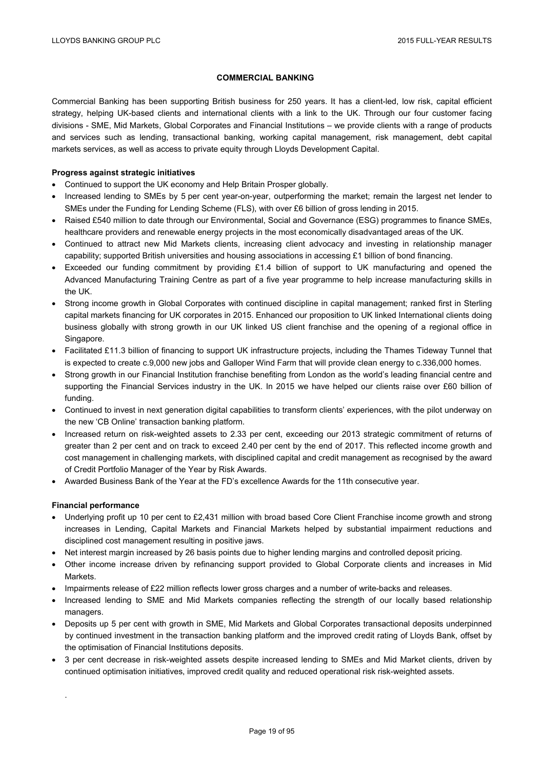## **COMMERCIAL BANKING**

Commercial Banking has been supporting British business for 250 years. It has a client-led, low risk, capital efficient strategy, helping UK-based clients and international clients with a link to the UK. Through our four customer facing divisions - SME, Mid Markets, Global Corporates and Financial Institutions – we provide clients with a range of products and services such as lending, transactional banking, working capital management, risk management, debt capital markets services, as well as access to private equity through Lloyds Development Capital.

### **Progress against strategic initiatives**

- Continued to support the UK economy and Help Britain Prosper globally.
- Increased lending to SMEs by 5 per cent year-on-year, outperforming the market; remain the largest net lender to SMEs under the Funding for Lending Scheme (FLS), with over £6 billion of gross lending in 2015.
- Raised £540 million to date through our Environmental, Social and Governance (ESG) programmes to finance SMEs, healthcare providers and renewable energy projects in the most economically disadvantaged areas of the UK.
- Continued to attract new Mid Markets clients, increasing client advocacy and investing in relationship manager capability; supported British universities and housing associations in accessing £1 billion of bond financing.
- Exceeded our funding commitment by providing £1.4 billion of support to UK manufacturing and opened the Advanced Manufacturing Training Centre as part of a five year programme to help increase manufacturing skills in the UK.
- Strong income growth in Global Corporates with continued discipline in capital management; ranked first in Sterling capital markets financing for UK corporates in 2015. Enhanced our proposition to UK linked International clients doing business globally with strong growth in our UK linked US client franchise and the opening of a regional office in Singapore.
- Facilitated £11.3 billion of financing to support UK infrastructure projects, including the Thames Tideway Tunnel that is expected to create c.9,000 new jobs and Galloper Wind Farm that will provide clean energy to c.336,000 homes.
- Strong growth in our Financial Institution franchise benefiting from London as the world's leading financial centre and supporting the Financial Services industry in the UK. In 2015 we have helped our clients raise over £60 billion of funding.
- Continued to invest in next generation digital capabilities to transform clients' experiences, with the pilot underway on the new 'CB Online' transaction banking platform.
- Increased return on risk-weighted assets to 2.33 per cent, exceeding our 2013 strategic commitment of returns of greater than 2 per cent and on track to exceed 2.40 per cent by the end of 2017. This reflected income growth and cost management in challenging markets, with disciplined capital and credit management as recognised by the award of Credit Portfolio Manager of the Year by Risk Awards.
- Awarded Business Bank of the Year at the FD's excellence Awards for the 11th consecutive year.

## **Financial performance**

.

- Underlying profit up 10 per cent to £2.431 million with broad based Core Client Franchise income growth and strong increases in Lending, Capital Markets and Financial Markets helped by substantial impairment reductions and disciplined cost management resulting in positive jaws.
- Net interest margin increased by 26 basis points due to higher lending margins and controlled deposit pricing.
- Other income increase driven by refinancing support provided to Global Corporate clients and increases in Mid Markets.
- Impairments release of £22 million reflects lower gross charges and a number of write-backs and releases.
- Increased lending to SME and Mid Markets companies reflecting the strength of our locally based relationship managers.
- Deposits up 5 per cent with growth in SME, Mid Markets and Global Corporates transactional deposits underpinned by continued investment in the transaction banking platform and the improved credit rating of Lloyds Bank, offset by the optimisation of Financial Institutions deposits.
- 3 per cent decrease in risk-weighted assets despite increased lending to SMEs and Mid Market clients, driven by continued optimisation initiatives, improved credit quality and reduced operational risk risk-weighted assets.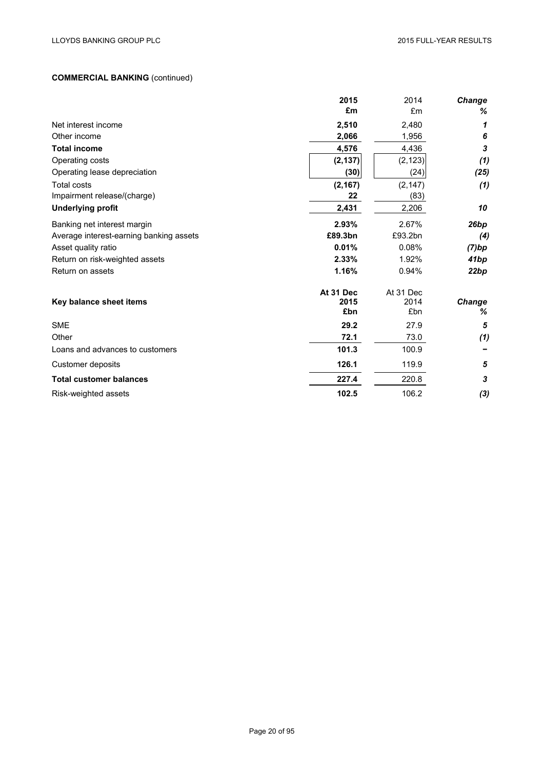# **COMMERCIAL BANKING** (continued)

|                                         | 2015                     | 2014                     | <b>Change</b>      |
|-----------------------------------------|--------------------------|--------------------------|--------------------|
|                                         | £m                       | £m                       | %                  |
| Net interest income                     | 2,510                    | 2,480                    | 1                  |
| Other income                            | 2,066                    | 1,956                    | 6                  |
| <b>Total income</b>                     | 4,576                    | 4,436                    | $\boldsymbol{3}$   |
| Operating costs                         | (2, 137)                 | (2, 123)                 | (1)                |
| Operating lease depreciation            | (30)                     | (24)                     | (25)               |
| Total costs                             | (2, 167)                 | (2, 147)                 | (1)                |
| Impairment release/(charge)             | 22                       | (83)                     |                    |
| <b>Underlying profit</b>                | 2,431                    | 2,206                    | 10                 |
| Banking net interest margin             | 2.93%                    | 2.67%                    | 26bp               |
| Average interest-earning banking assets | £89.3bn                  | £93.2bn                  | (4)                |
| Asset quality ratio                     | 0.01%                    | 0.08%                    | (7)bp              |
| Return on risk-weighted assets          | 2.33%                    | 1.92%                    | 41bp               |
| Return on assets                        | 1.16%                    | 0.94%                    | 22bp               |
| Key balance sheet items                 | At 31 Dec<br>2015<br>£bn | At 31 Dec<br>2014<br>£bn | <b>Change</b><br>℅ |
| <b>SME</b>                              | 29.2                     | 27.9                     | 5                  |
| Other                                   | 72.1                     | 73.0                     | (1)                |
| Loans and advances to customers         | 101.3                    | 100.9                    |                    |
| Customer deposits                       | 126.1                    | 119.9                    | 5                  |
| <b>Total customer balances</b>          | 227.4                    | 220.8                    | 3                  |
| Risk-weighted assets                    | 102.5                    | 106.2                    | $(3)$              |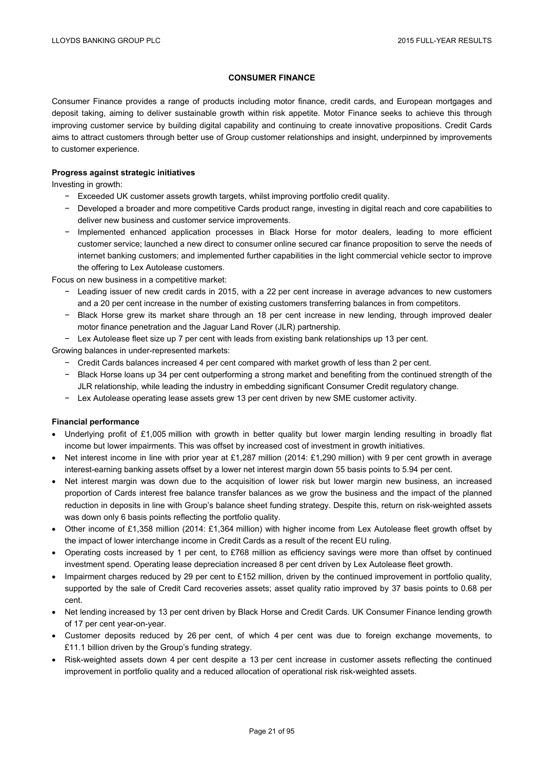### **CONSUMER FINANCE**

Consumer Finance provides a range of products including motor finance, credit cards, and European mortgages and deposit taking, aiming to deliver sustainable growth within risk appetite. Motor Finance seeks to achieve this through improving customer service by building digital capability and continuing to create innovative propositions. Credit Cards aims to attract customers through better use of Group customer relationships and insight, underpinned by improvements to customer experience.

### **Progress against strategic initiatives**

Investing in growth:

- − Exceeded UK customer assets growth targets, whilst improving portfolio credit quality.
- − Developed a broader and more competitive Cards product range, investing in digital reach and core capabilities to deliver new business and customer service improvements.
- − Implemented enhanced application processes in Black Horse for motor dealers, leading to more efficient customer service; launched a new direct to consumer online secured car finance proposition to serve the needs of internet banking customers; and implemented further capabilities in the light commercial vehicle sector to improve the offering to Lex Autolease customers.

Focus on new business in a competitive market:

- − Leading issuer of new credit cards in 2015, with a 22 per cent increase in average advances to new customers and a 20 per cent increase in the number of existing customers transferring balances in from competitors.
- − Black Horse grew its market share through an 18 per cent increase in new lending, through improved dealer motor finance penetration and the Jaguar Land Rover (JLR) partnership.
- − Lex Autolease fleet size up 7 per cent with leads from existing bank relationships up 13 per cent.

Growing balances in under-represented markets:

- − Credit Cards balances increased 4 per cent compared with market growth of less than 2 per cent.
- − Black Horse loans up 34 per cent outperforming a strong market and benefiting from the continued strength of the JLR relationship, while leading the industry in embedding significant Consumer Credit regulatory change.
- − Lex Autolease operating lease assets grew 13 per cent driven by new SME customer activity.

#### **Financial performance**

- Underlying profit of £1,005 million with growth in better quality but lower margin lending resulting in broadly flat income but lower impairments. This was offset by increased cost of investment in growth initiatives.
- Net interest income in line with prior year at £1,287 million (2014: £1,290 million) with 9 per cent growth in average interest-earning banking assets offset by a lower net interest margin down 55 basis points to 5.94 per cent.
- Net interest margin was down due to the acquisition of lower risk but lower margin new business, an increased proportion of Cards interest free balance transfer balances as we grow the business and the impact of the planned reduction in deposits in line with Group's balance sheet funding strategy. Despite this, return on risk-weighted assets was down only 6 basis points reflecting the portfolio quality.
- Other income of £1,358 million (2014: £1,364 million) with higher income from Lex Autolease fleet growth offset by the impact of lower interchange income in Credit Cards as a result of the recent EU ruling.
- Operating costs increased by 1 per cent, to £768 million as efficiency savings were more than offset by continued investment spend. Operating lease depreciation increased 8 per cent driven by Lex Autolease fleet growth.
- Impairment charges reduced by 29 per cent to £152 million, driven by the continued improvement in portfolio quality, supported by the sale of Credit Card recoveries assets; asset quality ratio improved by 37 basis points to 0.68 per cent.
- Net lending increased by 13 per cent driven by Black Horse and Credit Cards. UK Consumer Finance lending growth of 17 per cent year-on-year.
- Customer deposits reduced by 26 per cent, of which 4 per cent was due to foreign exchange movements, to £11.1 billion driven by the Group's funding strategy.
- Risk-weighted assets down 4 per cent despite a 13 per cent increase in customer assets reflecting the continued improvement in portfolio quality and a reduced allocation of operational risk risk-weighted assets.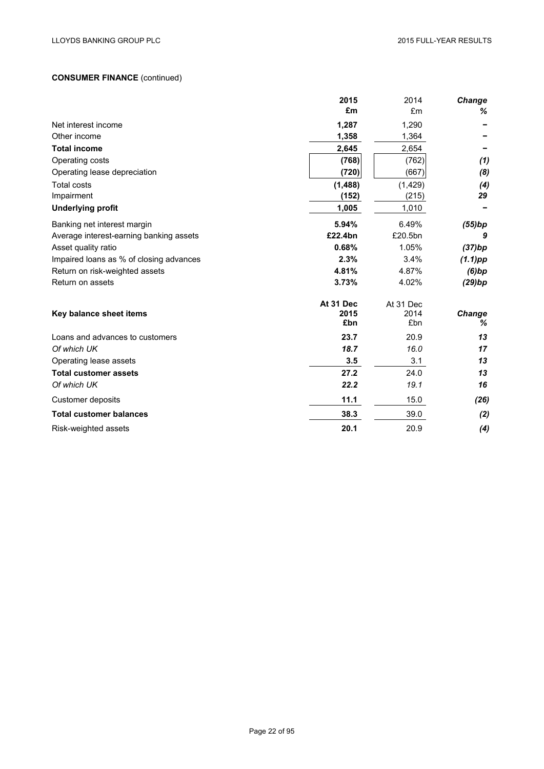# **CONSUMER FINANCE** (continued)

|                                         | 2015      | 2014      | <b>Change</b> |
|-----------------------------------------|-----------|-----------|---------------|
|                                         | £m        | £m        | %             |
| Net interest income                     | 1,287     | 1,290     |               |
| Other income                            | 1,358     | 1,364     |               |
| <b>Total income</b>                     | 2,645     | 2,654     |               |
| Operating costs                         | (768)     | (762)     | (1)           |
| Operating lease depreciation            | (720)     | (667)     | (8)           |
| <b>Total costs</b>                      | (1,488)   | (1,429)   | (4)           |
| Impairment                              | (152)     | (215)     | 29            |
| <b>Underlying profit</b>                | 1,005     | 1,010     |               |
| Banking net interest margin             | 5.94%     | 6.49%     | (55)bp        |
| Average interest-earning banking assets | £22.4bn   | £20.5bn   | 9             |
| Asset quality ratio                     | 0.68%     | 1.05%     | (37)bp        |
| Impaired loans as % of closing advances | 2.3%      | 3.4%      | $(1.1)$ pp    |
| Return on risk-weighted assets          | 4.81%     | 4.87%     | (6)bp         |
| Return on assets                        | 3.73%     | 4.02%     | (29)bp        |
|                                         | At 31 Dec | At 31 Dec |               |
| Key balance sheet items                 | 2015      | 2014      | Change        |
|                                         | £bn       | £bn       | %             |
| Loans and advances to customers         | 23.7      | 20.9      | 13            |
| Of which UK                             | 18.7      | 16.0      | 17            |
| Operating lease assets                  | 3.5       | 3.1       | 13            |
| <b>Total customer assets</b>            | 27.2      | 24.0      | 13            |
| Of which UK                             | 22.2      | 19.1      | 16            |
| Customer deposits                       | 11.1      | 15.0      | (26)          |
| <b>Total customer balances</b>          | 38.3      | 39.0      | (2)           |
| Risk-weighted assets                    | 20.1      | 20.9      | (4)           |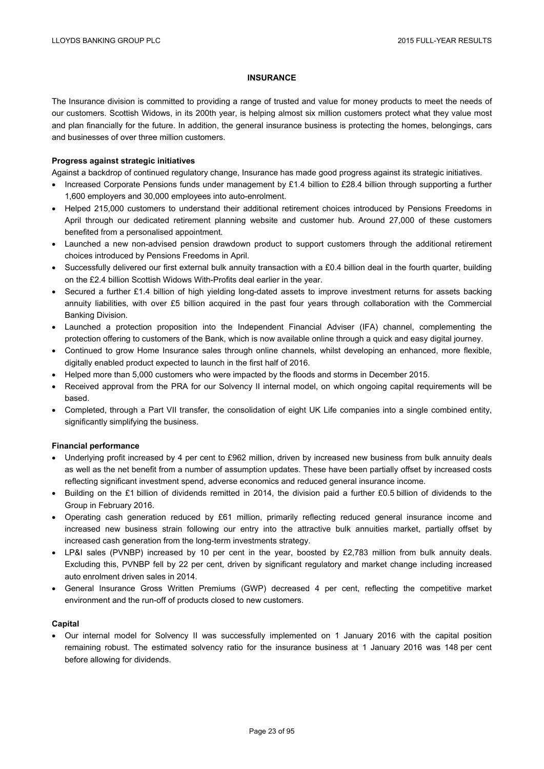### **INSURANCE**

The Insurance division is committed to providing a range of trusted and value for money products to meet the needs of our customers. Scottish Widows, in its 200th year, is helping almost six million customers protect what they value most and plan financially for the future. In addition, the general insurance business is protecting the homes, belongings, cars and businesses of over three million customers.

### **Progress against strategic initiatives**

Against a backdrop of continued regulatory change, Insurance has made good progress against its strategic initiatives.

- Increased Corporate Pensions funds under management by £1.4 billion to £28.4 billion through supporting a further 1,600 employers and 30,000 employees into auto-enrolment.
- Helped 215,000 customers to understand their additional retirement choices introduced by Pensions Freedoms in April through our dedicated retirement planning website and customer hub. Around 27,000 of these customers benefited from a personalised appointment.
- Launched a new non-advised pension drawdown product to support customers through the additional retirement choices introduced by Pensions Freedoms in April.
- Successfully delivered our first external bulk annuity transaction with a £0.4 billion deal in the fourth quarter, building on the £2.4 billion Scottish Widows With-Profits deal earlier in the year.
- Secured a further £1.4 billion of high yielding long-dated assets to improve investment returns for assets backing annuity liabilities, with over £5 billion acquired in the past four years through collaboration with the Commercial Banking Division.
- Launched a protection proposition into the Independent Financial Adviser (IFA) channel, complementing the protection offering to customers of the Bank, which is now available online through a quick and easy digital journey.
- Continued to grow Home Insurance sales through online channels, whilst developing an enhanced, more flexible, digitally enabled product expected to launch in the first half of 2016.
- Helped more than 5,000 customers who were impacted by the floods and storms in December 2015.
- Received approval from the PRA for our Solvency II internal model, on which ongoing capital requirements will be based.
- Completed, through a Part VII transfer, the consolidation of eight UK Life companies into a single combined entity, significantly simplifying the business.

## **Financial performance**

- Underlying profit increased by 4 per cent to £962 million, driven by increased new business from bulk annuity deals as well as the net benefit from a number of assumption updates. These have been partially offset by increased costs reflecting significant investment spend, adverse economics and reduced general insurance income.
- Building on the £1 billion of dividends remitted in 2014, the division paid a further £0.5 billion of dividends to the Group in February 2016.
- Operating cash generation reduced by £61 million, primarily reflecting reduced general insurance income and increased new business strain following our entry into the attractive bulk annuities market, partially offset by increased cash generation from the long-term investments strategy.
- LP&I sales (PVNBP) increased by 10 per cent in the year, boosted by £2,783 million from bulk annuity deals. Excluding this, PVNBP fell by 22 per cent, driven by significant regulatory and market change including increased auto enrolment driven sales in 2014.
- General Insurance Gross Written Premiums (GWP) decreased 4 per cent, reflecting the competitive market environment and the run-off of products closed to new customers.

## **Capital**

 Our internal model for Solvency II was successfully implemented on 1 January 2016 with the capital position remaining robust. The estimated solvency ratio for the insurance business at 1 January 2016 was 148 per cent before allowing for dividends.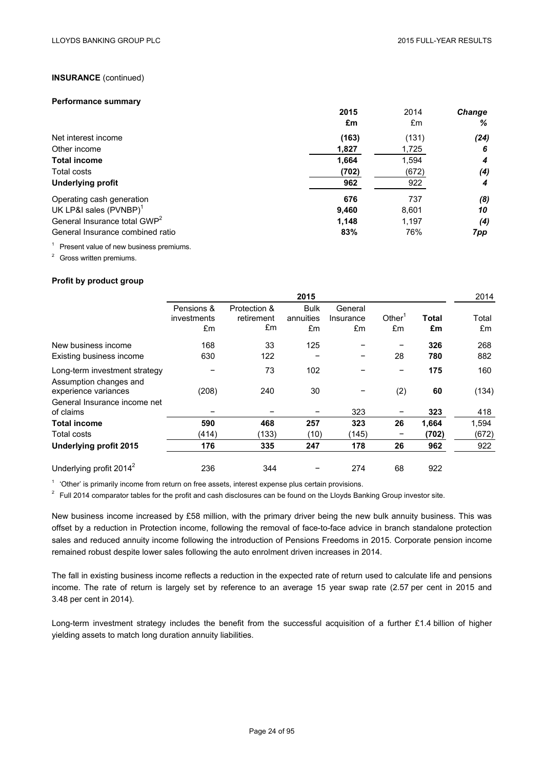### **INSURANCE** (continued)

#### **Performance summary**

|                                          | 2015<br>£m | 2014<br>£m | <b>Change</b><br>% |
|------------------------------------------|------------|------------|--------------------|
| Net interest income                      | (163)      | (131)      | (24)               |
| Other income                             | 1,827      | 1,725      | -6                 |
| <b>Total income</b>                      | 1,664      | 1,594      | 4                  |
| Total costs                              | (702)      | (672)      | (4)                |
| <b>Underlying profit</b>                 | 962        | 922        | 4                  |
| Operating cash generation                | 676        | 737        | (8)                |
| UK LP&I sales (PVNBP) <sup>1</sup>       | 9,460      | 8,601      | 10                 |
| General Insurance total GWP <sup>2</sup> | 1,148      | 1,197      | (4)                |
| General Insurance combined ratio         | 83%        | 76%        | 7pp                |

<sup>1</sup> Present value of new business premiums.

<sup>2</sup> Gross written premiums.

### **Profit by product group**

|                                                |                                 | 2015                             |                                |                            |                          |             |             |
|------------------------------------------------|---------------------------------|----------------------------------|--------------------------------|----------------------------|--------------------------|-------------|-------------|
|                                                | Pensions &<br>investments<br>£m | Protection &<br>retirement<br>£m | <b>Bulk</b><br>annuities<br>£m | General<br>Insurance<br>£m | Other <sup>1</sup><br>£m | Total<br>£m | Total<br>£m |
|                                                |                                 |                                  |                                |                            |                          |             |             |
| New business income                            | 168                             | 33                               | 125                            |                            |                          | 326         | 268         |
| Existing business income                       | 630                             | 122                              |                                | -                          | 28                       | 780         | 882         |
| Long-term investment strategy                  |                                 | 73                               | 102                            |                            |                          | 175         | 160         |
| Assumption changes and<br>experience variances | (208)                           | 240                              | 30                             |                            | (2)                      | 60          | (134)       |
| General Insurance income net<br>of claims      |                                 |                                  |                                | 323                        |                          | 323         | 418         |
| <b>Total income</b>                            | 590                             | 468                              | 257                            | 323                        | 26                       | 1,664       | 1,594       |
| Total costs                                    | (414)                           | (133)                            | (10)                           | (145)                      |                          | (702)       | (672)       |
| Underlying profit 2015                         | 176                             | 335                              | 247                            | 178                        | 26                       | 962         | 922         |
| Underlying profit 2014 <sup>2</sup>            | 236                             | 344                              |                                | 274                        | 68                       | 922         |             |

<sup>1</sup> 'Other' is primarily income from return on free assets, interest expense plus certain provisions.

 $2$  Full 2014 comparator tables for the profit and cash disclosures can be found on the Lloyds Banking Group investor site.

New business income increased by £58 million, with the primary driver being the new bulk annuity business. This was offset by a reduction in Protection income, following the removal of face-to-face advice in branch standalone protection sales and reduced annuity income following the introduction of Pensions Freedoms in 2015. Corporate pension income remained robust despite lower sales following the auto enrolment driven increases in 2014.

The fall in existing business income reflects a reduction in the expected rate of return used to calculate life and pensions income. The rate of return is largely set by reference to an average 15 year swap rate (2.57 per cent in 2015 and 3.48 per cent in 2014).

Long-term investment strategy includes the benefit from the successful acquisition of a further £1.4 billion of higher yielding assets to match long duration annuity liabilities.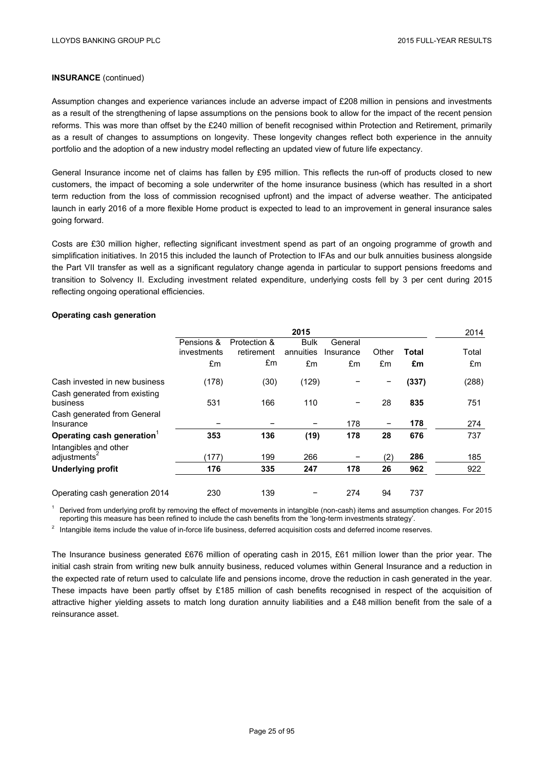## **INSURANCE** (continued)

Assumption changes and experience variances include an adverse impact of £208 million in pensions and investments as a result of the strengthening of lapse assumptions on the pensions book to allow for the impact of the recent pension reforms. This was more than offset by the £240 million of benefit recognised within Protection and Retirement, primarily as a result of changes to assumptions on longevity. These longevity changes reflect both experience in the annuity portfolio and the adoption of a new industry model reflecting an updated view of future life expectancy.

General Insurance income net of claims has fallen by £95 million. This reflects the run-off of products closed to new customers, the impact of becoming a sole underwriter of the home insurance business (which has resulted in a short term reduction from the loss of commission recognised upfront) and the impact of adverse weather. The anticipated launch in early 2016 of a more flexible Home product is expected to lead to an improvement in general insurance sales going forward.

Costs are £30 million higher, reflecting significant investment spend as part of an ongoing programme of growth and simplification initiatives. In 2015 this included the launch of Protection to IFAs and our bulk annuities business alongside the Part VII transfer as well as a significant regulatory change agenda in particular to support pensions freedoms and transition to Solvency II. Excluding investment related expenditure, underlying costs fell by 3 per cent during 2015 reflecting ongoing operational efficiencies.

### **Operating cash generation**

|                                          | 2015        |              |             |           |       | 2014         |       |
|------------------------------------------|-------------|--------------|-------------|-----------|-------|--------------|-------|
|                                          | Pensions &  | Protection & | <b>Bulk</b> | General   |       |              |       |
|                                          | investments | retirement   | annuities   | Insurance | Other | <b>Total</b> | Total |
|                                          | £m          | £m           | £m          | £m        | £m    | £m           | £m    |
| Cash invested in new business            | (178)       | (30)         | (129)       |           |       | (337)        | (288) |
| Cash generated from existing<br>business | 531         | 166          | 110         | -         | 28    | 835          | 751   |
| Cash generated from General<br>Insurance |             |              |             | 178       | -     | 178          | 274   |
| Operating cash generation <sup>1</sup>   | 353         | 136          | (19)        | 178       | 28    | 676          | 737   |
| Intangibles and other                    |             |              |             |           |       |              |       |
| adjustments <sup>2</sup>                 | (177)       | 199          | 266         |           | (2)   | 286          | 185   |
| <b>Underlying profit</b>                 | 176         | 335          | 247         | 178       | 26    | 962          | 922   |
| Operating cash generation 2014           | 230         | 139          |             | 274       | 94    | 737          |       |

<sup>1</sup> Derived from underlying profit by removing the effect of movements in intangible (non-cash) items and assumption changes. For 2015 reporting this measure has been refined to include the cash benefits from the 'long-term investments strategy'.

 $2$  Intangible items include the value of in-force life business, deferred acquisition costs and deferred income reserves.

The Insurance business generated £676 million of operating cash in 2015, £61 million lower than the prior year. The initial cash strain from writing new bulk annuity business, reduced volumes within General Insurance and a reduction in the expected rate of return used to calculate life and pensions income, drove the reduction in cash generated in the year. These impacts have been partly offset by £185 million of cash benefits recognised in respect of the acquisition of attractive higher yielding assets to match long duration annuity liabilities and a £48 million benefit from the sale of a reinsurance asset.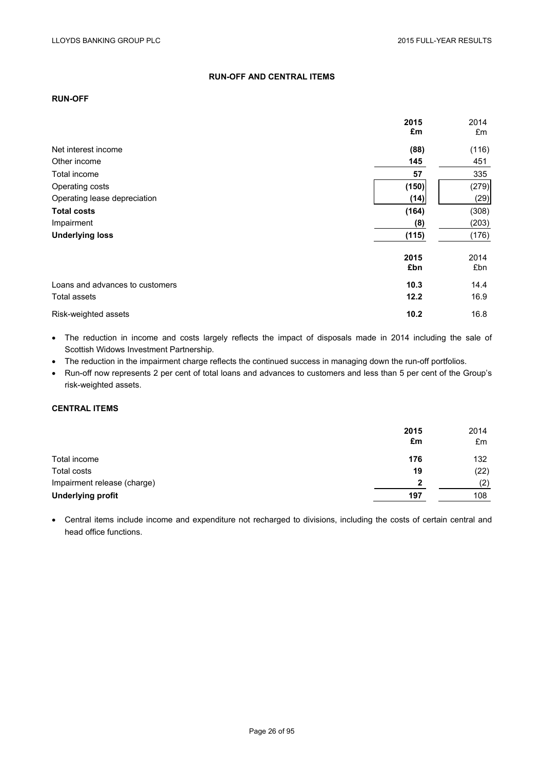## **RUN-OFF AND CENTRAL ITEMS**

# **RUN-OFF**

|                                 | 2015<br>£m  | 2014<br>£m  |
|---------------------------------|-------------|-------------|
| Net interest income             | (88)        | (116)       |
| Other income                    | 145         | 451         |
| Total income                    | 57          | 335         |
| Operating costs                 | (150)       | (279)       |
| Operating lease depreciation    | (14)        | (29)        |
| <b>Total costs</b>              | (164)       | (308)       |
| Impairment                      | (8)         | (203)       |
| <b>Underlying loss</b>          | (115)       | (176)       |
|                                 | 2015<br>£bn | 2014<br>£bn |
| Loans and advances to customers | 10.3        | 14.4        |
| Total assets                    | 12.2        | 16.9        |
| Risk-weighted assets            | 10.2        | 16.8        |

 The reduction in income and costs largely reflects the impact of disposals made in 2014 including the sale of Scottish Widows Investment Partnership.

• The reduction in the impairment charge reflects the continued success in managing down the run-off portfolios.

 Run-off now represents 2 per cent of total loans and advances to customers and less than 5 per cent of the Group's risk-weighted assets.

# **CENTRAL ITEMS**

|                             | 2015<br>£m | 2014<br>£m |
|-----------------------------|------------|------------|
| Total income                | 176        | 132        |
| Total costs                 | 19         | (22)       |
| Impairment release (charge) | 2          | (2)        |
| <b>Underlying profit</b>    | 197        | 108        |

 Central items include income and expenditure not recharged to divisions, including the costs of certain central and head office functions.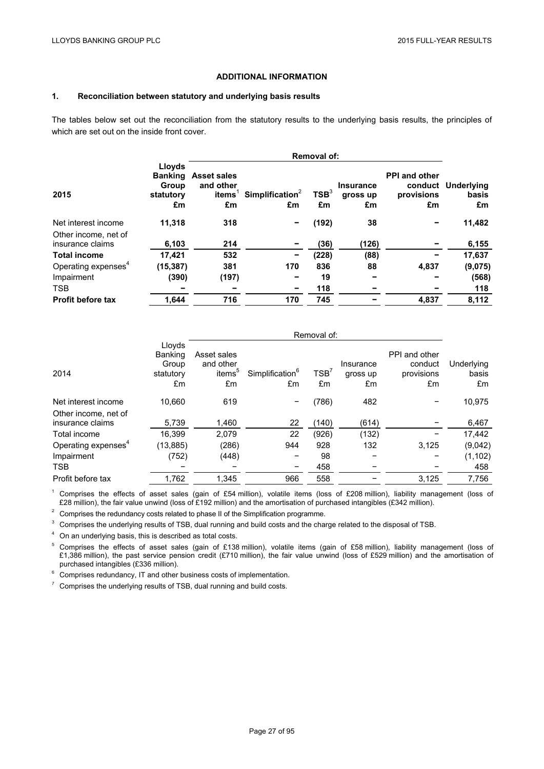### **ADDITIONAL INFORMATION**

## **1. Reconciliation between statutory and underlying basis results**

The tables below set out the reconciliation from the statutory results to the underlying basis results, the principles of which are set out on the inside front cover.

|                                          |                                                      | <b>Removal of:</b>                              |                                   |                        |                                    |                                                     |                           |  |
|------------------------------------------|------------------------------------------------------|-------------------------------------------------|-----------------------------------|------------------------|------------------------------------|-----------------------------------------------------|---------------------------|--|
| 2015                                     | Lloyds<br><b>Banking</b><br>Group<br>statutory<br>£m | <b>Asset sales</b><br>and other<br>items'<br>£m | Simplification <sup>2</sup><br>£m | TSB <sup>3</sup><br>£m | <b>Insurance</b><br>gross up<br>£m | <b>PPI and other</b><br>conduct<br>provisions<br>£m | Underlying<br>basis<br>£m |  |
| Net interest income                      | 11,318                                               | 318                                             | -                                 | (192)                  | 38                                 |                                                     | 11,482                    |  |
| Other income, net of<br>insurance claims | 6,103                                                | 214                                             | -                                 | (36)                   | (126)                              |                                                     | 6,155                     |  |
| <b>Total income</b>                      | 17.421                                               | 532                                             | -                                 | (228)                  | (88)                               |                                                     | 17,637                    |  |
| Operating expenses <sup>4</sup>          | (15, 387)                                            | 381                                             | 170                               | 836                    | 88                                 | 4,837                                               | (9,075)                   |  |
| Impairment                               | (390)                                                | (197)                                           | -                                 | 19                     |                                    |                                                     | (568)                     |  |
| <b>TSB</b>                               |                                                      |                                                 | -                                 | 118                    |                                    |                                                     | 118                       |  |
| <b>Profit before tax</b>                 | 1.644                                                | 716                                             | 170                               | 745                    |                                    | 4.837                                               | 8.112                     |  |

|                                          | Removal of:                                   |                                                      |                                   |            |                             |                                              |                           |
|------------------------------------------|-----------------------------------------------|------------------------------------------------------|-----------------------------------|------------|-----------------------------|----------------------------------------------|---------------------------|
| 2014                                     | Lloyds<br>Banking<br>Group<br>statutory<br>£m | Asset sales<br>and other<br>items <sup>5</sup><br>£m | Simplification <sup>6</sup><br>£m | TSB'<br>£m | Insurance<br>gross up<br>£m | PPI and other<br>conduct<br>provisions<br>£m | Underlying<br>basis<br>£m |
| Net interest income                      | 10,660                                        | 619                                                  |                                   | (786)      | 482                         |                                              | 10,975                    |
| Other income, net of<br>insurance claims | 5,739                                         | 1,460                                                | 22                                | (140)      | (614)                       |                                              | 6,467                     |
| Total income                             | 16.399                                        | 2,079                                                | 22                                | (926)      | (132)                       |                                              | 17,442                    |
| Operating expenses <sup>4</sup>          | (13, 885)                                     | (286)                                                | 944                               | 928        | 132                         | 3,125                                        | (9,042)                   |
| Impairment                               | (752)                                         | (448)                                                |                                   | 98         |                             |                                              | (1, 102)                  |
| <b>TSB</b>                               |                                               |                                                      | -                                 | 458        |                             |                                              | 458                       |
| Profit before tax                        | 1,762                                         | 1,345                                                | 966                               | 558        |                             | 3,125                                        | 7,756                     |

<sup>1</sup> Comprises the effects of asset sales (gain of £54 million), volatile items (loss of £208 million), liability management (loss of £28 million), the fair value unwind (loss of £192 million) and the amortisation of purchased intangibles (£342 million).

 $2$  Comprises the redundancy costs related to phase II of the Simplification programme.

<sup>3</sup> Comprises the underlying results of TSB, dual running and build costs and the charge related to the disposal of TSB.

 $^4$  On an underlying basis, this is described as total costs.

 $^5$  Comprises the effects of asset sales (gain of £138 million), volatile items (gain of £58 million), liability management (loss of £1,386 million), the past service pension credit (£710 million), the fair value unwind (loss of £529 million) and the amortisation of purchased intangibles (£336 million).

 $6$  Comprises redundancy, IT and other business costs of implementation.

<sup>7</sup> Comprises the underlying results of TSB, dual running and build costs.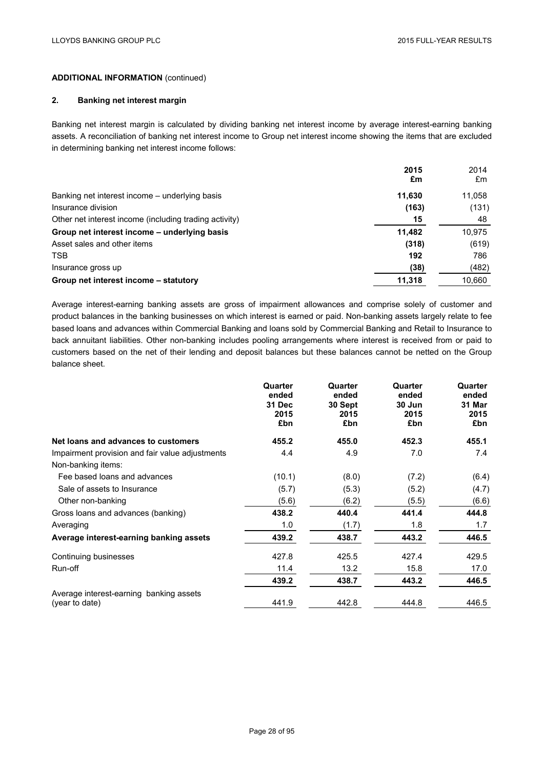## **2. Banking net interest margin**

Banking net interest margin is calculated by dividing banking net interest income by average interest-earning banking assets. A reconciliation of banking net interest income to Group net interest income showing the items that are excluded in determining banking net interest income follows:

|                                                        | 2015<br>£m | 2014<br>£m |
|--------------------------------------------------------|------------|------------|
| Banking net interest income – underlying basis         | 11,630     | 11,058     |
| Insurance division                                     | (163)      | (131)      |
| Other net interest income (including trading activity) | 15         | 48         |
| Group net interest income - underlying basis           | 11.482     | 10.975     |
| Asset sales and other items                            | (318)      | (619)      |
| <b>TSB</b>                                             | 192        | 786        |
| Insurance gross up                                     | (38)       | (482)      |
| Group net interest income – statutory                  | 11,318     | 10,660     |

Average interest-earning banking assets are gross of impairment allowances and comprise solely of customer and product balances in the banking businesses on which interest is earned or paid. Non-banking assets largely relate to fee based loans and advances within Commercial Banking and loans sold by Commercial Banking and Retail to Insurance to back annuitant liabilities. Other non-banking includes pooling arrangements where interest is received from or paid to customers based on the net of their lending and deposit balances but these balances cannot be netted on the Group balance sheet.

|                                                           | Quarter<br>ended<br><b>31 Dec</b><br>2015<br>£bn | Quarter<br>ended<br>30 Sept<br>2015<br>£bn | Quarter<br>ended<br>30 Jun<br>2015<br>£bn | Quarter<br>ended<br>31 Mar<br>2015<br>£bn |
|-----------------------------------------------------------|--------------------------------------------------|--------------------------------------------|-------------------------------------------|-------------------------------------------|
| Net loans and advances to customers                       | 455.2                                            | 455.0                                      | 452.3                                     | 455.1                                     |
| Impairment provision and fair value adjustments           | 4.4                                              | 4.9                                        | 7.0                                       | 7.4                                       |
| Non-banking items:                                        |                                                  |                                            |                                           |                                           |
| Fee based loans and advances                              | (10.1)                                           | (8.0)                                      | (7.2)                                     | (6.4)                                     |
| Sale of assets to Insurance                               | (5.7)                                            | (5.3)                                      | (5.2)                                     | (4.7)                                     |
| Other non-banking                                         | (5.6)                                            | (6.2)                                      | (5.5)                                     | (6.6)                                     |
| Gross loans and advances (banking)                        | 438.2                                            | 440.4                                      | 441.4                                     | 444.8                                     |
| Averaging                                                 | 1.0                                              | (1.7)                                      | 1.8                                       | 1.7                                       |
| Average interest-earning banking assets                   | 439.2                                            | 438.7                                      | 443.2                                     | 446.5                                     |
| Continuing businesses                                     | 427.8                                            | 425.5                                      | 427.4                                     | 429.5                                     |
| Run-off                                                   | 11.4                                             | 13.2                                       | 15.8                                      | 17.0                                      |
|                                                           | 439.2                                            | 438.7                                      | 443.2                                     | 446.5                                     |
| Average interest-earning banking assets<br>(year to date) | 441.9                                            | 442.8                                      | 444.8                                     | 446.5                                     |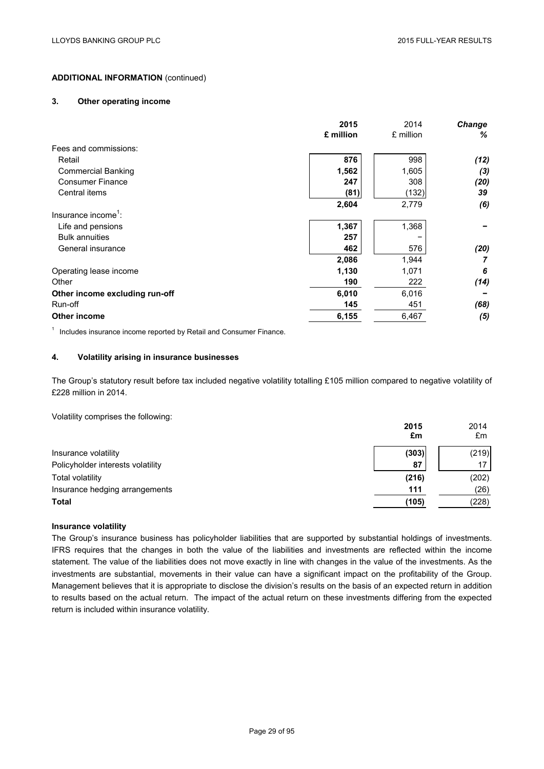### **3. Other operating income**

|                                 | 2015      | 2014      | Change |
|---------------------------------|-----------|-----------|--------|
|                                 | £ million | £ million | %      |
| Fees and commissions:           |           |           |        |
| Retail                          | 876       | 998       | (12)   |
| <b>Commercial Banking</b>       | 1,562     | 1,605     | (3)    |
| <b>Consumer Finance</b>         | 247       | 308       | (20)   |
| Central items                   | (81)      | (132)     | 39     |
|                                 | 2,604     | 2,779     | (6)    |
| Insurance income <sup>1</sup> : |           |           |        |
| Life and pensions               | 1,367     | 1,368     |        |
| <b>Bulk annuities</b>           | 257       |           |        |
| General insurance               | 462       | 576       | (20)   |
|                                 | 2,086     | 1,944     |        |
| Operating lease income          | 1,130     | 1,071     | 6      |
| Other                           | 190       | 222       | (14)   |
| Other income excluding run-off  | 6,010     | 6,016     |        |
| Run-off                         | 145       | 451       | (68)   |
| <b>Other income</b>             | 6,155     | 6,467     | (5)    |
|                                 |           |           |        |

 $1$  Includes insurance income reported by Retail and Consumer Finance.

## **4. Volatility arising in insurance businesses**

The Group's statutory result before tax included negative volatility totalling £105 million compared to negative volatility of £228 million in 2014.

Volatility comprises the following:

|                                   | 2015<br>£m | 2014<br>£m      |
|-----------------------------------|------------|-----------------|
| Insurance volatility              | (303)      | (219)           |
| Policyholder interests volatility | 87         | 17 <sub>1</sub> |
| Total volatility                  | (216)      | (202)           |
| Insurance hedging arrangements    | 111        | (26)            |
| <b>Total</b>                      | (105)      | (228)           |

### **Insurance volatility**

The Group's insurance business has policyholder liabilities that are supported by substantial holdings of investments. IFRS requires that the changes in both the value of the liabilities and investments are reflected within the income statement. The value of the liabilities does not move exactly in line with changes in the value of the investments. As the investments are substantial, movements in their value can have a significant impact on the profitability of the Group. Management believes that it is appropriate to disclose the division's results on the basis of an expected return in addition to results based on the actual return. The impact of the actual return on these investments differing from the expected return is included within insurance volatility.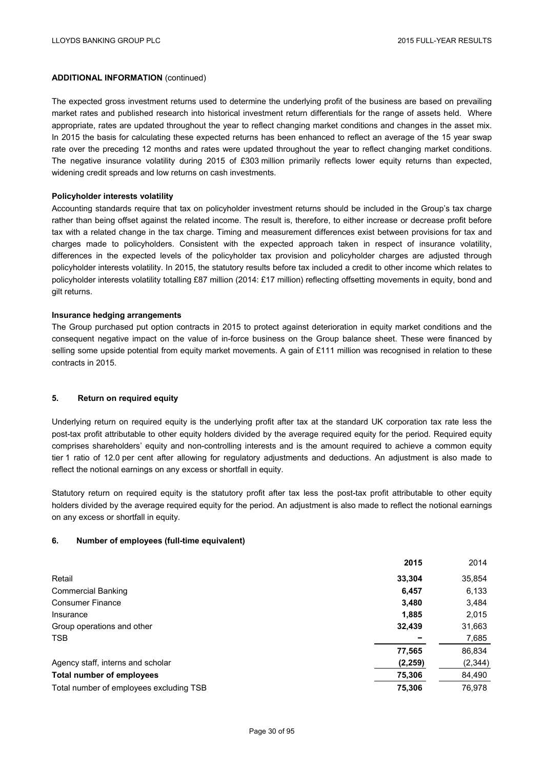The expected gross investment returns used to determine the underlying profit of the business are based on prevailing market rates and published research into historical investment return differentials for the range of assets held. Where appropriate, rates are updated throughout the year to reflect changing market conditions and changes in the asset mix. In 2015 the basis for calculating these expected returns has been enhanced to reflect an average of the 15 year swap rate over the preceding 12 months and rates were updated throughout the year to reflect changing market conditions. The negative insurance volatility during 2015 of £303 million primarily reflects lower equity returns than expected, widening credit spreads and low returns on cash investments.

#### **Policyholder interests volatility**

Accounting standards require that tax on policyholder investment returns should be included in the Group's tax charge rather than being offset against the related income. The result is, therefore, to either increase or decrease profit before tax with a related change in the tax charge. Timing and measurement differences exist between provisions for tax and charges made to policyholders. Consistent with the expected approach taken in respect of insurance volatility, differences in the expected levels of the policyholder tax provision and policyholder charges are adjusted through policyholder interests volatility. In 2015, the statutory results before tax included a credit to other income which relates to policyholder interests volatility totalling £87 million (2014: £17 million) reflecting offsetting movements in equity, bond and gilt returns.

#### **Insurance hedging arrangements**

The Group purchased put option contracts in 2015 to protect against deterioration in equity market conditions and the consequent negative impact on the value of in-force business on the Group balance sheet. These were financed by selling some upside potential from equity market movements. A gain of £111 million was recognised in relation to these contracts in 2015.

### **5. Return on required equity**

Underlying return on required equity is the underlying profit after tax at the standard UK corporation tax rate less the post-tax profit attributable to other equity holders divided by the average required equity for the period. Required equity comprises shareholders' equity and non-controlling interests and is the amount required to achieve a common equity tier 1 ratio of 12.0 per cent after allowing for regulatory adjustments and deductions. An adjustment is also made to reflect the notional earnings on any excess or shortfall in equity.

Statutory return on required equity is the statutory profit after tax less the post-tax profit attributable to other equity holders divided by the average required equity for the period. An adjustment is also made to reflect the notional earnings on any excess or shortfall in equity.

#### **6. Number of employees (full-time equivalent)**

|                                         | 2015     | 2014     |
|-----------------------------------------|----------|----------|
| Retail                                  | 33,304   | 35,854   |
| <b>Commercial Banking</b>               | 6,457    | 6,133    |
| <b>Consumer Finance</b>                 | 3,480    | 3,484    |
| Insurance                               | 1,885    | 2,015    |
| Group operations and other              | 32,439   | 31,663   |
| <b>TSB</b>                              |          | 7,685    |
|                                         | 77,565   | 86,834   |
| Agency staff, interns and scholar       | (2, 259) | (2, 344) |
| Total number of employees               | 75,306   | 84,490   |
| Total number of employees excluding TSB | 75,306   | 76.978   |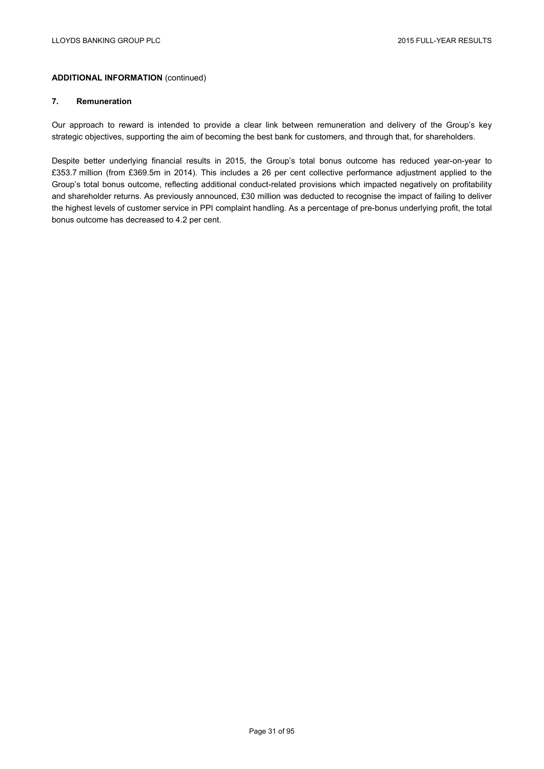#### **7. Remuneration**

Our approach to reward is intended to provide a clear link between remuneration and delivery of the Group's key strategic objectives, supporting the aim of becoming the best bank for customers, and through that, for shareholders.

Despite better underlying financial results in 2015, the Group's total bonus outcome has reduced year-on-year to £353.7 million (from £369.5m in 2014). This includes a 26 per cent collective performance adjustment applied to the Group's total bonus outcome, reflecting additional conduct-related provisions which impacted negatively on profitability and shareholder returns. As previously announced, £30 million was deducted to recognise the impact of failing to deliver the highest levels of customer service in PPI complaint handling. As a percentage of pre-bonus underlying profit, the total bonus outcome has decreased to 4.2 per cent.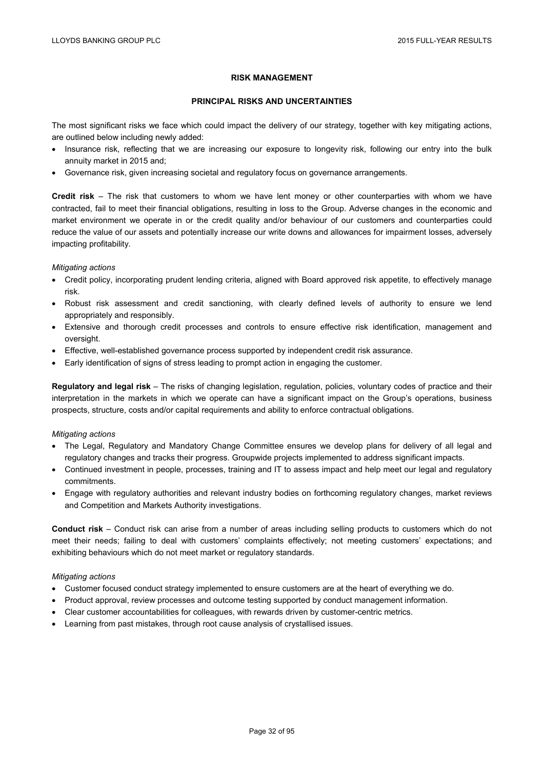### **RISK MANAGEMENT**

#### **PRINCIPAL RISKS AND UNCERTAINTIES**

The most significant risks we face which could impact the delivery of our strategy, together with key mitigating actions, are outlined below including newly added:

- Insurance risk, reflecting that we are increasing our exposure to longevity risk, following our entry into the bulk annuity market in 2015 and;
- Governance risk, given increasing societal and regulatory focus on governance arrangements.

**Credit risk** – The risk that customers to whom we have lent money or other counterparties with whom we have contracted, fail to meet their financial obligations, resulting in loss to the Group. Adverse changes in the economic and market environment we operate in or the credit quality and/or behaviour of our customers and counterparties could reduce the value of our assets and potentially increase our write downs and allowances for impairment losses, adversely impacting profitability.

#### *Mitigating actions*

- Credit policy, incorporating prudent lending criteria, aligned with Board approved risk appetite, to effectively manage risk.
- Robust risk assessment and credit sanctioning, with clearly defined levels of authority to ensure we lend appropriately and responsibly.
- Extensive and thorough credit processes and controls to ensure effective risk identification, management and oversight.
- Effective, well-established governance process supported by independent credit risk assurance.
- Early identification of signs of stress leading to prompt action in engaging the customer.

**Regulatory and legal risk** – The risks of changing legislation, regulation, policies, voluntary codes of practice and their interpretation in the markets in which we operate can have a significant impact on the Group's operations, business prospects, structure, costs and/or capital requirements and ability to enforce contractual obligations.

#### *Mitigating actions*

- The Legal, Regulatory and Mandatory Change Committee ensures we develop plans for delivery of all legal and regulatory changes and tracks their progress. Groupwide projects implemented to address significant impacts.
- Continued investment in people, processes, training and IT to assess impact and help meet our legal and regulatory commitments.
- Engage with regulatory authorities and relevant industry bodies on forthcoming regulatory changes, market reviews and Competition and Markets Authority investigations.

**Conduct risk** – Conduct risk can arise from a number of areas including selling products to customers which do not meet their needs; failing to deal with customers' complaints effectively; not meeting customers' expectations; and exhibiting behaviours which do not meet market or regulatory standards.

#### *Mitigating actions*

- Customer focused conduct strategy implemented to ensure customers are at the heart of everything we do.
- Product approval, review processes and outcome testing supported by conduct management information.
- Clear customer accountabilities for colleagues, with rewards driven by customer-centric metrics.
- Learning from past mistakes, through root cause analysis of crystallised issues.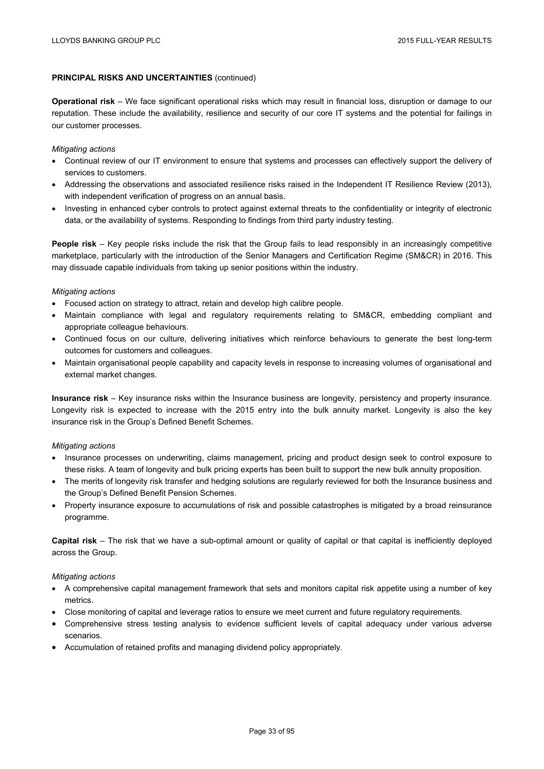### **PRINCIPAL RISKS AND UNCERTAINTIES** (continued)

**Operational risk** – We face significant operational risks which may result in financial loss, disruption or damage to our reputation. These include the availability, resilience and security of our core IT systems and the potential for failings in our customer processes.

#### *Mitigating actions*

- Continual review of our IT environment to ensure that systems and processes can effectively support the delivery of services to customers.
- Addressing the observations and associated resilience risks raised in the Independent IT Resilience Review (2013), with independent verification of progress on an annual basis.
- Investing in enhanced cyber controls to protect against external threats to the confidentiality or integrity of electronic data, or the availability of systems. Responding to findings from third party industry testing.

**People risk** – Key people risks include the risk that the Group fails to lead responsibly in an increasingly competitive marketplace, particularly with the introduction of the Senior Managers and Certification Regime (SM&CR) in 2016. This may dissuade capable individuals from taking up senior positions within the industry.

#### *Mitigating actions*

- Focused action on strategy to attract, retain and develop high calibre people.
- Maintain compliance with legal and regulatory requirements relating to SM&CR, embedding compliant and appropriate colleague behaviours.
- Continued focus on our culture, delivering initiatives which reinforce behaviours to generate the best long-term outcomes for customers and colleagues.
- Maintain organisational people capability and capacity levels in response to increasing volumes of organisational and external market changes.

**Insurance risk** – Key insurance risks within the Insurance business are longevity, persistency and property insurance. Longevity risk is expected to increase with the 2015 entry into the bulk annuity market. Longevity is also the key insurance risk in the Group's Defined Benefit Schemes.

#### *Mitigating actions*

- Insurance processes on underwriting, claims management, pricing and product design seek to control exposure to these risks. A team of longevity and bulk pricing experts has been built to support the new bulk annuity proposition.
- The merits of longevity risk transfer and hedging solutions are regularly reviewed for both the Insurance business and the Group's Defined Benefit Pension Schemes.
- Property insurance exposure to accumulations of risk and possible catastrophes is mitigated by a broad reinsurance programme.

**Capital risk** – The risk that we have a sub-optimal amount or quality of capital or that capital is inefficiently deployed across the Group.

#### *Mitigating actions*

- A comprehensive capital management framework that sets and monitors capital risk appetite using a number of key metrics.
- Close monitoring of capital and leverage ratios to ensure we meet current and future regulatory requirements.
- Comprehensive stress testing analysis to evidence sufficient levels of capital adequacy under various adverse scenarios.
- Accumulation of retained profits and managing dividend policy appropriately.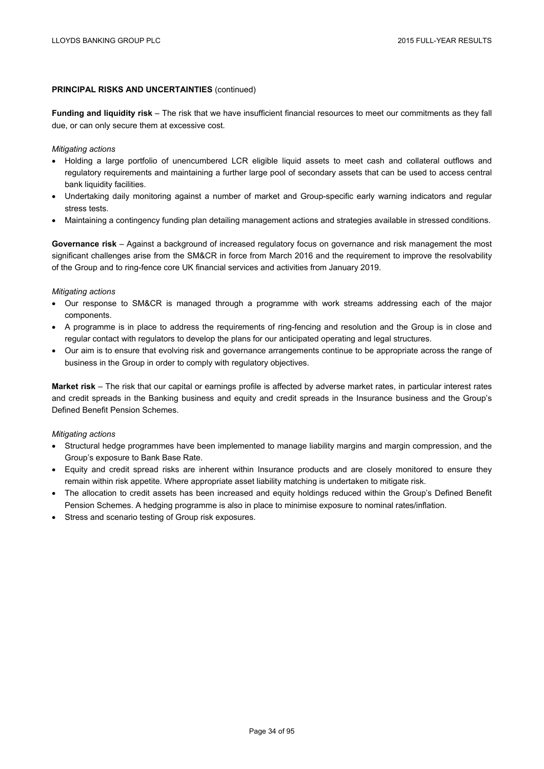## **PRINCIPAL RISKS AND UNCERTAINTIES** (continued)

**Funding and liquidity risk** – The risk that we have insufficient financial resources to meet our commitments as they fall due, or can only secure them at excessive cost.

#### *Mitigating actions*

- Holding a large portfolio of unencumbered LCR eligible liquid assets to meet cash and collateral outflows and regulatory requirements and maintaining a further large pool of secondary assets that can be used to access central bank liquidity facilities.
- Undertaking daily monitoring against a number of market and Group-specific early warning indicators and regular stress tests.
- Maintaining a contingency funding plan detailing management actions and strategies available in stressed conditions.

**Governance risk** – Against a background of increased regulatory focus on governance and risk management the most significant challenges arise from the SM&CR in force from March 2016 and the requirement to improve the resolvability of the Group and to ring-fence core UK financial services and activities from January 2019.

#### *Mitigating actions*

- Our response to SM&CR is managed through a programme with work streams addressing each of the major components.
- A programme is in place to address the requirements of ring-fencing and resolution and the Group is in close and regular contact with regulators to develop the plans for our anticipated operating and legal structures.
- Our aim is to ensure that evolving risk and governance arrangements continue to be appropriate across the range of business in the Group in order to comply with regulatory objectives.

**Market risk** – The risk that our capital or earnings profile is affected by adverse market rates, in particular interest rates and credit spreads in the Banking business and equity and credit spreads in the Insurance business and the Group's Defined Benefit Pension Schemes.

#### *Mitigating actions*

- Structural hedge programmes have been implemented to manage liability margins and margin compression, and the Group's exposure to Bank Base Rate.
- Equity and credit spread risks are inherent within Insurance products and are closely monitored to ensure they remain within risk appetite. Where appropriate asset liability matching is undertaken to mitigate risk.
- The allocation to credit assets has been increased and equity holdings reduced within the Group's Defined Benefit Pension Schemes. A hedging programme is also in place to minimise exposure to nominal rates/inflation.
- Stress and scenario testing of Group risk exposures.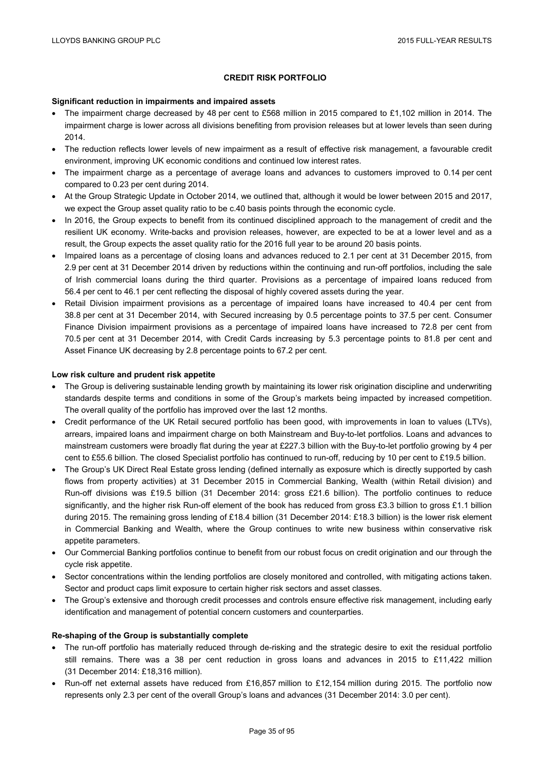## **CREDIT RISK PORTFOLIO**

#### **Significant reduction in impairments and impaired assets**

- The impairment charge decreased by 48 per cent to £568 million in 2015 compared to £1,102 million in 2014. The impairment charge is lower across all divisions benefiting from provision releases but at lower levels than seen during 2014.
- The reduction reflects lower levels of new impairment as a result of effective risk management, a favourable credit environment, improving UK economic conditions and continued low interest rates.
- The impairment charge as a percentage of average loans and advances to customers improved to 0.14 per cent compared to 0.23 per cent during 2014.
- At the Group Strategic Update in October 2014, we outlined that, although it would be lower between 2015 and 2017, we expect the Group asset quality ratio to be c.40 basis points through the economic cycle.
- In 2016, the Group expects to benefit from its continued disciplined approach to the management of credit and the resilient UK economy. Write-backs and provision releases, however, are expected to be at a lower level and as a result, the Group expects the asset quality ratio for the 2016 full year to be around 20 basis points.
- Impaired loans as a percentage of closing loans and advances reduced to 2.1 per cent at 31 December 2015, from 2.9 per cent at 31 December 2014 driven by reductions within the continuing and run-off portfolios, including the sale of Irish commercial loans during the third quarter. Provisions as a percentage of impaired loans reduced from 56.4 per cent to 46.1 per cent reflecting the disposal of highly covered assets during the year.
- Retail Division impairment provisions as a percentage of impaired loans have increased to 40.4 per cent from 38.8 per cent at 31 December 2014, with Secured increasing by 0.5 percentage points to 37.5 per cent. Consumer Finance Division impairment provisions as a percentage of impaired loans have increased to 72.8 per cent from 70.5 per cent at 31 December 2014, with Credit Cards increasing by 5.3 percentage points to 81.8 per cent and Asset Finance UK decreasing by 2.8 percentage points to 67.2 per cent.

## **Low risk culture and prudent risk appetite**

- The Group is delivering sustainable lending growth by maintaining its lower risk origination discipline and underwriting standards despite terms and conditions in some of the Group's markets being impacted by increased competition. The overall quality of the portfolio has improved over the last 12 months.
- Credit performance of the UK Retail secured portfolio has been good, with improvements in loan to values (LTVs), arrears, impaired loans and impairment charge on both Mainstream and Buy-to-let portfolios. Loans and advances to mainstream customers were broadly flat during the year at £227.3 billion with the Buy-to-let portfolio growing by 4 per cent to £55.6 billion. The closed Specialist portfolio has continued to run-off, reducing by 10 per cent to £19.5 billion.
- The Group's UK Direct Real Estate gross lending (defined internally as exposure which is directly supported by cash flows from property activities) at 31 December 2015 in Commercial Banking, Wealth (within Retail division) and Run-off divisions was £19.5 billion (31 December 2014: gross £21.6 billion). The portfolio continues to reduce significantly, and the higher risk Run-off element of the book has reduced from gross £3.3 billion to gross £1.1 billion during 2015. The remaining gross lending of £18.4 billion (31 December 2014: £18.3 billion) is the lower risk element in Commercial Banking and Wealth, where the Group continues to write new business within conservative risk appetite parameters.
- Our Commercial Banking portfolios continue to benefit from our robust focus on credit origination and our through the cycle risk appetite.
- Sector concentrations within the lending portfolios are closely monitored and controlled, with mitigating actions taken. Sector and product caps limit exposure to certain higher risk sectors and asset classes.
- The Group's extensive and thorough credit processes and controls ensure effective risk management, including early identification and management of potential concern customers and counterparties.

#### **Re-shaping of the Group is substantially complete**

- The run-off portfolio has materially reduced through de-risking and the strategic desire to exit the residual portfolio still remains. There was a 38 per cent reduction in gross loans and advances in 2015 to £11,422 million (31 December 2014: £18,316 million).
- Run-off net external assets have reduced from £16,857 million to £12,154 million during 2015. The portfolio now represents only 2.3 per cent of the overall Group's loans and advances (31 December 2014: 3.0 per cent).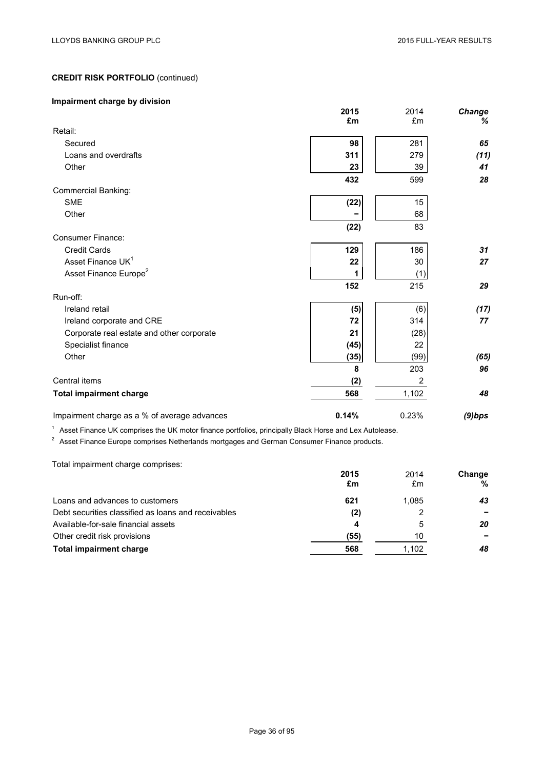# **Impairment charge by division**

|                                              | 2015<br>£m | 2014<br>£m | Change<br>% |
|----------------------------------------------|------------|------------|-------------|
| Retail:                                      |            |            |             |
| Secured                                      | 98         | 281        | 65          |
| Loans and overdrafts                         | 311        | 279        | (11)        |
| Other                                        | 23         | 39         | 41          |
|                                              | 432        | 599        | 28          |
| <b>Commercial Banking:</b>                   |            |            |             |
| <b>SME</b>                                   | (22)       | 15         |             |
| Other                                        |            | 68         |             |
|                                              | (22)       | 83         |             |
| <b>Consumer Finance:</b>                     |            |            |             |
| <b>Credit Cards</b>                          | 129        | 186        | 31          |
| Asset Finance UK <sup>1</sup>                | 22         | 30         | 27          |
| Asset Finance Europe <sup>2</sup>            | 1          | (1)        |             |
|                                              | 152        | 215        | 29          |
| Run-off:                                     |            |            |             |
| Ireland retail                               | (5)        | (6)        | (17)        |
| Ireland corporate and CRE                    | 72         | 314        | 77          |
| Corporate real estate and other corporate    | 21         | (28)       |             |
| Specialist finance                           | (45)       | 22         |             |
| Other                                        | (35)       | (99)       | (65)        |
|                                              | 8          | 203        | 96          |
| Central items                                | (2)        | 2          |             |
| <b>Total impairment charge</b>               | 568        | 1,102      | 48          |
| Impairment charge as a % of average advances | 0.14%      | 0.23%      | $(9)$ bps   |

 $1$  Asset Finance UK comprises the UK motor finance portfolios, principally Black Horse and Lex Autolease.

 $2<sup>2</sup>$  Asset Finance Europe comprises Netherlands mortgages and German Consumer Finance products.

Total impairment charge comprises:

|                                                     | 2015 | 2014  | Change |
|-----------------------------------------------------|------|-------|--------|
|                                                     | £m   | £m    | %      |
| Loans and advances to customers                     | 621  | 1.085 | 43     |
| Debt securities classified as loans and receivables | (2)  |       |        |
| Available-for-sale financial assets                 | 4    | 5     | 20     |
| Other credit risk provisions                        | (55) | 10    |        |
| <b>Total impairment charge</b>                      | 568  | 1,102 | 48     |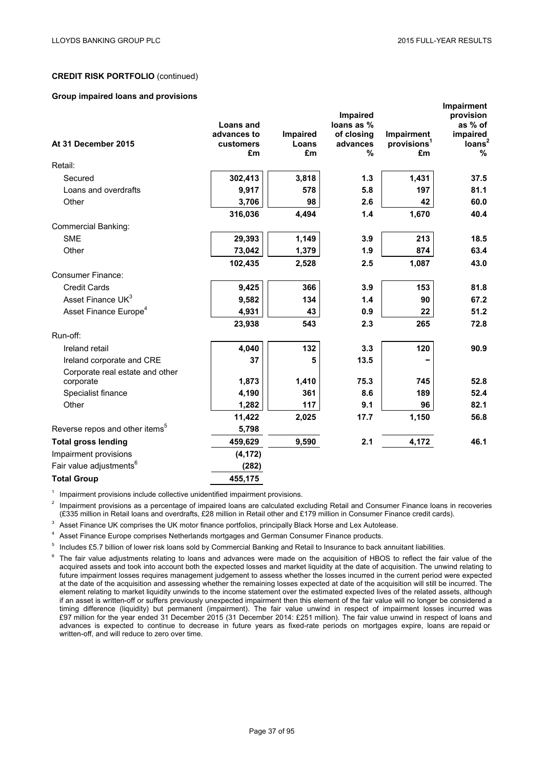**Impairment**

## **CREDIT RISK PORTFOLIO** (continued)

#### **Group impaired loans and provisions**

|                                            |                  |          | <b>Impaired</b> |                         | <u>IIIIpalitient</u><br>provision |
|--------------------------------------------|------------------|----------|-----------------|-------------------------|-----------------------------------|
|                                            | <b>Loans and</b> |          | loans as %      |                         | as % of                           |
|                                            | advances to      | Impaired | of closing      | Impairment              | impaired                          |
| At 31 December 2015                        | customers        | Loans    | advances        | provisions <sup>1</sup> | loans <sup>2</sup>                |
|                                            | £m               | £m       | %               | £m                      | %                                 |
| Retail:                                    |                  |          |                 |                         |                                   |
| Secured                                    | 302,413          | 3,818    | 1.3             | 1,431                   | 37.5                              |
| Loans and overdrafts                       | 9,917            | 578      | 5.8             | 197                     | 81.1                              |
| Other                                      | 3,706            | 98       | 2.6             | 42                      | 60.0                              |
|                                            | 316,036          | 4,494    | 1.4             | 1,670                   | 40.4                              |
| <b>Commercial Banking:</b>                 |                  |          |                 |                         |                                   |
| <b>SME</b>                                 | 29,393           | 1,149    | 3.9             | 213                     | 18.5                              |
| Other                                      | 73,042           | 1,379    | 1.9             | 874                     | 63.4                              |
|                                            | 102,435          | 2,528    | 2.5             | 1,087                   | 43.0                              |
| Consumer Finance:                          |                  |          |                 |                         |                                   |
| <b>Credit Cards</b>                        | 9,425            | 366      | 3.9             | 153                     | 81.8                              |
| Asset Finance UK <sup>3</sup>              | 9,582            | 134      | 1.4             | 90                      | 67.2                              |
| Asset Finance Europe <sup>4</sup>          | 4,931            | 43       | 0.9             | 22                      | 51.2                              |
|                                            | 23,938           | 543      | 2.3             | 265                     | 72.8                              |
| Run-off:                                   |                  |          |                 |                         |                                   |
| Ireland retail                             | 4,040            | 132      | 3.3             | 120                     | 90.9                              |
| Ireland corporate and CRE                  | 37               | 5        | 13.5            |                         |                                   |
| Corporate real estate and other            |                  |          |                 |                         |                                   |
| corporate                                  | 1,873            | 1,410    | 75.3            | 745                     | 52.8                              |
| Specialist finance                         | 4,190            | 361      | 8.6             | 189                     | 52.4                              |
| Other                                      | 1,282            | 117      | 9.1             | 96                      | 82.1                              |
|                                            | 11,422           | 2,025    | 17.7            | 1,150                   | 56.8                              |
| Reverse repos and other items <sup>5</sup> | 5,798            |          |                 |                         |                                   |
| <b>Total gross lending</b>                 | 459,629          | 9,590    | 2.1             | 4,172                   | 46.1                              |
| Impairment provisions                      | (4, 172)         |          |                 |                         |                                   |
| Fair value adjustments <sup>6</sup>        | (282)            |          |                 |                         |                                   |
| <b>Total Group</b>                         | 455,175          |          |                 |                         |                                   |

Impairment provisions include collective unidentified impairment provisions.

 $2$  Impairment provisions as a percentage of impaired loans are calculated excluding Retail and Consumer Finance loans in recoveries (£335 million in Retail loans and overdrafts, £28 million in Retail other and £179 million in Consumer Finance credit cards).

<sup>3</sup> Asset Finance UK comprises the UK motor finance portfolios, principally Black Horse and Lex Autolease.

<sup>4</sup> Asset Finance Europe comprises Netherlands mortgages and German Consumer Finance products.

<sup>5</sup> Includes £5.7 billion of lower risk loans sold by Commercial Banking and Retail to Insurance to back annuitant liabilities.

The fair value adjustments relating to loans and advances were made on the acquisition of HBOS to reflect the fair value of the acquired assets and took into account both the expected losses and market liquidity at the date of acquisition. The unwind relating to future impairment losses requires management judgement to assess whether the losses incurred in the current period were expected at the date of the acquisition and assessing whether the remaining losses expected at date of the acquisition will still be incurred. The element relating to market liquidity unwinds to the income statement over the estimated expected lives of the related assets, although if an asset is written-off or suffers previously unexpected impairment then this element of the fair value will no longer be considered a timing difference (liquidity) but permanent (impairment). The fair value unwind in respect of impairment losses incurred was £97 million for the year ended 31 December 2015 (31 December 2014: £251 million). The fair value unwind in respect of loans and advances is expected to continue to decrease in future years as fixed-rate periods on mortgages expire, loans are repaid or written-off, and will reduce to zero over time.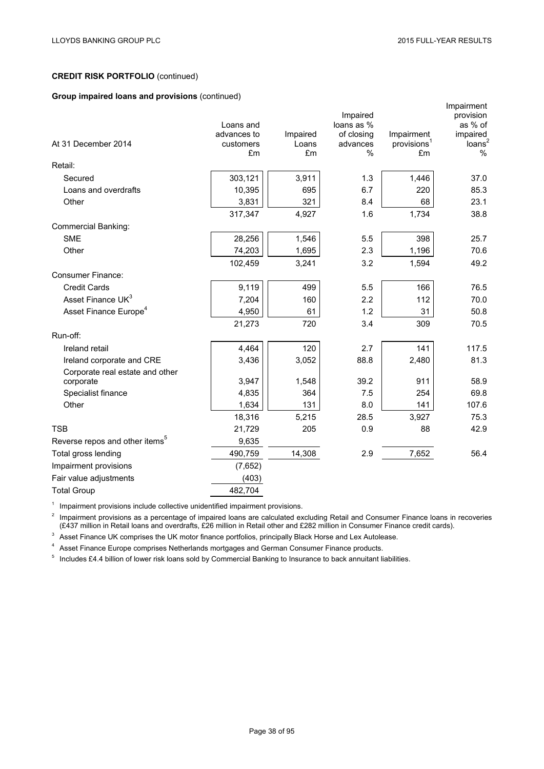# **Group impaired loans and provisions** (continued)

|                                            | Loans and                      |                         | Impaired<br>loans as %                  |                                             | Impairment<br>provision<br>as % of  |
|--------------------------------------------|--------------------------------|-------------------------|-----------------------------------------|---------------------------------------------|-------------------------------------|
| At 31 December 2014                        | advances to<br>customers<br>£m | Impaired<br>Loans<br>£m | of closing<br>advances<br>$\frac{0}{0}$ | Impairment<br>provisions <sup>1</sup><br>£m | impaired<br>loans <sup>2</sup><br>% |
| Retail:                                    |                                |                         |                                         |                                             |                                     |
| Secured                                    | 303,121                        | 3,911                   | 1.3                                     | 1,446                                       | 37.0                                |
| Loans and overdrafts                       | 10,395                         | 695                     | 6.7                                     | 220                                         | 85.3                                |
| Other                                      | 3,831                          | 321                     | 8.4                                     | 68                                          | 23.1                                |
|                                            | 317,347                        | 4,927                   | 1.6                                     | 1,734                                       | 38.8                                |
| <b>Commercial Banking:</b>                 |                                |                         |                                         |                                             |                                     |
| <b>SME</b>                                 | 28,256                         | 1,546                   | 5.5                                     | 398                                         | 25.7                                |
| Other                                      | 74,203                         | 1,695                   | 2.3                                     | 1,196                                       | 70.6                                |
|                                            | 102,459                        | 3,241                   | 3.2                                     | 1,594                                       | 49.2                                |
| <b>Consumer Finance:</b>                   |                                |                         |                                         |                                             |                                     |
| <b>Credit Cards</b>                        | 9,119                          | 499                     | 5.5                                     | 166                                         | 76.5                                |
| Asset Finance UK <sup>3</sup>              | 7,204                          | 160                     | 2.2                                     | 112                                         | 70.0                                |
| Asset Finance Europe <sup>4</sup>          | 4,950                          | 61                      | 1.2                                     | 31                                          | 50.8                                |
|                                            | 21,273                         | 720                     | 3.4                                     | 309                                         | 70.5                                |
| Run-off:                                   |                                |                         |                                         |                                             |                                     |
| Ireland retail                             | 4,464                          | 120                     | 2.7                                     | 141                                         | 117.5                               |
| Ireland corporate and CRE                  | 3,436                          | 3,052                   | 88.8                                    | 2,480                                       | 81.3                                |
| Corporate real estate and other            |                                |                         |                                         |                                             |                                     |
| corporate                                  | 3,947                          | 1,548                   | 39.2                                    | 911                                         | 58.9                                |
| Specialist finance                         | 4,835                          | 364                     | 7.5                                     | 254                                         | 69.8                                |
| Other                                      | 1,634                          | 131                     | 8.0                                     | 141                                         | 107.6                               |
|                                            | 18,316                         | 5,215                   | 28.5                                    | 3,927                                       | 75.3                                |
| <b>TSB</b>                                 | 21,729                         | 205                     | 0.9                                     | 88                                          | 42.9                                |
| Reverse repos and other items <sup>5</sup> | 9,635                          |                         |                                         |                                             |                                     |
| Total gross lending                        | 490,759                        | 14,308                  | 2.9                                     | 7,652                                       | 56.4                                |
| Impairment provisions                      | (7,652)                        |                         |                                         |                                             |                                     |
| Fair value adjustments                     | (403)                          |                         |                                         |                                             |                                     |
| <b>Total Group</b>                         | 482,704                        |                         |                                         |                                             |                                     |

<sup>1</sup> Impairment provisions include collective unidentified impairment provisions.

<sup>2</sup> Impairment provisions as a percentage of impaired loans are calculated excluding Retail and Consumer Finance loans in recoveries (£437 million in Retail loans and overdrafts, £26 million in Retail other and £282 million in Consumer Finance credit cards).

<sup>3</sup> Asset Finance UK comprises the UK motor finance portfolios, principally Black Horse and Lex Autolease.

<sup>4</sup> Asset Finance Europe comprises Netherlands mortgages and German Consumer Finance products.

<sup>5</sup> Includes £4.4 billion of lower risk loans sold by Commercial Banking to Insurance to back annuitant liabilities.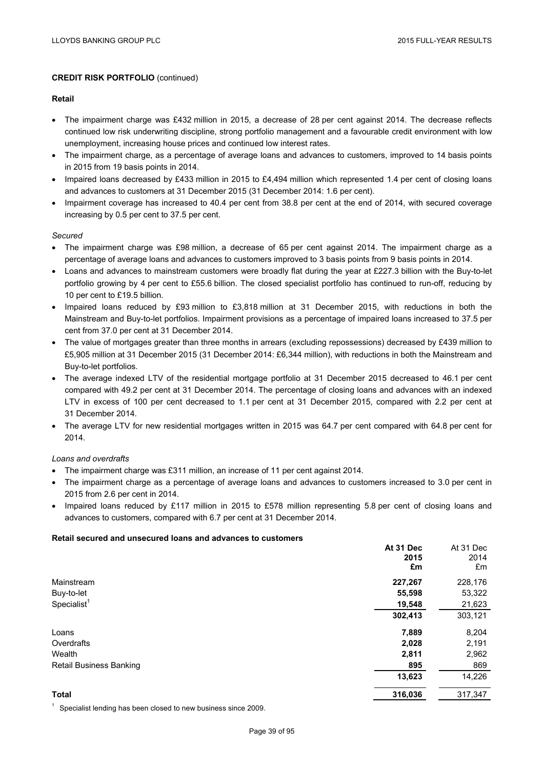## **Retail**

- The impairment charge was £432 million in 2015, a decrease of 28 per cent against 2014. The decrease reflects continued low risk underwriting discipline, strong portfolio management and a favourable credit environment with low unemployment, increasing house prices and continued low interest rates.
- The impairment charge, as a percentage of average loans and advances to customers, improved to 14 basis points in 2015 from 19 basis points in 2014.
- Impaired loans decreased by £433 million in 2015 to £4,494 million which represented 1.4 per cent of closing loans and advances to customers at 31 December 2015 (31 December 2014: 1.6 per cent).
- Impairment coverage has increased to 40.4 per cent from 38.8 per cent at the end of 2014, with secured coverage increasing by 0.5 per cent to 37.5 per cent.

## *Secured*

- The impairment charge was £98 million, a decrease of 65 per cent against 2014. The impairment charge as a percentage of average loans and advances to customers improved to 3 basis points from 9 basis points in 2014.
- $\bullet$  Loans and advances to mainstream customers were broadly flat during the year at £227.3 billion with the Buy-to-let portfolio growing by 4 per cent to £55.6 billion. The closed specialist portfolio has continued to run-off, reducing by 10 per cent to £19.5 billion.
- Impaired loans reduced by £93 million to £3,818 million at 31 December 2015, with reductions in both the Mainstream and Buy-to-let portfolios. Impairment provisions as a percentage of impaired loans increased to 37.5 per cent from 37.0 per cent at 31 December 2014.
- The value of mortgages greater than three months in arrears (excluding repossessions) decreased by £439 million to £5,905 million at 31 December 2015 (31 December 2014: £6,344 million), with reductions in both the Mainstream and Buy-to-let portfolios.
- The average indexed LTV of the residential mortgage portfolio at 31 December 2015 decreased to 46.1 per cent compared with 49.2 per cent at 31 December 2014. The percentage of closing loans and advances with an indexed LTV in excess of 100 per cent decreased to 1.1 per cent at 31 December 2015, compared with 2.2 per cent at 31 December 2014.
- The average LTV for new residential mortgages written in 2015 was 64.7 per cent compared with 64.8 per cent for 2014.

## *Loans and overdrafts*

- The impairment charge was £311 million, an increase of 11 per cent against 2014.
- The impairment charge as a percentage of average loans and advances to customers increased to 3.0 per cent in 2015 from 2.6 per cent in 2014.
- Impaired loans reduced by £117 million in 2015 to £578 million representing 5.8 per cent of closing loans and advances to customers, compared with 6.7 per cent at 31 December 2014.

#### **Retail secured and unsecured loans and advances to customers**

|                                | At 31 Dec | At 31 Dec |
|--------------------------------|-----------|-----------|
|                                | 2015      | 2014      |
|                                | £m        | £m        |
| Mainstream                     | 227,267   | 228,176   |
| Buy-to-let                     | 55,598    | 53,322    |
| Specialist <sup>1</sup>        | 19,548    | 21,623    |
|                                | 302,413   | 303,121   |
| Loans                          | 7,889     | 8,204     |
| Overdrafts                     | 2,028     | 2,191     |
| Wealth                         | 2,811     | 2,962     |
| <b>Retail Business Banking</b> | 895       | 869       |
|                                | 13,623    | 14,226    |
| <b>Total</b>                   | 316,036   | 317,347   |

 $1$  Specialist lending has been closed to new business since 2009.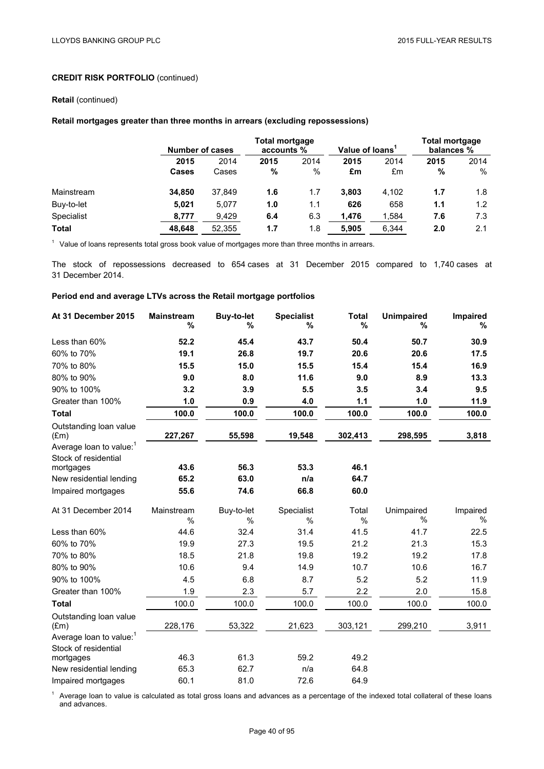#### **Retail** (continued)

## **Retail mortgages greater than three months in arrears (excluding repossessions)**

|              |              | <b>Number of cases</b> |      | Total mortgage<br>accounts % |       | Value of loans <sup>1</sup> |      | <b>Total mortgage</b><br>balances % |  |
|--------------|--------------|------------------------|------|------------------------------|-------|-----------------------------|------|-------------------------------------|--|
|              | 2015         | 2014                   | 2015 | 2014                         | 2015  | 2014                        | 2015 | 2014                                |  |
|              | <b>Cases</b> | Cases                  | %    | %                            | £m    | £m                          | %    | %                                   |  |
| Mainstream   | 34.850       | 37.849                 | 1.6  | 1.7                          | 3.803 | 4.102                       | 1.7  | 1.8                                 |  |
| Buy-to-let   | 5.021        | 5,077                  | 1.0  | 1.1                          | 626   | 658                         | 1.1  | 1.2                                 |  |
| Specialist   | 8,777        | 9,429                  | 6.4  | 6.3                          | 1,476 | 1,584                       | 7.6  | 7.3                                 |  |
| <b>Total</b> | 48.648       | 52,355                 | 1.7  | 1.8                          | 5.905 | 6,344                       | 2.0  | 2.1                                 |  |

<sup>1</sup> Value of loans represents total gross book value of mortgages more than three months in arrears.

The stock of repossessions decreased to 654 cases at 31 December 2015 compared to 1,740 cases at 31 December 2014.

## **Period end and average LTVs across the Retail mortgage portfolios**

| At 31 December 2015                                         | <b>Mainstream</b><br>% | <b>Buy-to-let</b><br>% | <b>Specialist</b><br>% | <b>Total</b><br>% | <b>Unimpaired</b><br>% | Impaired<br>% |
|-------------------------------------------------------------|------------------------|------------------------|------------------------|-------------------|------------------------|---------------|
| Less than 60%                                               | 52.2                   | 45.4                   | 43.7                   | 50.4              | 50.7                   | 30.9          |
| 60% to 70%                                                  | 19.1                   | 26.8                   | 19.7                   | 20.6              | 20.6                   | 17.5          |
| 70% to 80%                                                  | 15.5                   | 15.0                   | 15.5                   | 15.4              | 15.4                   | 16.9          |
| 80% to 90%                                                  | 9.0                    | 8.0                    | 11.6                   | 9.0               | 8.9                    | 13.3          |
| 90% to 100%                                                 | 3.2                    | 3.9                    | 5.5                    | 3.5               | 3.4                    | 9.5           |
| Greater than 100%                                           | 1.0                    | 0.9                    | 4.0                    | 1.1               | 1.0                    | 11.9          |
| <b>Total</b>                                                | 100.0                  | 100.0                  | 100.0                  | 100.0             | 100.0                  | 100.0         |
| Outstanding loan value<br>$(\text{Em})$                     | 227,267                | 55,598                 | 19,548                 | 302,413           | 298,595                | 3,818         |
| Average loan to value: <sup>1</sup><br>Stock of residential | 43.6                   | 56.3                   | 53.3                   | 46.1              |                        |               |
| mortgages<br>New residential lending                        | 65.2                   | 63.0                   | n/a                    | 64.7              |                        |               |
| Impaired mortgages                                          | 55.6                   | 74.6                   | 66.8                   | 60.0              |                        |               |
|                                                             |                        |                        |                        |                   |                        |               |
| At 31 December 2014                                         | Mainstream             | Buy-to-let             | Specialist             | Total             | Unimpaired             | Impaired      |
|                                                             | %                      | $\%$                   | %                      | %                 | %                      | %             |
| Less than 60%                                               | 44.6                   | 32.4                   | 31.4                   | 41.5              | 41.7                   | 22.5          |
| 60% to 70%                                                  | 19.9                   | 27.3                   | 19.5                   | 21.2              | 21.3                   | 15.3          |
| 70% to 80%                                                  | 18.5                   | 21.8                   | 19.8                   | 19.2              | 19.2                   | 17.8          |
| 80% to 90%                                                  | 10.6                   | 9.4                    | 14.9                   | 10.7              | 10.6                   | 16.7          |
| 90% to 100%                                                 | 4.5                    | 6.8                    | 8.7                    | 5.2               | 5.2                    | 11.9          |
| Greater than 100%                                           | 1.9                    | 2.3                    | 5.7                    | 2.2               | 2.0                    | 15.8          |
| <b>Total</b>                                                | 100.0                  | 100.0                  | 100.0                  | 100.0             | 100.0                  | 100.0         |
| Outstanding loan value<br>$(\text{Em})$                     | 228,176                | 53,322                 | 21,623                 | 303,121           | 299,210                | 3,911         |
| Average loan to value: <sup>1</sup>                         |                        |                        |                        |                   |                        |               |
| Stock of residential<br>mortgages                           | 46.3                   | 61.3                   | 59.2                   | 49.2              |                        |               |
| New residential lending                                     | 65.3                   | 62.7                   | n/a                    | 64.8              |                        |               |
| Impaired mortgages                                          | 60.1                   | 81.0                   | 72.6                   | 64.9              |                        |               |

<sup>1</sup> Average loan to value is calculated as total gross loans and advances as a percentage of the indexed total collateral of these loans and advances.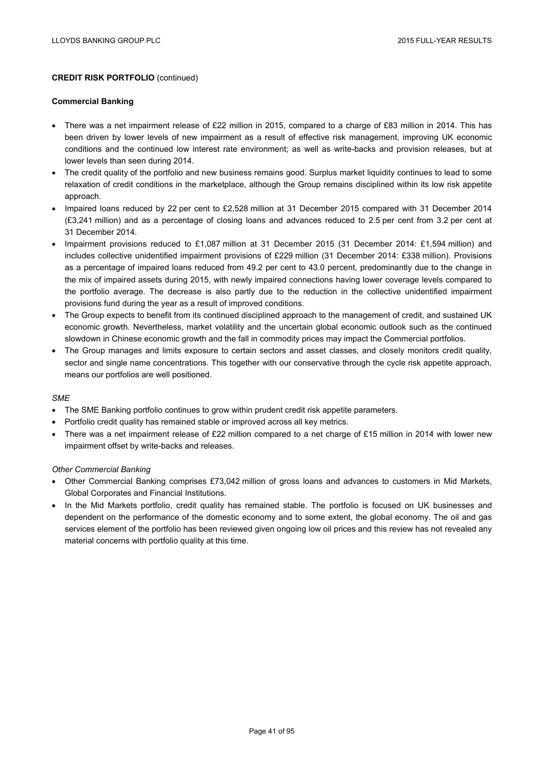#### **Commercial Banking**

- There was a net impairment release of £22 million in 2015, compared to a charge of £83 million in 2014. This has been driven by lower levels of new impairment as a result of effective risk management, improving UK economic conditions and the continued low interest rate environment; as well as write-backs and provision releases, but at lower levels than seen during 2014.
- The credit quality of the portfolio and new business remains good. Surplus market liquidity continues to lead to some relaxation of credit conditions in the marketplace, although the Group remains disciplined within its low risk appetite approach.
- Impaired loans reduced by 22 per cent to £2,528 million at 31 December 2015 compared with 31 December 2014 (£3,241 million) and as a percentage of closing loans and advances reduced to 2.5 per cent from 3.2 per cent at 31 December 2014.
- Impairment provisions reduced to £1,087 million at 31 December 2015 (31 December 2014: £1,594 million) and includes collective unidentified impairment provisions of £229 million (31 December 2014: £338 million). Provisions as a percentage of impaired loans reduced from 49.2 per cent to 43.0 percent, predominantly due to the change in the mix of impaired assets during 2015, with newly impaired connections having lower coverage levels compared to the portfolio average. The decrease is also partly due to the reduction in the collective unidentified impairment provisions fund during the year as a result of improved conditions.
- The Group expects to benefit from its continued disciplined approach to the management of credit, and sustained UK economic growth. Nevertheless, market volatility and the uncertain global economic outlook such as the continued slowdown in Chinese economic growth and the fall in commodity prices may impact the Commercial portfolios.
- The Group manages and limits exposure to certain sectors and asset classes, and closely monitors credit quality, sector and single name concentrations. This together with our conservative through the cycle risk appetite approach, means our portfolios are well positioned.

#### *SME*

- The SME Banking portfolio continues to grow within prudent credit risk appetite parameters.
- Portfolio credit quality has remained stable or improved across all key metrics.
- There was a net impairment release of £22 million compared to a net charge of £15 million in 2014 with lower new impairment offset by write-backs and releases.

#### *Other Commercial Banking*

- Other Commercial Banking comprises £73,042 million of gross loans and advances to customers in Mid Markets, Global Corporates and Financial Institutions.
- In the Mid Markets portfolio, credit quality has remained stable. The portfolio is focused on UK businesses and dependent on the performance of the domestic economy and to some extent, the global economy. The oil and gas services element of the portfolio has been reviewed given ongoing low oil prices and this review has not revealed any material concerns with portfolio quality at this time.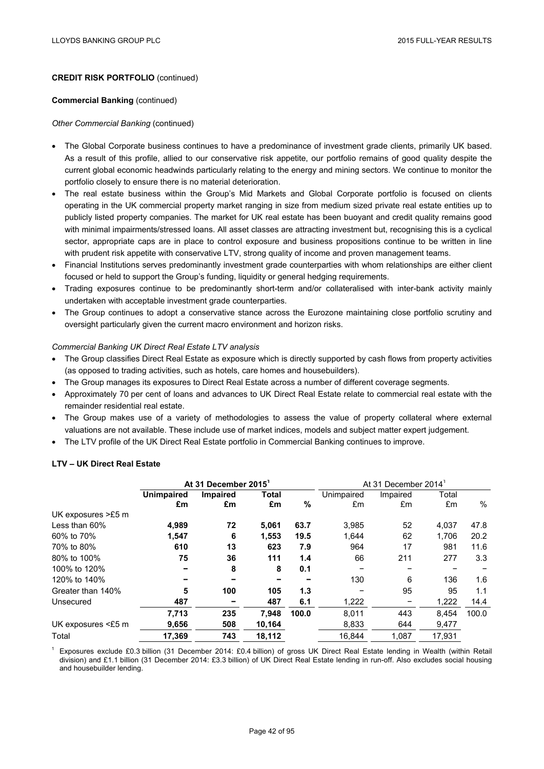#### **Commercial Banking** (continued)

#### *Other Commercial Banking* (continued)

- The Global Corporate business continues to have a predominance of investment grade clients, primarily UK based. As a result of this profile, allied to our conservative risk appetite, our portfolio remains of good quality despite the current global economic headwinds particularly relating to the energy and mining sectors. We continue to monitor the portfolio closely to ensure there is no material deterioration.
- The real estate business within the Group's Mid Markets and Global Corporate portfolio is focused on clients operating in the UK commercial property market ranging in size from medium sized private real estate entities up to publicly listed property companies. The market for UK real estate has been buoyant and credit quality remains good with minimal impairments/stressed loans. All asset classes are attracting investment but, recognising this is a cyclical sector, appropriate caps are in place to control exposure and business propositions continue to be written in line with prudent risk appetite with conservative LTV, strong quality of income and proven management teams.
- Financial Institutions serves predominantly investment grade counterparties with whom relationships are either client focused or held to support the Group's funding, liquidity or general hedging requirements.
- Trading exposures continue to be predominantly short-term and/or collateralised with inter-bank activity mainly undertaken with acceptable investment grade counterparties.
- The Group continues to adopt a conservative stance across the Eurozone maintaining close portfolio scrutiny and oversight particularly given the current macro environment and horizon risks.

#### *Commercial Banking UK Direct Real Estate LTV analysis*

- The Group classifies Direct Real Estate as exposure which is directly supported by cash flows from property activities (as opposed to trading activities, such as hotels, care homes and housebuilders).
- The Group manages its exposures to Direct Real Estate across a number of different coverage segments.
- Approximately 70 per cent of loans and advances to UK Direct Real Estate relate to commercial real estate with the remainder residential real estate.
- The Group makes use of a variety of methodologies to assess the value of property collateral where external valuations are not available. These include use of market indices, models and subject matter expert judgement.
- The LTV profile of the UK Direct Real Estate portfolio in Commercial Banking continues to improve.

## **LTV – UK Direct Real Estate**

|                    | At 31 December 2015 |          |        | At 31 December 2014 |            |          |        |       |
|--------------------|---------------------|----------|--------|---------------------|------------|----------|--------|-------|
|                    | <b>Unimpaired</b>   | Impaired | Total  |                     | Unimpaired | Impaired | Total  |       |
|                    | £m                  | £m       | £m     | %                   | £m         | £m       | £m     | $\%$  |
| UK exposures >£5 m |                     |          |        |                     |            |          |        |       |
| Less than 60%      | 4,989               | 72       | 5,061  | 63.7                | 3,985      | 52       | 4,037  | 47.8  |
| 60% to 70%         | 1,547               | 6        | 1,553  | 19.5                | 1,644      | 62       | 1,706  | 20.2  |
| 70% to 80%         | 610                 | 13       | 623    | 7.9                 | 964        | 17       | 981    | 11.6  |
| 80% to 100%        | 75                  | 36       | 111    | 1.4                 | 66         | 211      | 277    | 3.3   |
| 100% to 120%       |                     | 8        | 8      | 0.1                 |            |          |        |       |
| 120% to 140%       |                     |          | -      |                     | 130        | 6        | 136    | 1.6   |
| Greater than 140%  | 5                   | 100      | 105    | 1.3                 |            | 95       | 95     | 1.1   |
| Unsecured          | 487                 |          | 487    | 6.1                 | 1,222      |          | 1,222  | 14.4  |
|                    | 7,713               | 235      | 7.948  | 100.0               | 8.011      | 443      | 8.454  | 100.0 |
| UK exposures <£5 m | 9,656               | 508      | 10,164 |                     | 8,833      | 644      | 9,477  |       |
| Total              | 17.369              | 743      | 18,112 |                     | 16.844     | 1.087    | 17.931 |       |

<sup>1</sup> Exposures exclude £0.3 billion (31 December 2014: £0.4 billion) of gross UK Direct Real Estate lending in Wealth (within Retail division) and £1.1 billion (31 December 2014: £3.3 billion) of UK Direct Real Estate lending in run-off. Also excludes social housing and housebuilder lending.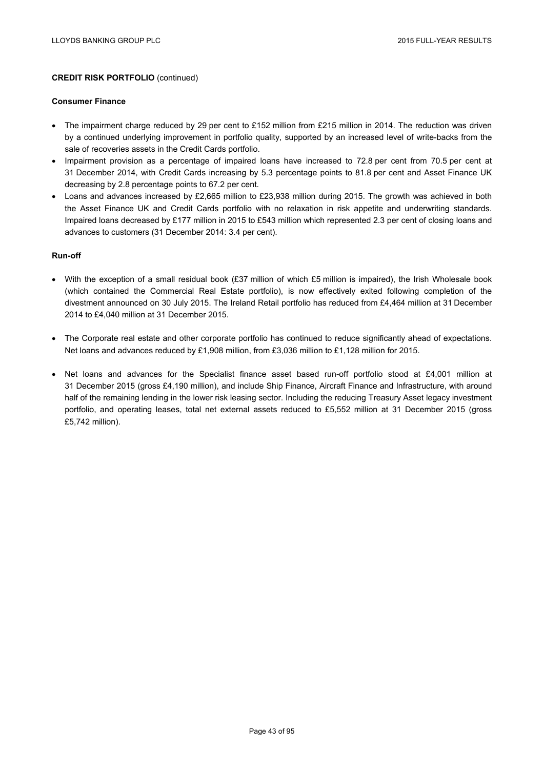#### **Consumer Finance**

- The impairment charge reduced by 29 per cent to £152 million from £215 million in 2014. The reduction was driven by a continued underlying improvement in portfolio quality, supported by an increased level of write-backs from the sale of recoveries assets in the Credit Cards portfolio.
- Impairment provision as a percentage of impaired loans have increased to 72.8 per cent from 70.5 per cent at 31 December 2014, with Credit Cards increasing by 5.3 percentage points to 81.8 per cent and Asset Finance UK decreasing by 2.8 percentage points to 67.2 per cent.
- Loans and advances increased by £2,665 million to £23,938 million during 2015. The growth was achieved in both the Asset Finance UK and Credit Cards portfolio with no relaxation in risk appetite and underwriting standards. Impaired loans decreased by £177 million in 2015 to £543 million which represented 2.3 per cent of closing loans and advances to customers (31 December 2014: 3.4 per cent).

#### **Run-off**

- With the exception of a small residual book (£37 million of which £5 million is impaired), the Irish Wholesale book (which contained the Commercial Real Estate portfolio), is now effectively exited following completion of the divestment announced on 30 July 2015. The Ireland Retail portfolio has reduced from £4,464 million at 31 December 2014 to £4,040 million at 31 December 2015.
- The Corporate real estate and other corporate portfolio has continued to reduce significantly ahead of expectations. Net loans and advances reduced by £1,908 million, from £3,036 million to £1,128 million for 2015.
- Net loans and advances for the Specialist finance asset based run-off portfolio stood at £4,001 million at 31 December 2015 (gross £4,190 million), and include Ship Finance, Aircraft Finance and Infrastructure, with around half of the remaining lending in the lower risk leasing sector. Including the reducing Treasury Asset legacy investment portfolio, and operating leases, total net external assets reduced to £5,552 million at 31 December 2015 (gross £5,742 million).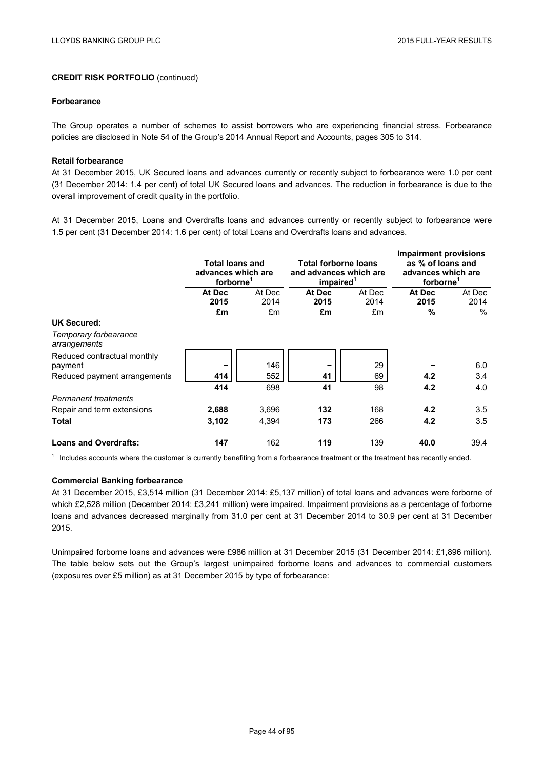#### **Forbearance**

The Group operates a number of schemes to assist borrowers who are experiencing financial stress. Forbearance policies are disclosed in Note 54 of the Group's 2014 Annual Report and Accounts, pages 305 to 314.

#### **Retail forbearance**

At 31 December 2015, UK Secured loans and advances currently or recently subject to forbearance were 1.0 per cent (31 December 2014: 1.4 per cent) of total UK Secured loans and advances. The reduction in forbearance is due to the overall improvement of credit quality in the portfolio.

At 31 December 2015, Loans and Overdrafts loans and advances currently or recently subject to forbearance were 1.5 per cent (31 December 2014: 1.6 per cent) of total Loans and Overdrafts loans and advances.

|                                        | <b>Total loans and</b><br>advances which are<br>forborne <sup>1</sup> |            | <b>Total forborne loans</b><br>and advances which are<br>impaired <sup>1</sup> |            | <b>Impairment provisions</b><br>as % of loans and<br>advances which are<br>forborne <sup>1</sup> |              |
|----------------------------------------|-----------------------------------------------------------------------|------------|--------------------------------------------------------------------------------|------------|--------------------------------------------------------------------------------------------------|--------------|
|                                        | At Dec                                                                | At Dec     | At Dec                                                                         | At Dec     | At Dec                                                                                           | At Dec       |
|                                        | 2015<br>£m                                                            | 2014<br>£m | 2015<br>£m                                                                     | 2014<br>£m | 2015<br>%                                                                                        | 2014<br>$\%$ |
| <b>UK Secured:</b>                     |                                                                       |            |                                                                                |            |                                                                                                  |              |
| Temporary forbearance<br>arrangements  |                                                                       |            |                                                                                |            |                                                                                                  |              |
| Reduced contractual monthly<br>payment |                                                                       | 146        |                                                                                | 29         |                                                                                                  | 6.0          |
| Reduced payment arrangements           | 414                                                                   | 552        | 41                                                                             | 69         | 4.2                                                                                              | 3.4          |
|                                        | 414                                                                   | 698        | 41                                                                             | 98         | 4.2                                                                                              | 4.0          |
| <b>Permanent treatments</b>            |                                                                       |            |                                                                                |            |                                                                                                  |              |
| Repair and term extensions             | 2,688                                                                 | 3,696      | 132                                                                            | 168        | 4.2                                                                                              | 3.5          |
| <b>Total</b>                           | 3,102                                                                 | 4,394      | 173                                                                            | 266        | 4.2                                                                                              | 3.5          |
| <b>Loans and Overdrafts:</b>           | 147                                                                   | 162        | 119                                                                            | 139        | 40.0                                                                                             | 39.4         |

 $1$  Includes accounts where the customer is currently benefiting from a forbearance treatment or the treatment has recently ended.

#### **Commercial Banking forbearance**

At 31 December 2015, £3,514 million (31 December 2014: £5,137 million) of total loans and advances were forborne of which £2,528 million (December 2014: £3,241 million) were impaired. Impairment provisions as a percentage of forborne loans and advances decreased marginally from 31.0 per cent at 31 December 2014 to 30.9 per cent at 31 December 2015.

Unimpaired forborne loans and advances were £986 million at 31 December 2015 (31 December 2014: £1,896 million). The table below sets out the Group's largest unimpaired forborne loans and advances to commercial customers (exposures over £5 million) as at 31 December 2015 by type of forbearance: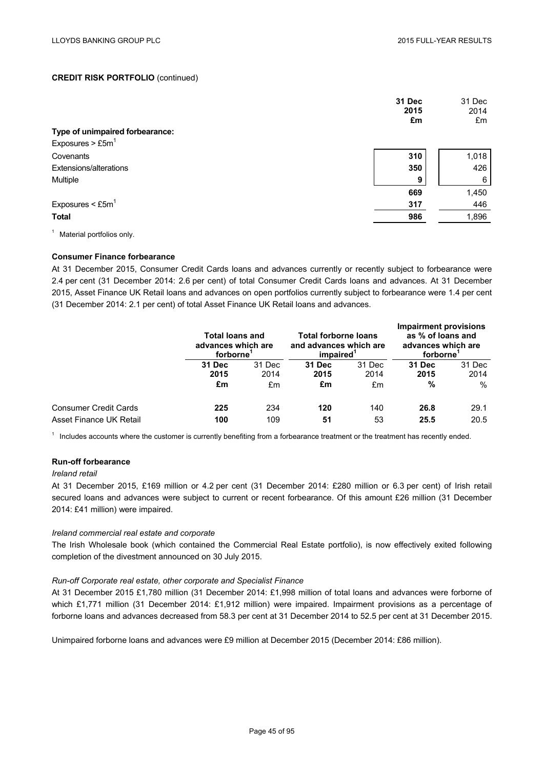|                                   | 31 Dec<br>2015<br>£m | 31 Dec<br>2014<br>£m |
|-----------------------------------|----------------------|----------------------|
| Type of unimpaired forbearance:   |                      |                      |
| Exposures $>$ £5m <sup>1</sup>    |                      |                      |
| Covenants                         | 310                  | 1,018                |
| Extensions/alterations            | 350                  | 426                  |
| Multiple                          | 9                    | 6                    |
|                                   | 669                  | 1,450                |
| Exposures $\leq$ £5m <sup>1</sup> | 317                  | 446                  |
| <b>Total</b>                      | 986                  | 1,896                |
|                                   |                      |                      |

<sup>1</sup> Material portfolios only.

### **Consumer Finance forbearance**

At 31 December 2015, Consumer Credit Cards loans and advances currently or recently subject to forbearance were 2.4 per cent (31 December 2014: 2.6 per cent) of total Consumer Credit Cards loans and advances. At 31 December 2015, Asset Finance UK Retail loans and advances on open portfolios currently subject to forbearance were 1.4 per cent (31 December 2014: 2.1 per cent) of total Asset Finance UK Retail loans and advances.

|                              | <b>Total loans and</b><br>advances which are<br>forborne' |        | Total forborne loans<br>and advances which are<br>impaired <sup>1</sup> |        | Impairment provisions<br>as % of loans and<br>advances which are<br>forborne |        |
|------------------------------|-----------------------------------------------------------|--------|-------------------------------------------------------------------------|--------|------------------------------------------------------------------------------|--------|
|                              | 31 Dec                                                    | 31 Dec | 31 Dec                                                                  | 31 Dec | 31 Dec                                                                       | 31 Dec |
|                              | 2015                                                      | 2014   | 2015                                                                    | 2014   | 2015                                                                         | 2014   |
|                              | £m                                                        | £m     | £m                                                                      | £m     | %                                                                            | $\%$   |
| <b>Consumer Credit Cards</b> | 225                                                       | 234    | 120                                                                     | 140    | 26.8                                                                         | 29.1   |
| Asset Finance UK Retail      | 100                                                       | 109    | 51                                                                      | 53     | 25.5                                                                         | 20.5   |

 $1$  Includes accounts where the customer is currently benefiting from a forbearance treatment or the treatment has recently ended.

## **Run-off forbearance**

#### *Ireland retail*

At 31 December 2015, £169 million or 4.2 per cent (31 December 2014: £280 million or 6.3 per cent) of Irish retail secured loans and advances were subject to current or recent forbearance. Of this amount £26 million (31 December 2014: £41 million) were impaired.

## *Ireland commercial real estate and corporate*

The Irish Wholesale book (which contained the Commercial Real Estate portfolio), is now effectively exited following completion of the divestment announced on 30 July 2015.

#### *Run-off Corporate real estate, other corporate and Specialist Finance*

At 31 December 2015 £1,780 million (31 December 2014: £1,998 million of total loans and advances were forborne of which £1,771 million (31 December 2014: £1,912 million) were impaired. Impairment provisions as a percentage of forborne loans and advances decreased from 58.3 per cent at 31 December 2014 to 52.5 per cent at 31 December 2015.

Unimpaired forborne loans and advances were £9 million at December 2015 (December 2014: £86 million).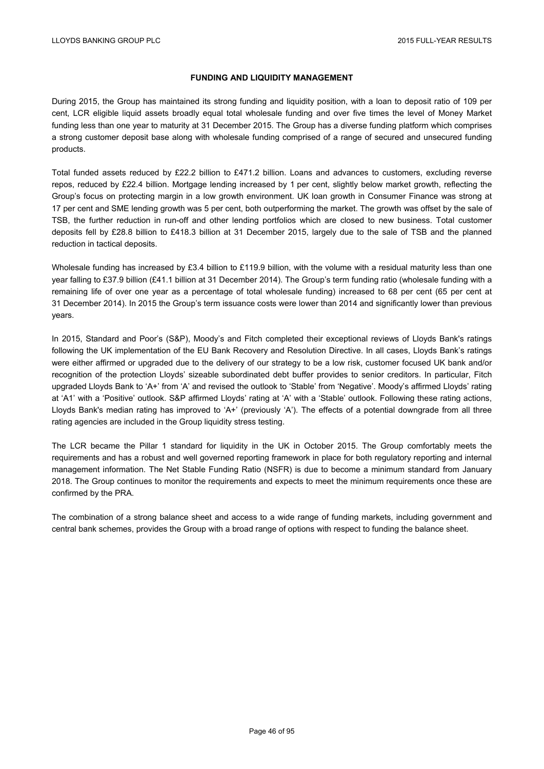## **FUNDING AND LIQUIDITY MANAGEMENT**

During 2015, the Group has maintained its strong funding and liquidity position, with a loan to deposit ratio of 109 per cent, LCR eligible liquid assets broadly equal total wholesale funding and over five times the level of Money Market funding less than one year to maturity at 31 December 2015. The Group has a diverse funding platform which comprises a strong customer deposit base along with wholesale funding comprised of a range of secured and unsecured funding products.

Total funded assets reduced by £22.2 billion to £471.2 billion. Loans and advances to customers, excluding reverse repos, reduced by £22.4 billion. Mortgage lending increased by 1 per cent, slightly below market growth, reflecting the Group's focus on protecting margin in a low growth environment. UK loan growth in Consumer Finance was strong at 17 per cent and SME lending growth was 5 per cent, both outperforming the market. The growth was offset by the sale of TSB, the further reduction in run-off and other lending portfolios which are closed to new business. Total customer deposits fell by £28.8 billion to £418.3 billion at 31 December 2015, largely due to the sale of TSB and the planned reduction in tactical deposits.

Wholesale funding has increased by £3.4 billion to £119.9 billion, with the volume with a residual maturity less than one year falling to £37.9 billion (£41.1 billion at 31 December 2014). The Group's term funding ratio (wholesale funding with a remaining life of over one year as a percentage of total wholesale funding) increased to 68 per cent (65 per cent at 31 December 2014). In 2015 the Group's term issuance costs were lower than 2014 and significantly lower than previous years.

In 2015, Standard and Poor's (S&P), Moody's and Fitch completed their exceptional reviews of Lloyds Bank's ratings following the UK implementation of the EU Bank Recovery and Resolution Directive. In all cases, Lloyds Bank's ratings were either affirmed or upgraded due to the delivery of our strategy to be a low risk, customer focused UK bank and/or recognition of the protection Lloyds' sizeable subordinated debt buffer provides to senior creditors. In particular, Fitch upgraded Lloyds Bank to 'A+' from 'A' and revised the outlook to 'Stable' from 'Negative'. Moody's affirmed Lloyds' rating at 'A1' with a 'Positive' outlook. S&P affirmed Lloyds' rating at 'A' with a 'Stable' outlook. Following these rating actions, Lloyds Bank's median rating has improved to 'A+' (previously 'A'). The effects of a potential downgrade from all three rating agencies are included in the Group liquidity stress testing.

The LCR became the Pillar 1 standard for liquidity in the UK in October 2015. The Group comfortably meets the requirements and has a robust and well governed reporting framework in place for both regulatory reporting and internal management information. The Net Stable Funding Ratio (NSFR) is due to become a minimum standard from January 2018. The Group continues to monitor the requirements and expects to meet the minimum requirements once these are confirmed by the PRA.

The combination of a strong balance sheet and access to a wide range of funding markets, including government and central bank schemes, provides the Group with a broad range of options with respect to funding the balance sheet.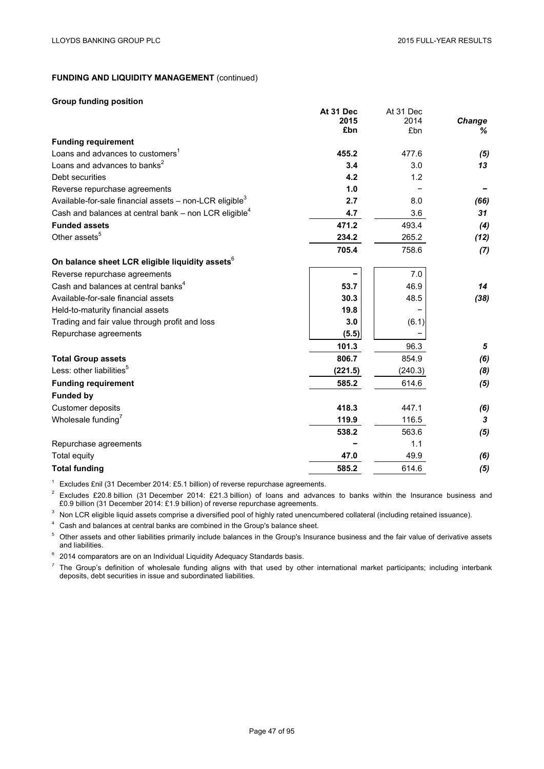$A$ <sub>12</sub> $A$  Dec

# **FUNDING AND LIQUIDITY MANAGEMENT** (continued)

#### **Group funding position**

|                                                                       | AL 31 Dec | AL 3 I DEC |        |
|-----------------------------------------------------------------------|-----------|------------|--------|
|                                                                       | 2015      | 2014       | Change |
|                                                                       | £bn       | £bn        | ℅      |
| <b>Funding requirement</b>                                            |           |            |        |
| Loans and advances to customers <sup>1</sup>                          | 455.2     | 477.6      | (5)    |
| Loans and advances to banks <sup>2</sup>                              | 3.4       | 3.0        | 13     |
| Debt securities                                                       | 4.2       | 1.2        |        |
| Reverse repurchase agreements                                         | 1.0       |            |        |
| Available-for-sale financial assets $-$ non-LCR eligible <sup>3</sup> | 2.7       | 8.0        | (66)   |
| Cash and balances at central bank - non LCR eligible <sup>4</sup>     | 4.7       | 3.6        | 31     |
| <b>Funded assets</b>                                                  | 471.2     | 493.4      | (4)    |
| Other assets <sup>5</sup>                                             | 234.2     | 265.2      | (12)   |
|                                                                       | 705.4     | 758.6      | (7)    |
| On balance sheet LCR eligible liquidity assets <sup>6</sup>           |           |            |        |
| Reverse repurchase agreements                                         |           | 7.0        |        |
| Cash and balances at central banks <sup>4</sup>                       | 53.7      | 46.9       | 14     |
| Available-for-sale financial assets                                   | 30.3      | 48.5       | (38)   |
| Held-to-maturity financial assets                                     | 19.8      |            |        |
| Trading and fair value through profit and loss                        | 3.0       | (6.1)      |        |
| Repurchase agreements                                                 | (5.5)     |            |        |
|                                                                       | 101.3     | 96.3       | 5      |
| <b>Total Group assets</b>                                             | 806.7     | 854.9      | (6)    |
| Less: other liabilities <sup>5</sup>                                  | (221.5)   | (240.3)    | (8)    |
| <b>Funding requirement</b>                                            | 585.2     | 614.6      | (5)    |
| <b>Funded by</b>                                                      |           |            |        |
| Customer deposits                                                     | 418.3     | 447.1      | (6)    |
| Wholesale funding <sup>7</sup>                                        | 119.9     | 116.5      | 3      |
|                                                                       | 538.2     | 563.6      | (5)    |
| Repurchase agreements                                                 |           | 1.1        |        |
| Total equity                                                          | 47.0      | 49.9       | (6)    |
| <b>Total funding</b>                                                  | 585.2     | 614.6      | (5)    |
|                                                                       |           |            |        |

**At 31 Dec**

<sup>1</sup> Excludes £nil (31 December 2014: £5.1 billion) of reverse repurchase agreements.

 $2$  Excludes £20.8 billion (31 December 2014: £21.3 billion) of loans and advances to banks within the Insurance business and £0.9 billion (31 December 2014: £1.9 billion) of reverse repurchase agreements.

<sup>3</sup> Non LCR eligible liquid assets comprise a diversified pool of highly rated unencumbered collateral (including retained issuance).

<sup>4</sup> Cash and balances at central banks are combined in the Group's balance sheet.

<sup>5</sup> Other assets and other liabilities primarily include balances in the Group's Insurance business and the fair value of derivative assets and liabilities.

 $6$  2014 comparators are on an Individual Liquidity Adequacy Standards basis.

 $<sup>7</sup>$  The Group's definition of wholesale funding aligns with that used by other international market participants; including interbank</sup> deposits, debt securities in issue and subordinated liabilities.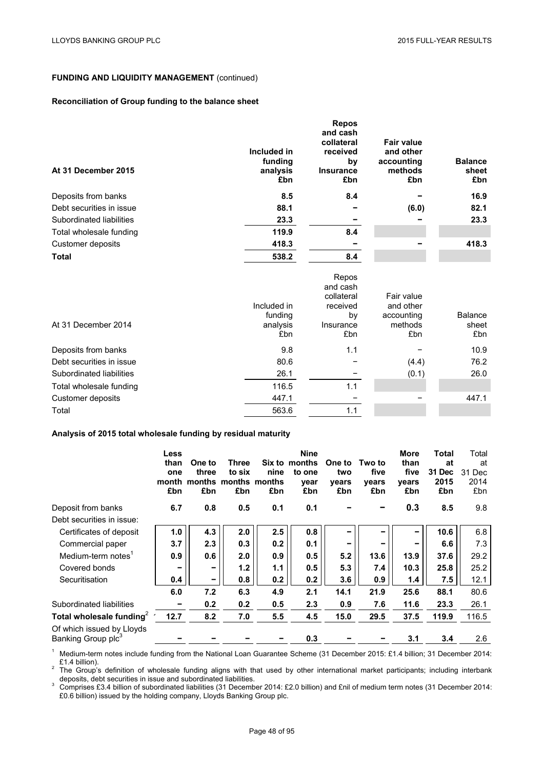# **FUNDING AND LIQUIDITY MANAGEMENT** (continued)

## **Reconciliation of Group funding to the balance sheet**

| At 31 December 2015      | Included in<br>funding<br>analysis<br>£bn | <b>Repos</b><br>and cash<br>collateral<br>received<br>by<br><b>Insurance</b><br>£bn | <b>Fair value</b><br>and other<br>accounting<br>methods<br>£bn | <b>Balance</b><br>sheet<br>£bn |
|--------------------------|-------------------------------------------|-------------------------------------------------------------------------------------|----------------------------------------------------------------|--------------------------------|
| Deposits from banks      | 8.5                                       | 8.4                                                                                 |                                                                | 16.9                           |
| Debt securities in issue | 88.1                                      |                                                                                     | (6.0)                                                          | 82.1                           |
| Subordinated liabilities | 23.3                                      |                                                                                     |                                                                | 23.3                           |
| Total wholesale funding  | 119.9                                     | 8.4                                                                                 |                                                                |                                |
| Customer deposits        | 418.3                                     |                                                                                     |                                                                | 418.3                          |
| <b>Total</b>             | 538.2                                     | 8.4                                                                                 |                                                                |                                |

| Included in<br>and other<br>received<br><b>Balance</b><br>funding<br>accounting<br>bγ<br>methods<br>At 31 December 2014<br>analysis<br>Insurance<br>£bn<br>£bn<br>£bn | sheet<br>£bn |
|-----------------------------------------------------------------------------------------------------------------------------------------------------------------------|--------------|
| Deposits from banks<br>9.8<br>1.1                                                                                                                                     | 10.9         |
| Debt securities in issue<br>80.6<br>(4.4)                                                                                                                             | 76.2         |
| (0.1)<br>Subordinated liabilities<br>26.1                                                                                                                             | 26.0         |
| 116.5<br>1.1<br>Total wholesale funding                                                                                                                               |              |
| Customer deposits<br>447.1                                                                                                                                            | 447.1        |
| 563.6<br>Total<br>1.1                                                                                                                                                 |              |

#### **Analysis of 2015 total wholesale funding by residual maturity**

|                                                             | Less<br>than<br>one<br>month<br>£bn | One to<br>three<br>months<br>£bn | Three<br>to six<br>months<br>£bn | nine<br>months<br>£bn | <b>Nine</b><br>Six to months<br>to one<br>year<br>£bn | One to<br>two<br>years<br>£bn | Two to<br>five<br>years<br>£bn | <b>More</b><br>than<br>five<br>vears<br>£bn | <b>Total</b><br>at<br>31 Dec<br>2015<br>£bn | Total<br>at<br>31 Dec<br>2014<br>£bn |
|-------------------------------------------------------------|-------------------------------------|----------------------------------|----------------------------------|-----------------------|-------------------------------------------------------|-------------------------------|--------------------------------|---------------------------------------------|---------------------------------------------|--------------------------------------|
| Deposit from banks                                          | 6.7                                 | 0.8                              | 0.5                              | 0.1                   | 0.1                                                   |                               |                                | 0.3                                         | 8.5                                         | 9.8                                  |
| Debt securities in issue:                                   |                                     |                                  |                                  |                       |                                                       |                               |                                |                                             |                                             |                                      |
| Certificates of deposit                                     | 1.0                                 | 4.3                              | 2.0                              | 2.5                   | 0.8                                                   |                               |                                |                                             | 10.6                                        | 6.8                                  |
| Commercial paper                                            | 3.7                                 | 2.3                              | 0.3                              | 0.2                   | 0.1                                                   | -                             |                                |                                             | 6.6                                         | 7.3                                  |
| Medium-term notes <sup>1</sup>                              | 0.9                                 | 0.6                              | 2.0                              | 0.9                   | 0.5                                                   | 5.2                           | 13.6                           | 13.9                                        | 37.6                                        | 29.2                                 |
| Covered bonds                                               |                                     | $\overline{\phantom{0}}$         | 1.2                              | 1.1                   | 0.5                                                   | 5.3                           | 7.4                            | 10.3                                        | 25.8                                        | 25.2                                 |
| Securitisation                                              | 0.4                                 | $\overline{\phantom{0}}$         | 0.8                              | 0.2                   | 0.2                                                   | 3.6                           | 0.9                            | 1.4                                         | 7.5                                         | 12.1                                 |
|                                                             | 6.0                                 | 7.2                              | 6.3                              | 4.9                   | 2.1                                                   | 14.1                          | 21.9                           | 25.6                                        | 88.1                                        | 80.6                                 |
| Subordinated liabilities                                    |                                     | 0.2                              | 0.2                              | 0.5                   | 2.3                                                   | 0.9                           | 7.6                            | 11.6                                        | 23.3                                        | 26.1                                 |
| Total wholesale funding <sup>2</sup>                        | 12.7                                | 8.2                              | 7.0                              | 5.5                   | 4.5                                                   | 15.0                          | 29.5                           | 37.5                                        | 119.9                                       | 116.5                                |
| Of which issued by Lloyds<br>Banking Group plc <sup>3</sup> |                                     |                                  |                                  |                       | 0.3                                                   |                               |                                | 3.1                                         | 3.4                                         | 2.6                                  |

1 Medium-term notes include funding from the National Loan Guarantee Scheme (31 December 2015: £1.4 billion; 31 December 2014:<br> **E1.4 billion**).

 $2^2$  The Group's definition of wholesale funding aligns with that used by other international market participants; including interbank deposits, debt securities in issue and subordinated liabilities.<br><sup>3</sup> Comprises £3.4 billion of subordinated liabilities (31 December 2014: £2.0 billion) and £nil of medium term notes (31 December 2014:

£0.6 billion) issued by the holding company, Lloyds Banking Group plc.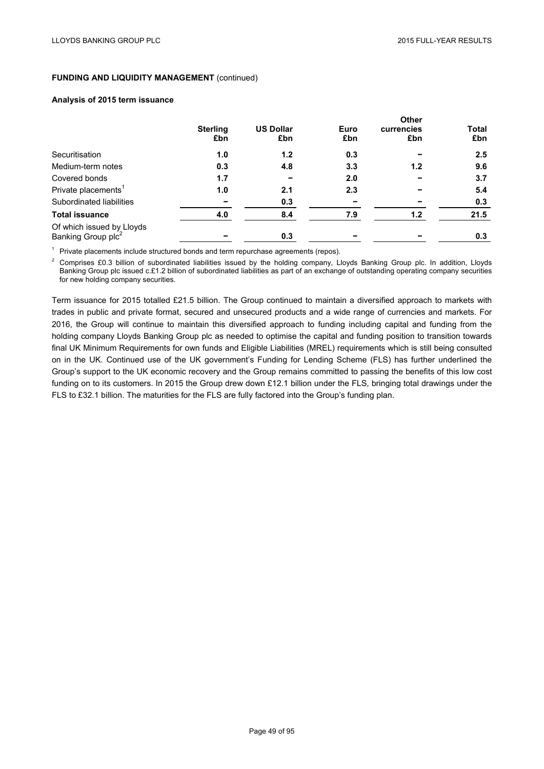## **FUNDING AND LIQUIDITY MANAGEMENT (continued)**

#### **Analysis of 2015 term issuance**

|                                                 |                        |                         |             | Other             |                     |
|-------------------------------------------------|------------------------|-------------------------|-------------|-------------------|---------------------|
|                                                 | <b>Sterling</b><br>£bn | <b>US Dollar</b><br>£bn | Euro<br>£bn | currencies<br>£bn | <b>Total</b><br>£bn |
| Securitisation                                  | 1.0                    | 1.2                     | 0.3         |                   | 2.5                 |
| Medium-term notes                               | 0.3                    | 4.8                     | 3.3         | 1.2               | 9.6                 |
| Covered bonds                                   | 1.7                    |                         | 2.0         |                   | 3.7                 |
| Private placements <sup>1</sup>                 | 1.0                    | 2.1                     | 2.3         |                   | 5.4                 |
| Subordinated liabilities                        |                        | 0.3                     |             |                   | 0.3                 |
| <b>Total issuance</b>                           | 4.0                    | 8.4                     | 7.9         | 1.2               | 21.5                |
| Of which issued by Lloyds<br>Banking Group plc2 |                        | 0.3                     |             |                   | 0.3                 |

 $1$  Private placements include structured bonds and term repurchase agreements (repos).

<sup>2</sup> Comprises £0.3 billion of subordinated liabilities issued by the holding company, Lloyds Banking Group plc. In addition, Lloyds Banking Group plc issued c.£1.2 billion of subordinated liabilities as part of an exchange of outstanding operating company securities for new holding company securities.

Term issuance for 2015 totalled £21.5 billion. The Group continued to maintain a diversified approach to markets with trades in public and private format, secured and unsecured products and a wide range of currencies and markets. For 2016, the Group will continue to maintain this diversified approach to funding including capital and funding from the holding company Lloyds Banking Group plc as needed to optimise the capital and funding position to transition towards final UK Minimum Requirements for own funds and Eligible Liabilities (MREL) requirements which is still being consulted on in the UK. Continued use of the UK government's Funding for Lending Scheme (FLS) has further underlined the Group's support to the UK economic recovery and the Group remains committed to passing the benefits of this low cost funding on to its customers. In 2015 the Group drew down £12.1 billion under the FLS, bringing total drawings under the FLS to £32.1 billion. The maturities for the FLS are fully factored into the Group's funding plan.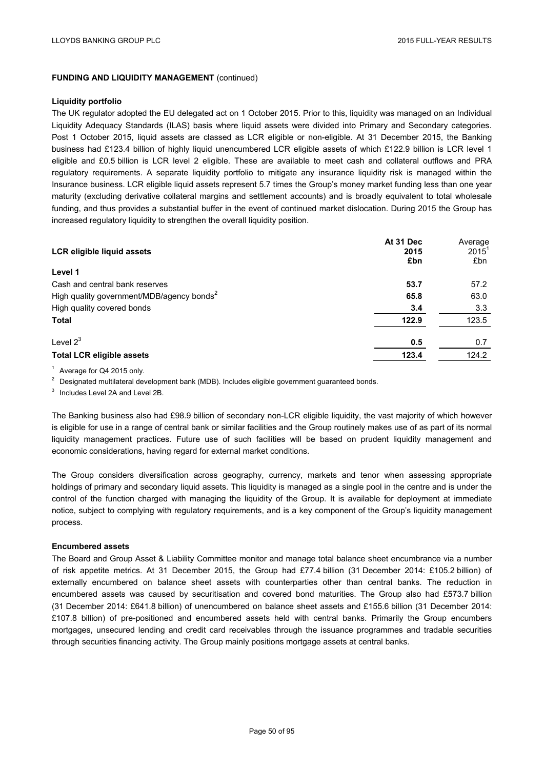## **FUNDING AND LIQUIDITY MANAGEMENT (continued)**

#### **Liquidity portfolio**

The UK regulator adopted the EU delegated act on 1 October 2015. Prior to this, liquidity was managed on an Individual Liquidity Adequacy Standards (ILAS) basis where liquid assets were divided into Primary and Secondary categories. Post 1 October 2015, liquid assets are classed as LCR eligible or non-eligible. At 31 December 2015, the Banking business had £123.4 billion of highly liquid unencumbered LCR eligible assets of which £122.9 billion is LCR level 1 eligible and £0.5 billion is LCR level 2 eligible. These are available to meet cash and collateral outflows and PRA regulatory requirements. A separate liquidity portfolio to mitigate any insurance liquidity risk is managed within the Insurance business. LCR eligible liquid assets represent 5.7 times the Group's money market funding less than one year maturity (excluding derivative collateral margins and settlement accounts) and is broadly equivalent to total wholesale funding, and thus provides a substantial buffer in the event of continued market dislocation. During 2015 the Group has increased regulatory liquidity to strengthen the overall liquidity position.

| <b>LCR eligible liquid assets</b>                     | At 31 Dec<br>2015<br>£bn | Average<br>$2015^1$<br>£bn |
|-------------------------------------------------------|--------------------------|----------------------------|
| Level 1                                               |                          |                            |
| Cash and central bank reserves                        | 53.7                     | 57.2                       |
| High quality government/MDB/agency bonds <sup>2</sup> | 65.8                     | 63.0                       |
| High quality covered bonds                            | 3.4                      | 3.3                        |
| <b>Total</b>                                          | 122.9                    | 123.5                      |
| Level $2^3$                                           | 0.5                      | 0.7                        |
| <b>Total LCR eligible assets</b>                      | 123.4                    | 124.2                      |

<sup>1</sup> Average for Q4 2015 only.

<sup>2</sup> Designated multilateral development bank (MDB). Includes eligible government guaranteed bonds.

<sup>3</sup> Includes Level 2A and Level 2B.

The Banking business also had £98.9 billion of secondary non-LCR eligible liquidity, the vast majority of which however is eligible for use in a range of central bank or similar facilities and the Group routinely makes use of as part of its normal liquidity management practices. Future use of such facilities will be based on prudent liquidity management and economic considerations, having regard for external market conditions.

The Group considers diversification across geography, currency, markets and tenor when assessing appropriate holdings of primary and secondary liquid assets. This liquidity is managed as a single pool in the centre and is under the control of the function charged with managing the liquidity of the Group. It is available for deployment at immediate notice, subject to complying with regulatory requirements, and is a key component of the Group's liquidity management process.

## **Encumbered assets**

The Board and Group Asset & Liability Committee monitor and manage total balance sheet encumbrance via a number of risk appetite metrics. At 31 December 2015, the Group had £77.4 billion (31 December 2014: £105.2 billion) of externally encumbered on balance sheet assets with counterparties other than central banks. The reduction in encumbered assets was caused by securitisation and covered bond maturities. The Group also had £573.7 billion (31 December 2014: £641.8 billion) of unencumbered on balance sheet assets and £155.6 billion (31 December 2014: £107.8 billion) of pre-positioned and encumbered assets held with central banks. Primarily the Group encumbers mortgages, unsecured lending and credit card receivables through the issuance programmes and tradable securities through securities financing activity. The Group mainly positions mortgage assets at central banks.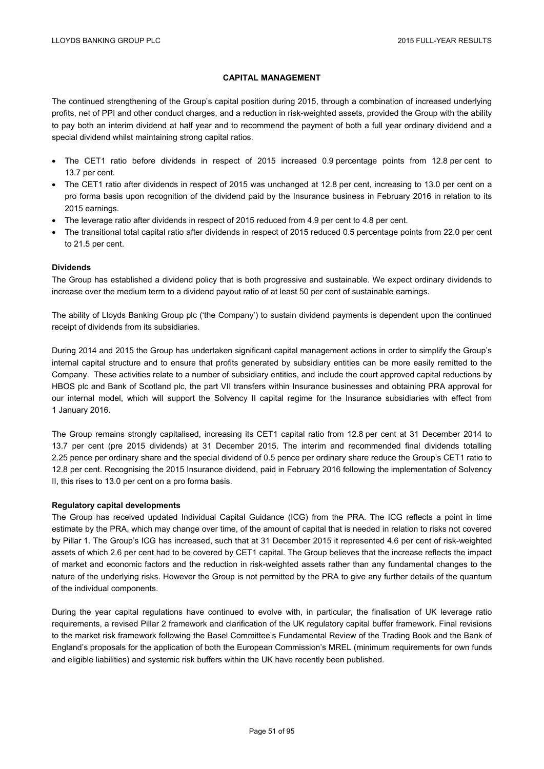## **CAPITAL MANAGEMENT**

The continued strengthening of the Group's capital position during 2015, through a combination of increased underlying profits, net of PPI and other conduct charges, and a reduction in risk-weighted assets, provided the Group with the ability to pay both an interim dividend at half year and to recommend the payment of both a full year ordinary dividend and a special dividend whilst maintaining strong capital ratios.

- The CET1 ratio before dividends in respect of 2015 increased 0.9 percentage points from 12.8 per cent to 13.7 per cent.
- The CET1 ratio after dividends in respect of 2015 was unchanged at 12.8 per cent, increasing to 13.0 per cent on a pro forma basis upon recognition of the dividend paid by the Insurance business in February 2016 in relation to its 2015 earnings.
- The leverage ratio after dividends in respect of 2015 reduced from 4.9 per cent to 4.8 per cent.
- The transitional total capital ratio after dividends in respect of 2015 reduced 0.5 percentage points from 22.0 per cent to 21.5 per cent.

#### **Dividends**

The Group has established a dividend policy that is both progressive and sustainable. We expect ordinary dividends to increase over the medium term to a dividend payout ratio of at least 50 per cent of sustainable earnings.

The ability of Lloyds Banking Group plc ('the Company') to sustain dividend payments is dependent upon the continued receipt of dividends from its subsidiaries.

During 2014 and 2015 the Group has undertaken significant capital management actions in order to simplify the Group's internal capital structure and to ensure that profits generated by subsidiary entities can be more easily remitted to the Company. These activities relate to a number of subsidiary entities, and include the court approved capital reductions by HBOS plc and Bank of Scotland plc, the part VII transfers within Insurance businesses and obtaining PRA approval for our internal model, which will support the Solvency II capital regime for the Insurance subsidiaries with effect from 1 January 2016.

The Group remains strongly capitalised, increasing its CET1 capital ratio from 12.8 per cent at 31 December 2014 to 13.7 per cent (pre 2015 dividends) at 31 December 2015. The interim and recommended final dividends totalling 2.25 pence per ordinary share and the special dividend of 0.5 pence per ordinary share reduce the Group's CET1 ratio to 12.8 per cent. Recognising the 2015 Insurance dividend, paid in February 2016 following the implementation of Solvency II, this rises to 13.0 per cent on a pro forma basis.

#### **Regulatory capital developments**

The Group has received updated Individual Capital Guidance (ICG) from the PRA. The ICG reflects a point in time estimate by the PRA, which may change over time, of the amount of capital that is needed in relation to risks not covered by Pillar 1. The Group's ICG has increased, such that at 31 December 2015 it represented 4.6 per cent of risk-weighted assets of which 2.6 per cent had to be covered by CET1 capital. The Group believes that the increase reflects the impact of market and economic factors and the reduction in risk-weighted assets rather than any fundamental changes to the nature of the underlying risks. However the Group is not permitted by the PRA to give any further details of the quantum of the individual components.

During the year capital regulations have continued to evolve with, in particular, the finalisation of UK leverage ratio requirements, a revised Pillar 2 framework and clarification of the UK regulatory capital buffer framework. Final revisions to the market risk framework following the Basel Committee's Fundamental Review of the Trading Book and the Bank of England's proposals for the application of both the European Commission's MREL (minimum requirements for own funds and eligible liabilities) and systemic risk buffers within the UK have recently been published.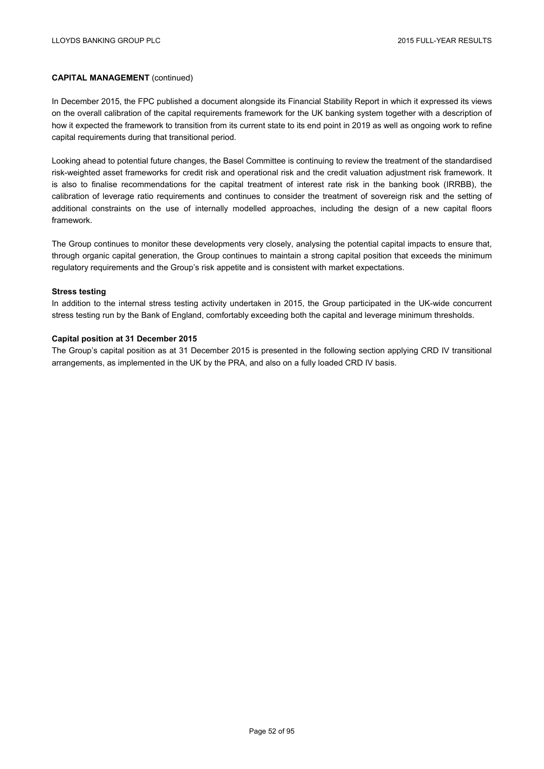In December 2015, the FPC published a document alongside its Financial Stability Report in which it expressed its views on the overall calibration of the capital requirements framework for the UK banking system together with a description of how it expected the framework to transition from its current state to its end point in 2019 as well as ongoing work to refine capital requirements during that transitional period.

Looking ahead to potential future changes, the Basel Committee is continuing to review the treatment of the standardised risk-weighted asset frameworks for credit risk and operational risk and the credit valuation adjustment risk framework. It is also to finalise recommendations for the capital treatment of interest rate risk in the banking book (IRRBB), the calibration of leverage ratio requirements and continues to consider the treatment of sovereign risk and the setting of additional constraints on the use of internally modelled approaches, including the design of a new capital floors framework.

The Group continues to monitor these developments very closely, analysing the potential capital impacts to ensure that, through organic capital generation, the Group continues to maintain a strong capital position that exceeds the minimum regulatory requirements and the Group's risk appetite and is consistent with market expectations.

#### **Stress testing**

In addition to the internal stress testing activity undertaken in 2015, the Group participated in the UK-wide concurrent stress testing run by the Bank of England, comfortably exceeding both the capital and leverage minimum thresholds.

#### **Capital position at 31 December 2015**

The Group's capital position as at 31 December 2015 is presented in the following section applying CRD IV transitional arrangements, as implemented in the UK by the PRA, and also on a fully loaded CRD IV basis.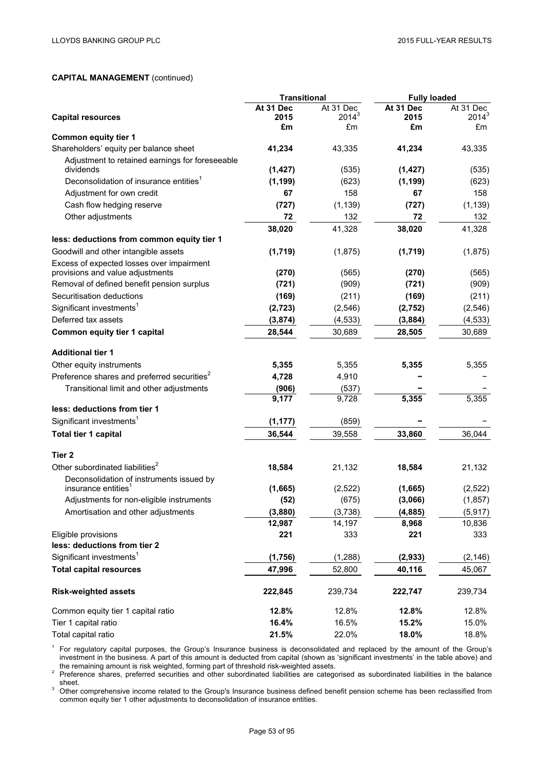|                                                         | <b>Transitional</b> |           | <b>Fully loaded</b> |           |
|---------------------------------------------------------|---------------------|-----------|---------------------|-----------|
|                                                         | At 31 Dec           | At 31 Dec | At 31 Dec           | At 31 Dec |
| <b>Capital resources</b>                                | 2015                | $2014^3$  | 2015                | $2014^3$  |
| <b>Common equity tier 1</b>                             | £m                  | £m        | £m                  | £m        |
| Shareholders' equity per balance sheet                  | 41,234              | 43,335    | 41,234              | 43,335    |
| Adjustment to retained earnings for foreseeable         |                     |           |                     |           |
| dividends                                               | (1, 427)            | (535)     | (1, 427)            | (535)     |
| Deconsolidation of insurance entities <sup>1</sup>      | (1, 199)            | (623)     | (1, 199)            | (623)     |
| Adjustment for own credit                               | 67                  | 158       | 67                  | 158       |
| Cash flow hedging reserve                               | (727)               | (1, 139)  | (727)               | (1, 139)  |
| Other adjustments                                       | 72                  | 132       | 72                  | 132       |
|                                                         | 38,020              | 41,328    | 38,020              | 41,328    |
| less: deductions from common equity tier 1              |                     |           |                     |           |
| Goodwill and other intangible assets                    | (1,719)             | (1,875)   | (1,719)             | (1,875)   |
| Excess of expected losses over impairment               |                     |           |                     |           |
| provisions and value adjustments                        | (270)               | (565)     | (270)               | (565)     |
| Removal of defined benefit pension surplus              | (721)               | (909)     | (721)               | (909)     |
| Securitisation deductions                               | (169)               | (211)     | (169)               | (211)     |
| Significant investments <sup>1</sup>                    | (2, 723)            | (2, 546)  | (2,752)             | (2, 546)  |
| Deferred tax assets                                     | (3, 874)            | (4, 533)  | (3,884)             | (4, 533)  |
| Common equity tier 1 capital                            | 28,544              | 30,689    | 28,505              | 30,689    |
| <b>Additional tier 1</b>                                |                     |           |                     |           |
| Other equity instruments                                | 5,355               | 5,355     | 5,355               | 5,355     |
| Preference shares and preferred securities <sup>2</sup> | 4,728               | 4,910     |                     |           |
| Transitional limit and other adjustments                | (906)               | (537)     |                     |           |
|                                                         | 9,177               | 9,728     | 5,355               | 5,355     |
| less: deductions from tier 1                            |                     |           |                     |           |
| Significant investments <sup>1</sup>                    | (1, 177)            | (859)     |                     |           |
| Total tier 1 capital                                    | 36,544              | 39,558    | 33,860              | 36,044    |
| Tier 2                                                  |                     |           |                     |           |
| Other subordinated liabilities <sup>2</sup>             | 18,584              | 21,132    | 18,584              | 21,132    |
| Deconsolidation of instruments issued by                |                     |           |                     |           |
| insurance entities <sup>1</sup>                         | (1,665)             | (2,522)   | (1,665)             | (2,522)   |
| Adjustments for non-eligible instruments                | (52)                | (675)     | (3,066)             | (1, 857)  |
| Amortisation and other adjustments                      | (3,880)             | (3,738)   | (4,885)             | (5, 917)  |
|                                                         | 12,987              | 14,197    | 8,968               | 10,836    |
| Eligible provisions                                     | 221                 | 333       | 221                 | 333       |
| less: deductions from tier 2                            |                     |           |                     |           |
| Significant investments <sup>1</sup>                    | (1,756)             | (1, 288)  | (2, 933)            | (2, 146)  |
| <b>Total capital resources</b>                          | 47,996              | 52,800    | 40,116              | 45,067    |
| <b>Risk-weighted assets</b>                             | 222,845             | 239,734   | 222,747             | 239,734   |
| Common equity tier 1 capital ratio                      | 12.8%               | 12.8%     | 12.8%               | 12.8%     |
| Tier 1 capital ratio                                    | 16.4%               | 16.5%     | 15.2%               | 15.0%     |
| Total capital ratio                                     | 21.5%               | 22.0%     | 18.0%               | 18.8%     |

 $1$  For regulatory capital purposes, the Group's Insurance business is deconsolidated and replaced by the amount of the Group's investment in the business. A part of this amount is deducted from capital (shown as 'significant investments' in the table above) and

the remaining amount is risk weighted, forming part of threshold risk-weighted assets.<br><sup>2</sup> Preference shares, preferred securities and other subordinated liabilities are categorised as subordinated liabilities in the balan

<sup>3</sup> Other comprehensive income related to the Group's Insurance business defined benefit pension scheme has been reclassified from common equity tier 1 other adjustments to deconsolidation of insurance entities.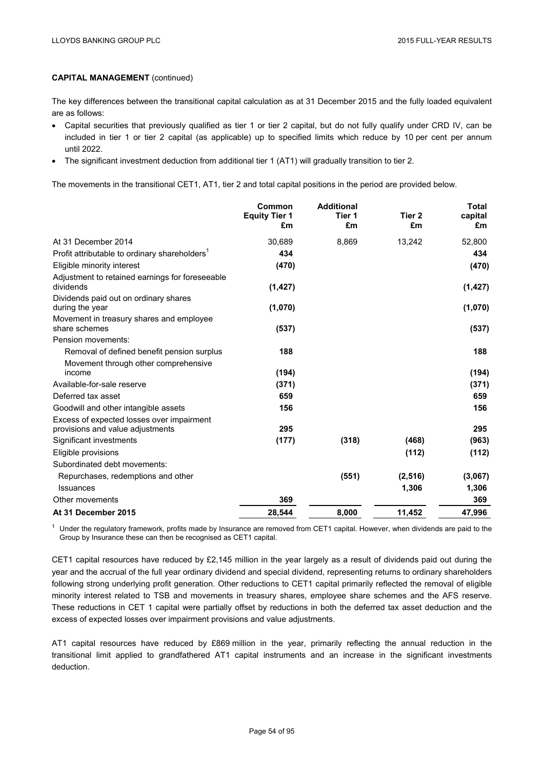The key differences between the transitional capital calculation as at 31 December 2015 and the fully loaded equivalent are as follows:

- Capital securities that previously qualified as tier 1 or tier 2 capital, but do not fully qualify under CRD IV, can be included in tier 1 or tier 2 capital (as applicable) up to specified limits which reduce by 10 per cent per annum until 2022.
- The significant investment deduction from additional tier 1 (AT1) will gradually transition to tier 2.

The movements in the transitional CET1, AT1, tier 2 and total capital positions in the period are provided below.

|                                                                               | Common<br><b>Equity Tier 1</b><br>£m | <b>Additional</b><br>Tier 1<br>£m | Tier 2<br>£m | <b>Total</b><br>capital<br>£m |
|-------------------------------------------------------------------------------|--------------------------------------|-----------------------------------|--------------|-------------------------------|
| At 31 December 2014                                                           | 30,689                               | 8,869                             | 13,242       | 52,800                        |
| Profit attributable to ordinary shareholders'                                 | 434                                  |                                   |              | 434                           |
| Eligible minority interest                                                    | (470)                                |                                   |              | (470)                         |
| Adjustment to retained earnings for foreseeable<br>dividends                  | (1, 427)                             |                                   |              | (1, 427)                      |
| Dividends paid out on ordinary shares<br>during the year                      | (1,070)                              |                                   |              | (1,070)                       |
| Movement in treasury shares and employee<br>share schemes                     | (537)                                |                                   |              | (537)                         |
| Pension movements:                                                            |                                      |                                   |              |                               |
| Removal of defined benefit pension surplus                                    | 188                                  |                                   |              | 188                           |
| Movement through other comprehensive<br>income                                | (194)                                |                                   |              | (194)                         |
| Available-for-sale reserve                                                    | (371)                                |                                   |              | (371)                         |
| Deferred tax asset                                                            | 659                                  |                                   |              | 659                           |
| Goodwill and other intangible assets                                          | 156                                  |                                   |              | 156                           |
| Excess of expected losses over impairment<br>provisions and value adjustments | 295                                  |                                   |              | 295                           |
| Significant investments                                                       | (177)                                | (318)                             | (468)        | (963)                         |
| Eligible provisions                                                           |                                      |                                   | (112)        | (112)                         |
| Subordinated debt movements:                                                  |                                      |                                   |              |                               |
| Repurchases, redemptions and other                                            |                                      | (551)                             | (2, 516)     | (3,067)                       |
| <b>Issuances</b>                                                              |                                      |                                   | 1,306        | 1,306                         |
| Other movements                                                               | 369                                  |                                   |              | 369                           |
| At 31 December 2015                                                           | 28,544                               | 8,000                             | 11,452       | 47,996                        |

 $1$  Under the regulatory framework, profits made by Insurance are removed from CET1 capital. However, when dividends are paid to the Group by Insurance these can then be recognised as CET1 capital.

CET1 capital resources have reduced by £2,145 million in the year largely as a result of dividends paid out during the year and the accrual of the full year ordinary dividend and special dividend, representing returns to ordinary shareholders following strong underlying profit generation. Other reductions to CET1 capital primarily reflected the removal of eligible minority interest related to TSB and movements in treasury shares, employee share schemes and the AFS reserve. These reductions in CET 1 capital were partially offset by reductions in both the deferred tax asset deduction and the excess of expected losses over impairment provisions and value adjustments.

AT1 capital resources have reduced by £869 million in the year, primarily reflecting the annual reduction in the transitional limit applied to grandfathered AT1 capital instruments and an increase in the significant investments deduction.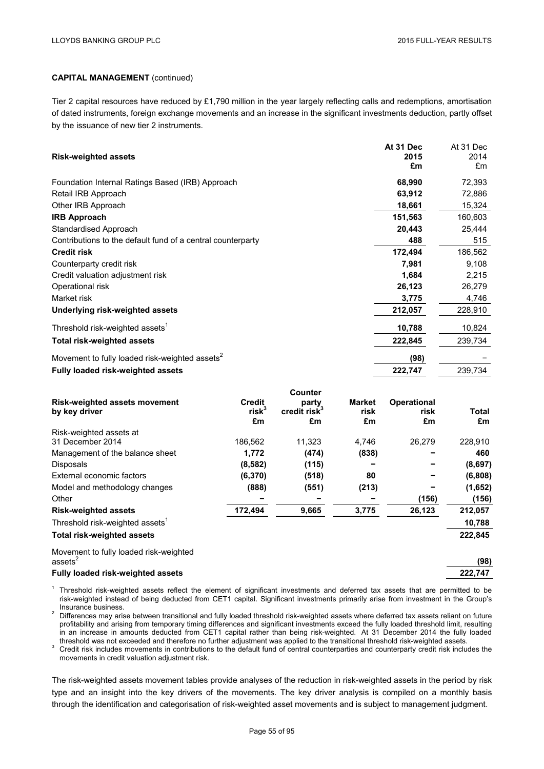Tier 2 capital resources have reduced by £1,790 million in the year largely reflecting calls and redemptions, amortisation of dated instruments, foreign exchange movements and an increase in the significant investments deduction, partly offset by the issuance of new tier 2 instruments.

| <b>Risk-weighted assets</b>                                 | At 31 Dec<br>2015<br>£m | At 31 Dec<br>2014<br>£m |
|-------------------------------------------------------------|-------------------------|-------------------------|
| Foundation Internal Ratings Based (IRB) Approach            | 68,990                  | 72,393                  |
| Retail IRB Approach                                         | 63,912                  | 72,886                  |
| Other IRB Approach                                          | 18,661                  | 15,324                  |
| <b>IRB Approach</b>                                         | 151,563                 | 160,603                 |
| Standardised Approach                                       | 20,443                  | 25,444                  |
| Contributions to the default fund of a central counterparty | 488                     | 515                     |
| <b>Credit risk</b>                                          | 172,494                 | 186,562                 |
| Counterparty credit risk                                    | 7,981                   | 9,108                   |
| Credit valuation adjustment risk                            | 1,684                   | 2,215                   |
| Operational risk                                            | 26,123                  | 26,279                  |
| Market risk                                                 | 3,775                   | 4,746                   |
| Underlying risk-weighted assets                             | 212,057                 | 228,910                 |
| Threshold risk-weighted assets <sup>1</sup>                 | 10,788                  | 10,824                  |
| <b>Total risk-weighted assets</b>                           | 222,845                 | 239,734                 |
| Movement to fully loaded risk-weighted assets <sup>2</sup>  | (98)                    |                         |
| <b>Fully loaded risk-weighted assets</b>                    | 222,747                 | 239,734                 |

| <b>Risk-weighted assets movement</b><br>by key driver | <b>Credit</b><br>$risk^3$<br>£m | Counter<br>party<br>credit risk <sup>3</sup><br>£m | <b>Market</b><br>risk<br>£m | <b>Operational</b><br>risk<br>£m | Total<br>£m |
|-------------------------------------------------------|---------------------------------|----------------------------------------------------|-----------------------------|----------------------------------|-------------|
| Risk-weighted assets at                               |                                 |                                                    |                             |                                  |             |
| 31 December 2014                                      | 186,562                         | 11,323                                             | 4,746                       | 26,279                           | 228,910     |
| Management of the balance sheet                       | 1,772                           | (474)                                              | (838)                       |                                  | 460         |
| <b>Disposals</b>                                      | (8, 582)                        | (115)                                              |                             |                                  | (8,697)     |
| External economic factors                             | (6, 370)                        | (518)                                              | 80                          |                                  | (6,808)     |
| Model and methodology changes                         | (888)                           | (551)                                              | (213)                       |                                  | (1,652)     |
| Other                                                 |                                 |                                                    |                             | (156)                            | (156)       |
| <b>Risk-weighted assets</b>                           | 172,494                         | 9,665                                              | 3,775                       | 26,123                           | 212,057     |
| Threshold risk-weighted assets <sup>1</sup>           |                                 |                                                    |                             |                                  | 10,788      |
| <b>Total risk-weighted assets</b>                     |                                 |                                                    |                             |                                  | 222,845     |
| Movement to fully loaded risk-weighted                |                                 |                                                    |                             |                                  |             |
| assets <sup>2</sup>                                   |                                 |                                                    |                             |                                  | (98)        |
| <b>Fully loaded risk-weighted assets</b>              |                                 |                                                    |                             |                                  | 222.747     |

 $1$  Threshold risk-weighted assets reflect the element of significant investments and deferred tax assets that are permitted to be risk-weighted instead of being deducted from CET1 capital. Significant investments primarily arise from investment in the Group's

Insurance business.<br><sup>2</sup> Differences may arise between transitional and fully loaded threshold risk-weighted assets where deferred tax assets reliant on future profitability and arising from temporary timing differences and significant investments exceed the fully loaded threshold limit, resulting in an increase in amounts deducted from CET1 capital rather than being risk-weighted. At 31 December 2014 the fully loaded threshold was not exceeded and therefore no further adjustment was applied to the transitional thre

<sup>3</sup> Credit risk includes movements in contributions to the default fund of central counterparties and counterparty credit risk includes the movements in credit valuation adjustment risk.

The risk-weighted assets movement tables provide analyses of the reduction in risk-weighted assets in the period by risk type and an insight into the key drivers of the movements. The key driver analysis is compiled on a monthly basis through the identification and categorisation of risk-weighted asset movements and is subject to management judgment.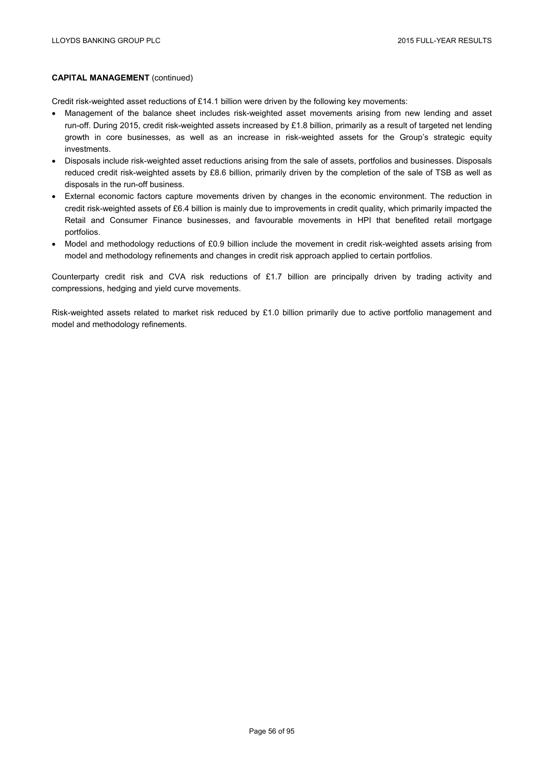Credit risk-weighted asset reductions of £14.1 billion were driven by the following key movements:

- Management of the balance sheet includes risk-weighted asset movements arising from new lending and asset run-off. During 2015, credit risk-weighted assets increased by £1.8 billion, primarily as a result of targeted net lending growth in core businesses, as well as an increase in risk-weighted assets for the Group's strategic equity investments.
- Disposals include risk-weighted asset reductions arising from the sale of assets, portfolios and businesses. Disposals reduced credit risk-weighted assets by £8.6 billion, primarily driven by the completion of the sale of TSB as well as disposals in the run-off business.
- External economic factors capture movements driven by changes in the economic environment. The reduction in credit risk-weighted assets of £6.4 billion is mainly due to improvements in credit quality, which primarily impacted the Retail and Consumer Finance businesses, and favourable movements in HPI that benefited retail mortgage portfolios.
- Model and methodology reductions of £0.9 billion include the movement in credit risk-weighted assets arising from model and methodology refinements and changes in credit risk approach applied to certain portfolios.

Counterparty credit risk and CVA risk reductions of £1.7 billion are principally driven by trading activity and compressions, hedging and yield curve movements.

Risk-weighted assets related to market risk reduced by £1.0 billion primarily due to active portfolio management and model and methodology refinements.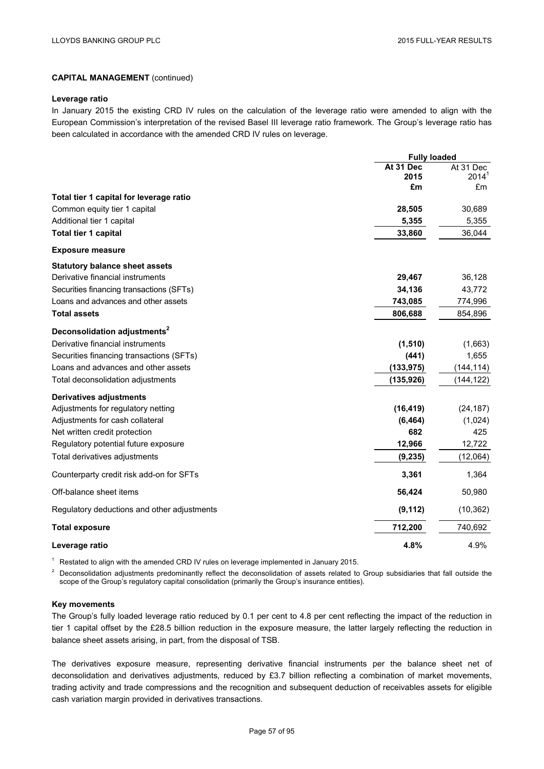#### **Leverage ratio**

In January 2015 the existing CRD IV rules on the calculation of the leverage ratio were amended to align with the European Commission's interpretation of the revised Basel III leverage ratio framework. The Group's leverage ratio has been calculated in accordance with the amended CRD IV rules on leverage.

|                                             | <b>Fully loaded</b> |                         |
|---------------------------------------------|---------------------|-------------------------|
|                                             | At 31 Dec           | At 31 Dec               |
|                                             | 2015<br>£m          | 2014 <sup>1</sup><br>£m |
| Total tier 1 capital for leverage ratio     |                     |                         |
| Common equity tier 1 capital                | 28,505              | 30,689                  |
| Additional tier 1 capital                   | 5,355               | 5,355                   |
| Total tier 1 capital                        | 33,860              | 36,044                  |
| <b>Exposure measure</b>                     |                     |                         |
| <b>Statutory balance sheet assets</b>       |                     |                         |
| Derivative financial instruments            | 29,467              | 36,128                  |
| Securities financing transactions (SFTs)    | 34,136              | 43,772                  |
| Loans and advances and other assets         | 743,085             | 774,996                 |
| <b>Total assets</b>                         | 806,688             | 854,896                 |
| Deconsolidation adjustments <sup>2</sup>    |                     |                         |
| Derivative financial instruments            | (1, 510)            | (1,663)                 |
| Securities financing transactions (SFTs)    | (441)               | 1,655                   |
| Loans and advances and other assets         | (133, 975)          | (144, 114)              |
| Total deconsolidation adjustments           | (135, 926)          | (144, 122)              |
| <b>Derivatives adjustments</b>              |                     |                         |
| Adjustments for regulatory netting          | (16, 419)           | (24, 187)               |
| Adjustments for cash collateral             | (6, 464)            | (1,024)                 |
| Net written credit protection               | 682                 | 425                     |
| Regulatory potential future exposure        | 12,966              | 12,722                  |
| Total derivatives adjustments               | (9, 235)            | (12,064)                |
| Counterparty credit risk add-on for SFTs    | 3,361               | 1,364                   |
| Off-balance sheet items                     | 56,424              | 50,980                  |
| Regulatory deductions and other adjustments | (9, 112)            | (10, 362)               |
| <b>Total exposure</b>                       | 712,200             | 740,692                 |
| Leverage ratio                              | 4.8%                | 4.9%                    |

<sup>1</sup> Restated to align with the amended CRD IV rules on leverage implemented in January 2015.

<sup>2</sup> Deconsolidation adjustments predominantly reflect the deconsolidation of assets related to Group subsidiaries that fall outside the scope of the Group's regulatory capital consolidation (primarily the Group's insurance entities).

#### **Key movements**

The Group's fully loaded leverage ratio reduced by 0.1 per cent to 4.8 per cent reflecting the impact of the reduction in tier 1 capital offset by the £28.5 billion reduction in the exposure measure, the latter largely reflecting the reduction in balance sheet assets arising, in part, from the disposal of TSB.

The derivatives exposure measure, representing derivative financial instruments per the balance sheet net of deconsolidation and derivatives adjustments, reduced by £3.7 billion reflecting a combination of market movements, trading activity and trade compressions and the recognition and subsequent deduction of receivables assets for eligible cash variation margin provided in derivatives transactions.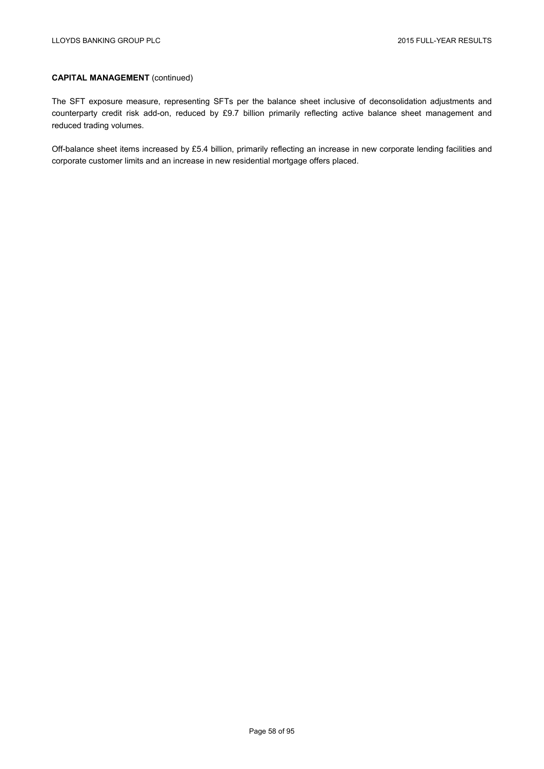The SFT exposure measure, representing SFTs per the balance sheet inclusive of deconsolidation adjustments and counterparty credit risk add-on, reduced by £9.7 billion primarily reflecting active balance sheet management and reduced trading volumes.

Off-balance sheet items increased by £5.4 billion, primarily reflecting an increase in new corporate lending facilities and corporate customer limits and an increase in new residential mortgage offers placed.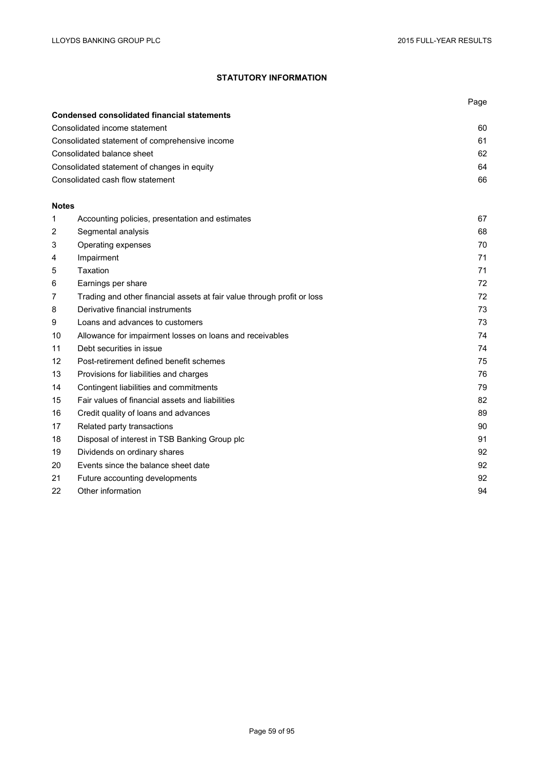# **STATUTORY INFORMATION**

|              |                                                                         | Page |
|--------------|-------------------------------------------------------------------------|------|
|              | <b>Condensed consolidated financial statements</b>                      |      |
|              | Consolidated income statement                                           | 60   |
|              | Consolidated statement of comprehensive income                          | 61   |
|              | Consolidated balance sheet                                              | 62   |
|              | Consolidated statement of changes in equity                             | 64   |
|              | Consolidated cash flow statement                                        | 66   |
| <b>Notes</b> |                                                                         |      |
| 1            | Accounting policies, presentation and estimates                         | 67   |
| 2            | Segmental analysis                                                      | 68   |
| 3            | Operating expenses                                                      | 70   |
| 4            | Impairment                                                              | 71   |
| 5            | Taxation                                                                | 71   |
| 6            | Earnings per share                                                      | 72   |
| 7            | Trading and other financial assets at fair value through profit or loss | 72   |
| 8            | Derivative financial instruments                                        | 73   |
| 9            | Loans and advances to customers                                         | 73   |
| 10           | Allowance for impairment losses on loans and receivables                | 74   |
| 11           | Debt securities in issue                                                | 74   |
| 12           | Post-retirement defined benefit schemes                                 | 75   |
| 13           | Provisions for liabilities and charges                                  | 76   |
| 14           | Contingent liabilities and commitments                                  | 79   |
| 15           | Fair values of financial assets and liabilities                         | 82   |
| 16           | Credit quality of loans and advances                                    | 89   |
| 17           | Related party transactions                                              | 90   |
| 18           | Disposal of interest in TSB Banking Group plc                           | 91   |
| 19           | Dividends on ordinary shares                                            | 92   |
| 20           | Events since the balance sheet date                                     | 92   |
| 21           | Future accounting developments                                          | 92   |
| 22           | Other information                                                       | 94   |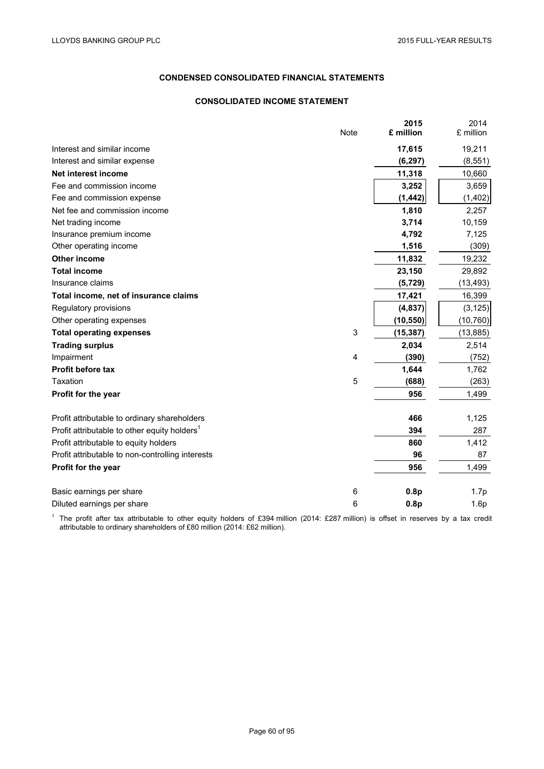# **CONDENSED CONSOLIDATED FINANCIAL STATEMENTS**

## **CONSOLIDATED INCOME STATEMENT**

|                                                          | <b>Note</b> | 2015<br>£ million | 2014<br>£ million |
|----------------------------------------------------------|-------------|-------------------|-------------------|
| Interest and similar income                              |             | 17,615            | 19,211            |
| Interest and similar expense                             |             | (6, 297)          | (8, 551)          |
| Net interest income                                      |             | 11,318            | 10,660            |
| Fee and commission income                                |             | 3,252             | 3,659             |
| Fee and commission expense                               |             | (1, 442)          | (1, 402)          |
| Net fee and commission income                            |             | 1,810             | 2,257             |
| Net trading income                                       |             | 3,714             | 10,159            |
| Insurance premium income                                 |             | 4,792             | 7,125             |
| Other operating income                                   |             | 1,516             | (309)             |
| <b>Other income</b>                                      |             | 11,832            | 19,232            |
| <b>Total income</b>                                      |             | 23,150            | 29,892            |
| Insurance claims                                         |             | (5, 729)          | (13, 493)         |
| Total income, net of insurance claims                    |             | 17,421            | 16,399            |
| Regulatory provisions                                    |             | (4,837)           | (3, 125)          |
| Other operating expenses                                 |             | (10, 550)         | (10, 760)         |
| <b>Total operating expenses</b>                          | 3           | (15, 387)         | (13, 885)         |
| <b>Trading surplus</b>                                   |             | 2,034             | 2,514             |
| Impairment                                               | 4           | (390)             | (752)             |
| Profit before tax                                        |             | 1,644             | 1,762             |
| Taxation                                                 | 5           | (688)             | (263)             |
| Profit for the year                                      |             | 956               | 1,499             |
| Profit attributable to ordinary shareholders             |             | 466               | 1,125             |
| Profit attributable to other equity holders <sup>1</sup> |             | 394               | 287               |
| Profit attributable to equity holders                    |             | 860               | 1,412             |
| Profit attributable to non-controlling interests         |             | 96                | 87                |
| Profit for the year                                      |             | 956               | 1,499             |
| Basic earnings per share                                 | 6           | 0.8p              | 1.7p              |
| Diluted earnings per share                               | 6           | 0.8p              | 1.6p              |

<sup>1</sup> The profit after tax attributable to other equity holders of £394 million (2014: £287 million) is offset in reserves by a tax credit attributable to ordinary shareholders of £80 million (2014: £62 million).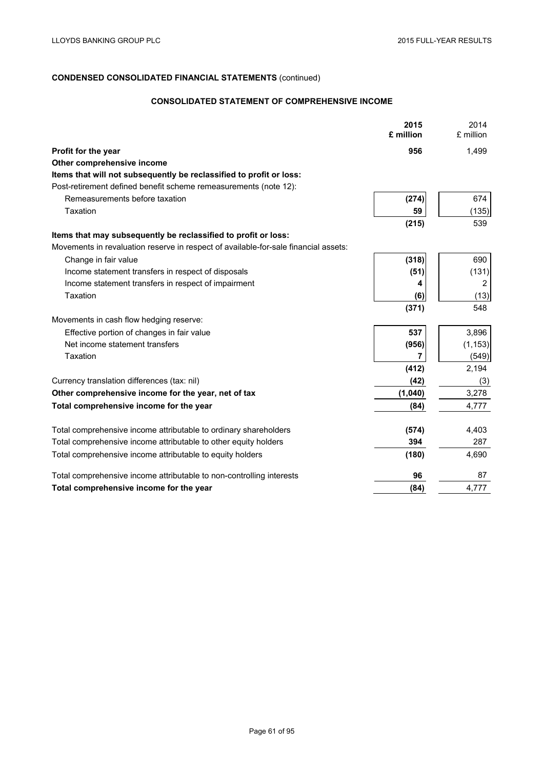# **CONSOLIDATED STATEMENT OF COMPREHENSIVE INCOME**

|                                                                                     | 2015<br>£ million | 2014<br>£ million |
|-------------------------------------------------------------------------------------|-------------------|-------------------|
| Profit for the year                                                                 | 956               | 1,499             |
| Other comprehensive income                                                          |                   |                   |
| Items that will not subsequently be reclassified to profit or loss:                 |                   |                   |
| Post-retirement defined benefit scheme remeasurements (note 12):                    |                   |                   |
| Remeasurements before taxation                                                      | (274)             | 674               |
| Taxation                                                                            | 59                | (135)             |
|                                                                                     | (215)             | 539               |
| Items that may subsequently be reclassified to profit or loss:                      |                   |                   |
| Movements in revaluation reserve in respect of available-for-sale financial assets: |                   |                   |
| Change in fair value                                                                | (318)             | 690               |
| Income statement transfers in respect of disposals                                  | (51)              | (131)             |
| Income statement transfers in respect of impairment                                 | 4                 | 2                 |
| Taxation                                                                            | (6)               | (13)              |
|                                                                                     | (371)             | 548               |
| Movements in cash flow hedging reserve:                                             |                   |                   |
| Effective portion of changes in fair value                                          | 537               | 3,896             |
| Net income statement transfers                                                      | (956)             | (1, 153)          |
| Taxation                                                                            | 7                 | (549)             |
|                                                                                     | (412)             | 2,194             |
| Currency translation differences (tax: nil)                                         | (42)              | (3)               |
| Other comprehensive income for the year, net of tax                                 | (1,040)           | 3,278             |
| Total comprehensive income for the year                                             | (84)              | 4,777             |
|                                                                                     |                   |                   |
| Total comprehensive income attributable to ordinary shareholders                    | (574)             | 4,403             |
| Total comprehensive income attributable to other equity holders                     | 394               | 287               |
| Total comprehensive income attributable to equity holders                           | (180)             | 4,690             |
| Total comprehensive income attributable to non-controlling interests                | 96                | 87                |
| Total comprehensive income for the year                                             | (84)              | 4,777             |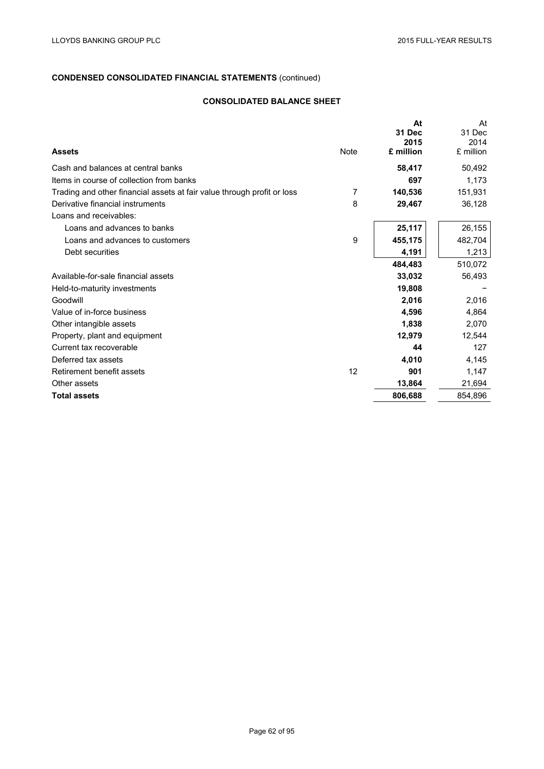# **CONSOLIDATED BALANCE SHEET**

|                                                                         |      | At<br>31 Dec      | At<br>31 Dec      |
|-------------------------------------------------------------------------|------|-------------------|-------------------|
| <b>Assets</b>                                                           | Note | 2015<br>£ million | 2014<br>£ million |
| Cash and balances at central banks                                      |      | 58,417            | 50,492            |
| Items in course of collection from banks                                |      | 697               | 1,173             |
| Trading and other financial assets at fair value through profit or loss | 7    | 140,536           | 151,931           |
| Derivative financial instruments                                        | 8    | 29,467            | 36,128            |
| Loans and receivables:                                                  |      |                   |                   |
| Loans and advances to banks                                             |      | 25,117            | 26,155            |
| Loans and advances to customers                                         | 9    | 455,175           | 482,704           |
| Debt securities                                                         |      | 4,191             | 1,213             |
|                                                                         |      | 484,483           | 510,072           |
| Available-for-sale financial assets                                     |      | 33,032            | 56,493            |
| Held-to-maturity investments                                            |      | 19,808            |                   |
| Goodwill                                                                |      | 2,016             | 2,016             |
| Value of in-force business                                              |      | 4,596             | 4,864             |
| Other intangible assets                                                 |      | 1,838             | 2,070             |
| Property, plant and equipment                                           |      | 12,979            | 12,544            |
| Current tax recoverable                                                 |      | 44                | 127               |
| Deferred tax assets                                                     |      | 4,010             | 4,145             |
| Retirement benefit assets                                               | 12   | 901               | 1,147             |
| Other assets                                                            |      | 13,864            | 21,694            |
| <b>Total assets</b>                                                     |      | 806,688           | 854,896           |
|                                                                         |      |                   |                   |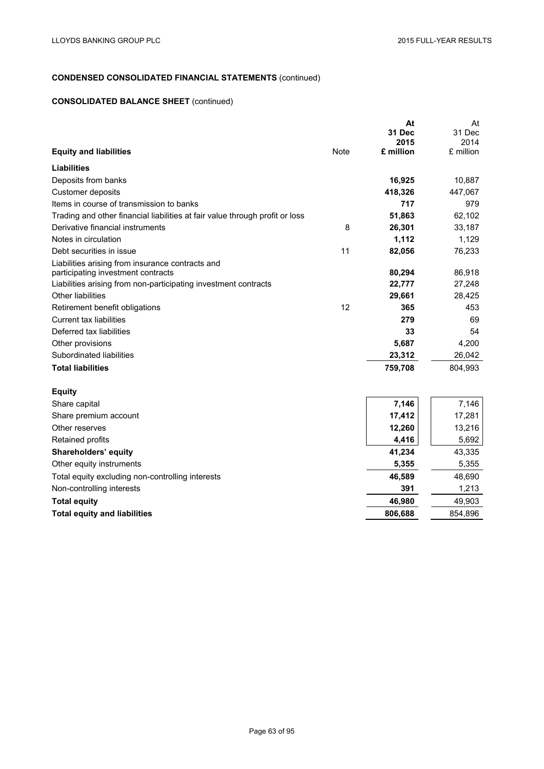# **CONSOLIDATED BALANCE SHEET** (continued)

|                                                                              |             | At<br>31 Dec      | At<br>31 Dec      |
|------------------------------------------------------------------------------|-------------|-------------------|-------------------|
| <b>Equity and liabilities</b>                                                | <b>Note</b> | 2015<br>£ million | 2014<br>£ million |
| <b>Liabilities</b>                                                           |             |                   |                   |
| Deposits from banks                                                          |             | 16,925            | 10,887            |
| Customer deposits                                                            |             | 418,326           | 447,067           |
| Items in course of transmission to banks                                     |             | 717               | 979               |
| Trading and other financial liabilities at fair value through profit or loss |             | 51,863            | 62,102            |
| Derivative financial instruments                                             | 8           | 26,301            | 33,187            |
| Notes in circulation                                                         |             | 1,112             | 1,129             |
| Debt securities in issue                                                     | 11          | 82,056            | 76,233            |
| Liabilities arising from insurance contracts and                             |             |                   |                   |
| participating investment contracts                                           |             | 80,294            | 86,918            |
| Liabilities arising from non-participating investment contracts              |             | 22,777            | 27,248            |
| Other liabilities                                                            |             | 29,661            | 28,425            |
| Retirement benefit obligations                                               | 12          | 365               | 453               |
| Current tax liabilities                                                      |             | 279               | 69                |
| Deferred tax liabilities                                                     |             | 33                | 54                |
| Other provisions                                                             |             | 5,687             | 4,200             |
| Subordinated liabilities                                                     |             | 23,312            | 26,042            |
| <b>Total liabilities</b>                                                     |             | 759,708           | 804,993           |
| <b>Equity</b>                                                                |             |                   |                   |
| Share capital                                                                |             | 7,146             | 7,146             |
| Share premium account                                                        |             | 17,412            | 17,281            |
| Other reserves                                                               |             | 12,260            | 13,216            |
| Retained profits                                                             |             | 4,416             | 5,692             |
| Shareholders' equity                                                         |             | 41,234            | 43,335            |
| Other equity instruments                                                     |             | 5,355             | 5,355             |
| Total equity excluding non-controlling interests                             |             | 46,589            | 48,690            |

Non-controlling interests **391** 1,213 **Total equity** 49,903 **Total equity and liabilities** 854,896

Page 63 of 95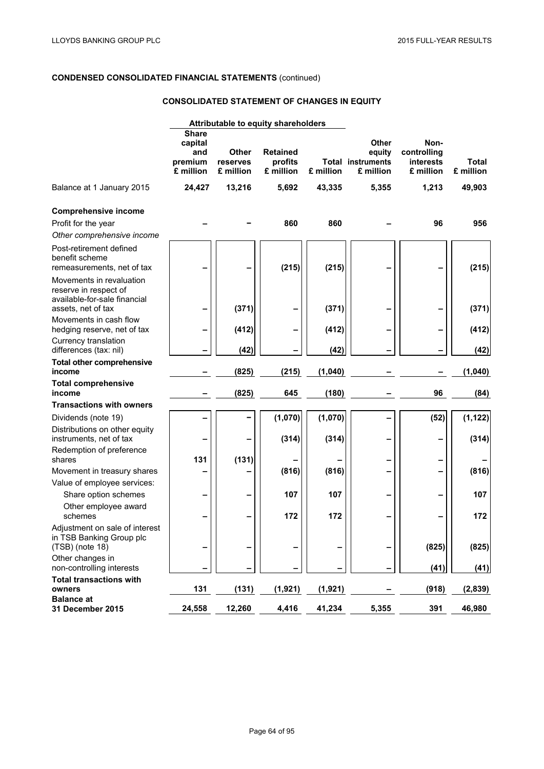# **CONSOLIDATED STATEMENT OF CHANGES IN EQUITY**

|                                                                                                         | Attributable to equity shareholders                    |                                       |                                         |           |                                                                 |                                                      |                           |
|---------------------------------------------------------------------------------------------------------|--------------------------------------------------------|---------------------------------------|-----------------------------------------|-----------|-----------------------------------------------------------------|------------------------------------------------------|---------------------------|
|                                                                                                         | <b>Share</b><br>capital<br>and<br>premium<br>£ million | <b>Other</b><br>reserves<br>£ million | <b>Retained</b><br>profits<br>£ million | £ million | <b>Other</b><br>equity<br><b>Total instruments</b><br>£ million | Non-<br>controlling<br><b>interests</b><br>£ million | <b>Total</b><br>£ million |
| Balance at 1 January 2015                                                                               | 24,427                                                 | 13,216                                | 5,692                                   | 43,335    | 5,355                                                           | 1,213                                                | 49,903                    |
| <b>Comprehensive income</b><br>Profit for the year<br>Other comprehensive income                        |                                                        |                                       | 860                                     | 860       |                                                                 | 96                                                   | 956                       |
| Post-retirement defined<br>benefit scheme<br>remeasurements, net of tax                                 |                                                        |                                       | (215)                                   | (215)     |                                                                 |                                                      | (215)                     |
| Movements in revaluation<br>reserve in respect of<br>available-for-sale financial<br>assets, net of tax |                                                        | (371)                                 |                                         | (371)     |                                                                 |                                                      | (371)                     |
| Movements in cash flow<br>hedging reserve, net of tax                                                   |                                                        | (412)                                 |                                         | (412)     |                                                                 |                                                      | (412)                     |
| Currency translation<br>differences (tax: nil)                                                          |                                                        | (42)                                  |                                         | (42)      |                                                                 |                                                      | (42)                      |
| <b>Total other comprehensive</b><br>income                                                              |                                                        | (825)                                 | (215)                                   | (1,040)   |                                                                 |                                                      | (1,040)                   |
| <b>Total comprehensive</b><br>income                                                                    |                                                        | (825)                                 | 645                                     | (180)     |                                                                 | 96                                                   | (84)                      |
| <b>Transactions with owners</b>                                                                         |                                                        |                                       |                                         |           |                                                                 |                                                      |                           |
| Dividends (note 19)                                                                                     |                                                        |                                       | (1,070)                                 | (1,070)   |                                                                 | (52)                                                 | (1, 122)                  |
| Distributions on other equity<br>instruments, net of tax                                                |                                                        |                                       | (314)                                   | (314)     |                                                                 |                                                      | (314)                     |
| Redemption of preference<br>shares                                                                      | 131                                                    | (131)                                 |                                         |           |                                                                 |                                                      |                           |
| Movement in treasury shares                                                                             |                                                        |                                       | (816)                                   | (816)     |                                                                 |                                                      | (816)                     |
| Value of employee services:                                                                             |                                                        |                                       |                                         |           |                                                                 |                                                      |                           |
| Share option schemes                                                                                    | -                                                      |                                       | 107                                     | 107       |                                                                 |                                                      | 107                       |
| Other employee award<br>schemes                                                                         |                                                        |                                       | 172                                     | 172       |                                                                 |                                                      | 172                       |
| Adjustment on sale of interest<br>in TSB Banking Group plc<br>$(TSB)$ (note 18)                         | -                                                      |                                       | -                                       |           |                                                                 | (825)                                                | (825)                     |
| Other changes in<br>non-controlling interests                                                           |                                                        |                                       |                                         |           |                                                                 | (41)                                                 | (41)                      |
| <b>Total transactions with</b>                                                                          |                                                        |                                       |                                         |           |                                                                 |                                                      |                           |
| owners                                                                                                  | 131                                                    | (131)                                 | (1, 921)                                | (1, 921)  |                                                                 | (918)                                                | (2,839)                   |
| <b>Balance at</b><br>31 December 2015                                                                   | 24,558                                                 | 12,260                                | 4,416                                   | 41,234    | 5,355                                                           | 391                                                  | 46,980                    |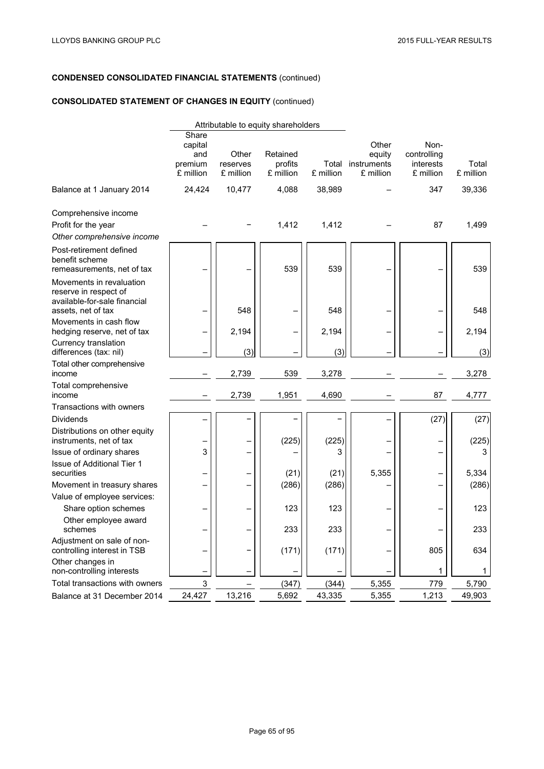# **CONSOLIDATED STATEMENT OF CHANGES IN EQUITY** (continued)

|                                                                                                         |                                                 |                                | Attributable to equity shareholders |           |                                                   |                                               |                    |
|---------------------------------------------------------------------------------------------------------|-------------------------------------------------|--------------------------------|-------------------------------------|-----------|---------------------------------------------------|-----------------------------------------------|--------------------|
|                                                                                                         | Share<br>capital<br>and<br>premium<br>£ million | Other<br>reserves<br>£ million | Retained<br>profits<br>£ million    | £ million | Other<br>equity<br>Total instruments<br>£ million | Non-<br>controlling<br>interests<br>£ million | Total<br>£ million |
| Balance at 1 January 2014                                                                               | 24,424                                          | 10,477                         | 4,088                               | 38,989    |                                                   | 347                                           | 39,336             |
| Comprehensive income<br>Profit for the year<br>Other comprehensive income                               |                                                 |                                | 1,412                               | 1,412     |                                                   | 87                                            | 1,499              |
| Post-retirement defined<br>benefit scheme<br>remeasurements, net of tax                                 |                                                 |                                | 539                                 | 539       |                                                   |                                               | 539                |
| Movements in revaluation<br>reserve in respect of<br>available-for-sale financial<br>assets, net of tax |                                                 | 548                            |                                     | 548       |                                                   |                                               | 548                |
| Movements in cash flow<br>hedging reserve, net of tax                                                   | -                                               | 2,194                          |                                     | 2,194     |                                                   | -                                             | 2,194              |
| Currency translation<br>differences (tax: nil)                                                          |                                                 | (3)                            |                                     | (3)       |                                                   |                                               | (3)                |
| Total other comprehensive<br>income                                                                     |                                                 | 2,739                          | 539                                 | 3,278     |                                                   |                                               | 3,278              |
| Total comprehensive<br>income                                                                           |                                                 | 2,739                          | 1,951                               | 4,690     |                                                   | 87                                            | 4,777              |
| Transactions with owners                                                                                |                                                 |                                |                                     |           |                                                   |                                               |                    |
| <b>Dividends</b>                                                                                        |                                                 |                                |                                     |           |                                                   | (27)                                          | (27)               |
| Distributions on other equity<br>instruments, net of tax                                                |                                                 |                                | (225)                               | (225)     |                                                   | —                                             | (225)              |
| Issue of ordinary shares                                                                                | 3                                               |                                |                                     | 3         |                                                   | -                                             | 3                  |
| Issue of Additional Tier 1<br>securities                                                                |                                                 |                                | (21)                                | (21)      | 5,355                                             |                                               | 5,334              |
| Movement in treasury shares                                                                             | —                                               |                                | (286)                               | (286)     |                                                   | -<br>-                                        | (286)              |
| Value of employee services:                                                                             |                                                 |                                |                                     |           |                                                   |                                               |                    |
| Share option schemes                                                                                    |                                                 |                                | 123                                 | 123       |                                                   |                                               | 123                |
| Other employee award<br>schemes                                                                         |                                                 |                                | 233                                 | 233       |                                                   |                                               | 233                |
| Adjustment on sale of non-<br>controlling interest in TSB                                               |                                                 |                                | (171)                               | (171)     |                                                   | 805                                           | 634                |
| Other changes in<br>non-controlling interests                                                           |                                                 |                                |                                     |           |                                                   | 1                                             | 1                  |
| Total transactions with owners                                                                          | 3                                               |                                | (347)                               | (344)     | 5,355                                             | 779                                           | 5,790              |
| Balance at 31 December 2014                                                                             | 24,427                                          | 13,216                         | 5,692                               | 43,335    | 5,355                                             | 1,213                                         | 49,903             |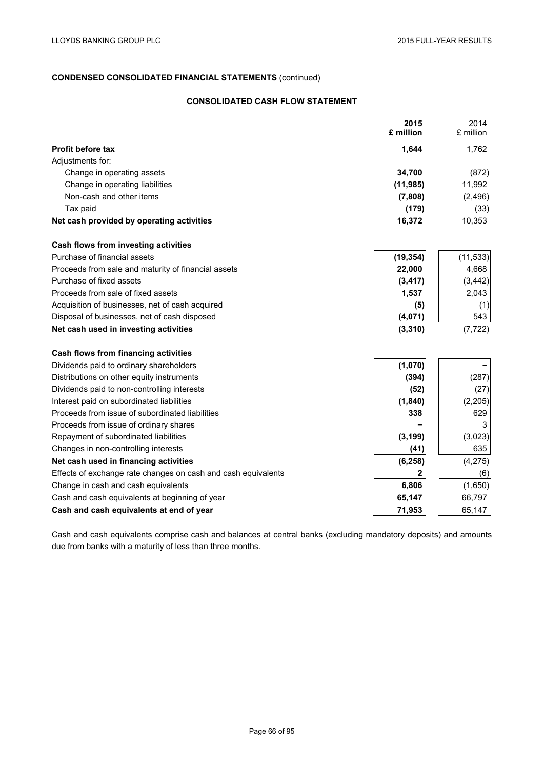# **CONSOLIDATED CASH FLOW STATEMENT**

|                                                               | 2015<br>£ million | 2014<br>£ million |
|---------------------------------------------------------------|-------------------|-------------------|
| <b>Profit before tax</b>                                      | 1,644             | 1,762             |
| Adjustments for:                                              |                   |                   |
| Change in operating assets                                    | 34,700            | (872)             |
| Change in operating liabilities                               | (11, 985)         | 11,992            |
| Non-cash and other items                                      | (7,808)           | (2, 496)          |
| Tax paid                                                      | (179)             | (33)              |
| Net cash provided by operating activities                     | 16,372            | 10,353            |
| Cash flows from investing activities                          |                   |                   |
| Purchase of financial assets                                  | (19, 354)         | (11, 533)         |
| Proceeds from sale and maturity of financial assets           | 22,000            | 4,668             |
| Purchase of fixed assets                                      | (3, 417)          | (3, 442)          |
| Proceeds from sale of fixed assets                            | 1,537             | 2,043             |
| Acquisition of businesses, net of cash acquired               | (5)               | (1)               |
| Disposal of businesses, net of cash disposed                  | (4,071)           | 543               |
| Net cash used in investing activities                         | (3, 310)          | (7, 722)          |
| Cash flows from financing activities                          |                   |                   |
| Dividends paid to ordinary shareholders                       | (1,070)           |                   |
| Distributions on other equity instruments                     | (394)             | (287)             |
| Dividends paid to non-controlling interests                   | (52)              | (27)              |
| Interest paid on subordinated liabilities                     | (1, 840)          | (2, 205)          |
| Proceeds from issue of subordinated liabilities               | 338               | 629               |
| Proceeds from issue of ordinary shares                        |                   | 3                 |
| Repayment of subordinated liabilities                         | (3, 199)          | (3,023)           |
| Changes in non-controlling interests                          | (41)              | 635               |
| Net cash used in financing activities                         | (6, 258)          | (4,275)           |
| Effects of exchange rate changes on cash and cash equivalents | $\boldsymbol{2}$  | (6)               |
| Change in cash and cash equivalents                           | 6,806             | (1,650)           |
| Cash and cash equivalents at beginning of year                | 65,147            | 66,797            |
| Cash and cash equivalents at end of year                      | 71,953            | 65,147            |

Cash and cash equivalents comprise cash and balances at central banks (excluding mandatory deposits) and amounts due from banks with a maturity of less than three months.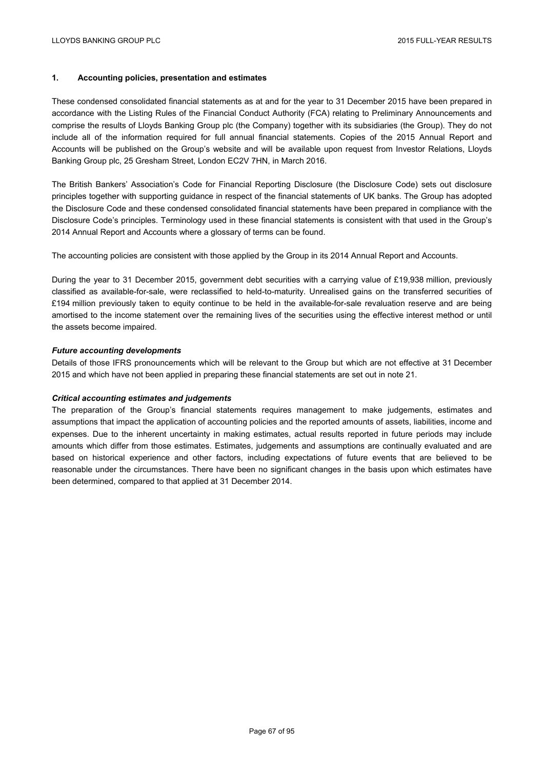## **1. Accounting policies, presentation and estimates**

These condensed consolidated financial statements as at and for the year to 31 December 2015 have been prepared in accordance with the Listing Rules of the Financial Conduct Authority (FCA) relating to Preliminary Announcements and comprise the results of Lloyds Banking Group plc (the Company) together with its subsidiaries (the Group). They do not include all of the information required for full annual financial statements. Copies of the 2015 Annual Report and Accounts will be published on the Group's website and will be available upon request from Investor Relations, Lloyds Banking Group plc, 25 Gresham Street, London EC2V 7HN, in March 2016.

The British Bankers' Association's Code for Financial Reporting Disclosure (the Disclosure Code) sets out disclosure principles together with supporting guidance in respect of the financial statements of UK banks. The Group has adopted the Disclosure Code and these condensed consolidated financial statements have been prepared in compliance with the Disclosure Code's principles. Terminology used in these financial statements is consistent with that used in the Group's 2014 Annual Report and Accounts where a glossary of terms can be found.

The accounting policies are consistent with those applied by the Group in its 2014 Annual Report and Accounts.

During the year to 31 December 2015, government debt securities with a carrying value of £19,938 million, previously classified as available-for-sale, were reclassified to held-to-maturity. Unrealised gains on the transferred securities of £194 million previously taken to equity continue to be held in the available-for-sale revaluation reserve and are being amortised to the income statement over the remaining lives of the securities using the effective interest method or until the assets become impaired.

## *Future accounting developments*

Details of those IFRS pronouncements which will be relevant to the Group but which are not effective at 31 December 2015 and which have not been applied in preparing these financial statements are set out in note 21.

## *Critical accounting estimates and judgements*

The preparation of the Group's financial statements requires management to make judgements, estimates and assumptions that impact the application of accounting policies and the reported amounts of assets, liabilities, income and expenses. Due to the inherent uncertainty in making estimates, actual results reported in future periods may include amounts which differ from those estimates. Estimates, judgements and assumptions are continually evaluated and are based on historical experience and other factors, including expectations of future events that are believed to be reasonable under the circumstances. There have been no significant changes in the basis upon which estimates have been determined, compared to that applied at 31 December 2014.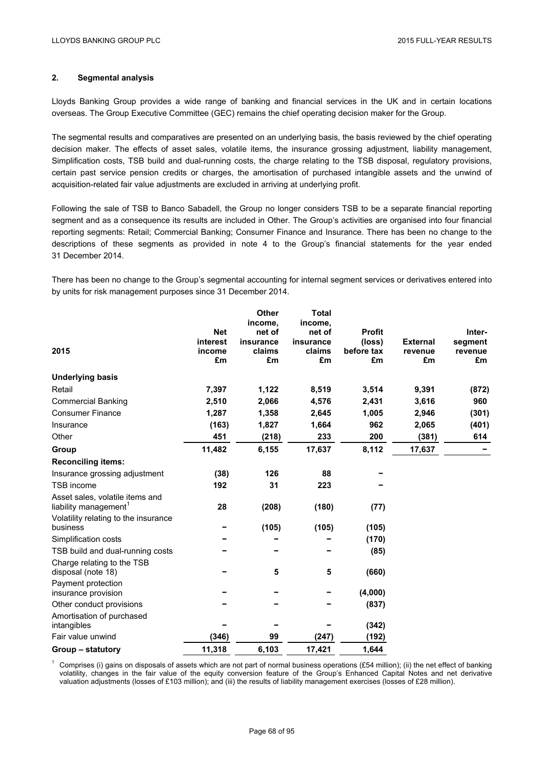## **2. Segmental analysis**

Lloyds Banking Group provides a wide range of banking and financial services in the UK and in certain locations overseas. The Group Executive Committee (GEC) remains the chief operating decision maker for the Group.

The segmental results and comparatives are presented on an underlying basis, the basis reviewed by the chief operating decision maker. The effects of asset sales, volatile items, the insurance grossing adjustment, liability management, Simplification costs, TSB build and dual-running costs, the charge relating to the TSB disposal, regulatory provisions, certain past service pension credits or charges, the amortisation of purchased intangible assets and the unwind of acquisition-related fair value adjustments are excluded in arriving at underlying profit.

Following the sale of TSB to Banco Sabadell, the Group no longer considers TSB to be a separate financial reporting segment and as a consequence its results are included in Other. The Group's activities are organised into four financial reporting segments: Retail; Commercial Banking; Consumer Finance and Insurance. There has been no change to the descriptions of these segments as provided in note 4 to the Group's financial statements for the year ended 31 December 2014.

There has been no change to the Group's segmental accounting for internal segment services or derivatives entered into by units for risk management purposes since 31 December 2014.

|                                                                      |                                        | <b>Other</b><br>income,             | <b>Total</b><br>income,             |                                             |                                  |                                    |
|----------------------------------------------------------------------|----------------------------------------|-------------------------------------|-------------------------------------|---------------------------------------------|----------------------------------|------------------------------------|
| 2015                                                                 | <b>Net</b><br>interest<br>income<br>£m | net of<br>insurance<br>claims<br>£m | net of<br>insurance<br>claims<br>£m | <b>Profit</b><br>(loss)<br>before tax<br>£m | <b>External</b><br>revenue<br>£m | Inter-<br>segment<br>revenue<br>£m |
| <b>Underlying basis</b>                                              |                                        |                                     |                                     |                                             |                                  |                                    |
| Retail                                                               | 7,397                                  | 1,122                               | 8,519                               | 3,514                                       | 9,391                            | (872)                              |
| <b>Commercial Banking</b>                                            | 2,510                                  | 2,066                               | 4,576                               | 2,431                                       | 3,616                            | 960                                |
| <b>Consumer Finance</b>                                              | 1,287                                  | 1,358                               | 2,645                               | 1,005                                       | 2,946                            | (301)                              |
| Insurance                                                            | (163)                                  | 1,827                               | 1,664                               | 962                                         | 2,065                            | (401)                              |
| Other                                                                | 451                                    | (218)                               | 233                                 | 200                                         | (381)                            | 614                                |
| Group                                                                | 11,482                                 | 6,155                               | 17,637                              | 8,112                                       | 17,637                           |                                    |
| <b>Reconciling items:</b>                                            |                                        |                                     |                                     |                                             |                                  |                                    |
| Insurance grossing adjustment                                        | (38)                                   | 126                                 | 88                                  |                                             |                                  |                                    |
| TSB income                                                           | 192                                    | 31                                  | 223                                 |                                             |                                  |                                    |
| Asset sales, volatile items and<br>liability management <sup>1</sup> | 28                                     | (208)                               | (180)                               | (77)                                        |                                  |                                    |
| Volatility relating to the insurance<br>business                     |                                        | (105)                               | (105)                               | (105)                                       |                                  |                                    |
| Simplification costs                                                 |                                        |                                     |                                     | (170)                                       |                                  |                                    |
| TSB build and dual-running costs                                     |                                        |                                     |                                     | (85)                                        |                                  |                                    |
| Charge relating to the TSB<br>disposal (note 18)                     |                                        | 5                                   | ${\bf 5}$                           | (660)                                       |                                  |                                    |
| Payment protection<br>insurance provision                            |                                        |                                     |                                     | (4,000)                                     |                                  |                                    |
| Other conduct provisions                                             |                                        |                                     |                                     | (837)                                       |                                  |                                    |
| Amortisation of purchased<br>intangibles                             |                                        |                                     |                                     | (342)                                       |                                  |                                    |
| Fair value unwind                                                    | (346)                                  | 99                                  | (247)                               | (192)                                       |                                  |                                    |
| Group – statutory                                                    | 11,318                                 | 6,103                               | 17,421                              | 1,644                                       |                                  |                                    |

<sup>1</sup> Comprises (i) gains on disposals of assets which are not part of normal business operations (£54 million); (ii) the net effect of banking volatility, changes in the fair value of the equity conversion feature of the Group's Enhanced Capital Notes and net derivative valuation adjustments (losses of £103 million); and (iii) the results of liability management exercises (losses of £28 million).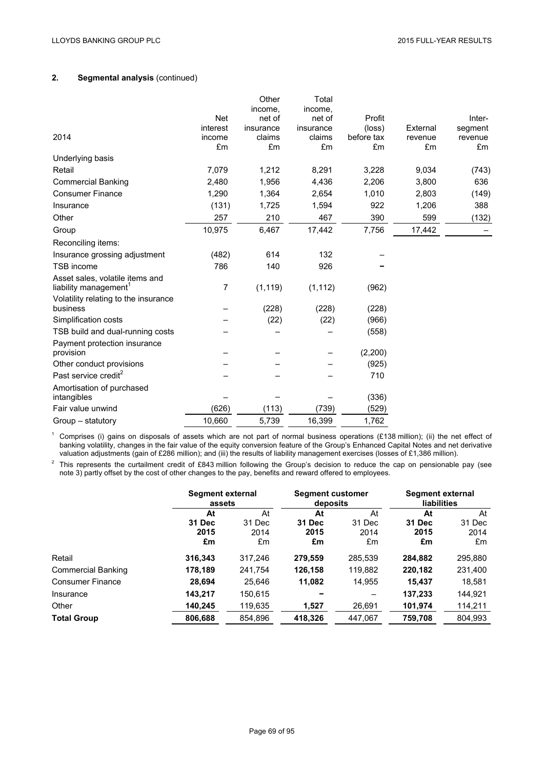# **2. Segmental analysis** (continued)

|                                                                                                              | <b>Net</b><br>interest | Other<br>income,<br>net of<br>insurance | Total<br>income,<br>net of<br>insurance | Profit<br>(loss) | External      | Inter-<br>segment |
|--------------------------------------------------------------------------------------------------------------|------------------------|-----------------------------------------|-----------------------------------------|------------------|---------------|-------------------|
| 2014                                                                                                         | income<br>£m           | claims<br>£m                            | claims<br>£m                            | before tax<br>£m | revenue<br>£m | revenue<br>£m     |
| Underlying basis                                                                                             |                        |                                         |                                         |                  |               |                   |
| Retail                                                                                                       | 7,079                  | 1,212                                   | 8,291                                   | 3,228            | 9,034         | (743)             |
| <b>Commercial Banking</b>                                                                                    | 2,480                  | 1,956                                   | 4,436                                   | 2,206            | 3,800         | 636               |
| <b>Consumer Finance</b>                                                                                      | 1,290                  | 1,364                                   | 2,654                                   | 1,010            | 2,803         | (149)             |
| Insurance                                                                                                    | (131)                  | 1,725                                   | 1,594                                   | 922              | 1,206         | 388               |
| Other                                                                                                        | 257                    | 210                                     | 467                                     | 390              | 599           | (132)             |
| Group                                                                                                        | 10,975                 | 6,467                                   | 17,442                                  | 7,756            | 17,442        |                   |
| Reconciling items:                                                                                           |                        |                                         |                                         |                  |               |                   |
| Insurance grossing adjustment                                                                                | (482)                  | 614                                     | 132                                     |                  |               |                   |
| <b>TSB</b> income                                                                                            | 786                    | 140                                     | 926                                     |                  |               |                   |
| Asset sales, volatile items and<br>liability management <sup>1</sup><br>Volatility relating to the insurance | 7                      | (1, 119)                                | (1, 112)                                | (962)            |               |                   |
| business                                                                                                     |                        | (228)                                   | (228)                                   | (228)            |               |                   |
| Simplification costs                                                                                         |                        | (22)                                    | (22)                                    | (966)            |               |                   |
| TSB build and dual-running costs                                                                             |                        |                                         |                                         | (558)            |               |                   |
| Payment protection insurance<br>provision                                                                    |                        |                                         |                                         | (2,200)          |               |                   |
| Other conduct provisions                                                                                     |                        |                                         |                                         | (925)            |               |                   |
| Past service credit <sup>2</sup>                                                                             |                        |                                         |                                         | 710              |               |                   |
| Amortisation of purchased<br>intangibles                                                                     |                        |                                         |                                         | (336)            |               |                   |
| Fair value unwind                                                                                            | (626)                  | (113)                                   | (739)                                   | (529)            |               |                   |
| Group - statutory                                                                                            | 10,660                 | 5,739                                   | 16,399                                  | 1,762            |               |                   |

<sup>1</sup> Comprises (i) gains on disposals of assets which are not part of normal business operations (£138 million); (ii) the net effect of banking volatility, changes in the fair value of the equity conversion feature of the Group's Enhanced Capital Notes and net derivative valuation adjustments (gain of £286 million); and (iii) the results of liability management exercises (losses of £1,386 million).

<sup>2</sup> This represents the curtailment credit of £843 million following the Group's decision to reduce the cap on pensionable pay (see note 3) partly offset by the cost of other changes to the pay, benefits and reward offered to employees.

|                           | Segment external<br>assets |                      | <b>Segment customer</b><br>deposits |                      | Segment external<br>liabilities |                      |
|---------------------------|----------------------------|----------------------|-------------------------------------|----------------------|---------------------------------|----------------------|
|                           | At                         | At                   | At                                  | At                   | At                              | At                   |
|                           | 31 Dec<br>2015<br>£m       | 31 Dec<br>2014<br>£m | 31 Dec<br>2015<br>£m                | 31 Dec<br>2014<br>£m | 31 Dec<br>2015<br>£m            | 31 Dec<br>2014<br>£m |
| Retail                    | 316,343                    | 317,246              | 279,559                             | 285,539              | 284,882                         | 295,880              |
| <b>Commercial Banking</b> | 178,189                    | 241,754              | 126,158                             | 119,882              | 220,182                         | 231,400              |
| <b>Consumer Finance</b>   | 28,694                     | 25.646               | 11.082                              | 14,955               | 15.437                          | 18,581               |
| Insurance                 | 143,217                    | 150,615              |                                     |                      | 137,233                         | 144,921              |
| Other                     | 140,245                    | 119,635              | 1,527                               | 26,691               | 101,974                         | 114,211              |
| <b>Total Group</b>        | 806,688                    | 854,896              | 418,326                             | 447.067              | 759,708                         | 804.993              |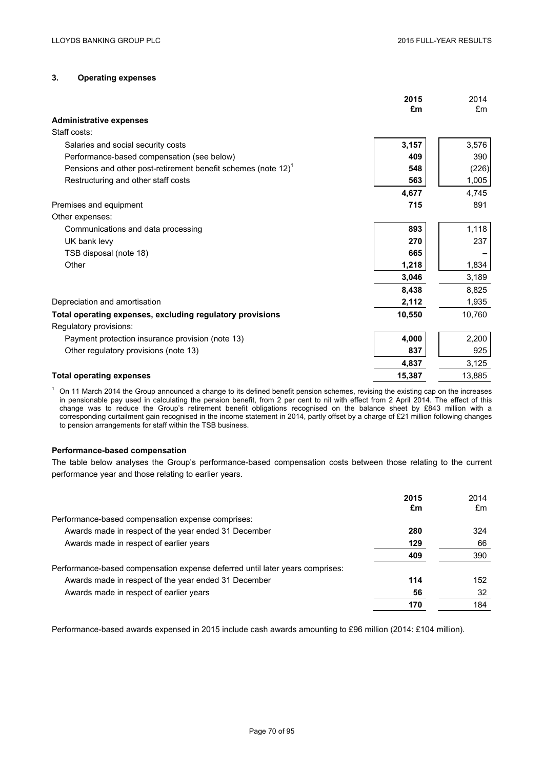# **3. Operating expenses**

|                                                                           | 2015<br>£m | 2014<br>£m |
|---------------------------------------------------------------------------|------------|------------|
| <b>Administrative expenses</b>                                            |            |            |
| Staff costs:                                                              |            |            |
| Salaries and social security costs                                        | 3,157      | 3,576      |
| Performance-based compensation (see below)                                | 409        | 390        |
| Pensions and other post-retirement benefit schemes (note 12) <sup>1</sup> | 548        | (226)      |
| Restructuring and other staff costs                                       | 563        | 1,005      |
|                                                                           | 4,677      | 4,745      |
| Premises and equipment                                                    | 715        | 891        |
| Other expenses:                                                           |            |            |
| Communications and data processing                                        | 893        | 1,118      |
| UK bank levy                                                              | 270        | 237        |
| TSB disposal (note 18)                                                    | 665        |            |
| Other                                                                     | 1,218      | 1,834      |
|                                                                           | 3,046      | 3,189      |
|                                                                           | 8,438      | 8,825      |
| Depreciation and amortisation                                             | 2,112      | 1,935      |
| Total operating expenses, excluding regulatory provisions                 | 10,550     | 10,760     |
| Regulatory provisions:                                                    |            |            |
| Payment protection insurance provision (note 13)                          | 4,000      | 2,200      |
| Other regulatory provisions (note 13)                                     | 837        | 925        |
|                                                                           | 4,837      | 3,125      |
| <b>Total operating expenses</b>                                           | 15,387     | 13,885     |
|                                                                           |            |            |

 $1$  On 11 March 2014 the Group announced a change to its defined benefit pension schemes, revising the existing cap on the increases in pensionable pay used in calculating the pension benefit, from 2 per cent to nil with effect from 2 April 2014. The effect of this change was to reduce the Group's retirement benefit obligations recognised on the balance sheet by £843 million with a corresponding curtailment gain recognised in the income statement in 2014, partly offset by a charge of £21 million following changes to pension arrangements for staff within the TSB business.

### **Performance-based compensation**

The table below analyses the Group's performance-based compensation costs between those relating to the current performance year and those relating to earlier years.

|                                                                              | 2015 | 2014 |
|------------------------------------------------------------------------------|------|------|
|                                                                              | £m   | £m   |
| Performance-based compensation expense comprises:                            |      |      |
| Awards made in respect of the year ended 31 December                         | 280  | 324  |
| Awards made in respect of earlier years                                      | 129  | 66   |
|                                                                              | 409  | 390  |
| Performance-based compensation expense deferred until later years comprises: |      |      |
| Awards made in respect of the year ended 31 December                         | 114  | 152  |
| Awards made in respect of earlier years                                      | 56   | 32   |
|                                                                              | 170  | 184  |

Performance-based awards expensed in 2015 include cash awards amounting to £96 million (2014: £104 million).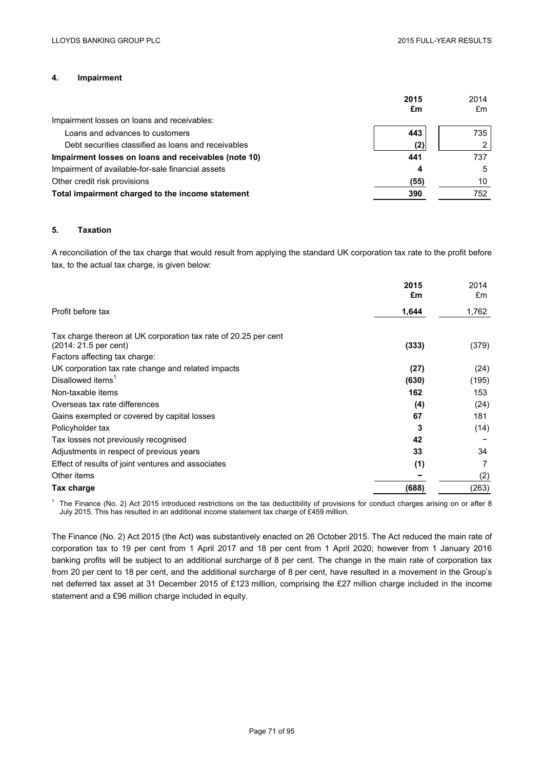# **4. Impairment**

|                                                      | 2015<br>£m | 2014<br>£m |
|------------------------------------------------------|------------|------------|
| Impairment losses on loans and receivables:          |            |            |
| Loans and advances to customers                      | 443        | 735        |
| Debt securities classified as loans and receivables  | (2)        |            |
| Impairment losses on loans and receivables (note 10) | 441        | 737        |
| Impairment of available-for-sale financial assets    | 4          | 5          |
| Other credit risk provisions                         | (55)       | 10         |
| Total impairment charged to the income statement     | 390        | 752        |

## **5. Taxation**

A reconciliation of the tax charge that would result from applying the standard UK corporation tax rate to the profit before tax, to the actual tax charge, is given below:

|                                                                 | 2015<br>£m | 2014<br>£m |
|-----------------------------------------------------------------|------------|------------|
| Profit before tax                                               | 1,644      | 1,762      |
| Tax charge thereon at UK corporation tax rate of 20.25 per cent |            |            |
| (2014: 21.5 per cent)                                           | (333)      | (379)      |
| Factors affecting tax charge:                                   |            |            |
| UK corporation tax rate change and related impacts              | (27)       | (24)       |
| Disallowed items <sup>1</sup>                                   | (630)      | (195)      |
| Non-taxable items                                               | 162        | 153        |
| Overseas tax rate differences                                   | (4)        | (24)       |
| Gains exempted or covered by capital losses                     | 67         | 181        |
| Policyholder tax                                                | 3          | (14)       |
| Tax losses not previously recognised                            | 42         |            |
| Adjustments in respect of previous years                        | 33         | 34         |
| Effect of results of joint ventures and associates              | (1)        | 7          |
| Other items                                                     |            | (2)        |
| Tax charge                                                      | (688)      | (263)      |

 $1$  The Finance (No. 2) Act 2015 introduced restrictions on the tax deductibility of provisions for conduct charges arising on or after 8 July 2015. This has resulted in an additional income statement tax charge of £459 million.

The Finance (No. 2) Act 2015 (the Act) was substantively enacted on 26 October 2015. The Act reduced the main rate of corporation tax to 19 per cent from 1 April 2017 and 18 per cent from 1 April 2020; however from 1 January 2016 banking profits will be subject to an additional surcharge of 8 per cent. The change in the main rate of corporation tax from 20 per cent to 18 per cent, and the additional surcharge of 8 per cent, have resulted in a movement in the Group's net deferred tax asset at 31 December 2015 of £123 million, comprising the £27 million charge included in the income statement and a £96 million charge included in equity.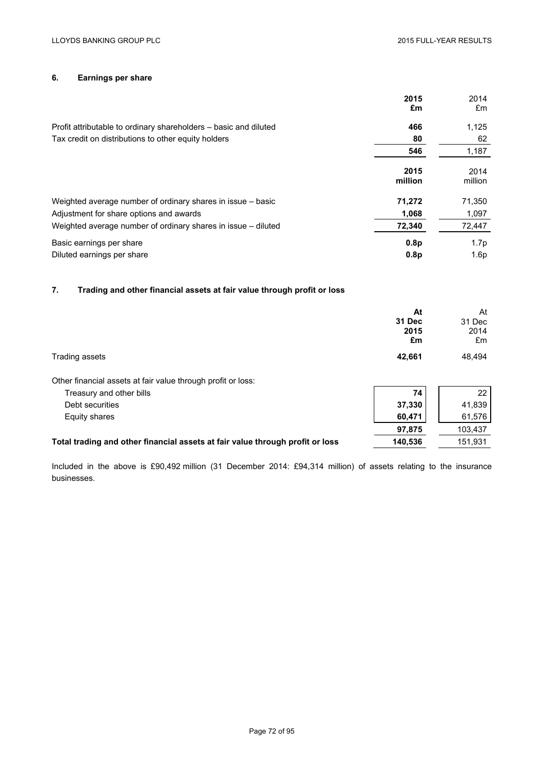# **6. Earnings per share**

|                                                                  | 2015<br>£m       | 2014<br>£m       |
|------------------------------------------------------------------|------------------|------------------|
| Profit attributable to ordinary shareholders – basic and diluted | 466              | 1,125            |
| Tax credit on distributions to other equity holders              | 80               | 62               |
|                                                                  | 546              | 1,187            |
|                                                                  | 2015<br>million  | 2014<br>million  |
| Weighted average number of ordinary shares in issue – basic      | 71,272           | 71,350           |
| Adjustment for share options and awards                          | 1,068            | 1,097            |
| Weighted average number of ordinary shares in issue – diluted    | 72,340           | 72,447           |
| Basic earnings per share                                         | 0.8 <sub>p</sub> | 1.7 <sub>p</sub> |
| Diluted earnings per share                                       | 0.8 <sub>p</sub> | 1.6p             |

# **7. Trading and other financial assets at fair value through profit or loss**

|                                                                               | At<br>31 Dec<br>2015<br>£m | At<br>31 Dec<br>2014<br>£m |
|-------------------------------------------------------------------------------|----------------------------|----------------------------|
| Trading assets                                                                | 42,661                     | 48,494                     |
| Other financial assets at fair value through profit or loss:                  |                            |                            |
| Treasury and other bills                                                      | 74                         | 22                         |
| Debt securities                                                               | 37,330                     | 41,839                     |
| Equity shares                                                                 | 60,471                     | 61,576                     |
|                                                                               | 97,875                     | 103,437                    |
| Total trading and other financial assets at fair value through profit or loss | 140,536                    | 151,931                    |
|                                                                               |                            |                            |

Included in the above is £90,492 million (31 December 2014: £94,314 million) of assets relating to the insurance businesses.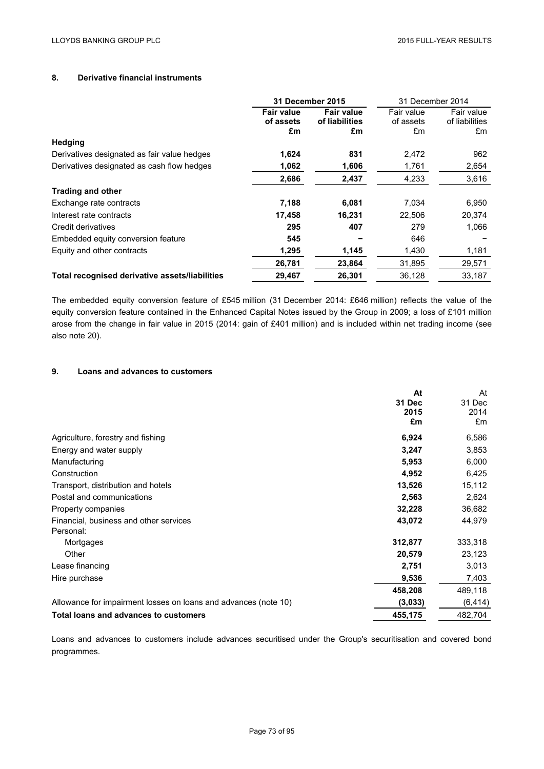# **8. Derivative financial instruments**

|                                                | <b>31 December 2015</b>              |                                           | 31 December 2014              |                                    |
|------------------------------------------------|--------------------------------------|-------------------------------------------|-------------------------------|------------------------------------|
|                                                | <b>Fair value</b><br>of assets<br>£m | <b>Fair value</b><br>of liabilities<br>£m | Fair value<br>of assets<br>£m | Fair value<br>of liabilities<br>£m |
| Hedging                                        |                                      |                                           |                               |                                    |
| Derivatives designated as fair value hedges    | 1,624                                | 831                                       | 2,472                         | 962                                |
| Derivatives designated as cash flow hedges     | 1,062                                | 1,606                                     | 1,761                         | 2,654                              |
|                                                | 2,686                                | 2,437                                     | 4,233                         | 3,616                              |
| <b>Trading and other</b>                       |                                      |                                           |                               |                                    |
| Exchange rate contracts                        | 7,188                                | 6,081                                     | 7,034                         | 6,950                              |
| Interest rate contracts                        | 17,458                               | 16,231                                    | 22,506                        | 20,374                             |
| Credit derivatives                             | 295                                  | 407                                       | 279                           | 1,066                              |
| Embedded equity conversion feature             | 545                                  |                                           | 646                           |                                    |
| Equity and other contracts                     | 1,295                                | 1,145                                     | 1,430                         | 1,181                              |
|                                                | 26,781                               | 23,864                                    | 31,895                        | 29,571                             |
| Total recognised derivative assets/liabilities | 29,467                               | 26,301                                    | 36,128                        | 33,187                             |

The embedded equity conversion feature of £545 million (31 December 2014: £646 million) reflects the value of the equity conversion feature contained in the Enhanced Capital Notes issued by the Group in 2009; a loss of £101 million arose from the change in fair value in 2015 (2014: gain of £401 million) and is included within net trading income (see also note 20).

#### **9. Loans and advances to customers**

|                                                                 | At      | At       |
|-----------------------------------------------------------------|---------|----------|
|                                                                 | 31 Dec  | 31 Dec   |
|                                                                 | 2015    | 2014     |
|                                                                 | £m      | £m       |
| Agriculture, forestry and fishing                               | 6,924   | 6,586    |
| Energy and water supply                                         | 3,247   | 3,853    |
| Manufacturing                                                   | 5,953   | 6,000    |
| Construction                                                    | 4,952   | 6,425    |
| Transport, distribution and hotels                              | 13,526  | 15,112   |
| Postal and communications                                       | 2,563   | 2,624    |
| Property companies                                              | 32,228  | 36,682   |
| Financial, business and other services                          | 43,072  | 44,979   |
| Personal:                                                       |         |          |
| Mortgages                                                       | 312,877 | 333,318  |
| Other                                                           | 20,579  | 23,123   |
| Lease financing                                                 | 2,751   | 3,013    |
| Hire purchase                                                   | 9,536   | 7,403    |
|                                                                 | 458,208 | 489,118  |
| Allowance for impairment losses on loans and advances (note 10) | (3,033) | (6, 414) |
| Total loans and advances to customers                           | 455,175 | 482,704  |

Loans and advances to customers include advances securitised under the Group's securitisation and covered bond programmes.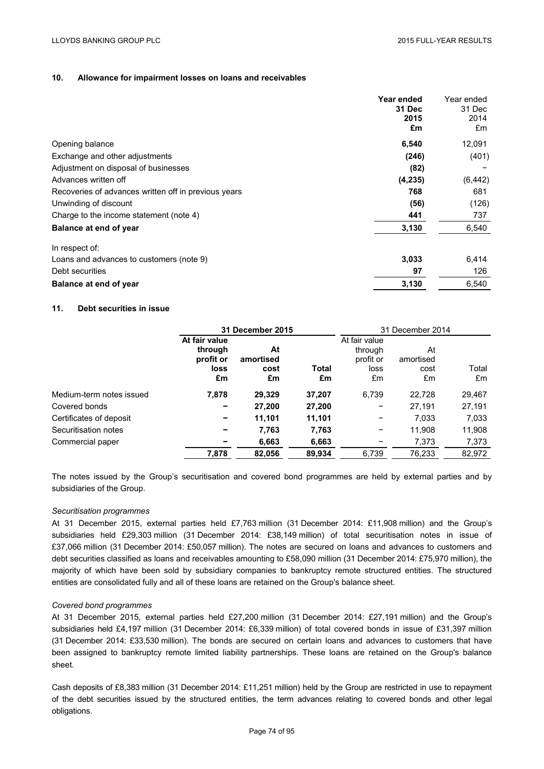## **10. Allowance for impairment losses on loans and receivables**

|                                                      | Year ended<br><b>31 Dec</b><br>2015<br>£m | Year ended<br>31 Dec<br>2014<br>£m |
|------------------------------------------------------|-------------------------------------------|------------------------------------|
| Opening balance                                      | 6,540                                     | 12,091                             |
| Exchange and other adjustments                       | (246)                                     | (401)                              |
| Adjustment on disposal of businesses                 | (82)                                      |                                    |
| Advances written off                                 | (4, 235)                                  | (6, 442)                           |
| Recoveries of advances written off in previous years | 768                                       | 681                                |
| Unwinding of discount                                | (56)                                      | (126)                              |
| Charge to the income statement (note 4)              | 441                                       | 737                                |
| Balance at end of year                               | 3,130                                     | 6,540                              |
| In respect of:                                       |                                           |                                    |
| Loans and advances to customers (note 9)             | 3,033                                     | 6,414                              |
| Debt securities                                      | 97                                        | 126                                |
| Balance at end of year                               | 3,130                                     | 6,540                              |

## **11. Debt securities in issue**

|                          |                                                     | 31 December 2015              |             | 31 December 2014                                    |                               |             |
|--------------------------|-----------------------------------------------------|-------------------------------|-------------|-----------------------------------------------------|-------------------------------|-------------|
|                          | At fair value<br>through<br>profit or<br>loss<br>£m | At<br>amortised<br>cost<br>£m | Total<br>£m | At fair value<br>through<br>profit or<br>loss<br>£m | At<br>amortised<br>cost<br>£m | Total<br>£m |
| Medium-term notes issued | 7,878                                               | 29,329                        | 37,207      | 6,739                                               | 22,728                        | 29,467      |
| Covered bonds            |                                                     | 27,200                        | 27,200      | -                                                   | 27.191                        | 27,191      |
| Certificates of deposit  |                                                     | 11,101                        | 11,101      | -                                                   | 7,033                         | 7,033       |
| Securitisation notes     |                                                     | 7,763                         | 7,763       |                                                     | 11.908                        | 11,908      |
| Commercial paper         |                                                     | 6,663                         | 6,663       | -                                                   | 7,373                         | 7,373       |
|                          | 7,878                                               | 82,056                        | 89,934      | 6,739                                               | 76,233                        | 82,972      |

The notes issued by the Group's securitisation and covered bond programmes are held by external parties and by subsidiaries of the Group.

### *Securitisation programmes*

At 31 December 2015, external parties held £7,763 million (31 December 2014: £11,908 million) and the Group's subsidiaries held £29,303 million (31 December 2014: £38,149 million) of total securitisation notes in issue of £37,066 million (31 December 2014: £50,057 million). The notes are secured on loans and advances to customers and debt securities classified as loans and receivables amounting to £58,090 million (31 December 2014: £75,970 million), the majority of which have been sold by subsidiary companies to bankruptcy remote structured entities. The structured entities are consolidated fully and all of these loans are retained on the Group's balance sheet.

## *Covered bond programmes*

At 31 December 2015, external parties held £27,200 million (31 December 2014: £27,191 million) and the Group's subsidiaries held £4,197 million (31 December 2014: £6,339 million) of total covered bonds in issue of £31,397 million (31 December 2014: £33,530 million). The bonds are secured on certain loans and advances to customers that have been assigned to bankruptcy remote limited liability partnerships. These loans are retained on the Group's balance sheet.

Cash deposits of £8,383 million (31 December 2014: £11,251 million) held by the Group are restricted in use to repayment of the debt securities issued by the structured entities, the term advances relating to covered bonds and other legal obligations.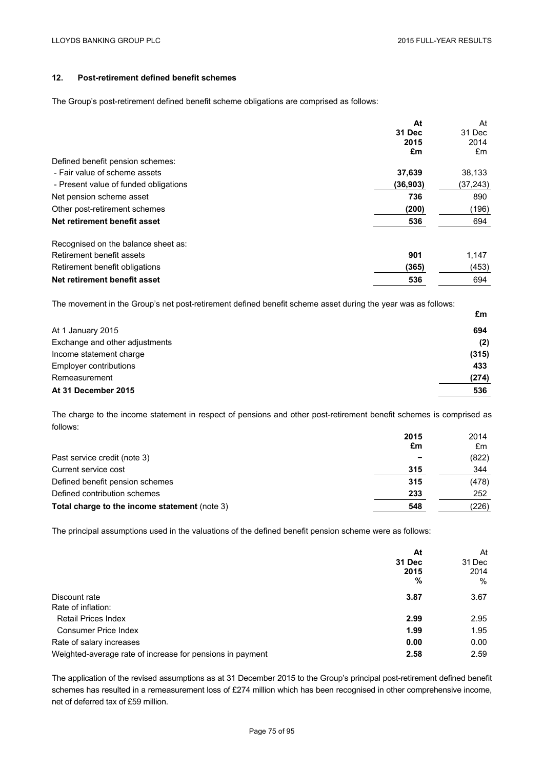# **12. Post-retirement defined benefit schemes**

The Group's post-retirement defined benefit scheme obligations are comprised as follows:

|                                       | At       | At        |
|---------------------------------------|----------|-----------|
|                                       | 31 Dec   | 31 Dec    |
|                                       | 2015     | 2014      |
|                                       | £m       | £m        |
| Defined benefit pension schemes:      |          |           |
| - Fair value of scheme assets         | 37,639   | 38,133    |
| - Present value of funded obligations | (36,903) | (37, 243) |
| Net pension scheme asset              | 736      | 890       |
| Other post-retirement schemes         | (200)    | (196)     |
| Net retirement benefit asset          | 536      | 694       |
| Recognised on the balance sheet as:   |          |           |
| Retirement benefit assets             | 901      | 1,147     |
| Retirement benefit obligations        | (365)    | (453)     |
| Net retirement benefit asset          | 536      | 694       |

The movement in the Group's net post-retirement defined benefit scheme asset during the year was as follows:

|                                | £m    |
|--------------------------------|-------|
| At 1 January 2015              | 694   |
| Exchange and other adjustments | (2)   |
| Income statement charge        | (315) |
| Employer contributions         | 433   |
| Remeasurement                  | (274) |
| At 31 December 2015            | 536   |

The charge to the income statement in respect of pensions and other post-retirement benefit schemes is comprised as follows:

|                                               | 2015                     | 2014  |
|-----------------------------------------------|--------------------------|-------|
|                                               | £m                       | £m    |
| Past service credit (note 3)                  | $\overline{\phantom{0}}$ | (822) |
| Current service cost                          | 315                      | 344   |
| Defined benefit pension schemes               | 315                      | (478) |
| Defined contribution schemes                  | 233                      | 252   |
| Total charge to the income statement (note 3) | 548                      | (226) |

The principal assumptions used in the valuations of the defined benefit pension scheme were as follows:

|                                                           | At<br>31 Dec<br>2015<br>% | At<br>31 Dec<br>2014<br>$\%$ |
|-----------------------------------------------------------|---------------------------|------------------------------|
| Discount rate<br>Rate of inflation:                       | 3.87                      | 3.67                         |
| <b>Retail Prices Index</b>                                | 2.99                      | 2.95                         |
| <b>Consumer Price Index</b>                               | 1.99                      | 1.95                         |
| Rate of salary increases                                  | 0.00                      | 0.00                         |
| Weighted-average rate of increase for pensions in payment | 2.58                      | 2.59                         |

The application of the revised assumptions as at 31 December 2015 to the Group's principal post-retirement defined benefit schemes has resulted in a remeasurement loss of £274 million which has been recognised in other comprehensive income, net of deferred tax of £59 million.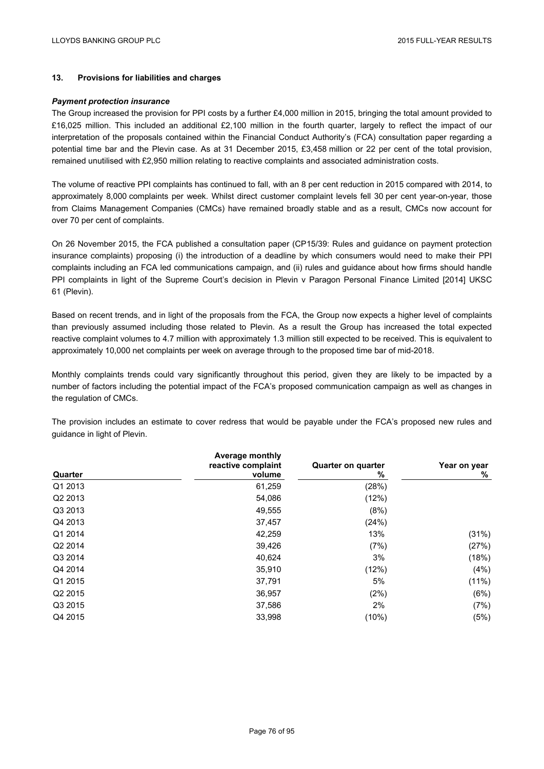# **13. Provisions for liabilities and charges**

#### *Payment protection insurance*

The Group increased the provision for PPI costs by a further £4,000 million in 2015, bringing the total amount provided to £16,025 million. This included an additional £2,100 million in the fourth quarter, largely to reflect the impact of our interpretation of the proposals contained within the Financial Conduct Authority's (FCA) consultation paper regarding a potential time bar and the Plevin case. As at 31 December 2015, £3,458 million or 22 per cent of the total provision, remained unutilised with £2,950 million relating to reactive complaints and associated administration costs.

The volume of reactive PPI complaints has continued to fall, with an 8 per cent reduction in 2015 compared with 2014, to approximately 8,000 complaints per week. Whilst direct customer complaint levels fell 30 per cent year-on-year, those from Claims Management Companies (CMCs) have remained broadly stable and as a result, CMCs now account for over 70 per cent of complaints.

On 26 November 2015, the FCA published a consultation paper (CP15/39: Rules and guidance on payment protection insurance complaints) proposing (i) the introduction of a deadline by which consumers would need to make their PPI complaints including an FCA led communications campaign, and (ii) rules and guidance about how firms should handle PPI complaints in light of the Supreme Court's decision in Plevin v Paragon Personal Finance Limited [2014] UKSC 61 (Plevin).

Based on recent trends, and in light of the proposals from the FCA, the Group now expects a higher level of complaints than previously assumed including those related to Plevin. As a result the Group has increased the total expected reactive complaint volumes to 4.7 million with approximately 1.3 million still expected to be received. This is equivalent to approximately 10,000 net complaints per week on average through to the proposed time bar of mid-2018.

Monthly complaints trends could vary significantly throughout this period, given they are likely to be impacted by a number of factors including the potential impact of the FCA's proposed communication campaign as well as changes in the regulation of CMCs.

| Quarter             | <b>Average monthly</b><br>reactive complaint<br>volume | <b>Quarter on quarter</b><br>% | Year on year<br>% |
|---------------------|--------------------------------------------------------|--------------------------------|-------------------|
| Q1 2013             | 61,259                                                 | (28%)                          |                   |
| Q2 2013             | 54,086                                                 | (12%)                          |                   |
| Q3 2013             | 49,555                                                 | (8%)                           |                   |
| Q4 2013             | 37,457                                                 | (24%)                          |                   |
| Q1 2014             | 42,259                                                 | 13%                            | (31%)             |
| Q2 2014             | 39,426                                                 | (7%)                           | (27%)             |
| Q3 2014             | 40,624                                                 | 3%                             | (18%)             |
| Q4 2014             | 35,910                                                 | (12%)                          | (4%)              |
| Q1 2015             | 37,791                                                 | 5%                             | (11%)             |
| Q <sub>2</sub> 2015 | 36,957                                                 | (2%)                           | (6%)              |
| Q3 2015             | 37,586                                                 | 2%                             | (7%)              |
| Q4 2015             | 33,998                                                 | (10%)                          | (5%)              |

The provision includes an estimate to cover redress that would be payable under the FCA's proposed new rules and guidance in light of Plevin.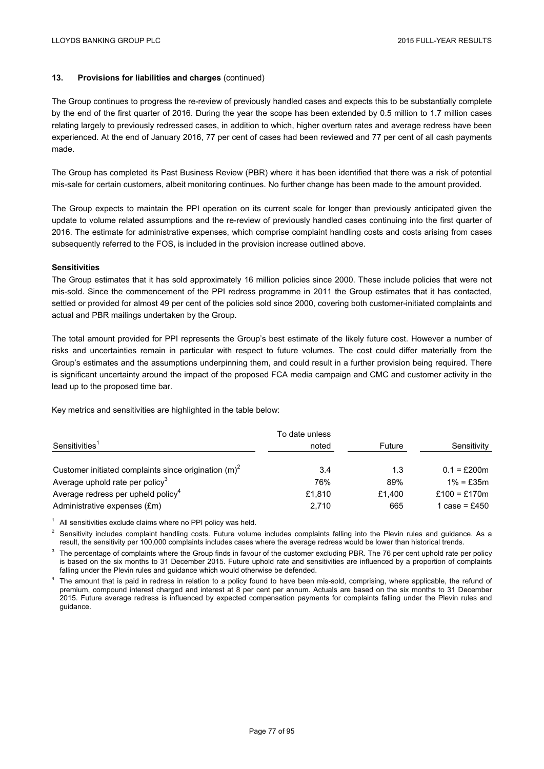# **13. Provisions for liabilities and charges** (continued)

The Group continues to progress the re-review of previously handled cases and expects this to be substantially complete by the end of the first quarter of 2016. During the year the scope has been extended by 0.5 million to 1.7 million cases relating largely to previously redressed cases, in addition to which, higher overturn rates and average redress have been experienced. At the end of January 2016, 77 per cent of cases had been reviewed and 77 per cent of all cash payments made.

The Group has completed its Past Business Review (PBR) where it has been identified that there was a risk of potential mis-sale for certain customers, albeit monitoring continues. No further change has been made to the amount provided.

The Group expects to maintain the PPI operation on its current scale for longer than previously anticipated given the update to volume related assumptions and the re-review of previously handled cases continuing into the first quarter of 2016. The estimate for administrative expenses, which comprise complaint handling costs and costs arising from cases subsequently referred to the FOS, is included in the provision increase outlined above.

### **Sensitivities**

The Group estimates that it has sold approximately 16 million policies since 2000. These include policies that were not mis-sold. Since the commencement of the PPI redress programme in 2011 the Group estimates that it has contacted, settled or provided for almost 49 per cent of the policies sold since 2000, covering both customer-initiated complaints and actual and PBR mailings undertaken by the Group.

The total amount provided for PPI represents the Group's best estimate of the likely future cost. However a number of risks and uncertainties remain in particular with respect to future volumes. The cost could differ materially from the Group's estimates and the assumptions underpinning them, and could result in a further provision being required. There is significant uncertainty around the impact of the proposed FCA media campaign and CMC and customer activity in the lead up to the proposed time bar.

Key metrics and sensitivities are highlighted in the table below:

|                                                         | To date unless |        |               |
|---------------------------------------------------------|----------------|--------|---------------|
| Sensitivities <sup>1</sup>                              | noted          | Future | Sensitivity   |
| Customer initiated complaints since origination $(m)^2$ | 3.4            | 1.3    | $0.1 = £200m$ |
| Average uphold rate per policy $3$                      | 76%            | 89%    | $1\% = f35m$  |
| Average redress per upheld policy <sup>4</sup>          | £1.810         | £1.400 | £100 = £170m  |
| Administrative expenses (£m)                            | 2,710          | 665    | 1 case = £450 |

 $1$  All sensitivities exclude claims where no PPI policy was held.

 $<sup>2</sup>$  Sensitivity includes complaint handling costs. Future volume includes complaints falling into the Plevin rules and quidance. As a</sup> result, the sensitivity per 100,000 complaints includes cases where the average redress would be lower than historical trends.

<sup>3</sup> The percentage of complaints where the Group finds in favour of the customer excluding PBR. The 76 per cent uphold rate per policy is based on the six months to 31 December 2015. Future uphold rate and sensitivities are influenced by a proportion of complaints falling under the Plevin rules and guidance which would otherwise be defended.

<sup>4</sup> The amount that is paid in redress in relation to a policy found to have been mis-sold, comprising, where applicable, the refund of premium, compound interest charged and interest at 8 per cent per annum. Actuals are based on the six months to 31 December 2015. Future average redress is influenced by expected compensation payments for complaints falling under the Plevin rules and guidance.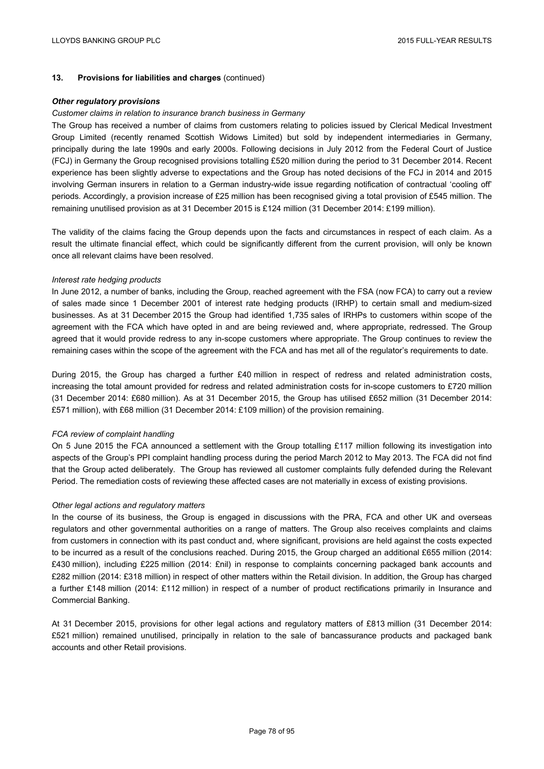# **13. Provisions for liabilities and charges** (continued)

#### *Other regulatory provisions*

#### *Customer claims in relation to insurance branch business in Germany*

The Group has received a number of claims from customers relating to policies issued by Clerical Medical Investment Group Limited (recently renamed Scottish Widows Limited) but sold by independent intermediaries in Germany, principally during the late 1990s and early 2000s. Following decisions in July 2012 from the Federal Court of Justice (FCJ) in Germany the Group recognised provisions totalling £520 million during the period to 31 December 2014. Recent experience has been slightly adverse to expectations and the Group has noted decisions of the FCJ in 2014 and 2015 involving German insurers in relation to a German industry-wide issue regarding notification of contractual 'cooling off' periods. Accordingly, a provision increase of £25 million has been recognised giving a total provision of £545 million. The remaining unutilised provision as at 31 December 2015 is £124 million (31 December 2014: £199 million).

The validity of the claims facing the Group depends upon the facts and circumstances in respect of each claim. As a result the ultimate financial effect, which could be significantly different from the current provision, will only be known once all relevant claims have been resolved.

#### *Interest rate hedging products*

In June 2012, a number of banks, including the Group, reached agreement with the FSA (now FCA) to carry out a review of sales made since 1 December 2001 of interest rate hedging products (IRHP) to certain small and medium-sized businesses. As at 31 December 2015 the Group had identified 1,735 sales of IRHPs to customers within scope of the agreement with the FCA which have opted in and are being reviewed and, where appropriate, redressed. The Group agreed that it would provide redress to any in-scope customers where appropriate. The Group continues to review the remaining cases within the scope of the agreement with the FCA and has met all of the regulator's requirements to date.

During 2015, the Group has charged a further £40 million in respect of redress and related administration costs, increasing the total amount provided for redress and related administration costs for in-scope customers to £720 million (31 December 2014: £680 million). As at 31 December 2015, the Group has utilised £652 million (31 December 2014: £571 million), with £68 million (31 December 2014: £109 million) of the provision remaining.

### *FCA review of complaint handling*

On 5 June 2015 the FCA announced a settlement with the Group totalling £117 million following its investigation into aspects of the Group's PPI complaint handling process during the period March 2012 to May 2013. The FCA did not find that the Group acted deliberately. The Group has reviewed all customer complaints fully defended during the Relevant Period. The remediation costs of reviewing these affected cases are not materially in excess of existing provisions.

### *Other legal actions and regulatory matters*

In the course of its business, the Group is engaged in discussions with the PRA, FCA and other UK and overseas regulators and other governmental authorities on a range of matters. The Group also receives complaints and claims from customers in connection with its past conduct and, where significant, provisions are held against the costs expected to be incurred as a result of the conclusions reached. During 2015, the Group charged an additional £655 million (2014: £430 million), including £225 million (2014: £nil) in response to complaints concerning packaged bank accounts and £282 million (2014: £318 million) in respect of other matters within the Retail division. In addition, the Group has charged a further £148 million (2014: £112 million) in respect of a number of product rectifications primarily in Insurance and Commercial Banking.

At 31 December 2015, provisions for other legal actions and regulatory matters of £813 million (31 December 2014: £521 million) remained unutilised, principally in relation to the sale of bancassurance products and packaged bank accounts and other Retail provisions.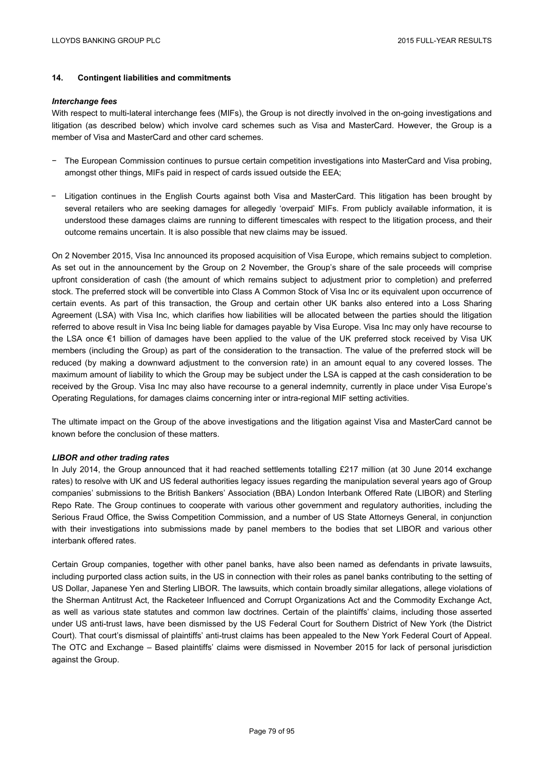# **14. Contingent liabilities and commitments**

#### *Interchange fees*

With respect to multi-lateral interchange fees (MIFs), the Group is not directly involved in the on-going investigations and litigation (as described below) which involve card schemes such as Visa and MasterCard. However, the Group is a member of Visa and MasterCard and other card schemes.

- − The European Commission continues to pursue certain competition investigations into MasterCard and Visa probing, amongst other things, MIFs paid in respect of cards issued outside the EEA;
- − Litigation continues in the English Courts against both Visa and MasterCard. This litigation has been brought by several retailers who are seeking damages for allegedly 'overpaid' MIFs. From publicly available information, it is understood these damages claims are running to different timescales with respect to the litigation process, and their outcome remains uncertain. It is also possible that new claims may be issued.

On 2 November 2015, Visa Inc announced its proposed acquisition of Visa Europe, which remains subject to completion. As set out in the announcement by the Group on 2 November, the Group's share of the sale proceeds will comprise upfront consideration of cash (the amount of which remains subject to adjustment prior to completion) and preferred stock. The preferred stock will be convertible into Class A Common Stock of Visa Inc or its equivalent upon occurrence of certain events. As part of this transaction, the Group and certain other UK banks also entered into a Loss Sharing Agreement (LSA) with Visa Inc, which clarifies how liabilities will be allocated between the parties should the litigation referred to above result in Visa Inc being liable for damages payable by Visa Europe. Visa Inc may only have recourse to the LSA once €1 billion of damages have been applied to the value of the UK preferred stock received by Visa UK members (including the Group) as part of the consideration to the transaction. The value of the preferred stock will be reduced (by making a downward adjustment to the conversion rate) in an amount equal to any covered losses. The maximum amount of liability to which the Group may be subject under the LSA is capped at the cash consideration to be received by the Group. Visa Inc may also have recourse to a general indemnity, currently in place under Visa Europe's Operating Regulations, for damages claims concerning inter or intra-regional MIF setting activities.

The ultimate impact on the Group of the above investigations and the litigation against Visa and MasterCard cannot be known before the conclusion of these matters.

### *LIBOR and other trading rates*

In July 2014, the Group announced that it had reached settlements totalling £217 million (at 30 June 2014 exchange rates) to resolve with UK and US federal authorities legacy issues regarding the manipulation several years ago of Group companies' submissions to the British Bankers' Association (BBA) London Interbank Offered Rate (LIBOR) and Sterling Repo Rate. The Group continues to cooperate with various other government and regulatory authorities, including the Serious Fraud Office, the Swiss Competition Commission, and a number of US State Attorneys General, in conjunction with their investigations into submissions made by panel members to the bodies that set LIBOR and various other interbank offered rates.

Certain Group companies, together with other panel banks, have also been named as defendants in private lawsuits, including purported class action suits, in the US in connection with their roles as panel banks contributing to the setting of US Dollar, Japanese Yen and Sterling LIBOR. The lawsuits, which contain broadly similar allegations, allege violations of the Sherman Antitrust Act, the Racketeer Influenced and Corrupt Organizations Act and the Commodity Exchange Act, as well as various state statutes and common law doctrines. Certain of the plaintiffs' claims, including those asserted under US anti-trust laws, have been dismissed by the US Federal Court for Southern District of New York (the District Court). That court's dismissal of plaintiffs' anti-trust claims has been appealed to the New York Federal Court of Appeal. The OTC and Exchange – Based plaintiffs' claims were dismissed in November 2015 for lack of personal jurisdiction against the Group.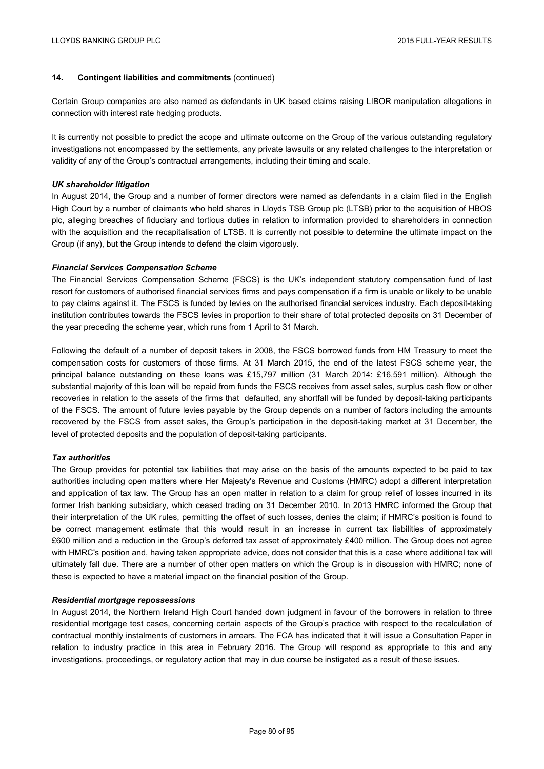# **14. Contingent liabilities and commitments** (continued)

Certain Group companies are also named as defendants in UK based claims raising LIBOR manipulation allegations in connection with interest rate hedging products.

It is currently not possible to predict the scope and ultimate outcome on the Group of the various outstanding regulatory investigations not encompassed by the settlements, any private lawsuits or any related challenges to the interpretation or validity of any of the Group's contractual arrangements, including their timing and scale.

## *UK shareholder litigation*

In August 2014, the Group and a number of former directors were named as defendants in a claim filed in the English High Court by a number of claimants who held shares in Lloyds TSB Group plc (LTSB) prior to the acquisition of HBOS plc, alleging breaches of fiduciary and tortious duties in relation to information provided to shareholders in connection with the acquisition and the recapitalisation of LTSB. It is currently not possible to determine the ultimate impact on the Group (if any), but the Group intends to defend the claim vigorously.

## *Financial Services Compensation Scheme*

The Financial Services Compensation Scheme (FSCS) is the UK's independent statutory compensation fund of last resort for customers of authorised financial services firms and pays compensation if a firm is unable or likely to be unable to pay claims against it. The FSCS is funded by levies on the authorised financial services industry. Each deposit-taking institution contributes towards the FSCS levies in proportion to their share of total protected deposits on 31 December of the year preceding the scheme year, which runs from 1 April to 31 March.

Following the default of a number of deposit takers in 2008, the FSCS borrowed funds from HM Treasury to meet the compensation costs for customers of those firms. At 31 March 2015, the end of the latest FSCS scheme year, the principal balance outstanding on these loans was £15,797 million (31 March 2014: £16,591 million). Although the substantial majority of this loan will be repaid from funds the FSCS receives from asset sales, surplus cash flow or other recoveries in relation to the assets of the firms that defaulted, any shortfall will be funded by deposit-taking participants of the FSCS. The amount of future levies payable by the Group depends on a number of factors including the amounts recovered by the FSCS from asset sales, the Group's participation in the deposit-taking market at 31 December, the level of protected deposits and the population of deposit-taking participants.

# *Tax authorities*

The Group provides for potential tax liabilities that may arise on the basis of the amounts expected to be paid to tax authorities including open matters where Her Majesty's Revenue and Customs (HMRC) adopt a different interpretation and application of tax law. The Group has an open matter in relation to a claim for group relief of losses incurred in its former Irish banking subsidiary, which ceased trading on 31 December 2010. In 2013 HMRC informed the Group that their interpretation of the UK rules, permitting the offset of such losses, denies the claim; if HMRC's position is found to be correct management estimate that this would result in an increase in current tax liabilities of approximately £600 million and a reduction in the Group's deferred tax asset of approximately £400 million. The Group does not agree with HMRC's position and, having taken appropriate advice, does not consider that this is a case where additional tax will ultimately fall due. There are a number of other open matters on which the Group is in discussion with HMRC; none of these is expected to have a material impact on the financial position of the Group.

### *Residential mortgage repossessions*

In August 2014, the Northern Ireland High Court handed down judgment in favour of the borrowers in relation to three residential mortgage test cases, concerning certain aspects of the Group's practice with respect to the recalculation of contractual monthly instalments of customers in arrears. The FCA has indicated that it will issue a Consultation Paper in relation to industry practice in this area in February 2016. The Group will respond as appropriate to this and any investigations, proceedings, or regulatory action that may in due course be instigated as a result of these issues.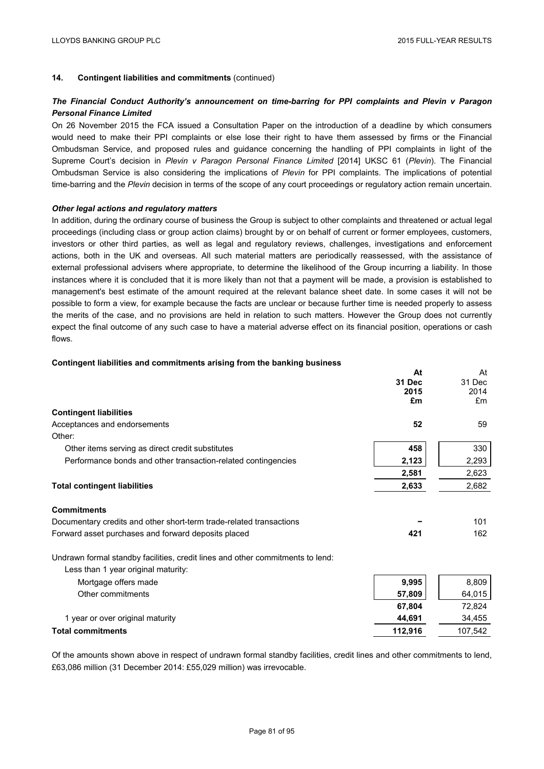**At** 

At

# **14. Contingent liabilities and commitments** (continued)

# *The Financial Conduct Authority's announcement on time-barring for PPI complaints and Plevin v Paragon Personal Finance Limited*

On 26 November 2015 the FCA issued a Consultation Paper on the introduction of a deadline by which consumers would need to make their PPI complaints or else lose their right to have them assessed by firms or the Financial Ombudsman Service, and proposed rules and guidance concerning the handling of PPI complaints in light of the Supreme Court's decision in *Plevin v Paragon Personal Finance Limited* [2014] UKSC 61 (*Plevin*). The Financial Ombudsman Service is also considering the implications of *Plevin* for PPI complaints. The implications of potential time-barring and the *Plevin* decision in terms of the scope of any court proceedings or regulatory action remain uncertain.

### *Other legal actions and regulatory matters*

In addition, during the ordinary course of business the Group is subject to other complaints and threatened or actual legal proceedings (including class or group action claims) brought by or on behalf of current or former employees, customers, investors or other third parties, as well as legal and regulatory reviews, challenges, investigations and enforcement actions, both in the UK and overseas. All such material matters are periodically reassessed, with the assistance of external professional advisers where appropriate, to determine the likelihood of the Group incurring a liability. In those instances where it is concluded that it is more likely than not that a payment will be made, a provision is established to management's best estimate of the amount required at the relevant balance sheet date. In some cases it will not be possible to form a view, for example because the facts are unclear or because further time is needed properly to assess the merits of the case, and no provisions are held in relation to such matters. However the Group does not currently expect the final outcome of any such case to have a material adverse effect on its financial position, operations or cash flows.

#### **Contingent liabilities and commitments arising from the banking business**

| 31 Dec<br>31 Dec<br>2015<br>2014<br>£m<br>£m<br><b>Contingent liabilities</b><br>Acceptances and endorsements<br>52<br>59<br>Other: |
|-------------------------------------------------------------------------------------------------------------------------------------|
|                                                                                                                                     |
|                                                                                                                                     |
|                                                                                                                                     |
|                                                                                                                                     |
|                                                                                                                                     |
|                                                                                                                                     |
| 458<br>330<br>Other items serving as direct credit substitutes                                                                      |
| 2,293<br>2,123<br>Performance bonds and other transaction-related contingencies                                                     |
| 2,623<br>2,581                                                                                                                      |
| <b>Total contingent liabilities</b><br>2,682<br>2,633                                                                               |
| <b>Commitments</b>                                                                                                                  |
| 101<br>Documentary credits and other short-term trade-related transactions                                                          |
| 162<br>Forward asset purchases and forward deposits placed<br>421                                                                   |
| Undrawn formal standby facilities, credit lines and other commitments to lend:<br>Less than 1 year original maturity:               |
| 9,995<br>8,809<br>Mortgage offers made                                                                                              |
| 64,015<br>Other commitments<br>57,809                                                                                               |
| 67,804<br>72,824                                                                                                                    |
| 1 year or over original maturity<br>44,691<br>34,455                                                                                |
| <b>Total commitments</b><br>112,916<br>107,542                                                                                      |

Of the amounts shown above in respect of undrawn formal standby facilities, credit lines and other commitments to lend, £63,086 million (31 December 2014: £55,029 million) was irrevocable.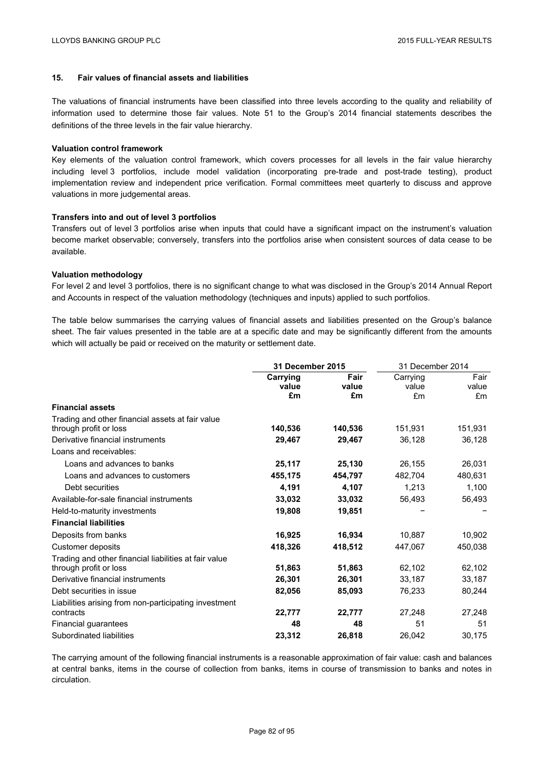# **15. Fair values of financial assets and liabilities**

The valuations of financial instruments have been classified into three levels according to the quality and reliability of information used to determine those fair values. Note 51 to the Group's 2014 financial statements describes the definitions of the three levels in the fair value hierarchy.

### **Valuation control framework**

Key elements of the valuation control framework, which covers processes for all levels in the fair value hierarchy including level 3 portfolios, include model validation (incorporating pre-trade and post-trade testing), product implementation review and independent price verification. Formal committees meet quarterly to discuss and approve valuations in more judgemental areas.

### **Transfers into and out of level 3 portfolios**

Transfers out of level 3 portfolios arise when inputs that could have a significant impact on the instrument's valuation become market observable; conversely, transfers into the portfolios arise when consistent sources of data cease to be available.

## **Valuation methodology**

For level 2 and level 3 portfolios, there is no significant change to what was disclosed in the Group's 2014 Annual Report and Accounts in respect of the valuation methodology (techniques and inputs) applied to such portfolios.

The table below summarises the carrying values of financial assets and liabilities presented on the Group's balance sheet. The fair values presented in the table are at a specific date and may be significantly different from the amounts which will actually be paid or received on the maturity or settlement date.

|                                                       | 31 December 2015 |         | 31 December 2014 |         |
|-------------------------------------------------------|------------------|---------|------------------|---------|
|                                                       | Carrying         | Fair    | Carrying         | Fair    |
|                                                       | value            | value   | value            | value   |
|                                                       | £m               | £m      | £m               | £m      |
| <b>Financial assets</b>                               |                  |         |                  |         |
| Trading and other financial assets at fair value      |                  |         |                  |         |
| through profit or loss                                | 140,536          | 140,536 | 151,931          | 151,931 |
| Derivative financial instruments                      | 29,467           | 29,467  | 36,128           | 36,128  |
| Loans and receivables:                                |                  |         |                  |         |
| Loans and advances to banks                           | 25,117           | 25,130  | 26,155           | 26,031  |
| Loans and advances to customers                       | 455,175          | 454,797 | 482,704          | 480,631 |
| Debt securities                                       | 4,191            | 4,107   | 1,213            | 1,100   |
| Available-for-sale financial instruments              | 33,032           | 33,032  | 56,493           | 56,493  |
| Held-to-maturity investments                          | 19,808           | 19,851  |                  |         |
| <b>Financial liabilities</b>                          |                  |         |                  |         |
| Deposits from banks                                   | 16,925           | 16.934  | 10.887           | 10,902  |
| Customer deposits                                     | 418,326          | 418,512 | 447,067          | 450,038 |
| Trading and other financial liabilities at fair value |                  |         |                  |         |
| through profit or loss                                | 51,863           | 51,863  | 62,102           | 62,102  |
| Derivative financial instruments                      | 26,301           | 26,301  | 33,187           | 33,187  |
| Debt securities in issue                              | 82,056           | 85,093  | 76,233           | 80,244  |
| Liabilities arising from non-participating investment |                  |         |                  |         |
| contracts                                             | 22,777           | 22,777  | 27,248           | 27,248  |
| Financial guarantees                                  | 48               | 48      | 51               | 51      |
| Subordinated liabilities                              | 23,312           | 26,818  | 26,042           | 30,175  |

The carrying amount of the following financial instruments is a reasonable approximation of fair value: cash and balances at central banks, items in the course of collection from banks, items in course of transmission to banks and notes in circulation.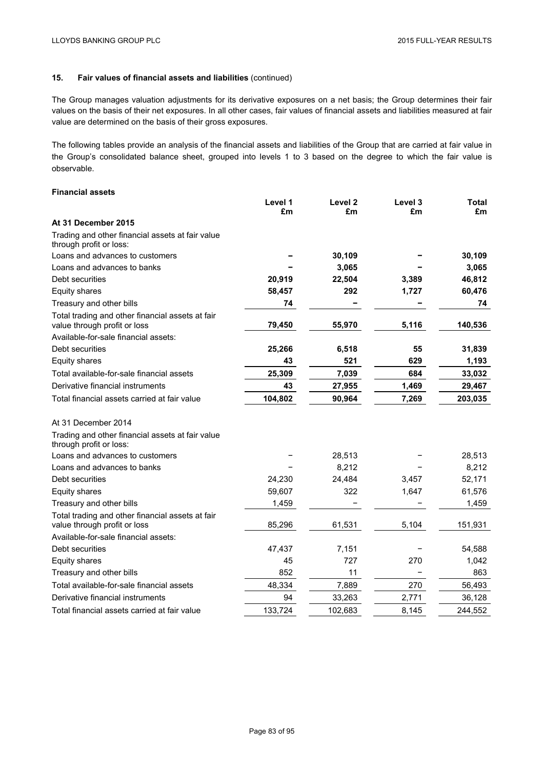The Group manages valuation adjustments for its derivative exposures on a net basis; the Group determines their fair values on the basis of their net exposures. In all other cases, fair values of financial assets and liabilities measured at fair value are determined on the basis of their gross exposures.

The following tables provide an analysis of the financial assets and liabilities of the Group that are carried at fair value in the Group's consolidated balance sheet, grouped into levels 1 to 3 based on the degree to which the fair value is observable.

# **Financial assets**

|                                                                                  | Level 1<br>£m | Level 2<br>£m | Level 3<br>£m | <b>Total</b><br>£m |
|----------------------------------------------------------------------------------|---------------|---------------|---------------|--------------------|
| At 31 December 2015                                                              |               |               |               |                    |
| Trading and other financial assets at fair value<br>through profit or loss:      |               |               |               |                    |
| Loans and advances to customers                                                  |               | 30,109        |               | 30,109             |
| Loans and advances to banks                                                      |               | 3,065         |               | 3,065              |
| Debt securities                                                                  | 20,919        | 22,504        | 3,389         | 46,812             |
| <b>Equity shares</b>                                                             | 58,457        | 292           | 1,727         | 60,476             |
| Treasury and other bills                                                         | 74            |               |               | 74                 |
| Total trading and other financial assets at fair<br>value through profit or loss | 79,450        | 55,970        | 5,116         | 140,536            |
| Available-for-sale financial assets:                                             |               |               |               |                    |
| Debt securities                                                                  | 25,266        | 6,518         | 55            | 31,839             |
| Equity shares                                                                    | 43            | 521           | 629           | 1,193              |
| Total available-for-sale financial assets                                        | 25,309        | 7,039         | 684           | 33,032             |
| Derivative financial instruments                                                 | 43            | 27,955        | 1,469         | 29,467             |
| Total financial assets carried at fair value                                     | 104,802       | 90,964        | 7,269         | 203,035            |
| At 31 December 2014                                                              |               |               |               |                    |
| Trading and other financial assets at fair value<br>through profit or loss:      |               |               |               |                    |
| Loans and advances to customers                                                  |               | 28,513        |               | 28,513             |
| Loans and advances to banks                                                      |               | 8,212         |               | 8,212              |
| Debt securities                                                                  | 24,230        | 24,484        | 3,457         | 52,171             |
| Equity shares                                                                    | 59,607        | 322           | 1,647         | 61,576             |
| Treasury and other bills                                                         | 1,459         |               |               | 1,459              |
| Total trading and other financial assets at fair<br>value through profit or loss | 85,296        | 61,531        | 5,104         | 151,931            |
| Available-for-sale financial assets:                                             |               |               |               |                    |
| Debt securities                                                                  | 47,437        | 7,151         |               | 54,588             |
| Equity shares                                                                    | 45            | 727           | 270           | 1,042              |
| Treasury and other bills                                                         | 852           | 11            |               | 863                |
| Total available-for-sale financial assets                                        | 48,334        | 7,889         | 270           | 56,493             |
| Derivative financial instruments                                                 | 94            | 33,263        | 2,771         | 36,128             |
| Total financial assets carried at fair value                                     | 133,724       | 102,683       | 8,145         | 244,552            |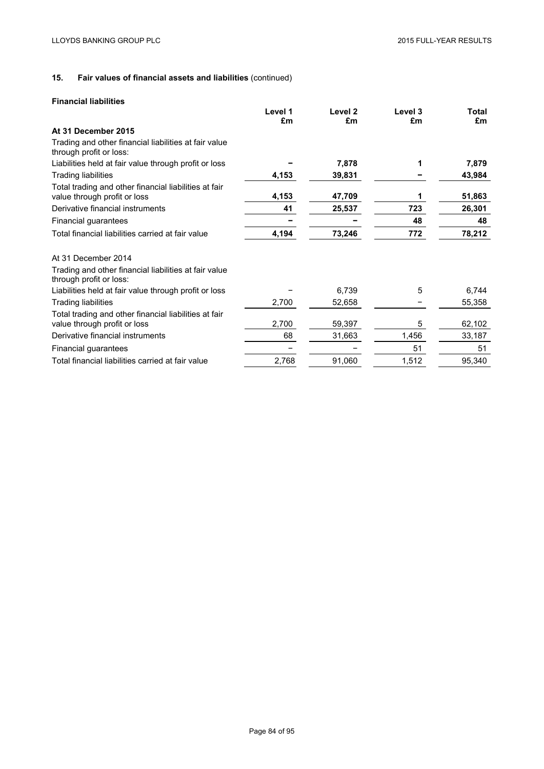# **Financial liabilities**

|                                                                                       | Level 1 | Level <sub>2</sub> | Level 3 | Total  |
|---------------------------------------------------------------------------------------|---------|--------------------|---------|--------|
|                                                                                       | £m      | £m                 | £m      | £m     |
| At 31 December 2015                                                                   |         |                    |         |        |
| Trading and other financial liabilities at fair value<br>through profit or loss:      |         |                    |         |        |
| Liabilities held at fair value through profit or loss                                 |         | 7,878              |         | 7,879  |
| <b>Trading liabilities</b>                                                            | 4,153   | 39,831             |         | 43,984 |
| Total trading and other financial liabilities at fair<br>value through profit or loss | 4,153   | 47,709             | 1       | 51,863 |
| Derivative financial instruments                                                      | 41      | 25,537             | 723     | 26,301 |
| Financial guarantees                                                                  |         |                    | 48      | 48     |
| Total financial liabilities carried at fair value                                     | 4,194   | 73,246             | 772     | 78,212 |
| At 31 December 2014                                                                   |         |                    |         |        |
| Trading and other financial liabilities at fair value<br>through profit or loss:      |         |                    |         |        |
| Liabilities held at fair value through profit or loss                                 |         | 6,739              | 5       | 6,744  |
| <b>Trading liabilities</b>                                                            | 2,700   | 52,658             |         | 55,358 |
| Total trading and other financial liabilities at fair<br>value through profit or loss | 2,700   | 59,397             | 5       | 62,102 |
| Derivative financial instruments                                                      | 68      | 31,663             | 1,456   | 33,187 |
| Financial guarantees                                                                  |         |                    | 51      | 51     |
| Total financial liabilities carried at fair value                                     | 2,768   | 91,060             | 1,512   | 95,340 |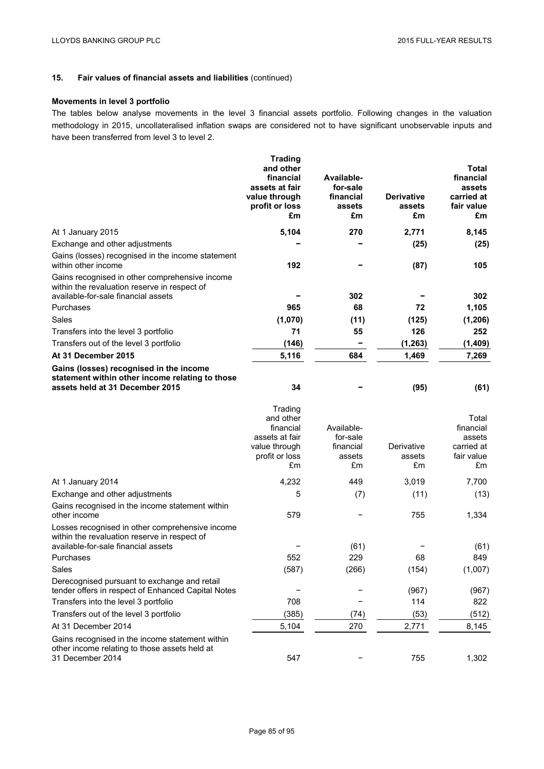# **Movements in level 3 portfolio**

The tables below analyse movements in the level 3 financial assets portfolio. Following changes in the valuation methodology in 2015, uncollateralised inflation swaps are considered not to have significant unobservable inputs and have been transferred from level 3 to level 2.

|                                                                                                                                        | <b>Trading</b><br>and other<br>financial<br>assets at fair<br>value through<br>profit or loss<br>£m | Available-<br>for-sale<br>financial<br>assets<br>£m | <b>Derivative</b><br>assets<br>£m | Total<br>financial<br>assets<br>carried at<br>fair value<br>£m |
|----------------------------------------------------------------------------------------------------------------------------------------|-----------------------------------------------------------------------------------------------------|-----------------------------------------------------|-----------------------------------|----------------------------------------------------------------|
| At 1 January 2015                                                                                                                      | 5,104                                                                                               | 270                                                 | 2,771                             | 8,145                                                          |
| Exchange and other adjustments                                                                                                         |                                                                                                     |                                                     | (25)                              | (25)                                                           |
| Gains (losses) recognised in the income statement<br>within other income                                                               | 192                                                                                                 |                                                     | (87)                              | 105                                                            |
| Gains recognised in other comprehensive income<br>within the revaluation reserve in respect of                                         |                                                                                                     |                                                     |                                   |                                                                |
| available-for-sale financial assets                                                                                                    |                                                                                                     | 302                                                 |                                   | 302                                                            |
| Purchases                                                                                                                              | 965                                                                                                 | 68                                                  | 72                                | 1,105                                                          |
| Sales                                                                                                                                  | (1,070)                                                                                             | (11)                                                | (125)                             | (1, 206)                                                       |
| Transfers into the level 3 portfolio                                                                                                   | 71                                                                                                  | 55                                                  | 126                               | 252                                                            |
| Transfers out of the level 3 portfolio                                                                                                 | (146)                                                                                               | -                                                   | (1, 263)                          | (1,409)                                                        |
| At 31 December 2015                                                                                                                    | 5,116                                                                                               | 684                                                 | 1,469                             | 7,269                                                          |
| Gains (losses) recognised in the income<br>statement within other income relating to those<br>assets held at 31 December 2015          | 34                                                                                                  |                                                     | (95)                              | (61)                                                           |
|                                                                                                                                        | Trading<br>and other<br>financial<br>assets at fair<br>value through<br>profit or loss<br>£m        | Available-<br>for-sale<br>financial<br>assets<br>£m | Derivative<br>assets<br>£m        | Total<br>financial<br>assets<br>carried at<br>fair value<br>£m |
| At 1 January 2014                                                                                                                      | 4,232                                                                                               | 449                                                 | 3,019                             | 7,700                                                          |
| Exchange and other adjustments                                                                                                         | 5                                                                                                   | (7)                                                 | (11)                              | (13)                                                           |
| Gains recognised in the income statement within<br>other income                                                                        | 579                                                                                                 |                                                     | 755                               | 1,334                                                          |
| Losses recognised in other comprehensive income<br>within the revaluation reserve in respect of<br>available-for-sale financial assets |                                                                                                     | (61)                                                |                                   | (61)                                                           |
| Purchases                                                                                                                              | 552                                                                                                 | 229                                                 | 68                                | 849                                                            |
| Sales                                                                                                                                  | (587)                                                                                               | (266)                                               | (154)                             | (1,007)                                                        |
| Derecognised pursuant to exchange and retail<br>tender offers in respect of Enhanced Capital Notes                                     |                                                                                                     |                                                     | (967)                             | (967)                                                          |
| Transfers into the level 3 portfolio                                                                                                   | 708                                                                                                 |                                                     | 114                               | 822                                                            |
| Transfers out of the level 3 portfolio                                                                                                 | (385)                                                                                               | (74)                                                | (53)                              | (512)                                                          |
| At 31 December 2014                                                                                                                    | 5,104                                                                                               | 270                                                 | 2,771                             | 8,145                                                          |
| Gains recognised in the income statement within<br>other income relating to those assets held at<br>31 December 2014                   | 547                                                                                                 |                                                     | 755                               | 1,302                                                          |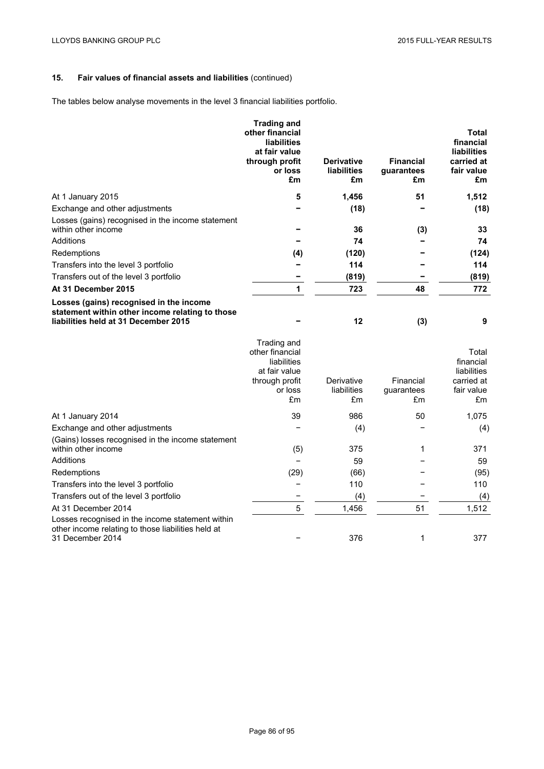The tables below analyse movements in the level 3 financial liabilities portfolio.

|                                                                                                                                    | <b>Trading and</b><br>other financial<br><b>liabilities</b><br>at fair value<br>through profit<br>or loss<br>£m | <b>Derivative</b><br><b>liabilities</b><br>£m | <b>Financial</b><br>guarantees<br>£m | <b>Total</b><br>financial<br><b>liabilities</b><br>carried at<br>fair value<br>£m |
|------------------------------------------------------------------------------------------------------------------------------------|-----------------------------------------------------------------------------------------------------------------|-----------------------------------------------|--------------------------------------|-----------------------------------------------------------------------------------|
| At 1 January 2015                                                                                                                  | 5                                                                                                               | 1,456                                         | 51                                   | 1,512                                                                             |
| Exchange and other adjustments                                                                                                     |                                                                                                                 | (18)                                          |                                      | (18)                                                                              |
| Losses (gains) recognised in the income statement                                                                                  |                                                                                                                 |                                               |                                      |                                                                                   |
| within other income                                                                                                                |                                                                                                                 | 36                                            | (3)                                  | 33                                                                                |
| Additions                                                                                                                          |                                                                                                                 | 74                                            |                                      | 74                                                                                |
| Redemptions                                                                                                                        | (4)                                                                                                             | (120)                                         |                                      | (124)                                                                             |
| Transfers into the level 3 portfolio                                                                                               |                                                                                                                 | 114                                           |                                      | 114                                                                               |
| Transfers out of the level 3 portfolio                                                                                             |                                                                                                                 | (819)                                         |                                      | (819)                                                                             |
| At 31 December 2015                                                                                                                | 1                                                                                                               | 723                                           | 48                                   | 772                                                                               |
| Losses (gains) recognised in the income<br>statement within other income relating to those<br>liabilities held at 31 December 2015 |                                                                                                                 | 12                                            | (3)                                  | 9                                                                                 |
|                                                                                                                                    | Trading and<br>other financial<br>liabilities<br>at fair value<br>through profit<br>or loss<br>£m               | Derivative<br>liabilities<br>£m               | Financial<br>guarantees<br>£m        | Total<br>financial<br>liabilities<br>carried at<br>fair value<br>£m               |
| At 1 January 2014                                                                                                                  | 39                                                                                                              | 986                                           | 50                                   | 1,075                                                                             |
| Exchange and other adjustments                                                                                                     |                                                                                                                 | (4)                                           |                                      | (4)                                                                               |
| (Gains) losses recognised in the income statement<br>within other income                                                           | (5)                                                                                                             | 375                                           | 1                                    | 371                                                                               |
| Additions                                                                                                                          |                                                                                                                 | 59                                            |                                      | 59                                                                                |
| Redemptions                                                                                                                        | (29)                                                                                                            | (66)                                          |                                      | (95)                                                                              |
| Transfers into the level 3 portfolio                                                                                               |                                                                                                                 | 110                                           |                                      | 110                                                                               |
| Transfers out of the level 3 portfolio                                                                                             |                                                                                                                 | (4)                                           |                                      | (4)                                                                               |
| At 31 December 2014                                                                                                                | 5                                                                                                               | 1,456                                         | 51                                   | 1,512                                                                             |

Losses recognised in the income statement within other income relating to those liabilities held at 31 December 2014 **120 Night 2014** 1 377 No. 377 No. 377 No. 377 No. 377 No. 377 No. 377 No. 377 No. 377 No. 377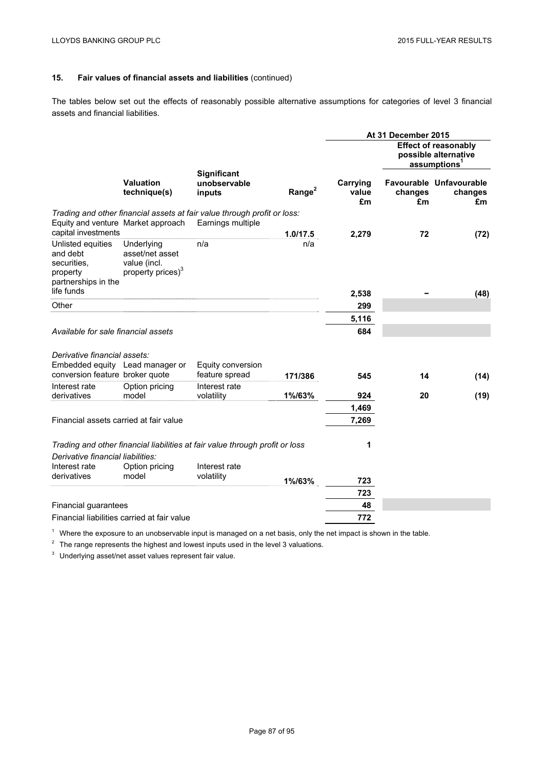The tables below set out the effects of reasonably possible alternative assumptions for categories of level 3 financial assets and financial liabilities.

|                                                                                               |                                                                                |                                                                              |                    |                         | At 31 December 2015 |                                                                                 |
|-----------------------------------------------------------------------------------------------|--------------------------------------------------------------------------------|------------------------------------------------------------------------------|--------------------|-------------------------|---------------------|---------------------------------------------------------------------------------|
|                                                                                               |                                                                                |                                                                              |                    |                         |                     | <b>Effect of reasonably</b><br>possible alternative<br>assumptions <sup>1</sup> |
|                                                                                               | <b>Valuation</b><br>technique(s)                                               | <b>Significant</b><br>unobservable<br>inputs                                 | Range <sup>2</sup> | Carrying<br>value<br>£m | changes<br>£m       | Favourable Unfavourable<br>changes<br>£m                                        |
|                                                                                               |                                                                                | Trading and other financial assets at fair value through profit or loss:     |                    |                         |                     |                                                                                 |
| capital investments                                                                           | Equity and venture Market approach                                             | Earnings multiple                                                            | 1.0/17.5           |                         | 72                  |                                                                                 |
| Unlisted equities<br>and debt<br>securities.<br>property<br>partnerships in the<br>life funds | Underlying<br>asset/net asset<br>value (incl.<br>property prices) <sup>3</sup> | n/a                                                                          | n/a                | 2,279                   |                     | (72)                                                                            |
|                                                                                               |                                                                                |                                                                              |                    | 2,538                   |                     | (48)                                                                            |
| Other                                                                                         |                                                                                |                                                                              |                    | 299                     |                     |                                                                                 |
|                                                                                               |                                                                                |                                                                              |                    | 5,116                   |                     |                                                                                 |
| Available for sale financial assets                                                           |                                                                                |                                                                              |                    | 684                     |                     |                                                                                 |
| Derivative financial assets:<br>conversion feature broker quote                               | Embedded equity Lead manager or                                                | Equity conversion<br>feature spread                                          | 171/386            | 545                     | 14                  | (14)                                                                            |
| Interest rate                                                                                 | Option pricing                                                                 | Interest rate                                                                |                    |                         |                     |                                                                                 |
| derivatives                                                                                   | model                                                                          | volatility                                                                   | 1%/63%             | 924                     | 20                  | (19)                                                                            |
|                                                                                               |                                                                                |                                                                              |                    | 1,469                   |                     |                                                                                 |
| Financial assets carried at fair value                                                        |                                                                                |                                                                              |                    | 7,269                   |                     |                                                                                 |
|                                                                                               |                                                                                | Trading and other financial liabilities at fair value through profit or loss |                    | 1                       |                     |                                                                                 |
| Derivative financial liabilities:                                                             |                                                                                |                                                                              |                    |                         |                     |                                                                                 |
| Interest rate                                                                                 | Option pricing                                                                 | Interest rate                                                                |                    |                         |                     |                                                                                 |
| derivatives                                                                                   | model                                                                          | volatility                                                                   | 1%/63%             | 723                     |                     |                                                                                 |
|                                                                                               |                                                                                |                                                                              |                    | 723                     |                     |                                                                                 |
| Financial guarantees                                                                          |                                                                                |                                                                              |                    | 48                      |                     |                                                                                 |
|                                                                                               | Financial liabilities carried at fair value                                    |                                                                              |                    | 772                     |                     |                                                                                 |

 $1$  Where the exposure to an unobservable input is managed on a net basis, only the net impact is shown in the table.

<sup>2</sup> The range represents the highest and lowest inputs used in the level 3 valuations.

<sup>3</sup> Underlying asset/net asset values represent fair value.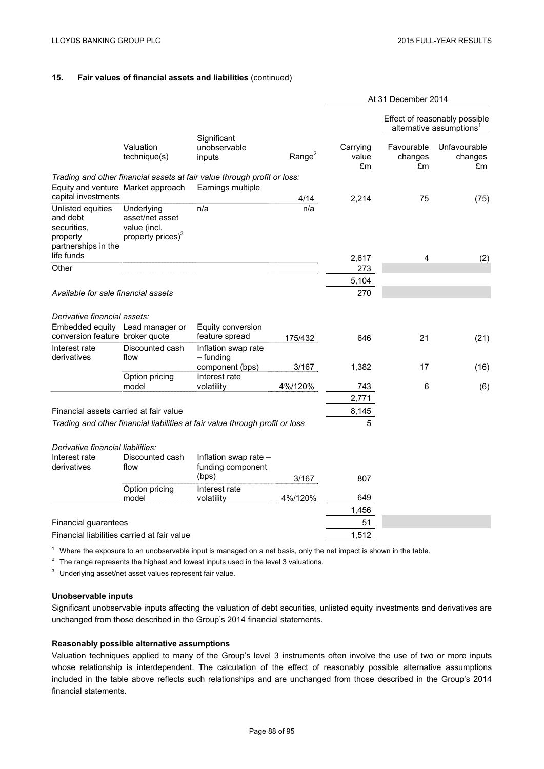|                                                                                                                      |                                                                                |                                                                                               |             |                         | At 31 December 2014         |                                                                       |
|----------------------------------------------------------------------------------------------------------------------|--------------------------------------------------------------------------------|-----------------------------------------------------------------------------------------------|-------------|-------------------------|-----------------------------|-----------------------------------------------------------------------|
|                                                                                                                      |                                                                                |                                                                                               |             |                         |                             | Effect of reasonably possible<br>alternative assumptions <sup>1</sup> |
|                                                                                                                      | Valuation<br>technique(s)                                                      | Significant<br>unobservable<br>inputs                                                         | Range $2$   | Carrying<br>value<br>£m | Favourable<br>changes<br>£m | Unfavourable<br>changes<br>£m                                         |
| Equity and venture Market approach                                                                                   |                                                                                | Trading and other financial assets at fair value through profit or loss:<br>Earnings multiple |             |                         |                             |                                                                       |
| capital investments<br>Unlisted equities<br>and debt<br>securities.<br>property<br>partnerships in the<br>life funds | Underlying<br>asset/net asset<br>value (incl.<br>property prices) <sup>3</sup> | n/a                                                                                           | 4/14<br>n/a | 2,214                   | 75                          | (75)                                                                  |
| Other                                                                                                                |                                                                                |                                                                                               |             | 2,617<br>273            | 4                           | (2)                                                                   |
|                                                                                                                      |                                                                                |                                                                                               |             | 5,104                   |                             |                                                                       |
| Available for sale financial assets                                                                                  |                                                                                |                                                                                               |             | 270                     |                             |                                                                       |
| Derivative financial assets:                                                                                         | Embedded equity Lead manager or                                                | Equity conversion                                                                             |             |                         |                             |                                                                       |
| conversion feature broker quote                                                                                      |                                                                                | feature spread                                                                                | 175/432     | 646                     | 21                          | (21)                                                                  |
| Interest rate<br>derivatives                                                                                         | Discounted cash<br>flow                                                        | Inflation swap rate<br>$-$ funding<br>component (bps)                                         | 3/167       | 1,382                   | 17                          | (16)                                                                  |
|                                                                                                                      | Option pricing                                                                 | Interest rate                                                                                 |             |                         |                             |                                                                       |
|                                                                                                                      | model                                                                          | volatility                                                                                    | 4%/120%     | 743                     | 6                           | (6)                                                                   |
|                                                                                                                      |                                                                                |                                                                                               |             | 2,771                   |                             |                                                                       |
| Financial assets carried at fair value                                                                               |                                                                                |                                                                                               |             | 8,145                   |                             |                                                                       |
|                                                                                                                      |                                                                                | Trading and other financial liabilities at fair value through profit or loss                  |             | 5                       |                             |                                                                       |
| Derivative financial liabilities:<br>Interest rate<br>derivatives                                                    | Discounted cash<br>flow                                                        | Inflation swap rate -<br>funding component                                                    |             |                         |                             |                                                                       |
|                                                                                                                      |                                                                                | (bps)                                                                                         | 3/167       | 807                     |                             |                                                                       |
|                                                                                                                      | Option pricing<br>model                                                        | Interest rate<br>volatility                                                                   | 4%/120%     | 649                     |                             |                                                                       |
|                                                                                                                      |                                                                                |                                                                                               |             | 1,456                   |                             |                                                                       |
| Financial guarantees                                                                                                 |                                                                                |                                                                                               |             | 51                      |                             |                                                                       |
|                                                                                                                      | Financial liabilities carried at fair value                                    |                                                                                               |             | 1,512                   |                             |                                                                       |

 $1$  Where the exposure to an unobservable input is managed on a net basis, only the net impact is shown in the table.

 $2$  The range represents the highest and lowest inputs used in the level 3 valuations.

<sup>3</sup> Underlying asset/net asset values represent fair value.

# **Unobservable inputs**

Significant unobservable inputs affecting the valuation of debt securities, unlisted equity investments and derivatives are unchanged from those described in the Group's 2014 financial statements.

# **Reasonably possible alternative assumptions**

Valuation techniques applied to many of the Group's level 3 instruments often involve the use of two or more inputs whose relationship is interdependent. The calculation of the effect of reasonably possible alternative assumptions included in the table above reflects such relationships and are unchanged from those described in the Group's 2014 financial statements.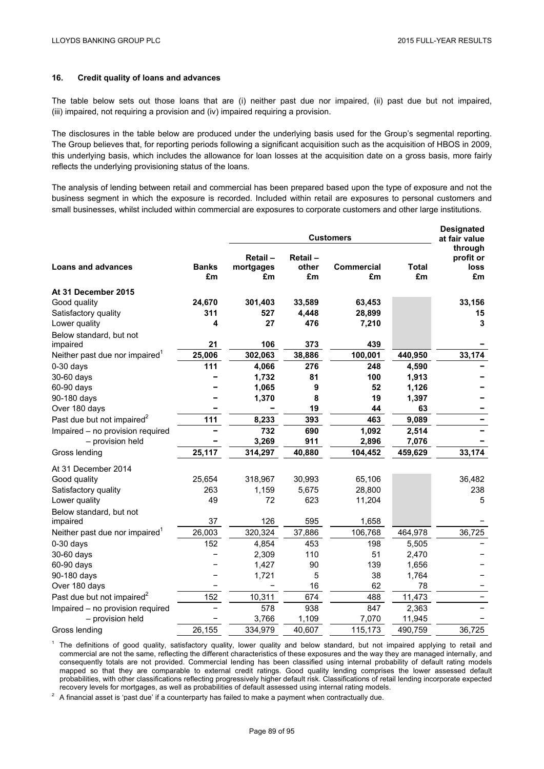# **16. Credit quality of loans and advances**

The table below sets out those loans that are (i) neither past due nor impaired, (ii) past due but not impaired, (iii) impaired, not requiring a provision and (iv) impaired requiring a provision.

The disclosures in the table below are produced under the underlying basis used for the Group's segmental reporting. The Group believes that, for reporting periods following a significant acquisition such as the acquisition of HBOS in 2009, this underlying basis, which includes the allowance for loan losses at the acquisition date on a gross basis, more fairly reflects the underlying provisioning status of the loans.

The analysis of lending between retail and commercial has been prepared based upon the type of exposure and not the business segment in which the exposure is recorded. Included within retail are exposures to personal customers and small businesses, whilst included within commercial are exposures to corporate customers and other large institutions.

|                                            |                    | <b>Customers</b>           |                        |                  |                    | <b>Designated</b><br>at fair value        |
|--------------------------------------------|--------------------|----------------------------|------------------------|------------------|--------------------|-------------------------------------------|
| <b>Loans and advances</b>                  | <b>Banks</b><br>£m | Retail-<br>mortgages<br>£m | Retail-<br>other<br>£m | Commercial<br>£m | <b>Total</b><br>£m | through<br>profit or<br><b>loss</b><br>£m |
| At 31 December 2015                        |                    |                            |                        |                  |                    |                                           |
| Good quality                               | 24,670             | 301,403                    | 33,589                 | 63,453           |                    | 33,156                                    |
| Satisfactory quality                       | 311                | 527                        | 4,448                  | 28,899           |                    | 15                                        |
| Lower quality                              | 4                  | 27                         | 476                    | 7,210            |                    | 3                                         |
| Below standard, but not                    |                    |                            |                        |                  |                    |                                           |
| impaired                                   | 21                 | 106                        | 373                    | 439              |                    |                                           |
| Neither past due nor impaired <sup>1</sup> | 25,006             | 302,063                    | 38,886                 | 100,001          | 440,950            | 33,174                                    |
| $0-30$ days                                | 111                | 4,066                      | 276                    | 248              | 4,590              |                                           |
| 30-60 days                                 |                    | 1,732                      | 81                     | 100              | 1,913              |                                           |
| 60-90 days                                 |                    | 1,065                      | 9                      | 52               | 1,126              |                                           |
| 90-180 days                                |                    | 1,370                      | 8                      | 19               | 1,397              |                                           |
| Over 180 days                              |                    |                            | 19                     | 44               | 63                 |                                           |
| Past due but not impaired <sup>2</sup>     | 111                | 8,233                      | 393                    | 463              | 9,089              |                                           |
| Impaired - no provision required           |                    | 732                        | 690                    | 1,092            | 2,514              |                                           |
| - provision held                           |                    | 3,269                      | 911                    | 2,896            | 7,076              |                                           |
| Gross lending                              | 25,117             | 314,297                    | 40,880                 | 104,452          | 459,629            | 33,174                                    |
| At 31 December 2014                        |                    |                            |                        |                  |                    |                                           |
| Good quality                               | 25,654             | 318,967                    | 30,993                 | 65,106           |                    | 36,482                                    |
| Satisfactory quality                       | 263                | 1,159                      | 5,675                  | 28,800           |                    | 238                                       |
| Lower quality                              | 49                 | 72                         | 623                    | 11,204           |                    | 5                                         |
| Below standard, but not                    |                    |                            |                        |                  |                    |                                           |
| impaired                                   | 37                 | 126                        | 595                    | 1,658            |                    |                                           |
| Neither past due nor impaired <sup>1</sup> | 26,003             | 320,324                    | 37,886                 | 106,768          | 464,978            | 36,725                                    |
| $0-30$ days                                | 152                | 4,854                      | 453                    | 198              | 5,505              |                                           |
| 30-60 days                                 |                    | 2,309                      | 110                    | 51               | 2,470              |                                           |
| 60-90 days                                 |                    | 1,427                      | 90                     | 139              | 1,656              |                                           |
| 90-180 days                                |                    | 1,721                      | 5                      | 38               | 1,764              |                                           |
| Over 180 days                              |                    |                            | 16                     | 62               | 78                 |                                           |
| Past due but not impaired <sup>2</sup>     | 152                | 10,311                     | 674                    | 488              | 11,473             |                                           |
| Impaired - no provision required           |                    | 578                        | 938                    | 847              | 2,363              |                                           |
| - provision held                           |                    | 3,766                      | 1,109                  | 7,070            | 11,945             |                                           |
| Gross lending                              | 26,155             | 334,979                    | 40,607                 | 115,173          | 490,759            | 36,725                                    |

<sup>1</sup> The definitions of good quality, satisfactory quality, lower quality and below standard, but not impaired applying to retail and commercial are not the same, reflecting the different characteristics of these exposures and the way they are managed internally, and consequently totals are not provided. Commercial lending has been classified using internal probability of default rating models mapped so that they are comparable to external credit ratings. Good quality lending comprises the lower assessed default probabilities, with other classifications reflecting progressively higher default risk. Classifications of retail lending incorporate expected

 $2^2$  A financial asset is 'past due' if a counterparty has failed to make a payment when contractually due.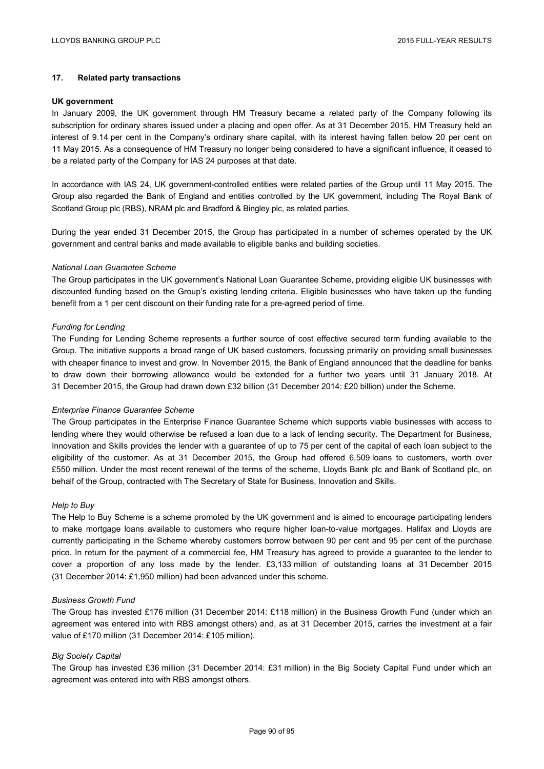# **17. Related party transactions**

#### **UK government**

In January 2009, the UK government through HM Treasury became a related party of the Company following its subscription for ordinary shares issued under a placing and open offer. As at 31 December 2015, HM Treasury held an interest of 9.14 per cent in the Company's ordinary share capital, with its interest having fallen below 20 per cent on 11 May 2015. As a consequence of HM Treasury no longer being considered to have a significant influence, it ceased to be a related party of the Company for IAS 24 purposes at that date.

In accordance with IAS 24, UK government-controlled entities were related parties of the Group until 11 May 2015. The Group also regarded the Bank of England and entities controlled by the UK government, including The Royal Bank of Scotland Group plc (RBS), NRAM plc and Bradford & Bingley plc, as related parties.

During the year ended 31 December 2015, the Group has participated in a number of schemes operated by the UK government and central banks and made available to eligible banks and building societies.

### *National Loan Guarantee Scheme*

The Group participates in the UK government's National Loan Guarantee Scheme, providing eligible UK businesses with discounted funding based on the Group's existing lending criteria. Eligible businesses who have taken up the funding benefit from a 1 per cent discount on their funding rate for a pre-agreed period of time.

#### *Funding for Lending*

The Funding for Lending Scheme represents a further source of cost effective secured term funding available to the Group. The initiative supports a broad range of UK based customers, focussing primarily on providing small businesses with cheaper finance to invest and grow. In November 2015, the Bank of England announced that the deadline for banks to draw down their borrowing allowance would be extended for a further two years until 31 January 2018. At 31 December 2015, the Group had drawn down £32 billion (31 December 2014: £20 billion) under the Scheme.

### *Enterprise Finance Guarantee Scheme*

The Group participates in the Enterprise Finance Guarantee Scheme which supports viable businesses with access to lending where they would otherwise be refused a loan due to a lack of lending security. The Department for Business, Innovation and Skills provides the lender with a guarantee of up to 75 per cent of the capital of each loan subject to the eligibility of the customer. As at 31 December 2015, the Group had offered 6,509 loans to customers, worth over £550 million. Under the most recent renewal of the terms of the scheme, Lloyds Bank plc and Bank of Scotland plc, on behalf of the Group, contracted with The Secretary of State for Business, Innovation and Skills.

### *Help to Buy*

The Help to Buy Scheme is a scheme promoted by the UK government and is aimed to encourage participating lenders to make mortgage loans available to customers who require higher loan-to-value mortgages. Halifax and Lloyds are currently participating in the Scheme whereby customers borrow between 90 per cent and 95 per cent of the purchase price. In return for the payment of a commercial fee, HM Treasury has agreed to provide a guarantee to the lender to cover a proportion of any loss made by the lender. £3,133 million of outstanding loans at 31 December 2015 (31 December 2014: £1,950 million) had been advanced under this scheme.

### *Business Growth Fund*

The Group has invested £176 million (31 December 2014: £118 million) in the Business Growth Fund (under which an agreement was entered into with RBS amongst others) and, as at 31 December 2015, carries the investment at a fair value of £170 million (31 December 2014: £105 million).

## *Big Society Capital*

The Group has invested £36 million (31 December 2014: £31 million) in the Big Society Capital Fund under which an agreement was entered into with RBS amongst others.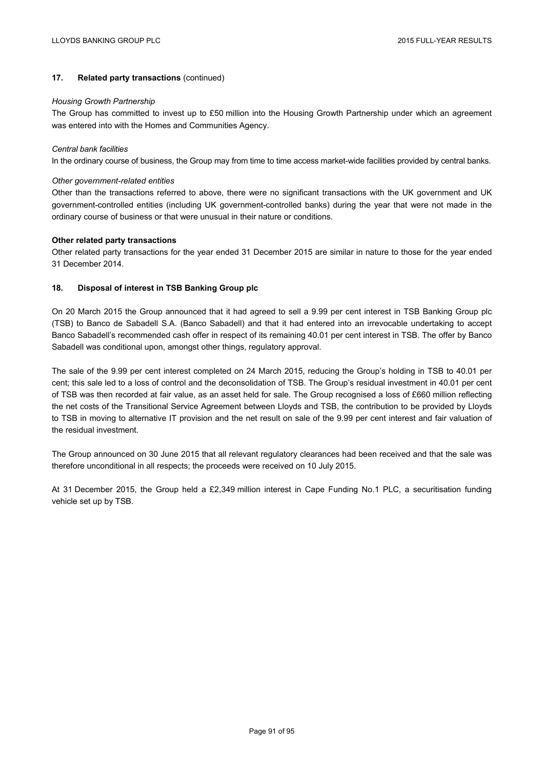# **17. Related party transactions** (continued)

#### *Housing Growth Partnership*

The Group has committed to invest up to £50 million into the Housing Growth Partnership under which an agreement was entered into with the Homes and Communities Agency.

### *Central bank facilities*

In the ordinary course of business, the Group may from time to time access market-wide facilities provided by central banks.

### *Other government-related entities*

Other than the transactions referred to above, there were no significant transactions with the UK government and UK government-controlled entities (including UK government-controlled banks) during the year that were not made in the ordinary course of business or that were unusual in their nature or conditions.

### **Other related party transactions**

Other related party transactions for the year ended 31 December 2015 are similar in nature to those for the year ended 31 December 2014.

# **18. Disposal of interest in TSB Banking Group plc**

On 20 March 2015 the Group announced that it had agreed to sell a 9.99 per cent interest in TSB Banking Group plc (TSB) to Banco de Sabadell S.A. (Banco Sabadell) and that it had entered into an irrevocable undertaking to accept Banco Sabadell's recommended cash offer in respect of its remaining 40.01 per cent interest in TSB. The offer by Banco Sabadell was conditional upon, amongst other things, regulatory approval.

The sale of the 9.99 per cent interest completed on 24 March 2015, reducing the Group's holding in TSB to 40.01 per cent; this sale led to a loss of control and the deconsolidation of TSB. The Group's residual investment in 40.01 per cent of TSB was then recorded at fair value, as an asset held for sale. The Group recognised a loss of £660 million reflecting the net costs of the Transitional Service Agreement between Lloyds and TSB, the contribution to be provided by Lloyds to TSB in moving to alternative IT provision and the net result on sale of the 9.99 per cent interest and fair valuation of the residual investment.

The Group announced on 30 June 2015 that all relevant regulatory clearances had been received and that the sale was therefore unconditional in all respects; the proceeds were received on 10 July 2015.

At 31 December 2015, the Group held a £2,349 million interest in Cape Funding No.1 PLC, a securitisation funding vehicle set up by TSB.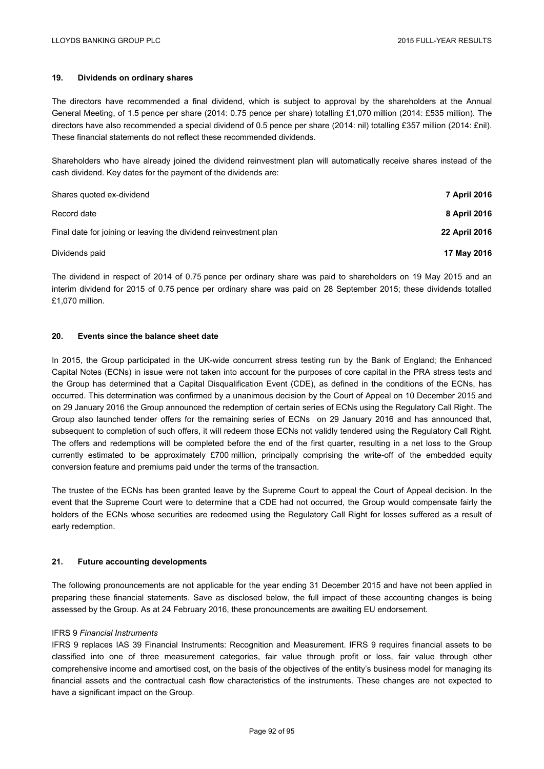# **19. Dividends on ordinary shares**

The directors have recommended a final dividend, which is subject to approval by the shareholders at the Annual General Meeting, of 1.5 pence per share (2014: 0.75 pence per share) totalling £1,070 million (2014: £535 million). The directors have also recommended a special dividend of 0.5 pence per share (2014: nil) totalling £357 million (2014: £nil). These financial statements do not reflect these recommended dividends.

Shareholders who have already joined the dividend reinvestment plan will automatically receive shares instead of the cash dividend. Key dates for the payment of the dividends are:

| Shares guoted ex-dividend                                        | <b>7 April 2016</b> |
|------------------------------------------------------------------|---------------------|
| Record date                                                      | 8 April 2016        |
| Final date for joining or leaving the dividend reinvestment plan | 22 April 2016       |
| Dividends paid                                                   | 17 May 2016         |

The dividend in respect of 2014 of 0.75 pence per ordinary share was paid to shareholders on 19 May 2015 and an interim dividend for 2015 of 0.75 pence per ordinary share was paid on 28 September 2015; these dividends totalled £1,070 million.

## **20. Events since the balance sheet date**

In 2015, the Group participated in the UK-wide concurrent stress testing run by the Bank of England; the Enhanced Capital Notes (ECNs) in issue were not taken into account for the purposes of core capital in the PRA stress tests and the Group has determined that a Capital Disqualification Event (CDE), as defined in the conditions of the ECNs, has occurred. This determination was confirmed by a unanimous decision by the Court of Appeal on 10 December 2015 and on 29 January 2016 the Group announced the redemption of certain series of ECNs using the Regulatory Call Right. The Group also launched tender offers for the remaining series of ECNs on 29 January 2016 and has announced that, subsequent to completion of such offers, it will redeem those ECNs not validly tendered using the Regulatory Call Right. The offers and redemptions will be completed before the end of the first quarter, resulting in a net loss to the Group currently estimated to be approximately £700 million, principally comprising the write-off of the embedded equity conversion feature and premiums paid under the terms of the transaction.

The trustee of the ECNs has been granted leave by the Supreme Court to appeal the Court of Appeal decision. In the event that the Supreme Court were to determine that a CDE had not occurred, the Group would compensate fairly the holders of the ECNs whose securities are redeemed using the Regulatory Call Right for losses suffered as a result of early redemption.

### **21. Future accounting developments**

The following pronouncements are not applicable for the year ending 31 December 2015 and have not been applied in preparing these financial statements. Save as disclosed below, the full impact of these accounting changes is being assessed by the Group. As at 24 February 2016, these pronouncements are awaiting EU endorsement.

## IFRS 9 *Financial Instruments*

IFRS 9 replaces IAS 39 Financial Instruments: Recognition and Measurement. IFRS 9 requires financial assets to be classified into one of three measurement categories, fair value through profit or loss, fair value through other comprehensive income and amortised cost, on the basis of the objectives of the entity's business model for managing its financial assets and the contractual cash flow characteristics of the instruments. These changes are not expected to have a significant impact on the Group.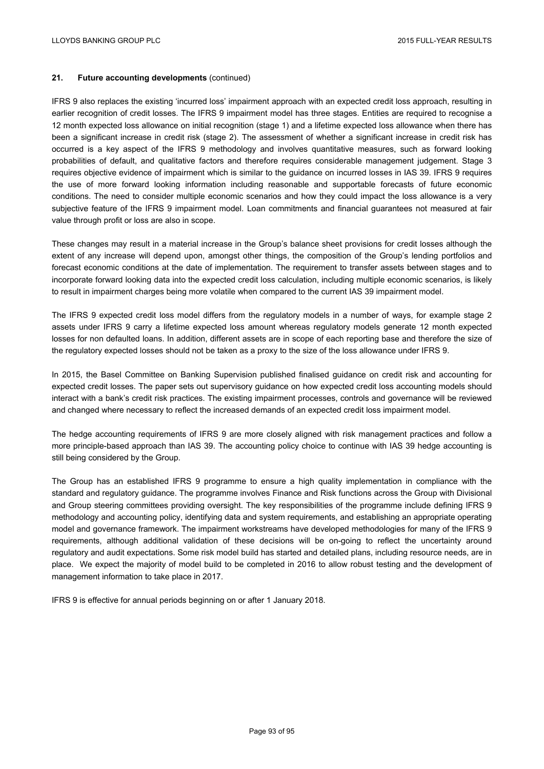# **21. Future accounting developments** (continued)

IFRS 9 also replaces the existing 'incurred loss' impairment approach with an expected credit loss approach, resulting in earlier recognition of credit losses. The IFRS 9 impairment model has three stages. Entities are required to recognise a 12 month expected loss allowance on initial recognition (stage 1) and a lifetime expected loss allowance when there has been a significant increase in credit risk (stage 2). The assessment of whether a significant increase in credit risk has occurred is a key aspect of the IFRS 9 methodology and involves quantitative measures, such as forward looking probabilities of default, and qualitative factors and therefore requires considerable management judgement. Stage 3 requires objective evidence of impairment which is similar to the guidance on incurred losses in IAS 39. IFRS 9 requires the use of more forward looking information including reasonable and supportable forecasts of future economic conditions. The need to consider multiple economic scenarios and how they could impact the loss allowance is a very subjective feature of the IFRS 9 impairment model. Loan commitments and financial quarantees not measured at fair value through profit or loss are also in scope.

These changes may result in a material increase in the Group's balance sheet provisions for credit losses although the extent of any increase will depend upon, amongst other things, the composition of the Group's lending portfolios and forecast economic conditions at the date of implementation. The requirement to transfer assets between stages and to incorporate forward looking data into the expected credit loss calculation, including multiple economic scenarios, is likely to result in impairment charges being more volatile when compared to the current IAS 39 impairment model.

The IFRS 9 expected credit loss model differs from the regulatory models in a number of ways, for example stage 2 assets under IFRS 9 carry a lifetime expected loss amount whereas regulatory models generate 12 month expected losses for non defaulted loans. In addition, different assets are in scope of each reporting base and therefore the size of the regulatory expected losses should not be taken as a proxy to the size of the loss allowance under IFRS 9.

In 2015, the Basel Committee on Banking Supervision published finalised guidance on credit risk and accounting for expected credit losses. The paper sets out supervisory guidance on how expected credit loss accounting models should interact with a bank's credit risk practices. The existing impairment processes, controls and governance will be reviewed and changed where necessary to reflect the increased demands of an expected credit loss impairment model.

The hedge accounting requirements of IFRS 9 are more closely aligned with risk management practices and follow a more principle-based approach than IAS 39. The accounting policy choice to continue with IAS 39 hedge accounting is still being considered by the Group.

The Group has an established IFRS 9 programme to ensure a high quality implementation in compliance with the standard and regulatory guidance. The programme involves Finance and Risk functions across the Group with Divisional and Group steering committees providing oversight. The key responsibilities of the programme include defining IFRS 9 methodology and accounting policy, identifying data and system requirements, and establishing an appropriate operating model and governance framework. The impairment workstreams have developed methodologies for many of the IFRS 9 requirements, although additional validation of these decisions will be on-going to reflect the uncertainty around regulatory and audit expectations. Some risk model build has started and detailed plans, including resource needs, are in place. We expect the majority of model build to be completed in 2016 to allow robust testing and the development of management information to take place in 2017.

IFRS 9 is effective for annual periods beginning on or after 1 January 2018.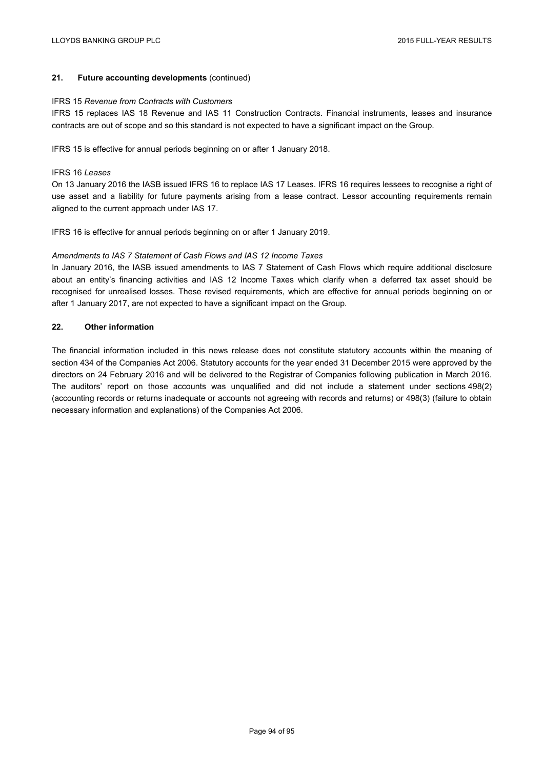# **21. Future accounting developments** (continued)

#### IFRS 15 *Revenue from Contracts with Customers*

IFRS 15 replaces IAS 18 Revenue and IAS 11 Construction Contracts. Financial instruments, leases and insurance contracts are out of scope and so this standard is not expected to have a significant impact on the Group.

IFRS 15 is effective for annual periods beginning on or after 1 January 2018.

#### IFRS 16 *Leases*

On 13 January 2016 the IASB issued IFRS 16 to replace IAS 17 Leases. IFRS 16 requires lessees to recognise a right of use asset and a liability for future payments arising from a lease contract. Lessor accounting requirements remain aligned to the current approach under IAS 17.

IFRS 16 is effective for annual periods beginning on or after 1 January 2019.

### *Amendments to IAS 7 Statement of Cash Flows and IAS 12 Income Taxes*

In January 2016, the IASB issued amendments to IAS 7 Statement of Cash Flows which require additional disclosure about an entity's financing activities and IAS 12 Income Taxes which clarify when a deferred tax asset should be recognised for unrealised losses. These revised requirements, which are effective for annual periods beginning on or after 1 January 2017, are not expected to have a significant impact on the Group.

## **22. Other information**

The financial information included in this news release does not constitute statutory accounts within the meaning of section 434 of the Companies Act 2006. Statutory accounts for the year ended 31 December 2015 were approved by the directors on 24 February 2016 and will be delivered to the Registrar of Companies following publication in March 2016. The auditors' report on those accounts was unqualified and did not include a statement under sections 498(2) (accounting records or returns inadequate or accounts not agreeing with records and returns) or 498(3) (failure to obtain necessary information and explanations) of the Companies Act 2006.